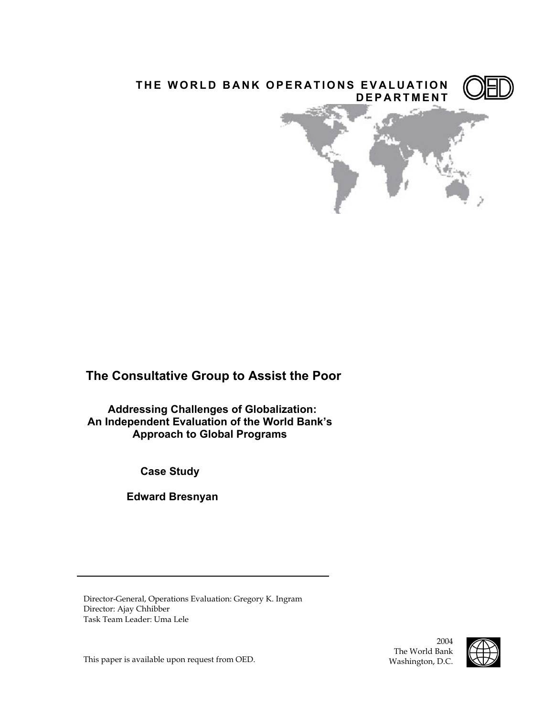

# **The Consultative Group to Assist the Poor**

**Addressing Challenges of Globalization: An Independent Evaluation of the World Bank's Approach to Global Programs** 

**Case Study** 

 **Edward Bresnyan**

Director-General, Operations Evaluation: Gregory K. Ingram Director: Ajay Chhibber Task Team Leader: Uma Lele

This paper is available upon request from OED.

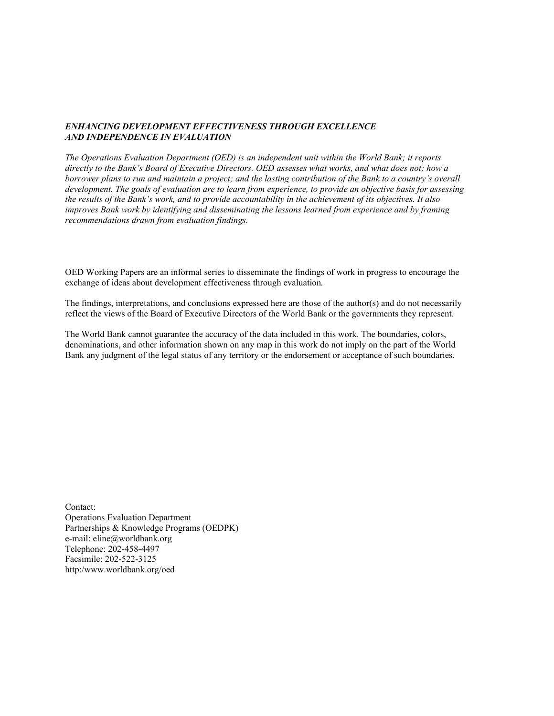#### *ENHANCING DEVELOPMENT EFFECTIVENESS THROUGH EXCELLENCE AND INDEPENDENCE IN EVALUATION*

*The Operations Evaluation Department (OED) is an independent unit within the World Bank; it reports directly to the Bank's Board of Executive Directors. OED assesses what works, and what does not; how a borrower plans to run and maintain a project; and the lasting contribution of the Bank to a country's overall development. The goals of evaluation are to learn from experience, to provide an objective basis for assessing the results of the Bank's work, and to provide accountability in the achievement of its objectives. It also improves Bank work by identifying and disseminating the lessons learned from experience and by framing recommendations drawn from evaluation findings.* 

OED Working Papers are an informal series to disseminate the findings of work in progress to encourage the exchange of ideas about development effectiveness through evaluation*.* 

The findings, interpretations, and conclusions expressed here are those of the author(s) and do not necessarily reflect the views of the Board of Executive Directors of the World Bank or the governments they represent.

The World Bank cannot guarantee the accuracy of the data included in this work. The boundaries, colors, denominations, and other information shown on any map in this work do not imply on the part of the World Bank any judgment of the legal status of any territory or the endorsement or acceptance of such boundaries.

Contact: Operations Evaluation Department Partnerships & Knowledge Programs (OEDPK) e-mail: eline@worldbank.org Telephone: 202-458-4497 Facsimile: 202-522-3125 http:/www.worldbank.org/oed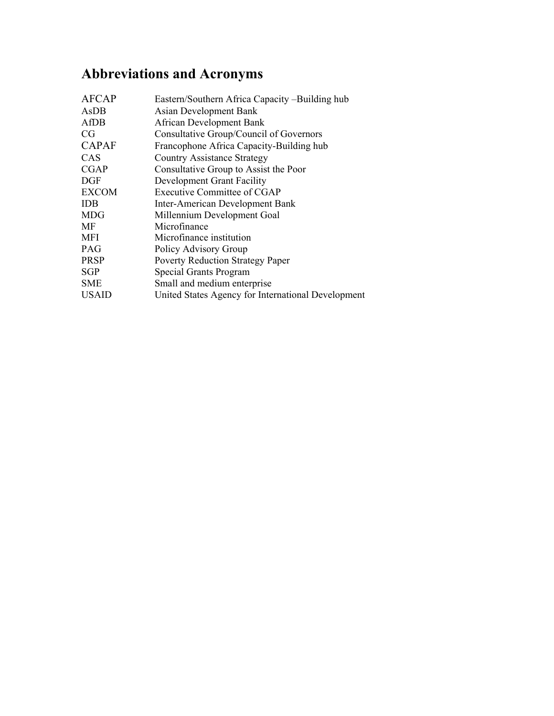# **Abbreviations and Acronyms**

| AFCAP        | Eastern/Southern Africa Capacity –Building hub     |
|--------------|----------------------------------------------------|
| AsDB         | Asian Development Bank                             |
| AfDB         | <b>African Development Bank</b>                    |
| CG           | Consultative Group/Council of Governors            |
| <b>CAPAF</b> | Francophone Africa Capacity-Building hub           |
| CAS          | <b>Country Assistance Strategy</b>                 |
| <b>CGAP</b>  | Consultative Group to Assist the Poor              |
| <b>DGF</b>   | Development Grant Facility                         |
| <b>EXCOM</b> | Executive Committee of CGAP                        |
| <b>IDB</b>   | <b>Inter-American Development Bank</b>             |
| <b>MDG</b>   | Millennium Development Goal                        |
| MF           | Microfinance                                       |
| MFI          | Microfinance institution                           |
| PAG          | Policy Advisory Group                              |
| <b>PRSP</b>  | <b>Poverty Reduction Strategy Paper</b>            |
| SGP          | Special Grants Program                             |
| SME          | Small and medium enterprise                        |
| <b>USAID</b> | United States Agency for International Development |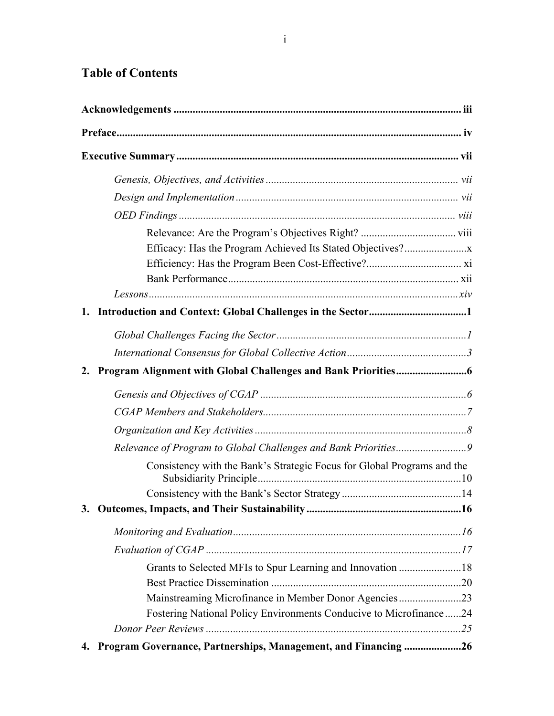# **Table of Contents**

| 2. |                                                                         |  |
|----|-------------------------------------------------------------------------|--|
|    |                                                                         |  |
|    |                                                                         |  |
|    |                                                                         |  |
|    |                                                                         |  |
|    | Consistency with the Bank's Strategic Focus for Global Programs and the |  |
|    |                                                                         |  |
|    |                                                                         |  |
|    |                                                                         |  |
|    |                                                                         |  |
|    | Grants to Selected MFIs to Spur Learning and Innovation 18              |  |
|    |                                                                         |  |
|    | Mainstreaming Microfinance in Member Donor Agencies23                   |  |
|    | Fostering National Policy Environments Conducive to Microfinance24      |  |
|    |                                                                         |  |
| 4. | Program Governance, Partnerships, Management, and Financing 26          |  |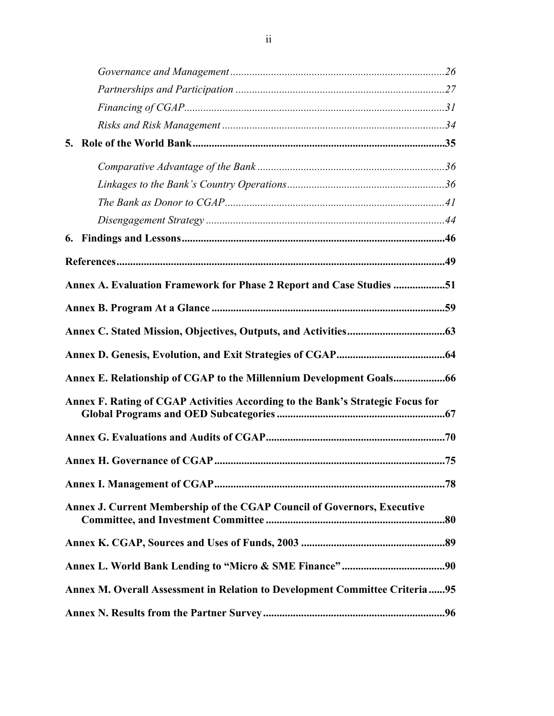| Annex A. Evaluation Framework for Phase 2 Report and Case Studies 51           |  |
|--------------------------------------------------------------------------------|--|
|                                                                                |  |
|                                                                                |  |
|                                                                                |  |
| Annex E. Relationship of CGAP to the Millennium Development Goals              |  |
| Annex F. Rating of CGAP Activities According to the Bank's Strategic Focus for |  |
|                                                                                |  |
|                                                                                |  |
|                                                                                |  |
| Annex J. Current Membership of the CGAP Council of Governors, Executive        |  |
|                                                                                |  |
|                                                                                |  |
| Annex M. Overall Assessment in Relation to Development Committee Criteria95    |  |
|                                                                                |  |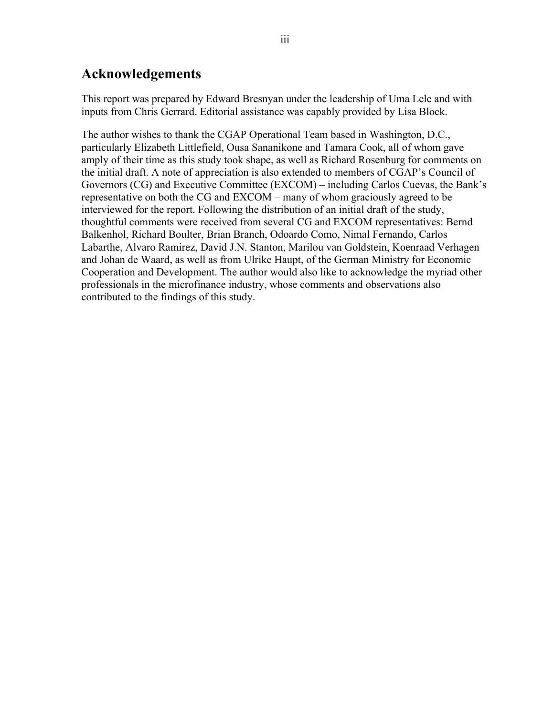# **Acknowledgements**

This report was prepared by Edward Bresnyan under the leadership of Uma Lele and with inputs from Chris Gerrard. Editorial assistance was capably provided by Lisa Block.

The author wishes to thank the CGAP Operational Team based in Washington, D.C., particularly Elizabeth Littlefield, Ousa Sananikone and Tamara Cook, all of whom gave amply of their time as this study took shape, as well as Richard Rosenburg for comments on the initial draft. A note of appreciation is also extended to members of CGAP's Council of Governors (CG) and Executive Committee (EXCOM) – including Carlos Cuevas, the Bank's representative on both the CG and EXCOM – many of whom graciously agreed to be interviewed for the report. Following the distribution of an initial draft of the study, thoughtful comments were received from several CG and EXCOM representatives: Bernd Balkenhol, Richard Boulter, Brian Branch, Odoardo Como, Nimal Fernando, Carlos Labarthe, Alvaro Ramirez, David J.N. Stanton, Marilou van Goldstein, Koenraad Verhagen and Johan de Waard, as well as from Ulrike Haupt, of the German Ministry for Economic Cooperation and Development. The author would also like to acknowledge the myriad other professionals in the microfinance industry, whose comments and observations also contributed to the findings of this study.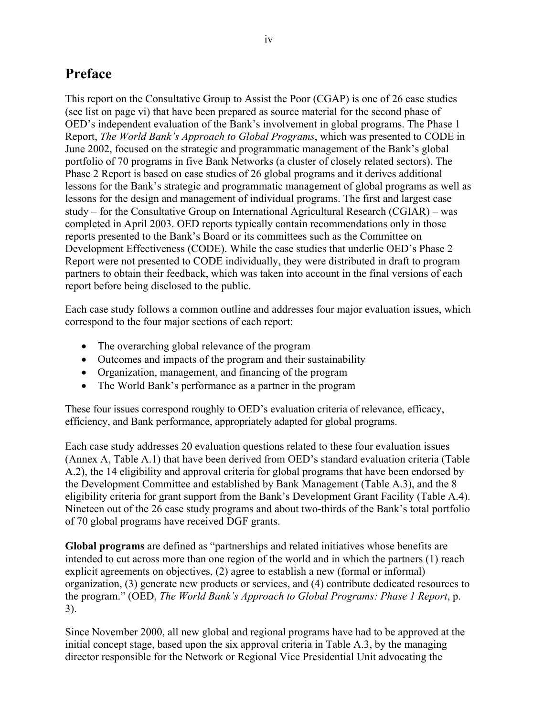# **Preface**

This report on the Consultative Group to Assist the Poor (CGAP) is one of 26 case studies (see list on page vi) that have been prepared as source material for the second phase of OED's independent evaluation of the Bank's involvement in global programs. The Phase 1 Report, *The World Bank's Approach to Global Programs*, which was presented to CODE in June 2002, focused on the strategic and programmatic management of the Bank's global portfolio of 70 programs in five Bank Networks (a cluster of closely related sectors). The Phase 2 Report is based on case studies of 26 global programs and it derives additional lessons for the Bank's strategic and programmatic management of global programs as well as lessons for the design and management of individual programs. The first and largest case study – for the Consultative Group on International Agricultural Research (CGIAR) – was completed in April 2003. OED reports typically contain recommendations only in those reports presented to the Bank's Board or its committees such as the Committee on Development Effectiveness (CODE). While the case studies that underlie OED's Phase 2 Report were not presented to CODE individually, they were distributed in draft to program partners to obtain their feedback, which was taken into account in the final versions of each report before being disclosed to the public.

Each case study follows a common outline and addresses four major evaluation issues, which correspond to the four major sections of each report:

- The overarching global relevance of the program
- Outcomes and impacts of the program and their sustainability
- Organization, management, and financing of the program
- The World Bank's performance as a partner in the program

These four issues correspond roughly to OED's evaluation criteria of relevance, efficacy, efficiency, and Bank performance, appropriately adapted for global programs.

Each case study addresses 20 evaluation questions related to these four evaluation issues (Annex A, Table A.1) that have been derived from OED's standard evaluation criteria (Table A.2), the 14 eligibility and approval criteria for global programs that have been endorsed by the Development Committee and established by Bank Management (Table A.3), and the 8 eligibility criteria for grant support from the Bank's Development Grant Facility (Table A.4). Nineteen out of the 26 case study programs and about two-thirds of the Bank's total portfolio of 70 global programs have received DGF grants.

**Global programs** are defined as "partnerships and related initiatives whose benefits are intended to cut across more than one region of the world and in which the partners (1) reach explicit agreements on objectives, (2) agree to establish a new (formal or informal) organization, (3) generate new products or services, and (4) contribute dedicated resources to the program." (OED, *The World Bank's Approach to Global Programs: Phase 1 Report*, p. 3).

Since November 2000, all new global and regional programs have had to be approved at the initial concept stage, based upon the six approval criteria in Table A.3, by the managing director responsible for the Network or Regional Vice Presidential Unit advocating the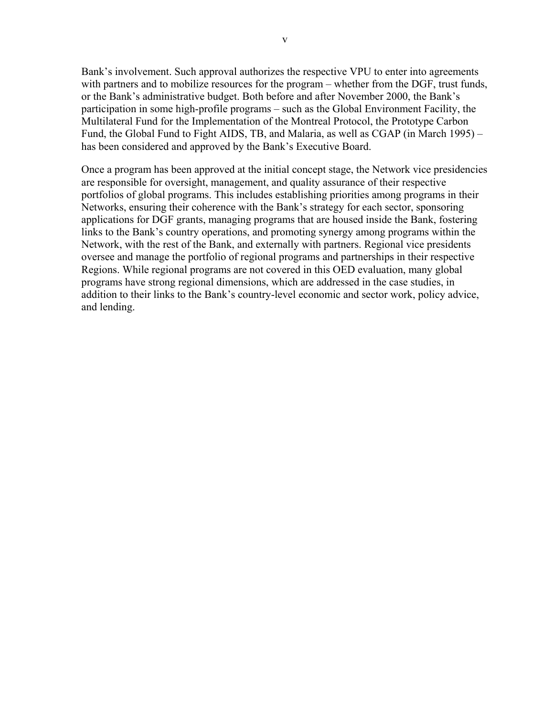Bank's involvement. Such approval authorizes the respective VPU to enter into agreements with partners and to mobilize resources for the program – whether from the DGF, trust funds, or the Bank's administrative budget. Both before and after November 2000, the Bank's participation in some high-profile programs – such as the Global Environment Facility, the Multilateral Fund for the Implementation of the Montreal Protocol, the Prototype Carbon Fund, the Global Fund to Fight AIDS, TB, and Malaria, as well as CGAP (in March 1995) – has been considered and approved by the Bank's Executive Board.

Once a program has been approved at the initial concept stage, the Network vice presidencies are responsible for oversight, management, and quality assurance of their respective portfolios of global programs. This includes establishing priorities among programs in their Networks, ensuring their coherence with the Bank's strategy for each sector, sponsoring applications for DGF grants, managing programs that are housed inside the Bank, fostering links to the Bank's country operations, and promoting synergy among programs within the Network, with the rest of the Bank, and externally with partners. Regional vice presidents oversee and manage the portfolio of regional programs and partnerships in their respective Regions. While regional programs are not covered in this OED evaluation, many global programs have strong regional dimensions, which are addressed in the case studies, in addition to their links to the Bank's country-level economic and sector work, policy advice, and lending.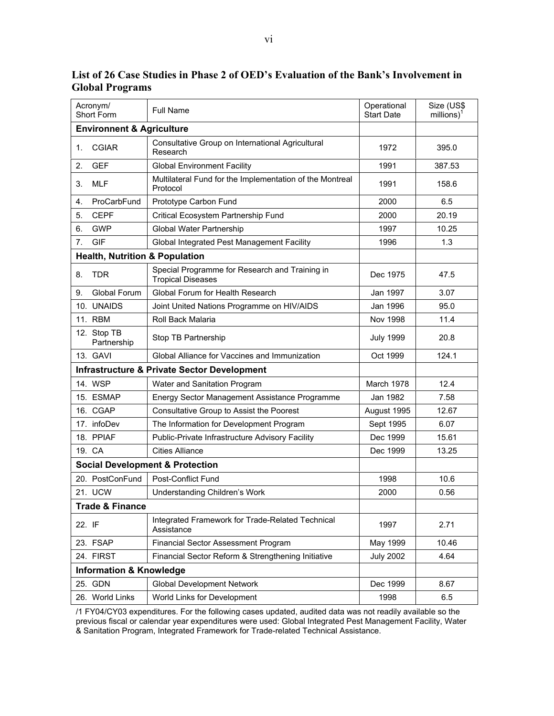|                 | Acronym/<br><b>Full Name</b><br>Short Form |                                                                            | Operational<br><b>Start Date</b> | Size (US\$<br>$millions)^1$ |  |  |  |
|-----------------|--------------------------------------------|----------------------------------------------------------------------------|----------------------------------|-----------------------------|--|--|--|
|                 | <b>Environnent &amp; Agriculture</b>       |                                                                            |                                  |                             |  |  |  |
| 1.              | <b>CGIAR</b>                               | Consultative Group on International Agricultural<br>Research               | 1972                             | 395.0                       |  |  |  |
| 2.              | <b>GEF</b>                                 | <b>Global Environment Facility</b>                                         | 1991                             | 387.53                      |  |  |  |
| 3.              | <b>MLF</b>                                 | Multilateral Fund for the Implementation of the Montreal<br>Protocol       | 1991                             | 158.6                       |  |  |  |
| 4.              | ProCarbFund                                | Prototype Carbon Fund                                                      | 2000                             | 6.5                         |  |  |  |
| 5.              | <b>CEPF</b>                                | Critical Ecosystem Partnership Fund                                        | 2000                             | 20.19                       |  |  |  |
| 6.              | <b>GWP</b>                                 | Global Water Partnership                                                   | 1997                             | 10.25                       |  |  |  |
| 7.              | <b>GIF</b>                                 | Global Integrated Pest Management Facility                                 | 1996                             | 1.3                         |  |  |  |
|                 | <b>Health, Nutrition &amp; Population</b>  |                                                                            |                                  |                             |  |  |  |
| 8.              | <b>TDR</b>                                 | Special Programme for Research and Training in<br><b>Tropical Diseases</b> | Dec 1975                         | 47.5                        |  |  |  |
| 9.              | <b>Global Forum</b>                        | Global Forum for Health Research                                           | Jan 1997                         | 3.07                        |  |  |  |
|                 | 10. UNAIDS                                 | Joint United Nations Programme on HIV/AIDS                                 | Jan 1996                         | 95.0                        |  |  |  |
|                 | 11. RBM                                    | Roll Back Malaria                                                          | Nov 1998                         | 11.4                        |  |  |  |
|                 | 12. Stop TB<br>Partnership                 | Stop TB Partnership                                                        | <b>July 1999</b>                 | 20.8                        |  |  |  |
|                 | 13. GAVI                                   | Global Alliance for Vaccines and Immunization                              | Oct 1999                         | 124.1                       |  |  |  |
|                 |                                            | <b>Infrastructure &amp; Private Sector Development</b>                     |                                  |                             |  |  |  |
|                 | 14. WSP                                    | Water and Sanitation Program                                               | March 1978                       | 12.4                        |  |  |  |
|                 | 15. ESMAP                                  | Energy Sector Management Assistance Programme                              | Jan 1982                         | 7.58                        |  |  |  |
|                 | 16. CGAP                                   | Consultative Group to Assist the Poorest                                   | August 1995                      | 12.67                       |  |  |  |
|                 | 17. infoDev                                | The Information for Development Program                                    | Sept 1995                        | 6.07                        |  |  |  |
|                 | 18. PPIAF                                  | Public-Private Infrastructure Advisory Facility                            | Dec 1999                         | 15.61                       |  |  |  |
|                 | 19. CA                                     | <b>Cities Alliance</b>                                                     | Dec 1999                         | 13.25                       |  |  |  |
|                 |                                            | <b>Social Development &amp; Protection</b>                                 |                                  |                             |  |  |  |
|                 | 20. PostConFund                            | <b>Post-Conflict Fund</b>                                                  | 1998                             | 10.6                        |  |  |  |
|                 | 21. UCW<br>Understanding Children's Work   |                                                                            | 2000                             | 0.56                        |  |  |  |
| Trade & Finance |                                            |                                                                            |                                  |                             |  |  |  |
| 22. IF          |                                            | Integrated Framework for Trade-Related Technical<br>Assistance             | 1997                             | 2.71                        |  |  |  |
|                 | 23. FSAP                                   | Financial Sector Assessment Program                                        | May 1999                         | 10.46                       |  |  |  |
|                 | 24. FIRST                                  | Financial Sector Reform & Strengthening Initiative                         | <b>July 2002</b>                 | 4.64                        |  |  |  |
|                 | <b>Information &amp; Knowledge</b>         |                                                                            |                                  |                             |  |  |  |
|                 | 25. GDN                                    | <b>Global Development Network</b>                                          | Dec 1999                         | 8.67                        |  |  |  |
|                 | 26. World Links                            | World Links for Development                                                | 1998                             | 6.5                         |  |  |  |

**List of 26 Case Studies in Phase 2 of OED's Evaluation of the Bank's Involvement in Global Programs** 

/1 FY04/CY03 expenditures. For the following cases updated, audited data was not readily available so the previous fiscal or calendar year expenditures were used: Global Integrated Pest Management Facility, Water & Sanitation Program, Integrated Framework for Trade-related Technical Assistance.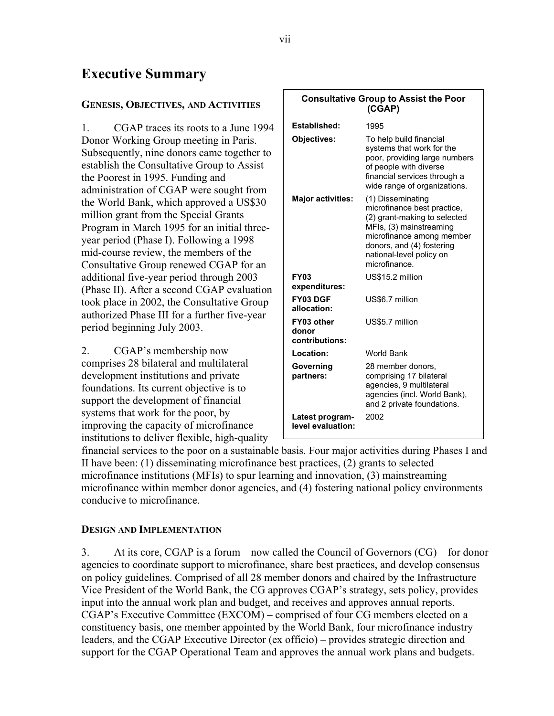# **Executive Summary**

### **GENESIS, OBJECTIVES, AND ACTIVITIES**

1. CGAP traces its roots to a June 1994 Donor Working Group meeting in Paris. Subsequently, nine donors came together to establish the Consultative Group to Assist the Poorest in 1995. Funding and administration of CGAP were sought from the World Bank, which approved a US\$30 million grant from the Special Grants Program in March 1995 for an initial threeyear period (Phase I). Following a 1998 mid-course review, the members of the Consultative Group renewed CGAP for an additional five-year period through 2003 (Phase II). After a second CGAP evaluation took place in 2002, the Consultative Group authorized Phase III for a further five-year period beginning July 2003.

2. CGAP's membership now comprises 28 bilateral and multilateral development institutions and private foundations. Its current objective is to support the development of financial systems that work for the poor, by improving the capacity of microfinance institutions to deliver flexible, high-quality

| <b>Consultative Group to Assist the Poor</b><br>(CGAP) |                                                                                                                                                                                                                    |  |  |  |
|--------------------------------------------------------|--------------------------------------------------------------------------------------------------------------------------------------------------------------------------------------------------------------------|--|--|--|
|                                                        |                                                                                                                                                                                                                    |  |  |  |
| Established:                                           | 1995                                                                                                                                                                                                               |  |  |  |
| Objectives:                                            | To help build financial<br>systems that work for the<br>poor, providing large numbers<br>of people with diverse<br>financial services through a<br>wide range of organizations.                                    |  |  |  |
| <b>Major activities:</b>                               | (1) Disseminating<br>microfinance best practice,<br>(2) grant-making to selected<br>MFIs, (3) mainstreaming<br>microfinance among member<br>donors, and (4) fostering<br>national-level policy on<br>microfinance. |  |  |  |
| <b>FY03</b><br>expenditures:                           | US\$15.2 million                                                                                                                                                                                                   |  |  |  |
| FY03 DGF<br>allocation:                                | US\$6.7 million                                                                                                                                                                                                    |  |  |  |
| FY03 other<br>donor<br>contributions:                  | US\$5.7 million                                                                                                                                                                                                    |  |  |  |
| Location:                                              | <b>World Bank</b>                                                                                                                                                                                                  |  |  |  |
| Governing<br>partners:                                 | 28 member donors,<br>comprising 17 bilateral<br>agencies, 9 multilateral<br>agencies (incl. World Bank),<br>and 2 private foundations.                                                                             |  |  |  |
| Latest program-<br>level evaluation:                   | 2002                                                                                                                                                                                                               |  |  |  |

financial services to the poor on a sustainable basis. Four major activities during Phases I and II have been: (1) disseminating microfinance best practices, (2) grants to selected microfinance institutions (MFIs) to spur learning and innovation, (3) mainstreaming microfinance within member donor agencies, and (4) fostering national policy environments conducive to microfinance.

### **DESIGN AND IMPLEMENTATION**

3. At its core, CGAP is a forum – now called the Council of Governors (CG) – for donor agencies to coordinate support to microfinance, share best practices, and develop consensus on policy guidelines. Comprised of all 28 member donors and chaired by the Infrastructure Vice President of the World Bank, the CG approves CGAP's strategy, sets policy, provides input into the annual work plan and budget, and receives and approves annual reports. CGAP's Executive Committee (EXCOM) – comprised of four CG members elected on a constituency basis, one member appointed by the World Bank, four microfinance industry leaders, and the CGAP Executive Director (ex officio) – provides strategic direction and support for the CGAP Operational Team and approves the annual work plans and budgets.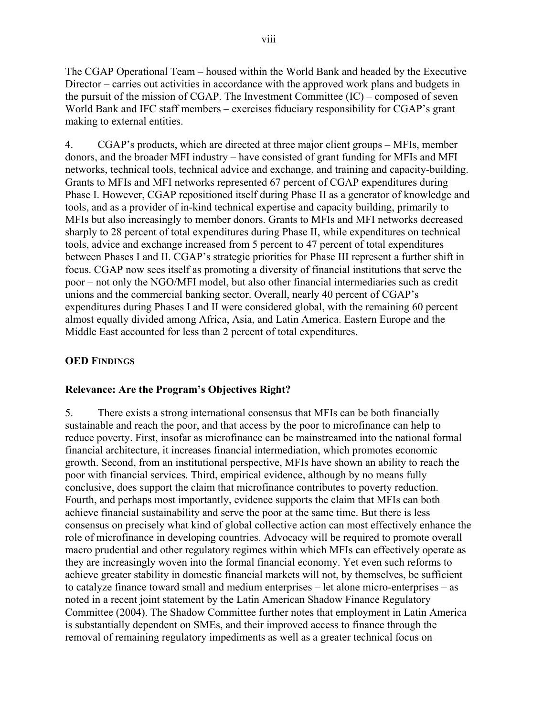The CGAP Operational Team – housed within the World Bank and headed by the Executive Director – carries out activities in accordance with the approved work plans and budgets in the pursuit of the mission of CGAP. The Investment Committee (IC) – composed of seven World Bank and IFC staff members – exercises fiduciary responsibility for CGAP's grant making to external entities.

4. CGAP's products, which are directed at three major client groups – MFIs, member donors, and the broader MFI industry – have consisted of grant funding for MFIs and MFI networks, technical tools, technical advice and exchange, and training and capacity-building. Grants to MFIs and MFI networks represented 67 percent of CGAP expenditures during Phase I. However, CGAP repositioned itself during Phase II as a generator of knowledge and tools, and as a provider of in-kind technical expertise and capacity building, primarily to MFIs but also increasingly to member donors. Grants to MFIs and MFI networks decreased sharply to 28 percent of total expenditures during Phase II, while expenditures on technical tools, advice and exchange increased from 5 percent to 47 percent of total expenditures between Phases I and II. CGAP's strategic priorities for Phase III represent a further shift in focus. CGAP now sees itself as promoting a diversity of financial institutions that serve the poor – not only the NGO/MFI model, but also other financial intermediaries such as credit unions and the commercial banking sector. Overall, nearly 40 percent of CGAP's expenditures during Phases I and II were considered global, with the remaining 60 percent almost equally divided among Africa, Asia, and Latin America. Eastern Europe and the Middle East accounted for less than 2 percent of total expenditures.

# **OED FINDINGS**

# **Relevance: Are the Program's Objectives Right?**

5. There exists a strong international consensus that MFIs can be both financially sustainable and reach the poor, and that access by the poor to microfinance can help to reduce poverty. First, insofar as microfinance can be mainstreamed into the national formal financial architecture, it increases financial intermediation, which promotes economic growth. Second, from an institutional perspective, MFIs have shown an ability to reach the poor with financial services. Third, empirical evidence, although by no means fully conclusive, does support the claim that microfinance contributes to poverty reduction. Fourth, and perhaps most importantly, evidence supports the claim that MFIs can both achieve financial sustainability and serve the poor at the same time. But there is less consensus on precisely what kind of global collective action can most effectively enhance the role of microfinance in developing countries. Advocacy will be required to promote overall macro prudential and other regulatory regimes within which MFIs can effectively operate as they are increasingly woven into the formal financial economy. Yet even such reforms to achieve greater stability in domestic financial markets will not, by themselves, be sufficient to catalyze finance toward small and medium enterprises – let alone micro-enterprises – as noted in a recent joint statement by the Latin American Shadow Finance Regulatory Committee (2004). The Shadow Committee further notes that employment in Latin America is substantially dependent on SMEs, and their improved access to finance through the removal of remaining regulatory impediments as well as a greater technical focus on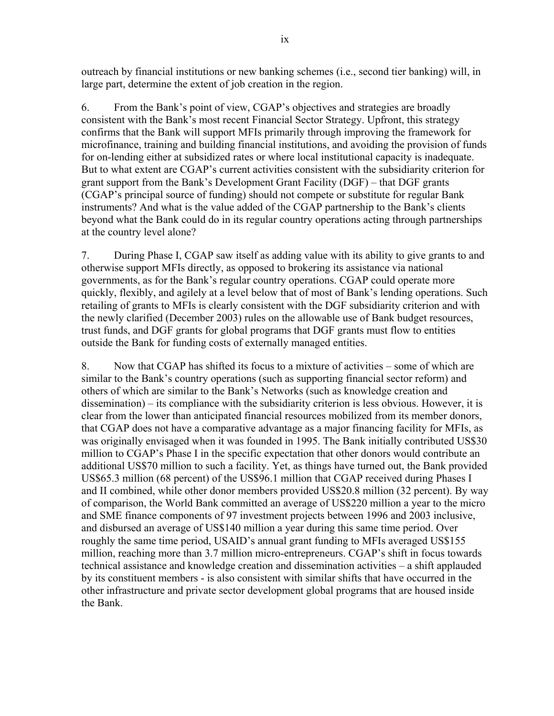outreach by financial institutions or new banking schemes (i.e., second tier banking) will, in large part, determine the extent of job creation in the region.

6. From the Bank's point of view, CGAP's objectives and strategies are broadly consistent with the Bank's most recent Financial Sector Strategy. Upfront, this strategy confirms that the Bank will support MFIs primarily through improving the framework for microfinance, training and building financial institutions, and avoiding the provision of funds for on-lending either at subsidized rates or where local institutional capacity is inadequate. But to what extent are CGAP's current activities consistent with the subsidiarity criterion for grant support from the Bank's Development Grant Facility (DGF) – that DGF grants (CGAP's principal source of funding) should not compete or substitute for regular Bank instruments? And what is the value added of the CGAP partnership to the Bank's clients beyond what the Bank could do in its regular country operations acting through partnerships at the country level alone?

7. During Phase I, CGAP saw itself as adding value with its ability to give grants to and otherwise support MFIs directly, as opposed to brokering its assistance via national governments, as for the Bank's regular country operations. CGAP could operate more quickly, flexibly, and agilely at a level below that of most of Bank's lending operations. Such retailing of grants to MFIs is clearly consistent with the DGF subsidiarity criterion and with the newly clarified (December 2003) rules on the allowable use of Bank budget resources, trust funds, and DGF grants for global programs that DGF grants must flow to entities outside the Bank for funding costs of externally managed entities.

8. Now that CGAP has shifted its focus to a mixture of activities – some of which are similar to the Bank's country operations (such as supporting financial sector reform) and others of which are similar to the Bank's Networks (such as knowledge creation and dissemination) – its compliance with the subsidiarity criterion is less obvious. However, it is clear from the lower than anticipated financial resources mobilized from its member donors, that CGAP does not have a comparative advantage as a major financing facility for MFIs, as was originally envisaged when it was founded in 1995. The Bank initially contributed US\$30 million to CGAP's Phase I in the specific expectation that other donors would contribute an additional US\$70 million to such a facility. Yet, as things have turned out, the Bank provided US\$65.3 million (68 percent) of the US\$96.1 million that CGAP received during Phases I and II combined, while other donor members provided US\$20.8 million (32 percent). By way of comparison, the World Bank committed an average of US\$220 million a year to the micro and SME finance components of 97 investment projects between 1996 and 2003 inclusive, and disbursed an average of US\$140 million a year during this same time period. Over roughly the same time period, USAID's annual grant funding to MFIs averaged US\$155 million, reaching more than 3.7 million micro-entrepreneurs. CGAP's shift in focus towards technical assistance and knowledge creation and dissemination activities – a shift applauded by its constituent members - is also consistent with similar shifts that have occurred in the other infrastructure and private sector development global programs that are housed inside the Bank.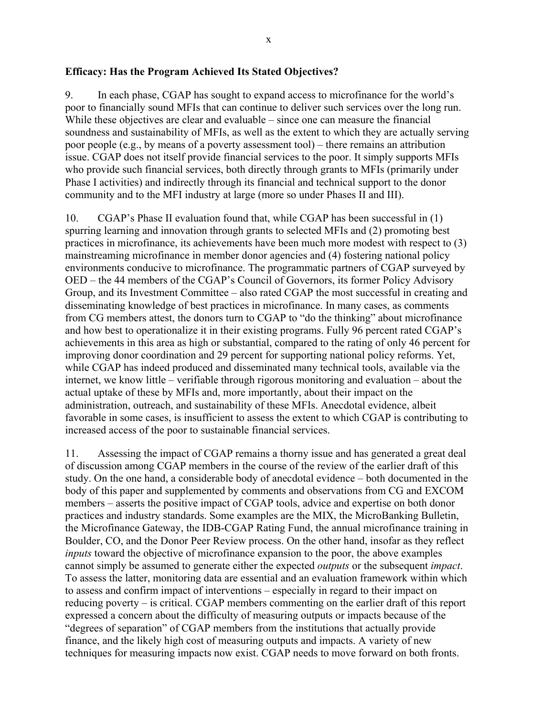### **Efficacy: Has the Program Achieved Its Stated Objectives?**

9. In each phase, CGAP has sought to expand access to microfinance for the world's poor to financially sound MFIs that can continue to deliver such services over the long run. While these objectives are clear and evaluable – since one can measure the financial soundness and sustainability of MFIs, as well as the extent to which they are actually serving poor people (e.g., by means of a poverty assessment tool) – there remains an attribution issue. CGAP does not itself provide financial services to the poor. It simply supports MFIs who provide such financial services, both directly through grants to MFIs (primarily under Phase I activities) and indirectly through its financial and technical support to the donor community and to the MFI industry at large (more so under Phases II and III).

10. CGAP's Phase II evaluation found that, while CGAP has been successful in (1) spurring learning and innovation through grants to selected MFIs and (2) promoting best practices in microfinance, its achievements have been much more modest with respect to (3) mainstreaming microfinance in member donor agencies and (4) fostering national policy environments conducive to microfinance. The programmatic partners of CGAP surveyed by OED – the 44 members of the CGAP's Council of Governors, its former Policy Advisory Group, and its Investment Committee – also rated CGAP the most successful in creating and disseminating knowledge of best practices in microfinance. In many cases, as comments from CG members attest, the donors turn to CGAP to "do the thinking" about microfinance and how best to operationalize it in their existing programs. Fully 96 percent rated CGAP's achievements in this area as high or substantial, compared to the rating of only 46 percent for improving donor coordination and 29 percent for supporting national policy reforms. Yet, while CGAP has indeed produced and disseminated many technical tools, available via the internet, we know little – verifiable through rigorous monitoring and evaluation – about the actual uptake of these by MFIs and, more importantly, about their impact on the administration, outreach, and sustainability of these MFIs. Anecdotal evidence, albeit favorable in some cases, is insufficient to assess the extent to which CGAP is contributing to increased access of the poor to sustainable financial services.

11. Assessing the impact of CGAP remains a thorny issue and has generated a great deal of discussion among CGAP members in the course of the review of the earlier draft of this study. On the one hand, a considerable body of anecdotal evidence – both documented in the body of this paper and supplemented by comments and observations from CG and EXCOM members – asserts the positive impact of CGAP tools, advice and expertise on both donor practices and industry standards. Some examples are the MIX, the MicroBanking Bulletin, the Microfinance Gateway, the IDB-CGAP Rating Fund, the annual microfinance training in Boulder, CO, and the Donor Peer Review process. On the other hand, insofar as they reflect *inputs* toward the objective of microfinance expansion to the poor, the above examples cannot simply be assumed to generate either the expected *outputs* or the subsequent *impact*. To assess the latter, monitoring data are essential and an evaluation framework within which to assess and confirm impact of interventions – especially in regard to their impact on reducing poverty – is critical. CGAP members commenting on the earlier draft of this report expressed a concern about the difficulty of measuring outputs or impacts because of the "degrees of separation" of CGAP members from the institutions that actually provide finance, and the likely high cost of measuring outputs and impacts. A variety of new techniques for measuring impacts now exist. CGAP needs to move forward on both fronts.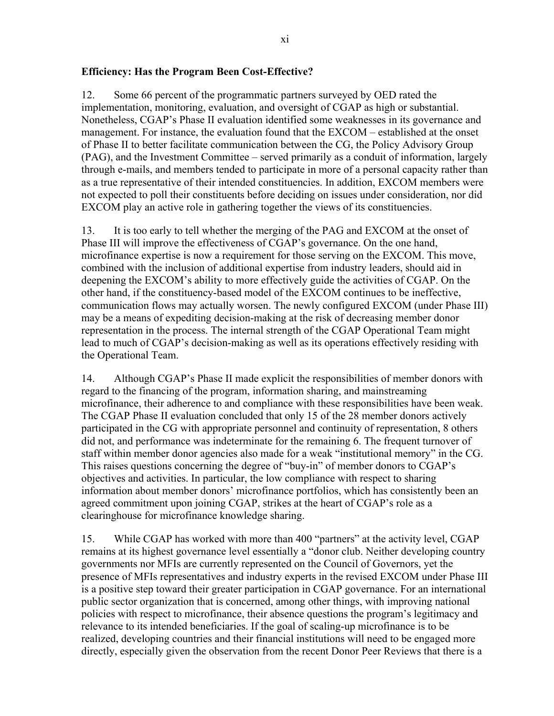### **Efficiency: Has the Program Been Cost-Effective?**

12. Some 66 percent of the programmatic partners surveyed by OED rated the implementation, monitoring, evaluation, and oversight of CGAP as high or substantial. Nonetheless, CGAP's Phase II evaluation identified some weaknesses in its governance and management. For instance, the evaluation found that the EXCOM – established at the onset of Phase II to better facilitate communication between the CG, the Policy Advisory Group (PAG), and the Investment Committee – served primarily as a conduit of information, largely through e-mails, and members tended to participate in more of a personal capacity rather than as a true representative of their intended constituencies. In addition, EXCOM members were not expected to poll their constituents before deciding on issues under consideration, nor did EXCOM play an active role in gathering together the views of its constituencies.

13. It is too early to tell whether the merging of the PAG and EXCOM at the onset of Phase III will improve the effectiveness of CGAP's governance. On the one hand, microfinance expertise is now a requirement for those serving on the EXCOM. This move, combined with the inclusion of additional expertise from industry leaders, should aid in deepening the EXCOM's ability to more effectively guide the activities of CGAP. On the other hand, if the constituency-based model of the EXCOM continues to be ineffective, communication flows may actually worsen. The newly configured EXCOM (under Phase III) may be a means of expediting decision-making at the risk of decreasing member donor representation in the process. The internal strength of the CGAP Operational Team might lead to much of CGAP's decision-making as well as its operations effectively residing with the Operational Team.

14. Although CGAP's Phase II made explicit the responsibilities of member donors with regard to the financing of the program, information sharing, and mainstreaming microfinance, their adherence to and compliance with these responsibilities have been weak. The CGAP Phase II evaluation concluded that only 15 of the 28 member donors actively participated in the CG with appropriate personnel and continuity of representation, 8 others did not, and performance was indeterminate for the remaining 6. The frequent turnover of staff within member donor agencies also made for a weak "institutional memory" in the CG. This raises questions concerning the degree of "buy-in" of member donors to CGAP's objectives and activities. In particular, the low compliance with respect to sharing information about member donors' microfinance portfolios, which has consistently been an agreed commitment upon joining CGAP, strikes at the heart of CGAP's role as a clearinghouse for microfinance knowledge sharing.

15. While CGAP has worked with more than 400 "partners" at the activity level, CGAP remains at its highest governance level essentially a "donor club. Neither developing country governments nor MFIs are currently represented on the Council of Governors, yet the presence of MFIs representatives and industry experts in the revised EXCOM under Phase III is a positive step toward their greater participation in CGAP governance. For an international public sector organization that is concerned, among other things, with improving national policies with respect to microfinance, their absence questions the program's legitimacy and relevance to its intended beneficiaries. If the goal of scaling-up microfinance is to be realized, developing countries and their financial institutions will need to be engaged more directly, especially given the observation from the recent Donor Peer Reviews that there is a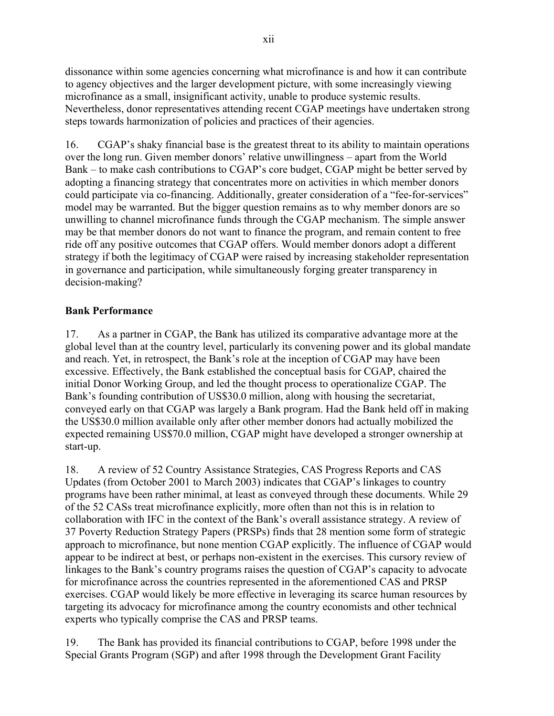dissonance within some agencies concerning what microfinance is and how it can contribute to agency objectives and the larger development picture, with some increasingly viewing microfinance as a small, insignificant activity, unable to produce systemic results. Nevertheless, donor representatives attending recent CGAP meetings have undertaken strong steps towards harmonization of policies and practices of their agencies.

16. CGAP's shaky financial base is the greatest threat to its ability to maintain operations over the long run. Given member donors' relative unwillingness – apart from the World Bank – to make cash contributions to CGAP's core budget, CGAP might be better served by adopting a financing strategy that concentrates more on activities in which member donors could participate via co-financing. Additionally, greater consideration of a "fee-for-services" model may be warranted. But the bigger question remains as to why member donors are so unwilling to channel microfinance funds through the CGAP mechanism. The simple answer may be that member donors do not want to finance the program, and remain content to free ride off any positive outcomes that CGAP offers. Would member donors adopt a different strategy if both the legitimacy of CGAP were raised by increasing stakeholder representation in governance and participation, while simultaneously forging greater transparency in decision-making?

### **Bank Performance**

17. As a partner in CGAP, the Bank has utilized its comparative advantage more at the global level than at the country level, particularly its convening power and its global mandate and reach. Yet, in retrospect, the Bank's role at the inception of CGAP may have been excessive. Effectively, the Bank established the conceptual basis for CGAP, chaired the initial Donor Working Group, and led the thought process to operationalize CGAP. The Bank's founding contribution of US\$30.0 million, along with housing the secretariat, conveyed early on that CGAP was largely a Bank program. Had the Bank held off in making the US\$30.0 million available only after other member donors had actually mobilized the expected remaining US\$70.0 million, CGAP might have developed a stronger ownership at start-up.

18. A review of 52 Country Assistance Strategies, CAS Progress Reports and CAS Updates (from October 2001 to March 2003) indicates that CGAP's linkages to country programs have been rather minimal, at least as conveyed through these documents. While 29 of the 52 CASs treat microfinance explicitly, more often than not this is in relation to collaboration with IFC in the context of the Bank's overall assistance strategy. A review of 37 Poverty Reduction Strategy Papers (PRSPs) finds that 28 mention some form of strategic approach to microfinance, but none mention CGAP explicitly. The influence of CGAP would appear to be indirect at best, or perhaps non-existent in the exercises. This cursory review of linkages to the Bank's country programs raises the question of CGAP's capacity to advocate for microfinance across the countries represented in the aforementioned CAS and PRSP exercises. CGAP would likely be more effective in leveraging its scarce human resources by targeting its advocacy for microfinance among the country economists and other technical experts who typically comprise the CAS and PRSP teams.

19. The Bank has provided its financial contributions to CGAP, before 1998 under the Special Grants Program (SGP) and after 1998 through the Development Grant Facility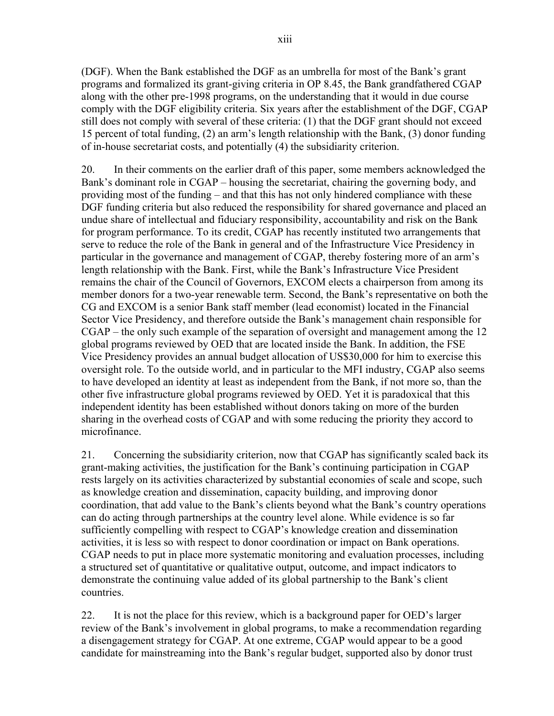(DGF). When the Bank established the DGF as an umbrella for most of the Bank's grant programs and formalized its grant-giving criteria in OP 8.45, the Bank grandfathered CGAP along with the other pre-1998 programs, on the understanding that it would in due course comply with the DGF eligibility criteria. Six years after the establishment of the DGF, CGAP still does not comply with several of these criteria: (1) that the DGF grant should not exceed 15 percent of total funding, (2) an arm's length relationship with the Bank, (3) donor funding of in-house secretariat costs, and potentially (4) the subsidiarity criterion.

20. In their comments on the earlier draft of this paper, some members acknowledged the Bank's dominant role in CGAP – housing the secretariat, chairing the governing body, and providing most of the funding – and that this has not only hindered compliance with these DGF funding criteria but also reduced the responsibility for shared governance and placed an undue share of intellectual and fiduciary responsibility, accountability and risk on the Bank for program performance. To its credit, CGAP has recently instituted two arrangements that serve to reduce the role of the Bank in general and of the Infrastructure Vice Presidency in particular in the governance and management of CGAP, thereby fostering more of an arm's length relationship with the Bank. First, while the Bank's Infrastructure Vice President remains the chair of the Council of Governors, EXCOM elects a chairperson from among its member donors for a two-year renewable term. Second, the Bank's representative on both the CG and EXCOM is a senior Bank staff member (lead economist) located in the Financial Sector Vice Presidency, and therefore outside the Bank's management chain responsible for CGAP – the only such example of the separation of oversight and management among the 12 global programs reviewed by OED that are located inside the Bank. In addition, the FSE Vice Presidency provides an annual budget allocation of US\$30,000 for him to exercise this oversight role. To the outside world, and in particular to the MFI industry, CGAP also seems to have developed an identity at least as independent from the Bank, if not more so, than the other five infrastructure global programs reviewed by OED. Yet it is paradoxical that this independent identity has been established without donors taking on more of the burden sharing in the overhead costs of CGAP and with some reducing the priority they accord to microfinance.

21. Concerning the subsidiarity criterion, now that CGAP has significantly scaled back its grant-making activities, the justification for the Bank's continuing participation in CGAP rests largely on its activities characterized by substantial economies of scale and scope, such as knowledge creation and dissemination, capacity building, and improving donor coordination, that add value to the Bank's clients beyond what the Bank's country operations can do acting through partnerships at the country level alone. While evidence is so far sufficiently compelling with respect to CGAP's knowledge creation and dissemination activities, it is less so with respect to donor coordination or impact on Bank operations. CGAP needs to put in place more systematic monitoring and evaluation processes, including a structured set of quantitative or qualitative output, outcome, and impact indicators to demonstrate the continuing value added of its global partnership to the Bank's client countries.

22. It is not the place for this review, which is a background paper for OED's larger review of the Bank's involvement in global programs, to make a recommendation regarding a disengagement strategy for CGAP. At one extreme, CGAP would appear to be a good candidate for mainstreaming into the Bank's regular budget, supported also by donor trust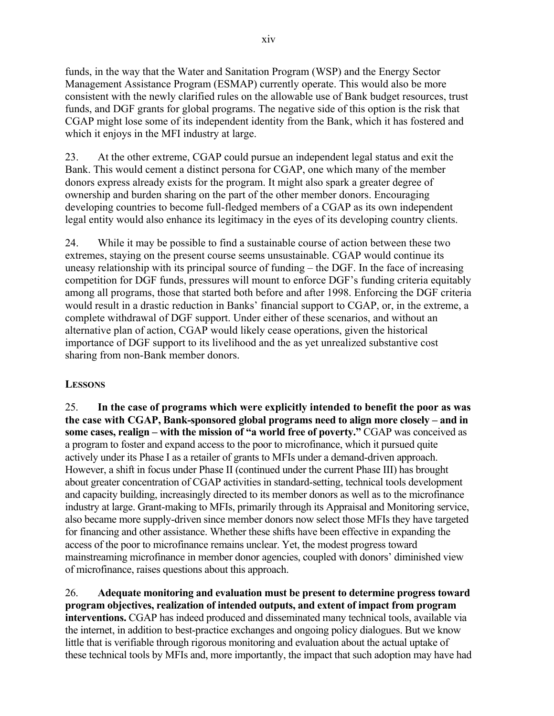funds, in the way that the Water and Sanitation Program (WSP) and the Energy Sector Management Assistance Program (ESMAP) currently operate. This would also be more consistent with the newly clarified rules on the allowable use of Bank budget resources, trust funds, and DGF grants for global programs. The negative side of this option is the risk that CGAP might lose some of its independent identity from the Bank, which it has fostered and which it enjoys in the MFI industry at large.

23. At the other extreme, CGAP could pursue an independent legal status and exit the Bank. This would cement a distinct persona for CGAP, one which many of the member donors express already exists for the program. It might also spark a greater degree of ownership and burden sharing on the part of the other member donors. Encouraging developing countries to become full-fledged members of a CGAP as its own independent legal entity would also enhance its legitimacy in the eyes of its developing country clients.

24. While it may be possible to find a sustainable course of action between these two extremes, staying on the present course seems unsustainable. CGAP would continue its uneasy relationship with its principal source of funding – the DGF. In the face of increasing competition for DGF funds, pressures will mount to enforce DGF's funding criteria equitably among all programs, those that started both before and after 1998. Enforcing the DGF criteria would result in a drastic reduction in Banks' financial support to CGAP, or, in the extreme, a complete withdrawal of DGF support. Under either of these scenarios, and without an alternative plan of action, CGAP would likely cease operations, given the historical importance of DGF support to its livelihood and the as yet unrealized substantive cost sharing from non-Bank member donors.

# **LESSONS**

25. **In the case of programs which were explicitly intended to benefit the poor as was the case with CGAP, Bank-sponsored global programs need to align more closely – and in some cases, realign – with the mission of "a world free of poverty."** CGAP was conceived as a program to foster and expand access to the poor to microfinance, which it pursued quite actively under its Phase I as a retailer of grants to MFIs under a demand-driven approach. However, a shift in focus under Phase II (continued under the current Phase III) has brought about greater concentration of CGAP activities in standard-setting, technical tools development and capacity building, increasingly directed to its member donors as well as to the microfinance industry at large. Grant-making to MFIs, primarily through its Appraisal and Monitoring service, also became more supply-driven since member donors now select those MFIs they have targeted for financing and other assistance. Whether these shifts have been effective in expanding the access of the poor to microfinance remains unclear. Yet, the modest progress toward mainstreaming microfinance in member donor agencies, coupled with donors' diminished view of microfinance, raises questions about this approach.

26. **Adequate monitoring and evaluation must be present to determine progress toward program objectives, realization of intended outputs, and extent of impact from program interventions.** CGAP has indeed produced and disseminated many technical tools, available via the internet, in addition to best-practice exchanges and ongoing policy dialogues. But we know little that is verifiable through rigorous monitoring and evaluation about the actual uptake of these technical tools by MFIs and, more importantly, the impact that such adoption may have had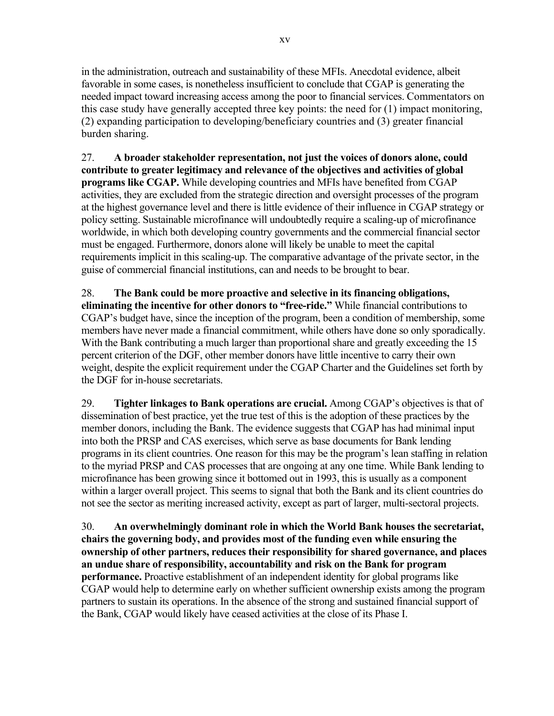in the administration, outreach and sustainability of these MFIs. Anecdotal evidence, albeit favorable in some cases, is nonetheless insufficient to conclude that CGAP is generating the needed impact toward increasing access among the poor to financial services. Commentators on this case study have generally accepted three key points: the need for (1) impact monitoring, (2) expanding participation to developing/beneficiary countries and (3) greater financial burden sharing.

27. **A broader stakeholder representation, not just the voices of donors alone, could contribute to greater legitimacy and relevance of the objectives and activities of global programs like CGAP.** While developing countries and MFIs have benefited from CGAP activities, they are excluded from the strategic direction and oversight processes of the program at the highest governance level and there is little evidence of their influence in CGAP strategy or policy setting. Sustainable microfinance will undoubtedly require a scaling-up of microfinance worldwide, in which both developing country governments and the commercial financial sector must be engaged. Furthermore, donors alone will likely be unable to meet the capital requirements implicit in this scaling-up. The comparative advantage of the private sector, in the guise of commercial financial institutions, can and needs to be brought to bear.

28. **The Bank could be more proactive and selective in its financing obligations, eliminating the incentive for other donors to "free-ride."** While financial contributions to CGAP's budget have, since the inception of the program, been a condition of membership, some members have never made a financial commitment, while others have done so only sporadically. With the Bank contributing a much larger than proportional share and greatly exceeding the 15 percent criterion of the DGF, other member donors have little incentive to carry their own weight, despite the explicit requirement under the CGAP Charter and the Guidelines set forth by the DGF for in-house secretariats.

29. **Tighter linkages to Bank operations are crucial.** Among CGAP's objectives is that of dissemination of best practice, yet the true test of this is the adoption of these practices by the member donors, including the Bank. The evidence suggests that CGAP has had minimal input into both the PRSP and CAS exercises, which serve as base documents for Bank lending programs in its client countries. One reason for this may be the program's lean staffing in relation to the myriad PRSP and CAS processes that are ongoing at any one time. While Bank lending to microfinance has been growing since it bottomed out in 1993, this is usually as a component within a larger overall project. This seems to signal that both the Bank and its client countries do not see the sector as meriting increased activity, except as part of larger, multi-sectoral projects.

30. **An overwhelmingly dominant role in which the World Bank houses the secretariat, chairs the governing body, and provides most of the funding even while ensuring the ownership of other partners, reduces their responsibility for shared governance, and places an undue share of responsibility, accountability and risk on the Bank for program performance.** Proactive establishment of an independent identity for global programs like CGAP would help to determine early on whether sufficient ownership exists among the program partners to sustain its operations. In the absence of the strong and sustained financial support of the Bank, CGAP would likely have ceased activities at the close of its Phase I.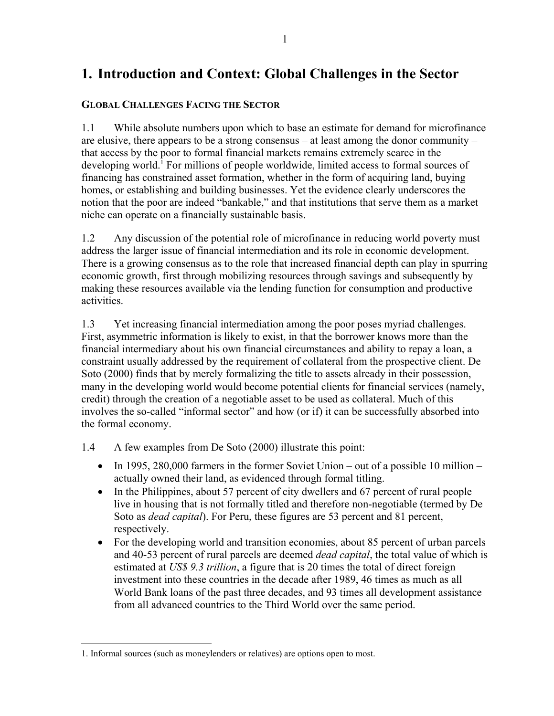# **1. Introduction and Context: Global Challenges in the Sector**

# **GLOBAL CHALLENGES FACING THE SECTOR**

1.1 While absolute numbers upon which to base an estimate for demand for microfinance are elusive, there appears to be a strong consensus – at least among the donor community – that access by the poor to formal financial markets remains extremely scarce in the developing world.<sup>1</sup> For millions of people worldwide, limited access to formal sources of financing has constrained asset formation, whether in the form of acquiring land, buying homes, or establishing and building businesses. Yet the evidence clearly underscores the notion that the poor are indeed "bankable," and that institutions that serve them as a market niche can operate on a financially sustainable basis.

1.2 Any discussion of the potential role of microfinance in reducing world poverty must address the larger issue of financial intermediation and its role in economic development. There is a growing consensus as to the role that increased financial depth can play in spurring economic growth, first through mobilizing resources through savings and subsequently by making these resources available via the lending function for consumption and productive activities.

1.3 Yet increasing financial intermediation among the poor poses myriad challenges. First, asymmetric information is likely to exist, in that the borrower knows more than the financial intermediary about his own financial circumstances and ability to repay a loan, a constraint usually addressed by the requirement of collateral from the prospective client. De Soto (2000) finds that by merely formalizing the title to assets already in their possession, many in the developing world would become potential clients for financial services (namely, credit) through the creation of a negotiable asset to be used as collateral. Much of this involves the so-called "informal sector" and how (or if) it can be successfully absorbed into the formal economy.

1.4 A few examples from De Soto (2000) illustrate this point:

- In 1995, 280,000 farmers in the former Soviet Union out of a possible 10 million actually owned their land, as evidenced through formal titling.
- In the Philippines, about 57 percent of city dwellers and 67 percent of rural people live in housing that is not formally titled and therefore non-negotiable (termed by De Soto as *dead capital*). For Peru, these figures are 53 percent and 81 percent, respectively.
- For the developing world and transition economies, about 85 percent of urban parcels and 40-53 percent of rural parcels are deemed *dead capital*, the total value of which is estimated at *US\$ 9.3 trillion*, a figure that is 20 times the total of direct foreign investment into these countries in the decade after 1989, 46 times as much as all World Bank loans of the past three decades, and 93 times all development assistance from all advanced countries to the Third World over the same period.

 $\overline{a}$ 

<sup>1.</sup> Informal sources (such as moneylenders or relatives) are options open to most.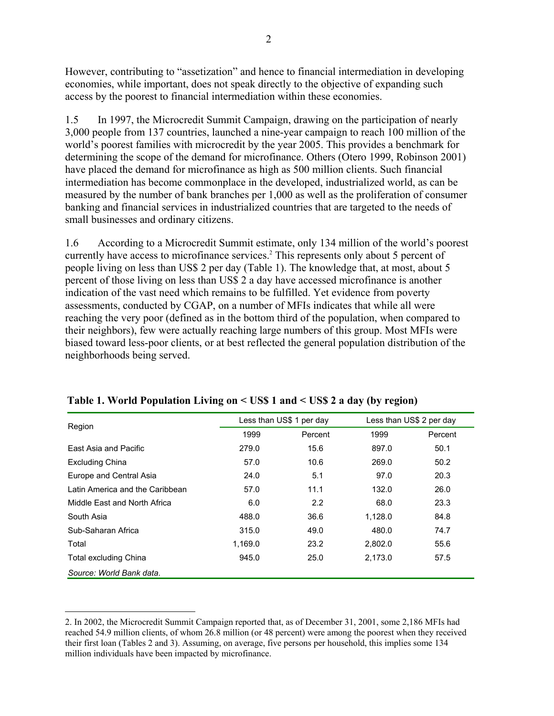However, contributing to "assetization" and hence to financial intermediation in developing economies, while important, does not speak directly to the objective of expanding such access by the poorest to financial intermediation within these economies.

1.5 In 1997, the Microcredit Summit Campaign, drawing on the participation of nearly 3,000 people from 137 countries, launched a nine-year campaign to reach 100 million of the world's poorest families with microcredit by the year 2005. This provides a benchmark for determining the scope of the demand for microfinance. Others (Otero 1999, Robinson 2001) have placed the demand for microfinance as high as 500 million clients. Such financial intermediation has become commonplace in the developed, industrialized world, as can be measured by the number of bank branches per 1,000 as well as the proliferation of consumer banking and financial services in industrialized countries that are targeted to the needs of small businesses and ordinary citizens.

1.6 According to a Microcredit Summit estimate, only 134 million of the world's poorest currently have access to microfinance services.<sup>2</sup> This represents only about 5 percent of people living on less than US\$ 2 per day (Table 1). The knowledge that, at most, about 5 percent of those living on less than US\$ 2 a day have accessed microfinance is another indication of the vast need which remains to be fulfilled. Yet evidence from poverty assessments, conducted by CGAP, on a number of MFIs indicates that while all were reaching the very poor (defined as in the bottom third of the population, when compared to their neighbors), few were actually reaching large numbers of this group. Most MFIs were biased toward less-poor clients, or at best reflected the general population distribution of the neighborhoods being served.

|                                 |         | Less than US\$ 1 per day | Less than US\$ 2 per day |         |  |  |
|---------------------------------|---------|--------------------------|--------------------------|---------|--|--|
| Region                          | 1999    | Percent                  | 1999                     | Percent |  |  |
| East Asia and Pacific           | 279.0   | 15.6                     | 897.0                    | 50.1    |  |  |
| <b>Excluding China</b>          | 57.0    | 10.6                     | 269.0                    | 50.2    |  |  |
| Europe and Central Asia         | 24.0    | 5.1                      | 97.0                     | 20.3    |  |  |
| Latin America and the Caribbean | 57.0    | 11.1                     | 132.0                    | 26.0    |  |  |
| Middle East and North Africa    | 6.0     | 2.2                      | 68.0                     | 23.3    |  |  |
| South Asia                      | 488.0   | 36.6                     | 1,128.0                  | 84.8    |  |  |
| Sub-Saharan Africa              | 315.0   | 49.0                     | 480.0                    | 74.7    |  |  |
| Total                           | 1,169.0 | 23.2                     | 2.802.0                  | 55.6    |  |  |
| <b>Total excluding China</b>    | 945.0   | 25.0                     | 2,173.0                  | 57.5    |  |  |
| Source: World Bank data.        |         |                          |                          |         |  |  |

### **Table 1. World Population Living on < US\$ 1 and < US\$ 2 a day (by region)**

1

<sup>2.</sup> In 2002, the Microcredit Summit Campaign reported that, as of December 31, 2001, some 2,186 MFIs had reached 54.9 million clients, of whom 26.8 million (or 48 percent) were among the poorest when they received their first loan (Tables 2 and 3). Assuming, on average, five persons per household, this implies some 134 million individuals have been impacted by microfinance.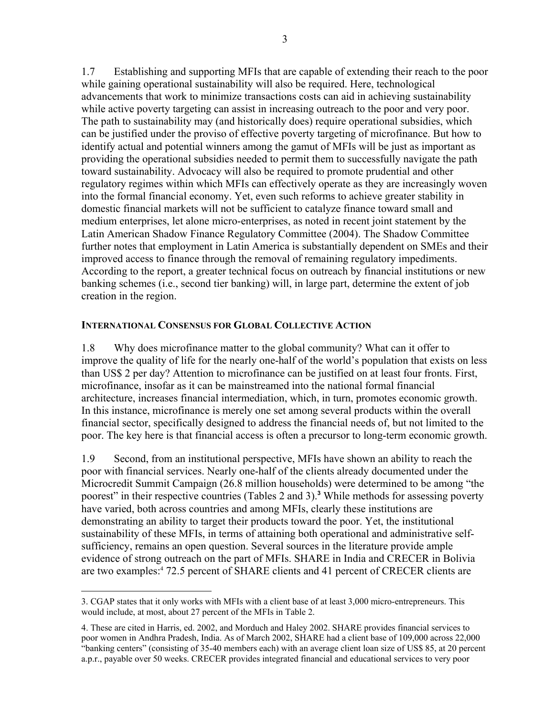1.7 Establishing and supporting MFIs that are capable of extending their reach to the poor while gaining operational sustainability will also be required. Here, technological advancements that work to minimize transactions costs can aid in achieving sustainability while active poverty targeting can assist in increasing outreach to the poor and very poor. The path to sustainability may (and historically does) require operational subsidies, which can be justified under the proviso of effective poverty targeting of microfinance. But how to identify actual and potential winners among the gamut of MFIs will be just as important as providing the operational subsidies needed to permit them to successfully navigate the path toward sustainability. Advocacy will also be required to promote prudential and other regulatory regimes within which MFIs can effectively operate as they are increasingly woven into the formal financial economy. Yet, even such reforms to achieve greater stability in domestic financial markets will not be sufficient to catalyze finance toward small and medium enterprises, let alone micro-enterprises, as noted in recent joint statement by the Latin American Shadow Finance Regulatory Committee (2004). The Shadow Committee further notes that employment in Latin America is substantially dependent on SMEs and their improved access to finance through the removal of remaining regulatory impediments. According to the report, a greater technical focus on outreach by financial institutions or new banking schemes (i.e., second tier banking) will, in large part, determine the extent of job creation in the region.

### **INTERNATIONAL CONSENSUS FOR GLOBAL COLLECTIVE ACTION**

1.8 Why does microfinance matter to the global community? What can it offer to improve the quality of life for the nearly one-half of the world's population that exists on less than US\$ 2 per day? Attention to microfinance can be justified on at least four fronts. First, microfinance, insofar as it can be mainstreamed into the national formal financial architecture, increases financial intermediation, which, in turn, promotes economic growth. In this instance, microfinance is merely one set among several products within the overall financial sector, specifically designed to address the financial needs of, but not limited to the poor. The key here is that financial access is often a precursor to long-term economic growth.

1.9 Second, from an institutional perspective, MFIs have shown an ability to reach the poor with financial services. Nearly one-half of the clients already documented under the Microcredit Summit Campaign (26.8 million households) were determined to be among "the poorest" in their respective countries (Tables 2 and 3).**<sup>3</sup>** While methods for assessing poverty have varied, both across countries and among MFIs, clearly these institutions are demonstrating an ability to target their products toward the poor. Yet, the institutional sustainability of these MFIs, in terms of attaining both operational and administrative selfsufficiency, remains an open question. Several sources in the literature provide ample evidence of strong outreach on the part of MFIs. SHARE in India and CRECER in Bolivia are two examples:4 72.5 percent of SHARE clients and 41 percent of CRECER clients are

 $\overline{a}$ 3. CGAP states that it only works with MFIs with a client base of at least 3,000 micro-entrepreneurs. This would include, at most, about 27 percent of the MFIs in Table 2.

<sup>4.</sup> These are cited in Harris, ed. 2002, and Morduch and Haley 2002. SHARE provides financial services to poor women in Andhra Pradesh, India. As of March 2002, SHARE had a client base of 109,000 across 22,000 "banking centers" (consisting of 35-40 members each) with an average client loan size of US\$ 85, at 20 percent a.p.r., payable over 50 weeks. CRECER provides integrated financial and educational services to very poor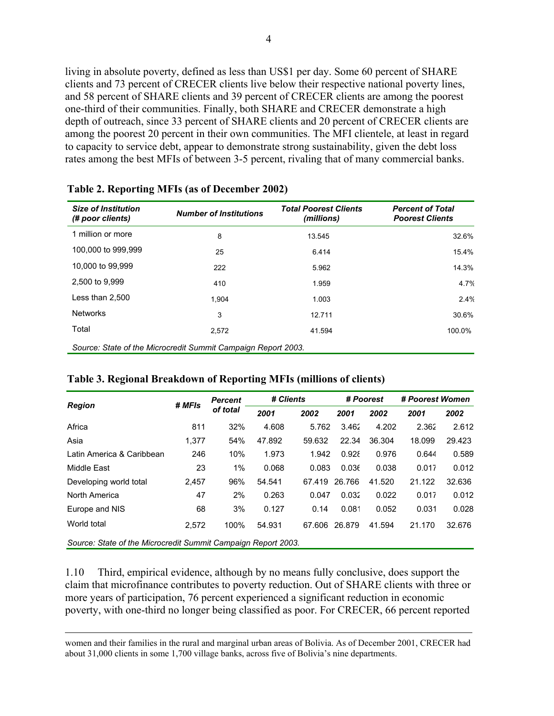living in absolute poverty, defined as less than US\$1 per day. Some 60 percent of SHARE clients and 73 percent of CRECER clients live below their respective national poverty lines, and 58 percent of SHARE clients and 39 percent of CRECER clients are among the poorest one-third of their communities. Finally, both SHARE and CRECER demonstrate a high depth of outreach, since 33 percent of SHARE clients and 20 percent of CRECER clients are among the poorest 20 percent in their own communities. The MFI clientele, at least in regard to capacity to service debt, appear to demonstrate strong sustainability, given the debt loss rates among the best MFIs of between 3-5 percent, rivaling that of many commercial banks.

| <b>Size of Institution</b><br>(# poor clients)                | <b>Number of Institutions</b> | <b>Total Poorest Clients</b><br>(millions) | <b>Percent of Total</b><br><b>Poorest Clients</b> |  |  |  |
|---------------------------------------------------------------|-------------------------------|--------------------------------------------|---------------------------------------------------|--|--|--|
| 1 million or more                                             | 8                             | 13.545                                     | 32.6%                                             |  |  |  |
| 100,000 to 999,999                                            | 25                            | 6.414                                      | 15.4%                                             |  |  |  |
| 10,000 to 99,999                                              | 222                           | 5.962                                      | 14.3%                                             |  |  |  |
| 2,500 to 9,999                                                | 410                           | 1.959                                      | 4.7%                                              |  |  |  |
| Less than 2,500                                               | 1.904                         | 1.003                                      | 2.4%                                              |  |  |  |
| <b>Networks</b>                                               | 3                             | 12.711                                     | 30.6%                                             |  |  |  |
| Total                                                         | 2,572                         | 41.594                                     | 100.0%                                            |  |  |  |
| Source: State of the Microcredit Summit Campaign Report 2003. |                               |                                            |                                                   |  |  |  |

### **Table 2. Reporting MFIs (as of December 2002)**

| Table 3. Regional Breakdown of Reporting MFIs (millions of clients) |  |
|---------------------------------------------------------------------|--|
|---------------------------------------------------------------------|--|

|                                                               | # MFIs | <b>Percent</b> | # Clients |        | # Poorest |        | # Poorest Women |        |
|---------------------------------------------------------------|--------|----------------|-----------|--------|-----------|--------|-----------------|--------|
| <b>Region</b>                                                 |        | of total       | 2001      | 2002   | 2001      | 2002   | 2001            | 2002   |
| Africa                                                        | 811    | 32%            | 4.608     | 5.762  | 3.462     | 4.202  | 2.362           | 2.612  |
| Asia                                                          | 1,377  | 54%            | 47.892    | 59.632 | 22.34     | 36.304 | 18.099          | 29.423 |
| Latin America & Caribbean                                     | 246    | 10%            | 1.973     | 1.942  | 0.928     | 0.976  | 0.644           | 0.589  |
| Middle East                                                   | 23     | $1\%$          | 0.068     | 0.083  | 0.036     | 0.038  | 0.017           | 0.012  |
| Developing world total                                        | 2,457  | 96%            | 54.541    | 67.419 | 26.766    | 41.520 | 21.122          | 32.636 |
| North America                                                 | 47     | 2%             | 0.263     | 0.047  | 0.032     | 0.022  | 0.017           | 0.012  |
| Europe and NIS                                                | 68     | 3%             | 0.127     | 0.14   | 0.081     | 0.052  | 0.031           | 0.028  |
| World total                                                   | 2.572  | 100%           | 54.931    | 67.606 | 26.879    | 41.594 | 21.170          | 32.676 |
| Source: State of the Microcredit Summit Campaign Report 2003. |        |                |           |        |           |        |                 |        |

1.10 Third, empirical evidence, although by no means fully conclusive, does support the claim that microfinance contributes to poverty reduction. Out of SHARE clients with three or more years of participation, 76 percent experienced a significant reduction in economic poverty, with one-third no longer being classified as poor. For CRECER, 66 percent reported

 women and their families in the rural and marginal urban areas of Bolivia. As of December 2001, CRECER had about 31,000 clients in some 1,700 village banks, across five of Bolivia's nine departments.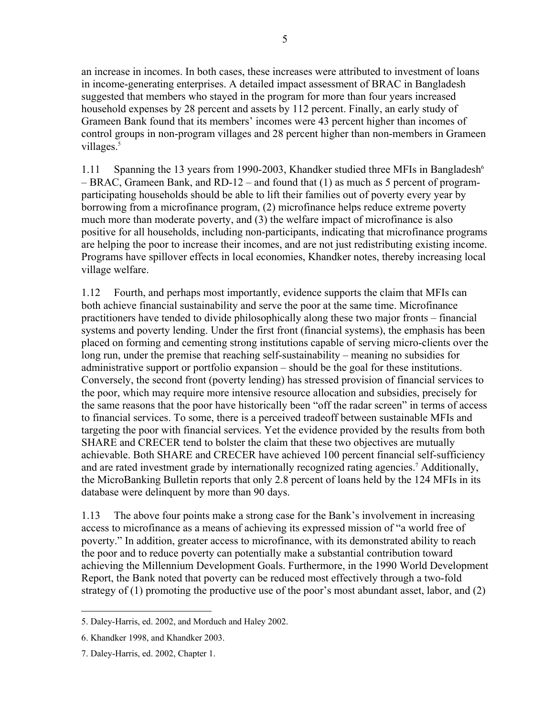an increase in incomes. In both cases, these increases were attributed to investment of loans in income-generating enterprises. A detailed impact assessment of BRAC in Bangladesh suggested that members who stayed in the program for more than four years increased household expenses by 28 percent and assets by 112 percent. Finally, an early study of Grameen Bank found that its members' incomes were 43 percent higher than incomes of control groups in non-program villages and 28 percent higher than non-members in Grameen villages.<sup>5</sup>

1.11 Spanning the 13 years from 1990-2003, Khandker studied three MFIs in Bangladesh<sup>6</sup> – BRAC, Grameen Bank, and RD-12 – and found that (1) as much as 5 percent of programparticipating households should be able to lift their families out of poverty every year by borrowing from a microfinance program, (2) microfinance helps reduce extreme poverty much more than moderate poverty, and (3) the welfare impact of microfinance is also positive for all households, including non-participants, indicating that microfinance programs are helping the poor to increase their incomes, and are not just redistributing existing income. Programs have spillover effects in local economies, Khandker notes, thereby increasing local village welfare.

1.12 Fourth, and perhaps most importantly, evidence supports the claim that MFIs can both achieve financial sustainability and serve the poor at the same time. Microfinance practitioners have tended to divide philosophically along these two major fronts – financial systems and poverty lending. Under the first front (financial systems), the emphasis has been placed on forming and cementing strong institutions capable of serving micro-clients over the long run, under the premise that reaching self-sustainability – meaning no subsidies for administrative support or portfolio expansion – should be the goal for these institutions. Conversely, the second front (poverty lending) has stressed provision of financial services to the poor, which may require more intensive resource allocation and subsidies, precisely for the same reasons that the poor have historically been "off the radar screen" in terms of access to financial services. To some, there is a perceived tradeoff between sustainable MFIs and targeting the poor with financial services. Yet the evidence provided by the results from both SHARE and CRECER tend to bolster the claim that these two objectives are mutually achievable. Both SHARE and CRECER have achieved 100 percent financial self-sufficiency and are rated investment grade by internationally recognized rating agencies.<sup>7</sup> Additionally, the MicroBanking Bulletin reports that only 2.8 percent of loans held by the 124 MFIs in its database were delinquent by more than 90 days.

1.13 The above four points make a strong case for the Bank's involvement in increasing access to microfinance as a means of achieving its expressed mission of "a world free of poverty." In addition, greater access to microfinance, with its demonstrated ability to reach the poor and to reduce poverty can potentially make a substantial contribution toward achieving the Millennium Development Goals. Furthermore, in the 1990 World Development Report, the Bank noted that poverty can be reduced most effectively through a two-fold strategy of (1) promoting the productive use of the poor's most abundant asset, labor, and (2)

 $\overline{a}$ 5. Daley-Harris, ed. 2002, and Morduch and Haley 2002.

<sup>6.</sup> Khandker 1998, and Khandker 2003.

<sup>7.</sup> Daley-Harris, ed. 2002, Chapter 1.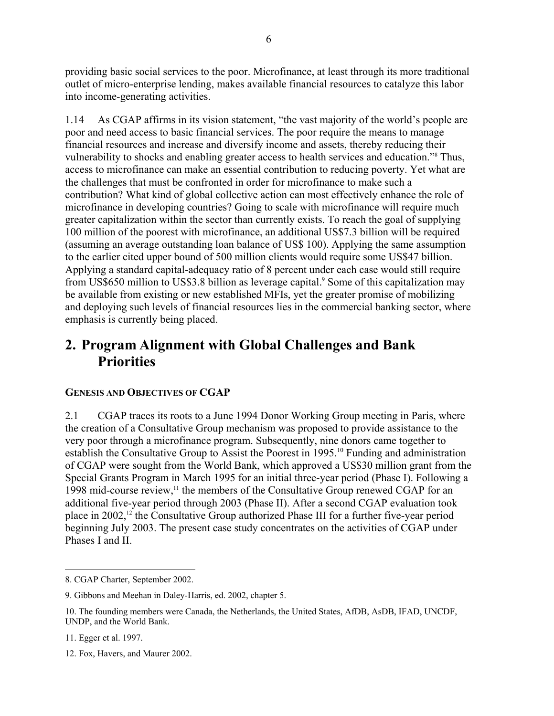providing basic social services to the poor. Microfinance, at least through its more traditional outlet of micro-enterprise lending, makes available financial resources to catalyze this labor into income-generating activities.

1.14 As CGAP affirms in its vision statement, "the vast majority of the world's people are poor and need access to basic financial services. The poor require the means to manage financial resources and increase and diversify income and assets, thereby reducing their vulnerability to shocks and enabling greater access to health services and education."8 Thus, access to microfinance can make an essential contribution to reducing poverty. Yet what are the challenges that must be confronted in order for microfinance to make such a contribution? What kind of global collective action can most effectively enhance the role of microfinance in developing countries? Going to scale with microfinance will require much greater capitalization within the sector than currently exists. To reach the goal of supplying 100 million of the poorest with microfinance, an additional US\$7.3 billion will be required (assuming an average outstanding loan balance of US\$ 100). Applying the same assumption to the earlier cited upper bound of 500 million clients would require some US\$47 billion. Applying a standard capital-adequacy ratio of 8 percent under each case would still require from US\$650 million to US\$3.8 billion as leverage capital.<sup>9</sup> Some of this capitalization may be available from existing or new established MFIs, yet the greater promise of mobilizing and deploying such levels of financial resources lies in the commercial banking sector, where emphasis is currently being placed.

# **2. Program Alignment with Global Challenges and Bank Priorities**

# **GENESIS AND OBJECTIVES OF CGAP**

2.1 CGAP traces its roots to a June 1994 Donor Working Group meeting in Paris, where the creation of a Consultative Group mechanism was proposed to provide assistance to the very poor through a microfinance program. Subsequently, nine donors came together to establish the Consultative Group to Assist the Poorest in 1995.<sup>10</sup> Funding and administration of CGAP were sought from the World Bank, which approved a US\$30 million grant from the Special Grants Program in March 1995 for an initial three-year period (Phase I). Following a 1998 mid-course review,<sup>11</sup> the members of the Consultative Group renewed CGAP for an additional five-year period through 2003 (Phase II). After a second CGAP evaluation took place in 2002,<sup>12</sup> the Consultative Group authorized Phase III for a further five-year period beginning July 2003. The present case study concentrates on the activities of CGAP under Phases I and II.

 $\overline{a}$ 8. CGAP Charter, September 2002.

<sup>9.</sup> Gibbons and Meehan in Daley-Harris, ed. 2002, chapter 5.

<sup>10.</sup> The founding members were Canada, the Netherlands, the United States, AfDB, AsDB, IFAD, UNCDF, UNDP, and the World Bank.

<sup>11.</sup> Egger et al. 1997.

<sup>12.</sup> Fox, Havers, and Maurer 2002.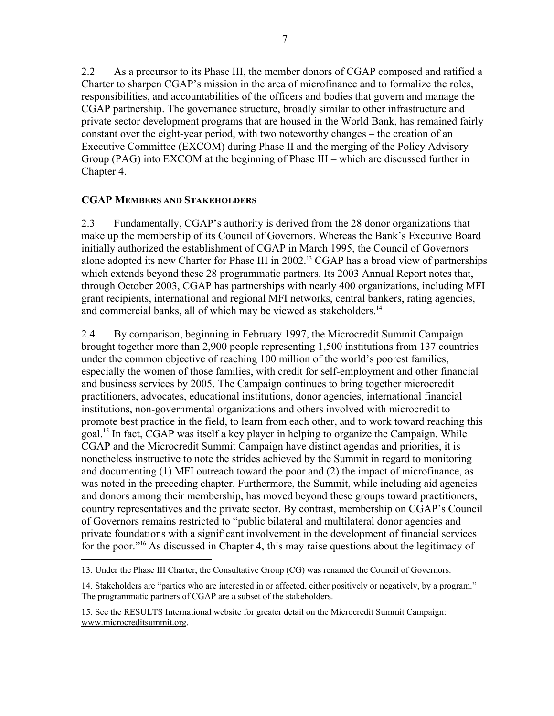2.2 As a precursor to its Phase III, the member donors of CGAP composed and ratified a Charter to sharpen CGAP's mission in the area of microfinance and to formalize the roles, responsibilities, and accountabilities of the officers and bodies that govern and manage the CGAP partnership. The governance structure, broadly similar to other infrastructure and private sector development programs that are housed in the World Bank, has remained fairly constant over the eight-year period, with two noteworthy changes – the creation of an Executive Committee (EXCOM) during Phase II and the merging of the Policy Advisory Group (PAG) into EXCOM at the beginning of Phase III – which are discussed further in Chapter 4.

### **CGAP MEMBERS AND STAKEHOLDERS**

1

2.3 Fundamentally, CGAP's authority is derived from the 28 donor organizations that make up the membership of its Council of Governors. Whereas the Bank's Executive Board initially authorized the establishment of CGAP in March 1995, the Council of Governors alone adopted its new Charter for Phase III in 2002.<sup>13</sup> CGAP has a broad view of partnerships which extends beyond these 28 programmatic partners. Its 2003 Annual Report notes that, through October 2003, CGAP has partnerships with nearly 400 organizations, including MFI grant recipients, international and regional MFI networks, central bankers, rating agencies, and commercial banks, all of which may be viewed as stakeholders.<sup>14</sup>

2.4 By comparison, beginning in February 1997, the Microcredit Summit Campaign brought together more than 2,900 people representing 1,500 institutions from 137 countries under the common objective of reaching 100 million of the world's poorest families, especially the women of those families, with credit for self-employment and other financial and business services by 2005. The Campaign continues to bring together microcredit practitioners, advocates, educational institutions, donor agencies, international financial institutions, non-governmental organizations and others involved with microcredit to promote best practice in the field, to learn from each other, and to work toward reaching this goal.15 In fact, CGAP was itself a key player in helping to organize the Campaign. While CGAP and the Microcredit Summit Campaign have distinct agendas and priorities, it is nonetheless instructive to note the strides achieved by the Summit in regard to monitoring and documenting (1) MFI outreach toward the poor and (2) the impact of microfinance, as was noted in the preceding chapter. Furthermore, the Summit, while including aid agencies and donors among their membership, has moved beyond these groups toward practitioners, country representatives and the private sector. By contrast, membership on CGAP's Council of Governors remains restricted to "public bilateral and multilateral donor agencies and private foundations with a significant involvement in the development of financial services for the poor."<sup>16</sup> As discussed in Chapter 4, this may raise questions about the legitimacy of

<sup>13.</sup> Under the Phase III Charter, the Consultative Group (CG) was renamed the Council of Governors.

<sup>14.</sup> Stakeholders are "parties who are interested in or affected, either positively or negatively, by a program." The programmatic partners of CGAP are a subset of the stakeholders.

<sup>15.</sup> See the RESULTS International website for greater detail on the Microcredit Summit Campaign: www.microcreditsummit.org.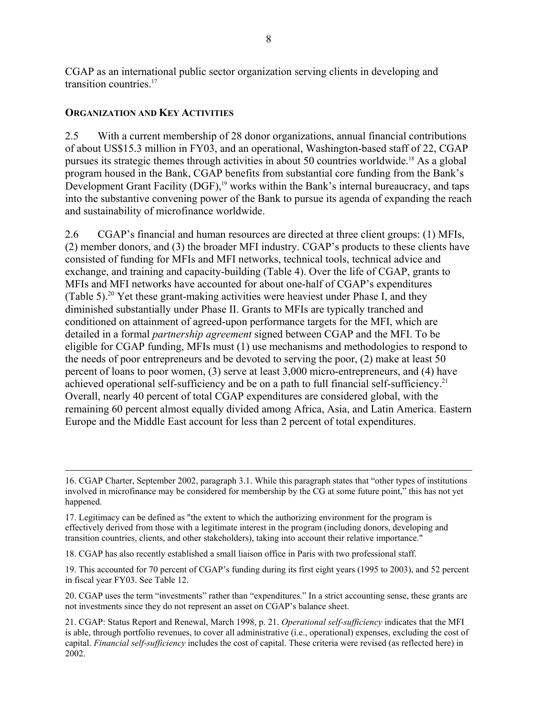CGAP as an international public sector organization serving clients in developing and transition countries<sup>17</sup>

### **ORGANIZATION AND KEY ACTIVITIES**

2.5 With a current membership of 28 donor organizations, annual financial contributions of about US\$15.3 million in FY03, and an operational, Washington-based staff of 22, CGAP pursues its strategic themes through activities in about 50 countries worldwide.18 As a global program housed in the Bank, CGAP benefits from substantial core funding from the Bank's Development Grant Facility (DGF),<sup>19</sup> works within the Bank's internal bureaucracy, and taps into the substantive convening power of the Bank to pursue its agenda of expanding the reach and sustainability of microfinance worldwide.

2.6 CGAP's financial and human resources are directed at three client groups: (1) MFIs, (2) member donors, and (3) the broader MFI industry. CGAP's products to these clients have consisted of funding for MFIs and MFI networks, technical tools, technical advice and exchange, and training and capacity-building (Table 4). Over the life of CGAP, grants to MFIs and MFI networks have accounted for about one-half of CGAP's expenditures (Table 5).<sup>20</sup> Yet these grant-making activities were heaviest under Phase I, and they diminished substantially under Phase II. Grants to MFIs are typically tranched and conditioned on attainment of agreed-upon performance targets for the MFI, which are detailed in a formal *partnership agreement* signed between CGAP and the MFI. To be eligible for CGAP funding, MFIs must (1) use mechanisms and methodologies to respond to the needs of poor entrepreneurs and be devoted to serving the poor, (2) make at least 50 percent of loans to poor women, (3) serve at least 3,000 micro-entrepreneurs, and (4) have achieved operational self-sufficiency and be on a path to full financial self-sufficiency.<sup>21</sup> Overall, nearly 40 percent of total CGAP expenditures are considered global, with the remaining 60 percent almost equally divided among Africa, Asia, and Latin America. Eastern Europe and the Middle East account for less than 2 percent of total expenditures.

18. CGAP has also recently established a small liaison office in Paris with two professional staff.

19. This accounted for 70 percent of CGAP's funding during its first eight years (1995 to 2003), and 52 percent in fiscal year FY03. See Table 12.

20. CGAP uses the term "investments" rather than "expenditures." In a strict accounting sense, these grants are not investments since they do not represent an asset on CGAP's balance sheet.

 <sup>16.</sup> CGAP Charter, September 2002, paragraph 3.1. While this paragraph states that "other types of institutions involved in microfinance may be considered for membership by the CG at some future point," this has not yet happened.

<sup>17.</sup> Legitimacy can be defined as "the extent to which the authorizing environment for the program is effectively derived from those with a legitimate interest in the program (including donors, developing and transition countries, clients, and other stakeholders), taking into account their relative importance."

<sup>21.</sup> CGAP: Status Report and Renewal, March 1998, p. 21. *Operational self-sufficiency* indicates that the MFI is able, through portfolio revenues, to cover all administrative (i.e., operational) expenses, excluding the cost of capital. *Financial self-sufficiency* includes the cost of capital. These criteria were revised (as reflected here) in 2002.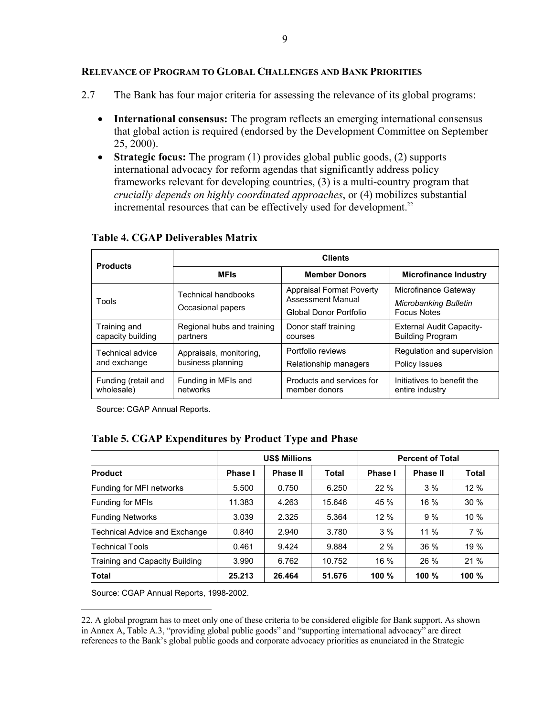### **RELEVANCE OF PROGRAM TO GLOBAL CHALLENGES AND BANK PRIORITIES**

- 2.7 The Bank has four major criteria for assessing the relevance of its global programs:
	- **International consensus:** The program reflects an emerging international consensus that global action is required (endorsed by the Development Committee on September 25, 2000).
	- **Strategic focus:** The program (1) provides global public goods, (2) supports international advocacy for reform agendas that significantly address policy frameworks relevant for developing countries, (3) is a multi-country program that *crucially depends on highly coordinated approaches*, or (4) mobilizes substantial incremental resources that can be effectively used for development.<sup>22</sup>

| <b>Products</b>     | <b>Clients</b>                                  |                                                                                |                                                                     |  |  |  |
|---------------------|-------------------------------------------------|--------------------------------------------------------------------------------|---------------------------------------------------------------------|--|--|--|
|                     | <b>MFIs</b>                                     | <b>Member Donors</b>                                                           | <b>Microfinance Industry</b>                                        |  |  |  |
| Tools               | <b>Technical handbooks</b><br>Occasional papers | <b>Appraisal Format Poverty</b><br>Assessment Manual<br>Global Donor Portfolio | Microfinance Gateway<br>Microbanking Bulletin<br><b>Focus Notes</b> |  |  |  |
| Training and        | Regional hubs and training                      | Donor staff training                                                           | <b>External Audit Capacity-</b>                                     |  |  |  |
| capacity building   | partners                                        | courses                                                                        | <b>Building Program</b>                                             |  |  |  |
| Technical advice    | Appraisals, monitoring,                         | Portfolio reviews                                                              | Regulation and supervision                                          |  |  |  |
| and exchange        | business planning                               | Relationship managers                                                          | Policy Issues                                                       |  |  |  |
| Funding (retail and | Funding in MFIs and                             | Products and services for                                                      | Initiatives to benefit the                                          |  |  |  |
| wholesale)          | networks                                        | member donors                                                                  | entire industry                                                     |  |  |  |

#### **Table 4. CGAP Deliverables Matrix**

Source: CGAP Annual Reports.

### **Table 5. CGAP Expenditures by Product Type and Phase**

|                                | <b>US\$ Millions</b> |                 |        | <b>Percent of Total</b> |                 |              |
|--------------------------------|----------------------|-----------------|--------|-------------------------|-----------------|--------------|
| <b>Product</b>                 | <b>Phase I</b>       | <b>Phase II</b> | Total  | <b>Phase I</b>          | <b>Phase II</b> | <b>Total</b> |
| Funding for MFI networks       | 5.500                | 0.750           | 6.250  | 22%                     | 3%              | 12%          |
| <b>Funding for MFIs</b>        | 11.383               | 4.263           | 15.646 | 45 %                    | $16\%$          | 30%          |
| <b>Funding Networks</b>        | 3.039                | 2.325           | 5.364  | 12%                     | 9%              | 10%          |
| Technical Advice and Exchange  | 0.840                | 2.940           | 3.780  | 3%                      | $11\%$          | 7%           |
| Technical Tools                | 0.461                | 9.424           | 9.884  | 2%                      | 36%             | 19 %         |
| Training and Capacity Building | 3.990                | 6.762           | 10.752 | 16 %                    | 26 %            | 21%          |
| Total                          | 25.213               | 26.464          | 51.676 | 100%                    | 100 %           | 100 %        |

Source: CGAP Annual Reports, 1998-2002.

 $\overline{a}$ 

22. A global program has to meet only one of these criteria to be considered eligible for Bank support. As shown in Annex A, Table A.3, "providing global public goods" and "supporting international advocacy" are direct references to the Bank's global public goods and corporate advocacy priorities as enunciated in the Strategic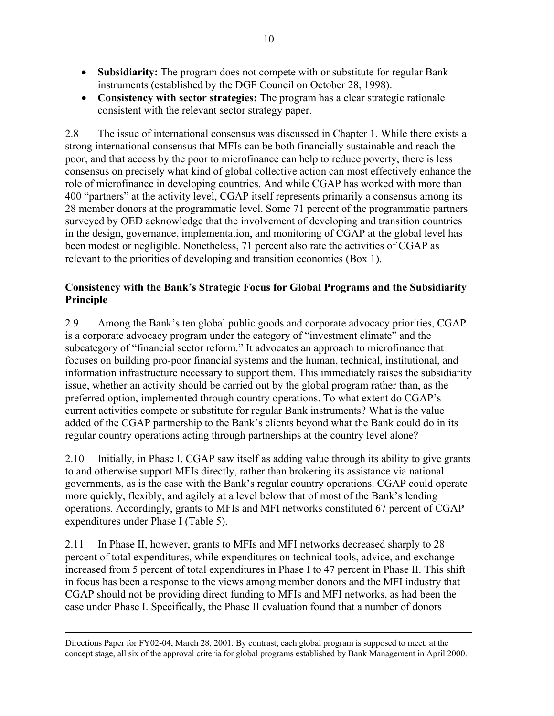- **Subsidiarity:** The program does not compete with or substitute for regular Bank instruments (established by the DGF Council on October 28, 1998).
- **Consistency with sector strategies:** The program has a clear strategic rationale consistent with the relevant sector strategy paper.

2.8 The issue of international consensus was discussed in Chapter 1. While there exists a strong international consensus that MFIs can be both financially sustainable and reach the poor, and that access by the poor to microfinance can help to reduce poverty, there is less consensus on precisely what kind of global collective action can most effectively enhance the role of microfinance in developing countries. And while CGAP has worked with more than 400 "partners" at the activity level, CGAP itself represents primarily a consensus among its 28 member donors at the programmatic level. Some 71 percent of the programmatic partners surveyed by OED acknowledge that the involvement of developing and transition countries in the design, governance, implementation, and monitoring of CGAP at the global level has been modest or negligible. Nonetheless, 71 percent also rate the activities of CGAP as relevant to the priorities of developing and transition economies (Box 1).

# **Consistency with the Bank's Strategic Focus for Global Programs and the Subsidiarity Principle**

2.9 Among the Bank's ten global public goods and corporate advocacy priorities, CGAP is a corporate advocacy program under the category of "investment climate" and the subcategory of "financial sector reform." It advocates an approach to microfinance that focuses on building pro-poor financial systems and the human, technical, institutional, and information infrastructure necessary to support them. This immediately raises the subsidiarity issue, whether an activity should be carried out by the global program rather than, as the preferred option, implemented through country operations. To what extent do CGAP's current activities compete or substitute for regular Bank instruments? What is the value added of the CGAP partnership to the Bank's clients beyond what the Bank could do in its regular country operations acting through partnerships at the country level alone?

2.10 Initially, in Phase I, CGAP saw itself as adding value through its ability to give grants to and otherwise support MFIs directly, rather than brokering its assistance via national governments, as is the case with the Bank's regular country operations. CGAP could operate more quickly, flexibly, and agilely at a level below that of most of the Bank's lending operations. Accordingly, grants to MFIs and MFI networks constituted 67 percent of CGAP expenditures under Phase I (Table 5).

2.11 In Phase II, however, grants to MFIs and MFI networks decreased sharply to 28 percent of total expenditures, while expenditures on technical tools, advice, and exchange increased from 5 percent of total expenditures in Phase I to 47 percent in Phase II. This shift in focus has been a response to the views among member donors and the MFI industry that CGAP should not be providing direct funding to MFIs and MFI networks, as had been the case under Phase I. Specifically, the Phase II evaluation found that a number of donors

Directions Paper for FY02-04, March 28, 2001. By contrast, each global program is supposed to meet, at the concept stage, all six of the approval criteria for global programs established by Bank Management in April 2000.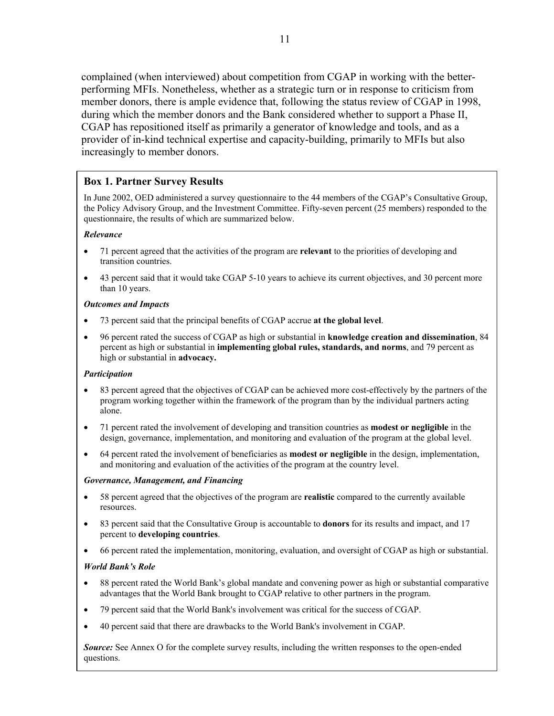complained (when interviewed) about competition from CGAP in working with the betterperforming MFIs. Nonetheless, whether as a strategic turn or in response to criticism from member donors, there is ample evidence that, following the status review of CGAP in 1998, during which the member donors and the Bank considered whether to support a Phase II, CGAP has repositioned itself as primarily a generator of knowledge and tools, and as a provider of in-kind technical expertise and capacity-building, primarily to MFIs but also increasingly to member donors.

### **Box 1. Partner Survey Results**

In June 2002, OED administered a survey questionnaire to the 44 members of the CGAP's Consultative Group, the Policy Advisory Group, and the Investment Committee. Fifty-seven percent (25 members) responded to the questionnaire, the results of which are summarized below.

#### *Relevance*

- 71 percent agreed that the activities of the program are **relevant** to the priorities of developing and transition countries.
- 43 percent said that it would take CGAP 5-10 years to achieve its current objectives, and 30 percent more than 10 years.

#### *Outcomes and Impacts*

- 73 percent said that the principal benefits of CGAP accrue **at the global level**.
- 96 percent rated the success of CGAP as high or substantial in **knowledge creation and dissemination**, 84 percent as high or substantial in **implementing global rules, standards, and norms**, and 79 percent as high or substantial in **advocacy.**

### *Participation*

- 83 percent agreed that the objectives of CGAP can be achieved more cost-effectively by the partners of the program working together within the framework of the program than by the individual partners acting alone.
- 71 percent rated the involvement of developing and transition countries as **modest or negligible** in the design, governance, implementation, and monitoring and evaluation of the program at the global level.
- 64 percent rated the involvement of beneficiaries as **modest or negligible** in the design, implementation, and monitoring and evaluation of the activities of the program at the country level.

### *Governance, Management, and Financing*

- 58 percent agreed that the objectives of the program are **realistic** compared to the currently available resources.
- 83 percent said that the Consultative Group is accountable to **donors** for its results and impact, and 17 percent to **developing countries**.
- 66 percent rated the implementation, monitoring, evaluation, and oversight of CGAP as high or substantial.

### *World Bank's Role*

- 88 percent rated the World Bank's global mandate and convening power as high or substantial comparative advantages that the World Bank brought to CGAP relative to other partners in the program.
- 79 percent said that the World Bank's involvement was critical for the success of CGAP.
- 40 percent said that there are drawbacks to the World Bank's involvement in CGAP.

*Source:* See Annex O for the complete survey results, including the written responses to the open-ended questions.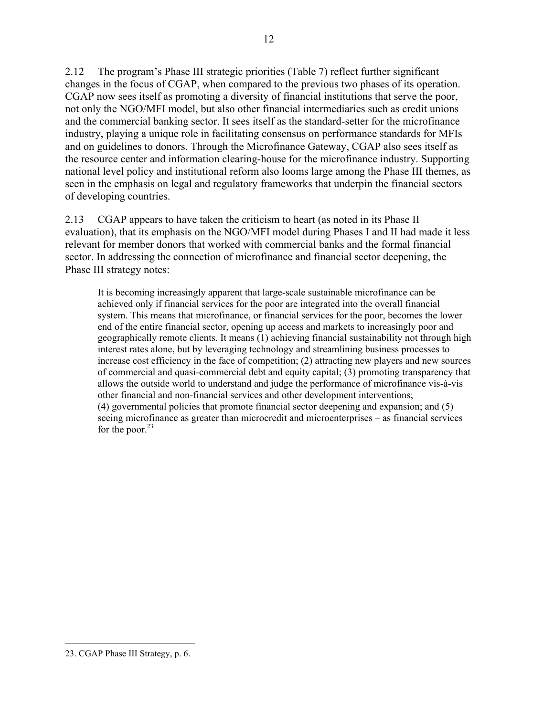2.12 The program's Phase III strategic priorities (Table 7) reflect further significant changes in the focus of CGAP, when compared to the previous two phases of its operation. CGAP now sees itself as promoting a diversity of financial institutions that serve the poor, not only the NGO/MFI model, but also other financial intermediaries such as credit unions and the commercial banking sector. It sees itself as the standard-setter for the microfinance industry, playing a unique role in facilitating consensus on performance standards for MFIs and on guidelines to donors. Through the Microfinance Gateway, CGAP also sees itself as the resource center and information clearing-house for the microfinance industry. Supporting national level policy and institutional reform also looms large among the Phase III themes, as seen in the emphasis on legal and regulatory frameworks that underpin the financial sectors of developing countries.

2.13 CGAP appears to have taken the criticism to heart (as noted in its Phase II evaluation), that its emphasis on the NGO/MFI model during Phases I and II had made it less relevant for member donors that worked with commercial banks and the formal financial sector. In addressing the connection of microfinance and financial sector deepening, the Phase III strategy notes:

It is becoming increasingly apparent that large-scale sustainable microfinance can be achieved only if financial services for the poor are integrated into the overall financial system. This means that microfinance, or financial services for the poor, becomes the lower end of the entire financial sector, opening up access and markets to increasingly poor and geographically remote clients. It means (1) achieving financial sustainability not through high interest rates alone, but by leveraging technology and streamlining business processes to increase cost efficiency in the face of competition; (2) attracting new players and new sources of commercial and quasi-commercial debt and equity capital; (3) promoting transparency that allows the outside world to understand and judge the performance of microfinance vis-à-vis other financial and non-financial services and other development interventions; (4) governmental policies that promote financial sector deepening and expansion; and (5) seeing microfinance as greater than microcredit and microenterprises – as financial services for the poor. $23$ 

 $\overline{a}$ 

<sup>23.</sup> CGAP Phase III Strategy, p. 6.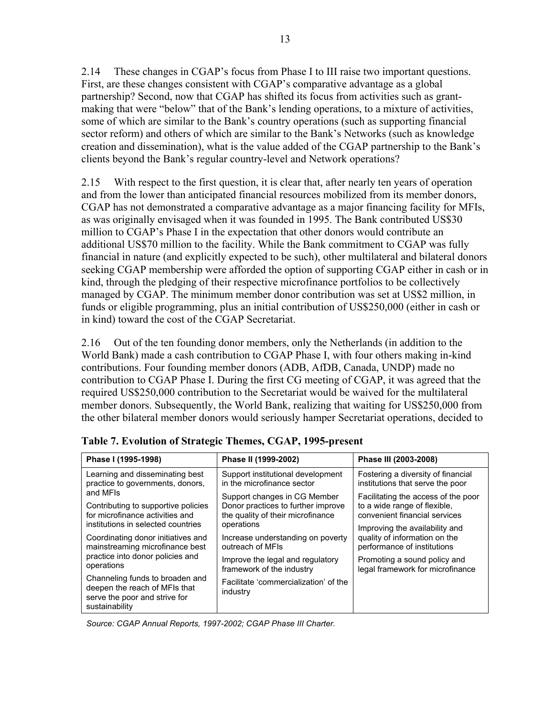2.14 These changes in CGAP's focus from Phase I to III raise two important questions. First, are these changes consistent with CGAP's comparative advantage as a global partnership? Second, now that CGAP has shifted its focus from activities such as grantmaking that were "below" that of the Bank's lending operations, to a mixture of activities, some of which are similar to the Bank's country operations (such as supporting financial sector reform) and others of which are similar to the Bank's Networks (such as knowledge creation and dissemination), what is the value added of the CGAP partnership to the Bank's clients beyond the Bank's regular country-level and Network operations?

2.15 With respect to the first question, it is clear that, after nearly ten years of operation and from the lower than anticipated financial resources mobilized from its member donors, CGAP has not demonstrated a comparative advantage as a major financing facility for MFIs, as was originally envisaged when it was founded in 1995. The Bank contributed US\$30 million to CGAP's Phase I in the expectation that other donors would contribute an additional US\$70 million to the facility. While the Bank commitment to CGAP was fully financial in nature (and explicitly expected to be such), other multilateral and bilateral donors seeking CGAP membership were afforded the option of supporting CGAP either in cash or in kind, through the pledging of their respective microfinance portfolios to be collectively managed by CGAP. The minimum member donor contribution was set at US\$2 million, in funds or eligible programming, plus an initial contribution of US\$250,000 (either in cash or in kind) toward the cost of the CGAP Secretariat.

2.16 Out of the ten founding donor members, only the Netherlands (in addition to the World Bank) made a cash contribution to CGAP Phase I, with four others making in-kind contributions. Four founding member donors (ADB, AfDB, Canada, UNDP) made no contribution to CGAP Phase I. During the first CG meeting of CGAP, it was agreed that the required US\$250,000 contribution to the Secretariat would be waived for the multilateral member donors. Subsequently, the World Bank, realizing that waiting for US\$250,000 from the other bilateral member donors would seriously hamper Secretariat operations, decided to

| Phase I (1995-1998)                                                                                                 | Phase II (1999-2002)                              | Phase III (2003-2008)               |  |  |
|---------------------------------------------------------------------------------------------------------------------|---------------------------------------------------|-------------------------------------|--|--|
| Learning and disseminating best                                                                                     | Support institutional development                 | Fostering a diversity of financial  |  |  |
| practice to governments, donors,                                                                                    | in the microfinance sector                        | institutions that serve the poor    |  |  |
| and MFIs                                                                                                            | Support changes in CG Member                      | Facilitating the access of the poor |  |  |
| Contributing to supportive policies                                                                                 | Donor practices to further improve                | to a wide range of flexible,        |  |  |
| for microfinance activities and                                                                                     | the quality of their microfinance                 | convenient financial services       |  |  |
| institutions in selected countries                                                                                  | operations                                        | Improving the availability and      |  |  |
| Coordinating donor initiatives and                                                                                  | Increase understanding on poverty                 | quality of information on the       |  |  |
| mainstreaming microfinance best                                                                                     | outreach of MFIs                                  | performance of institutions         |  |  |
| practice into donor policies and                                                                                    | Improve the legal and regulatory                  | Promoting a sound policy and        |  |  |
| operations                                                                                                          | framework of the industry                         | legal framework for microfinance    |  |  |
| Channeling funds to broaden and<br>deepen the reach of MFIs that<br>serve the poor and strive for<br>sustainability | Facilitate 'commercialization' of the<br>industry |                                     |  |  |

**Table 7. Evolution of Strategic Themes, CGAP, 1995-present** 

*Source: CGAP Annual Reports, 1997-2002; CGAP Phase III Charter.*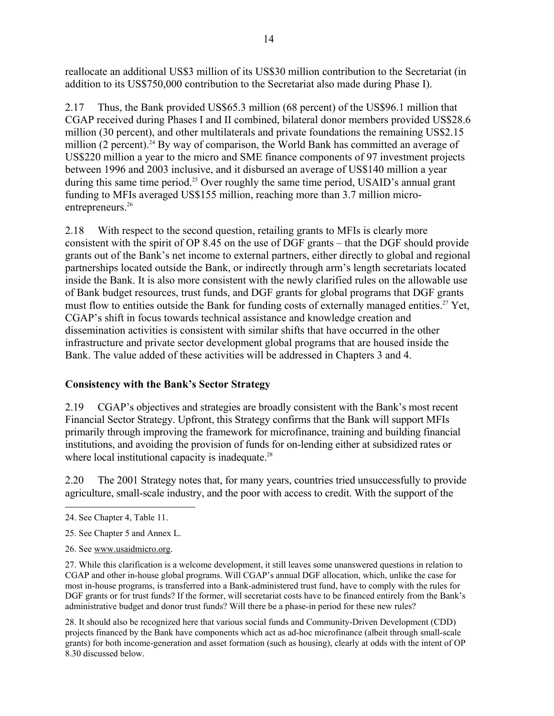reallocate an additional US\$3 million of its US\$30 million contribution to the Secretariat (in addition to its US\$750,000 contribution to the Secretariat also made during Phase I).

2.17 Thus, the Bank provided US\$65.3 million (68 percent) of the US\$96.1 million that CGAP received during Phases I and II combined, bilateral donor members provided US\$28.6 million (30 percent), and other multilaterals and private foundations the remaining US\$2.15 million (2 percent).<sup>24</sup> By way of comparison, the World Bank has committed an average of US\$220 million a year to the micro and SME finance components of 97 investment projects between 1996 and 2003 inclusive, and it disbursed an average of US\$140 million a year during this same time period.<sup>25</sup> Over roughly the same time period, USAID's annual grant funding to MFIs averaged US\$155 million, reaching more than 3.7 million microentrepreneurs.<sup>26</sup>

2.18 With respect to the second question, retailing grants to MFIs is clearly more consistent with the spirit of OP 8.45 on the use of DGF grants – that the DGF should provide grants out of the Bank's net income to external partners, either directly to global and regional partnerships located outside the Bank, or indirectly through arm's length secretariats located inside the Bank. It is also more consistent with the newly clarified rules on the allowable use of Bank budget resources, trust funds, and DGF grants for global programs that DGF grants must flow to entities outside the Bank for funding costs of externally managed entities.<sup>27</sup> Yet, CGAP's shift in focus towards technical assistance and knowledge creation and dissemination activities is consistent with similar shifts that have occurred in the other infrastructure and private sector development global programs that are housed inside the Bank. The value added of these activities will be addressed in Chapters 3 and 4.

# **Consistency with the Bank's Sector Strategy**

2.19 CGAP's objectives and strategies are broadly consistent with the Bank's most recent Financial Sector Strategy. Upfront, this Strategy confirms that the Bank will support MFIs primarily through improving the framework for microfinance, training and building financial institutions, and avoiding the provision of funds for on-lending either at subsidized rates or where local institutional capacity is inadequate.<sup>28</sup>

2.20 The 2001 Strategy notes that, for many years, countries tried unsuccessfully to provide agriculture, small-scale industry, and the poor with access to credit. With the support of the

- 25. See Chapter 5 and Annex L.
- 26. See www.usaidmicro.org.

27. While this clarification is a welcome development, it still leaves some unanswered questions in relation to CGAP and other in-house global programs. Will CGAP's annual DGF allocation, which, unlike the case for most in-house programs, is transferred into a Bank-administered trust fund, have to comply with the rules for DGF grants or for trust funds? If the former, will secretariat costs have to be financed entirely from the Bank's administrative budget and donor trust funds? Will there be a phase-in period for these new rules?

28. It should also be recognized here that various social funds and Community-Driven Development (CDD) projects financed by the Bank have components which act as ad-hoc microfinance (albeit through small-scale grants) for both income-generation and asset formation (such as housing), clearly at odds with the intent of OP 8.30 discussed below.

 $\overline{a}$ 24. See Chapter 4, Table 11.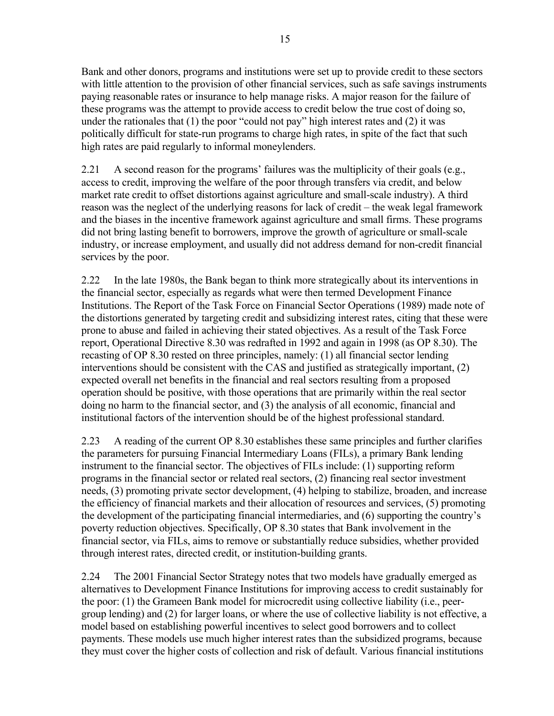Bank and other donors, programs and institutions were set up to provide credit to these sectors with little attention to the provision of other financial services, such as safe savings instruments paying reasonable rates or insurance to help manage risks. A major reason for the failure of these programs was the attempt to provide access to credit below the true cost of doing so, under the rationales that (1) the poor "could not pay" high interest rates and (2) it was politically difficult for state-run programs to charge high rates, in spite of the fact that such high rates are paid regularly to informal moneylenders.

2.21 A second reason for the programs' failures was the multiplicity of their goals (e.g., access to credit, improving the welfare of the poor through transfers via credit, and below market rate credit to offset distortions against agriculture and small-scale industry). A third reason was the neglect of the underlying reasons for lack of credit – the weak legal framework and the biases in the incentive framework against agriculture and small firms. These programs did not bring lasting benefit to borrowers, improve the growth of agriculture or small-scale industry, or increase employment, and usually did not address demand for non-credit financial services by the poor.

2.22 In the late 1980s, the Bank began to think more strategically about its interventions in the financial sector, especially as regards what were then termed Development Finance Institutions. The Report of the Task Force on Financial Sector Operations (1989) made note of the distortions generated by targeting credit and subsidizing interest rates, citing that these were prone to abuse and failed in achieving their stated objectives. As a result of the Task Force report, Operational Directive 8.30 was redrafted in 1992 and again in 1998 (as OP 8.30). The recasting of OP 8.30 rested on three principles, namely: (1) all financial sector lending interventions should be consistent with the CAS and justified as strategically important, (2) expected overall net benefits in the financial and real sectors resulting from a proposed operation should be positive, with those operations that are primarily within the real sector doing no harm to the financial sector, and (3) the analysis of all economic, financial and institutional factors of the intervention should be of the highest professional standard.

2.23 A reading of the current OP 8.30 establishes these same principles and further clarifies the parameters for pursuing Financial Intermediary Loans (FILs), a primary Bank lending instrument to the financial sector. The objectives of FILs include: (1) supporting reform programs in the financial sector or related real sectors, (2) financing real sector investment needs, (3) promoting private sector development, (4) helping to stabilize, broaden, and increase the efficiency of financial markets and their allocation of resources and services, (5) promoting the development of the participating financial intermediaries, and (6) supporting the country's poverty reduction objectives. Specifically, OP 8.30 states that Bank involvement in the financial sector, via FILs, aims to remove or substantially reduce subsidies, whether provided through interest rates, directed credit, or institution-building grants.

2.24 The 2001 Financial Sector Strategy notes that two models have gradually emerged as alternatives to Development Finance Institutions for improving access to credit sustainably for the poor: (1) the Grameen Bank model for microcredit using collective liability (i.e., peergroup lending) and (2) for larger loans, or where the use of collective liability is not effective, a model based on establishing powerful incentives to select good borrowers and to collect payments. These models use much higher interest rates than the subsidized programs, because they must cover the higher costs of collection and risk of default. Various financial institutions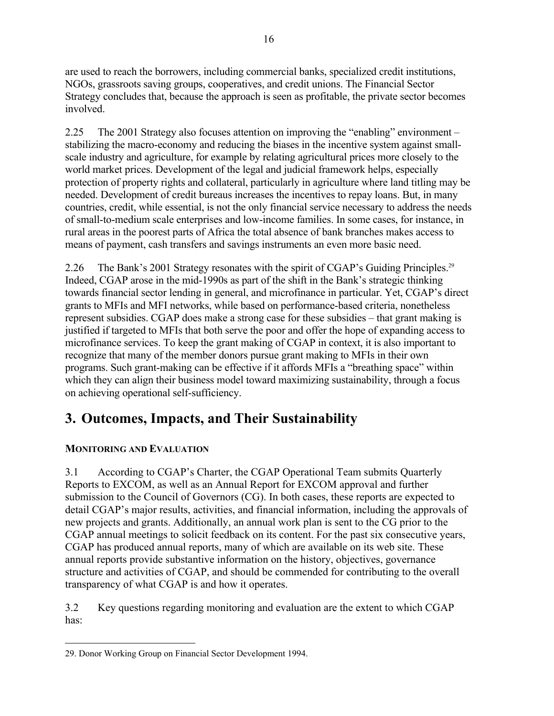are used to reach the borrowers, including commercial banks, specialized credit institutions, NGOs, grassroots saving groups, cooperatives, and credit unions. The Financial Sector Strategy concludes that, because the approach is seen as profitable, the private sector becomes involved.

2.25 The 2001 Strategy also focuses attention on improving the "enabling" environment – stabilizing the macro-economy and reducing the biases in the incentive system against smallscale industry and agriculture, for example by relating agricultural prices more closely to the world market prices. Development of the legal and judicial framework helps, especially protection of property rights and collateral, particularly in agriculture where land titling may be needed. Development of credit bureaus increases the incentives to repay loans. But, in many countries, credit, while essential, is not the only financial service necessary to address the needs of small-to-medium scale enterprises and low-income families. In some cases, for instance, in rural areas in the poorest parts of Africa the total absence of bank branches makes access to means of payment, cash transfers and savings instruments an even more basic need.

2.26 The Bank's 2001 Strategy resonates with the spirit of CGAP's Guiding Principles.<sup>29</sup> Indeed, CGAP arose in the mid-1990s as part of the shift in the Bank's strategic thinking towards financial sector lending in general, and microfinance in particular. Yet, CGAP's direct grants to MFIs and MFI networks, while based on performance-based criteria, nonetheless represent subsidies. CGAP does make a strong case for these subsidies – that grant making is justified if targeted to MFIs that both serve the poor and offer the hope of expanding access to microfinance services. To keep the grant making of CGAP in context, it is also important to recognize that many of the member donors pursue grant making to MFIs in their own programs. Such grant-making can be effective if it affords MFIs a "breathing space" within which they can align their business model toward maximizing sustainability, through a focus on achieving operational self-sufficiency.

# **3. Outcomes, Impacts, and Their Sustainability**

# **MONITORING AND EVALUATION**

3.1 According to CGAP's Charter, the CGAP Operational Team submits Quarterly Reports to EXCOM, as well as an Annual Report for EXCOM approval and further submission to the Council of Governors (CG). In both cases, these reports are expected to detail CGAP's major results, activities, and financial information, including the approvals of new projects and grants. Additionally, an annual work plan is sent to the CG prior to the CGAP annual meetings to solicit feedback on its content. For the past six consecutive years, CGAP has produced annual reports, many of which are available on its web site. These annual reports provide substantive information on the history, objectives, governance structure and activities of CGAP, and should be commended for contributing to the overall transparency of what CGAP is and how it operates.

3.2 Key questions regarding monitoring and evaluation are the extent to which CGAP has:

 $\overline{a}$ 29. Donor Working Group on Financial Sector Development 1994.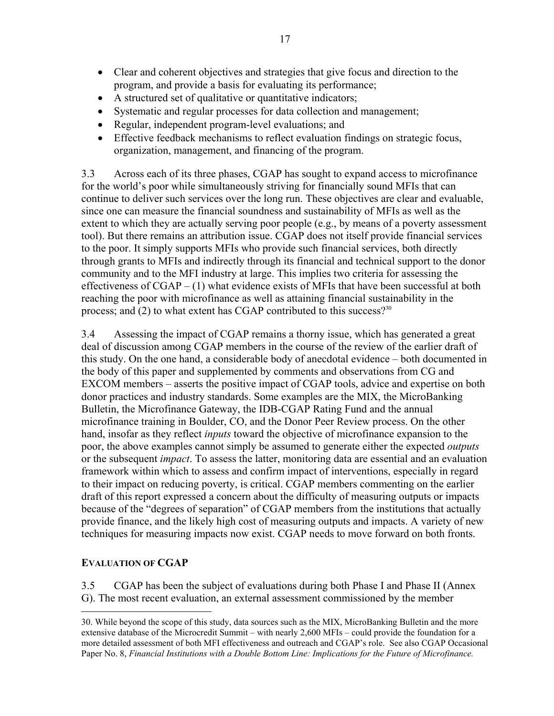- Clear and coherent objectives and strategies that give focus and direction to the program, and provide a basis for evaluating its performance;
- A structured set of qualitative or quantitative indicators;
- Systematic and regular processes for data collection and management;
- Regular, independent program-level evaluations; and
- Effective feedback mechanisms to reflect evaluation findings on strategic focus, organization, management, and financing of the program.

3.3 Across each of its three phases, CGAP has sought to expand access to microfinance for the world's poor while simultaneously striving for financially sound MFIs that can continue to deliver such services over the long run. These objectives are clear and evaluable, since one can measure the financial soundness and sustainability of MFIs as well as the extent to which they are actually serving poor people (e.g., by means of a poverty assessment tool). But there remains an attribution issue. CGAP does not itself provide financial services to the poor. It simply supports MFIs who provide such financial services, both directly through grants to MFIs and indirectly through its financial and technical support to the donor community and to the MFI industry at large. This implies two criteria for assessing the effectiveness of CGAP – (1) what evidence exists of MFIs that have been successful at both reaching the poor with microfinance as well as attaining financial sustainability in the process; and  $(2)$  to what extent has CGAP contributed to this success?<sup>30</sup>

3.4 Assessing the impact of CGAP remains a thorny issue, which has generated a great deal of discussion among CGAP members in the course of the review of the earlier draft of this study. On the one hand, a considerable body of anecdotal evidence – both documented in the body of this paper and supplemented by comments and observations from CG and EXCOM members – asserts the positive impact of CGAP tools, advice and expertise on both donor practices and industry standards. Some examples are the MIX, the MicroBanking Bulletin, the Microfinance Gateway, the IDB-CGAP Rating Fund and the annual microfinance training in Boulder, CO, and the Donor Peer Review process. On the other hand, insofar as they reflect *inputs* toward the objective of microfinance expansion to the poor, the above examples cannot simply be assumed to generate either the expected *outputs* or the subsequent *impact*. To assess the latter, monitoring data are essential and an evaluation framework within which to assess and confirm impact of interventions, especially in regard to their impact on reducing poverty, is critical. CGAP members commenting on the earlier draft of this report expressed a concern about the difficulty of measuring outputs or impacts because of the "degrees of separation" of CGAP members from the institutions that actually provide finance, and the likely high cost of measuring outputs and impacts. A variety of new techniques for measuring impacts now exist. CGAP needs to move forward on both fronts.

## **EVALUATION OF CGAP**

3.5 CGAP has been the subject of evaluations during both Phase I and Phase II (Annex G). The most recent evaluation, an external assessment commissioned by the member

 $\overline{a}$ 30. While beyond the scope of this study, data sources such as the MIX, MicroBanking Bulletin and the more extensive database of the Microcredit Summit – with nearly 2,600 MFIs – could provide the foundation for a more detailed assessment of both MFI effectiveness and outreach and CGAP's role. See also CGAP Occasional Paper No. 8, *Financial Institutions with a Double Bottom Line: Implications for the Future of Microfinance.*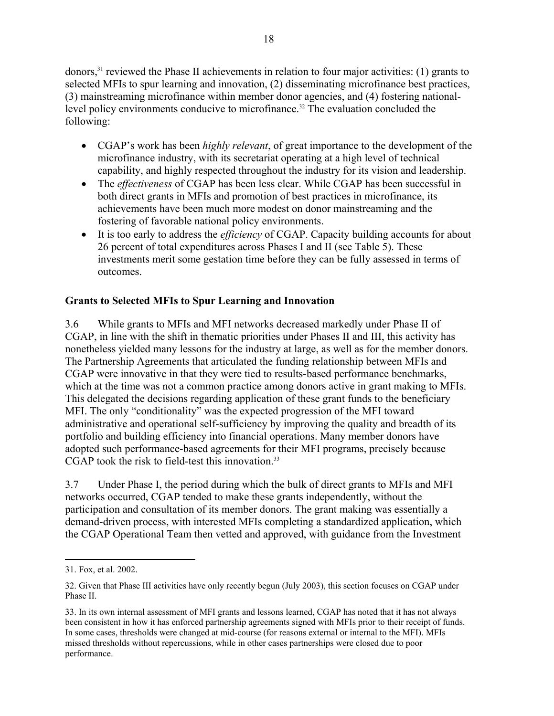donors,31 reviewed the Phase II achievements in relation to four major activities: (1) grants to selected MFIs to spur learning and innovation, (2) disseminating microfinance best practices, (3) mainstreaming microfinance within member donor agencies, and (4) fostering nationallevel policy environments conducive to microfinance.<sup>32</sup> The evaluation concluded the following:

- CGAP's work has been *highly relevant*, of great importance to the development of the microfinance industry, with its secretariat operating at a high level of technical capability, and highly respected throughout the industry for its vision and leadership.
- The *effectiveness* of CGAP has been less clear. While CGAP has been successful in both direct grants in MFIs and promotion of best practices in microfinance, its achievements have been much more modest on donor mainstreaming and the fostering of favorable national policy environments.
- It is too early to address the *efficiency* of CGAP. Capacity building accounts for about 26 percent of total expenditures across Phases I and II (see Table 5). These investments merit some gestation time before they can be fully assessed in terms of outcomes.

## **Grants to Selected MFIs to Spur Learning and Innovation**

3.6 While grants to MFIs and MFI networks decreased markedly under Phase II of CGAP, in line with the shift in thematic priorities under Phases II and III, this activity has nonetheless yielded many lessons for the industry at large, as well as for the member donors. The Partnership Agreements that articulated the funding relationship between MFIs and CGAP were innovative in that they were tied to results-based performance benchmarks, which at the time was not a common practice among donors active in grant making to MFIs. This delegated the decisions regarding application of these grant funds to the beneficiary MFI. The only "conditionality" was the expected progression of the MFI toward administrative and operational self-sufficiency by improving the quality and breadth of its portfolio and building efficiency into financial operations. Many member donors have adopted such performance-based agreements for their MFI programs, precisely because CGAP took the risk to field-test this innovation. $33$ 

3.7 Under Phase I, the period during which the bulk of direct grants to MFIs and MFI networks occurred, CGAP tended to make these grants independently, without the participation and consultation of its member donors. The grant making was essentially a demand-driven process, with interested MFIs completing a standardized application, which the CGAP Operational Team then vetted and approved, with guidance from the Investment

 $\overline{a}$ 

<sup>31.</sup> Fox, et al. 2002.

<sup>32.</sup> Given that Phase III activities have only recently begun (July 2003), this section focuses on CGAP under Phase II.

<sup>33.</sup> In its own internal assessment of MFI grants and lessons learned, CGAP has noted that it has not always been consistent in how it has enforced partnership agreements signed with MFIs prior to their receipt of funds. In some cases, thresholds were changed at mid-course (for reasons external or internal to the MFI). MFIs missed thresholds without repercussions, while in other cases partnerships were closed due to poor performance.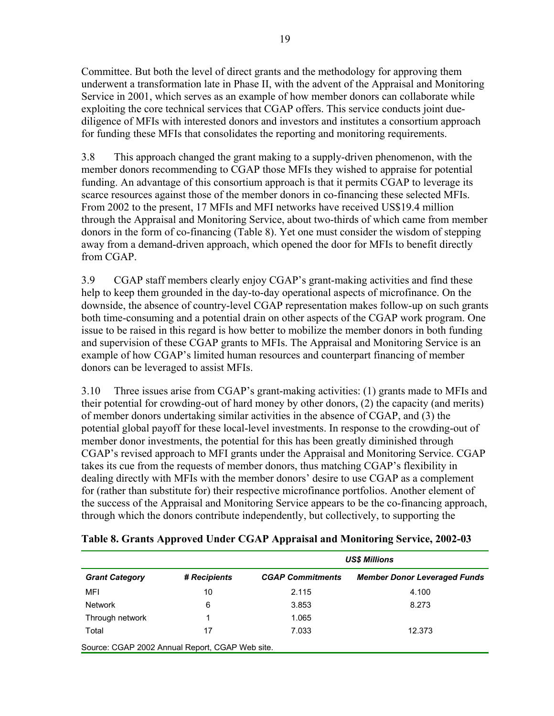Committee. But both the level of direct grants and the methodology for approving them underwent a transformation late in Phase II, with the advent of the Appraisal and Monitoring Service in 2001, which serves as an example of how member donors can collaborate while exploiting the core technical services that CGAP offers. This service conducts joint duediligence of MFIs with interested donors and investors and institutes a consortium approach for funding these MFIs that consolidates the reporting and monitoring requirements.

3.8 This approach changed the grant making to a supply-driven phenomenon, with the member donors recommending to CGAP those MFIs they wished to appraise for potential funding. An advantage of this consortium approach is that it permits CGAP to leverage its scarce resources against those of the member donors in co-financing these selected MFIs. From 2002 to the present, 17 MFIs and MFI networks have received US\$19.4 million through the Appraisal and Monitoring Service, about two-thirds of which came from member donors in the form of co-financing (Table 8). Yet one must consider the wisdom of stepping away from a demand-driven approach, which opened the door for MFIs to benefit directly from CGAP.

3.9 CGAP staff members clearly enjoy CGAP's grant-making activities and find these help to keep them grounded in the day-to-day operational aspects of microfinance. On the downside, the absence of country-level CGAP representation makes follow-up on such grants both time-consuming and a potential drain on other aspects of the CGAP work program. One issue to be raised in this regard is how better to mobilize the member donors in both funding and supervision of these CGAP grants to MFIs. The Appraisal and Monitoring Service is an example of how CGAP's limited human resources and counterpart financing of member donors can be leveraged to assist MFIs.

3.10 Three issues arise from CGAP's grant-making activities: (1) grants made to MFIs and their potential for crowding-out of hard money by other donors, (2) the capacity (and merits) of member donors undertaking similar activities in the absence of CGAP, and (3) the potential global payoff for these local-level investments. In response to the crowding-out of member donor investments, the potential for this has been greatly diminished through CGAP's revised approach to MFI grants under the Appraisal and Monitoring Service. CGAP takes its cue from the requests of member donors, thus matching CGAP's flexibility in dealing directly with MFIs with the member donors' desire to use CGAP as a complement for (rather than substitute for) their respective microfinance portfolios. Another element of the success of the Appraisal and Monitoring Service appears to be the co-financing approach, through which the donors contribute independently, but collectively, to supporting the

|                                                 |              | <b>US\$ Millions</b>    |                                     |  |  |  |
|-------------------------------------------------|--------------|-------------------------|-------------------------------------|--|--|--|
| <b>Grant Category</b>                           | # Recipients | <b>CGAP Commitments</b> | <b>Member Donor Leveraged Funds</b> |  |  |  |
| MFI                                             | 10           | 2.115                   | 4.100                               |  |  |  |
| <b>Network</b>                                  | 6            | 3.853                   | 8.273                               |  |  |  |
| Through network                                 |              | 1.065                   |                                     |  |  |  |
| Total                                           | 17           | 7.033                   | 12.373                              |  |  |  |
| Source: CGAP 2002 Annual Report, CGAP Web site. |              |                         |                                     |  |  |  |

#### **Table 8. Grants Approved Under CGAP Appraisal and Monitoring Service, 2002-03**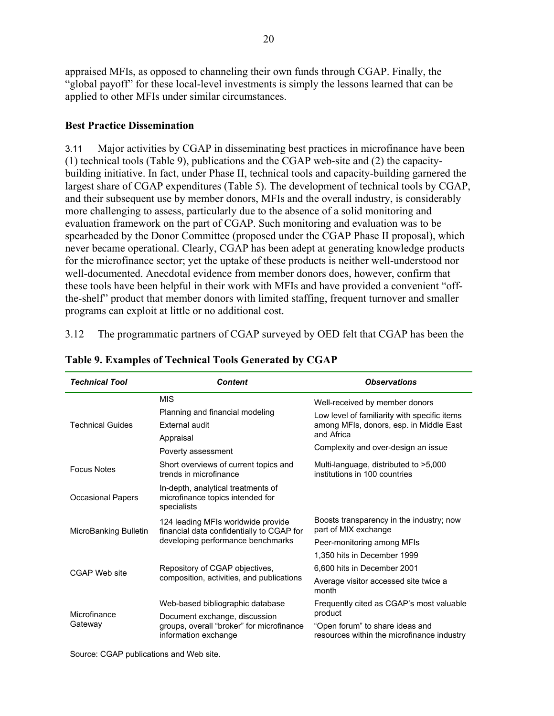appraised MFIs, as opposed to channeling their own funds through CGAP. Finally, the "global payoff" for these local-level investments is simply the lessons learned that can be applied to other MFIs under similar circumstances.

#### **Best Practice Dissemination**

3.11 Major activities by CGAP in disseminating best practices in microfinance have been (1) technical tools (Table 9), publications and the CGAP web-site and (2) the capacitybuilding initiative. In fact, under Phase II, technical tools and capacity-building garnered the largest share of CGAP expenditures (Table 5). The development of technical tools by CGAP, and their subsequent use by member donors, MFIs and the overall industry, is considerably more challenging to assess, particularly due to the absence of a solid monitoring and evaluation framework on the part of CGAP. Such monitoring and evaluation was to be spearheaded by the Donor Committee (proposed under the CGAP Phase II proposal), which never became operational. Clearly, CGAP has been adept at generating knowledge products for the microfinance sector; yet the uptake of these products is neither well-understood nor well-documented. Anecdotal evidence from member donors does, however, confirm that these tools have been helpful in their work with MFIs and have provided a convenient "offthe-shelf" product that member donors with limited staffing, frequent turnover and smaller programs can exploit at little or no additional cost.

3.12 The programmatic partners of CGAP surveyed by OED felt that CGAP has been the

| <b>Technical Tool</b>    | <b>Content</b>                                                                                            | <b>Observations</b>                                                                                                                                                            |  |  |
|--------------------------|-----------------------------------------------------------------------------------------------------------|--------------------------------------------------------------------------------------------------------------------------------------------------------------------------------|--|--|
| <b>Technical Guides</b>  | <b>MIS</b><br>Planning and financial modeling<br><b>External audit</b><br>Appraisal<br>Poverty assessment | Well-received by member donors<br>Low level of familiarity with specific items<br>among MFIs, donors, esp. in Middle East<br>and Africa<br>Complexity and over-design an issue |  |  |
| <b>Focus Notes</b>       | Short overviews of current topics and<br>trends in microfinance                                           | Multi-language, distributed to >5,000<br>institutions in 100 countries                                                                                                         |  |  |
| <b>Occasional Papers</b> | In-depth, analytical treatments of<br>microfinance topics intended for<br>specialists                     |                                                                                                                                                                                |  |  |
| MicroBanking Bulletin    | 124 leading MFIs worldwide provide<br>financial data confidentially to CGAP for                           | Boosts transparency in the industry; now<br>part of MIX exchange                                                                                                               |  |  |
|                          | developing performance benchmarks                                                                         | Peer-monitoring among MFIs                                                                                                                                                     |  |  |
|                          |                                                                                                           | 1,350 hits in December 1999                                                                                                                                                    |  |  |
| CGAP Web site            | Repository of CGAP objectives,                                                                            | 6.600 hits in December 2001                                                                                                                                                    |  |  |
|                          | composition, activities, and publications                                                                 | Average visitor accessed site twice a<br>month                                                                                                                                 |  |  |
|                          | Web-based bibliographic database                                                                          | Frequently cited as CGAP's most valuable                                                                                                                                       |  |  |
| Microfinance<br>Gateway  | Document exchange, discussion                                                                             | product                                                                                                                                                                        |  |  |
|                          | groups, overall "broker" for microfinance<br>information exchange                                         | "Open forum" to share ideas and<br>resources within the microfinance industry                                                                                                  |  |  |

#### **Table 9. Examples of Technical Tools Generated by CGAP**

Source: CGAP publications and Web site.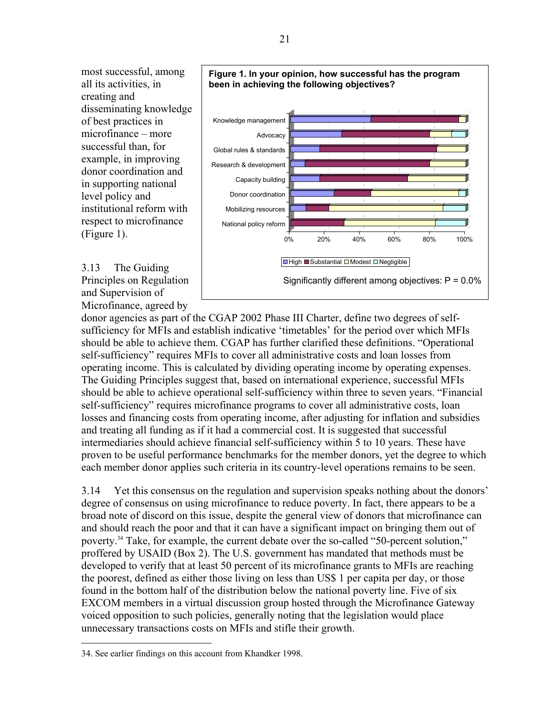most successful, among all its activities, in creating and disseminating knowledge of best practices in microfinance – more successful than, for example, in improving donor coordination and in supporting national level policy and institutional reform with respect to microfinance (Figure 1).

3.13 The Guiding Principles on Regulation and Supervision of Microfinance, agreed by



Significantly different among objectives: P = 0.0%

donor agencies as part of the CGAP 2002 Phase III Charter, define two degrees of selfsufficiency for MFIs and establish indicative 'timetables' for the period over which MFIs should be able to achieve them. CGAP has further clarified these definitions. "Operational self-sufficiency" requires MFIs to cover all administrative costs and loan losses from operating income. This is calculated by dividing operating income by operating expenses. The Guiding Principles suggest that, based on international experience, successful MFIs should be able to achieve operational self-sufficiency within three to seven years. "Financial self-sufficiency" requires microfinance programs to cover all administrative costs, loan losses and financing costs from operating income, after adjusting for inflation and subsidies and treating all funding as if it had a commercial cost. It is suggested that successful intermediaries should achieve financial self-sufficiency within 5 to 10 years. These have proven to be useful performance benchmarks for the member donors, yet the degree to which each member donor applies such criteria in its country-level operations remains to be seen.

3.14 Yet this consensus on the regulation and supervision speaks nothing about the donors' degree of consensus on using microfinance to reduce poverty. In fact, there appears to be a broad note of discord on this issue, despite the general view of donors that microfinance can and should reach the poor and that it can have a significant impact on bringing them out of poverty.34 Take, for example, the current debate over the so-called "50-percent solution," proffered by USAID (Box 2). The U.S. government has mandated that methods must be developed to verify that at least 50 percent of its microfinance grants to MFIs are reaching the poorest, defined as either those living on less than US\$ 1 per capita per day, or those found in the bottom half of the distribution below the national poverty line. Five of six EXCOM members in a virtual discussion group hosted through the Microfinance Gateway voiced opposition to such policies, generally noting that the legislation would place unnecessary transactions costs on MFIs and stifle their growth.

1

<sup>34.</sup> See earlier findings on this account from Khandker 1998.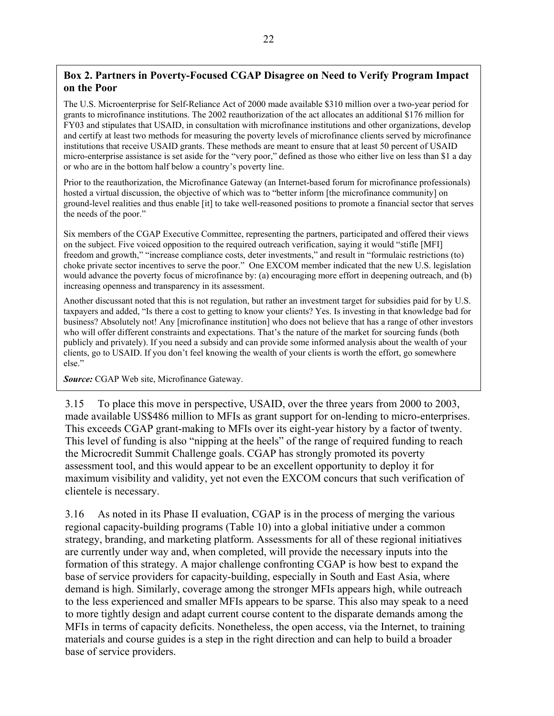## **Box 2. Partners in Poverty-Focused CGAP Disagree on Need to Verify Program Impact on the Poor**

The U.S. Microenterprise for Self-Reliance Act of 2000 made available \$310 million over a two-year period for grants to microfinance institutions. The 2002 reauthorization of the act allocates an additional \$176 million for FY03 and stipulates that USAID, in consultation with microfinance institutions and other organizations, develop and certify at least two methods for measuring the poverty levels of microfinance clients served by microfinance institutions that receive USAID grants. These methods are meant to ensure that at least 50 percent of USAID micro-enterprise assistance is set aside for the "very poor," defined as those who either live on less than \$1 a day or who are in the bottom half below a country's poverty line.

Prior to the reauthorization, the Microfinance Gateway (an Internet-based forum for microfinance professionals) hosted a virtual discussion, the objective of which was to "better inform [the microfinance community] on ground-level realities and thus enable [it] to take well-reasoned positions to promote a financial sector that serves the needs of the poor."

Six members of the CGAP Executive Committee, representing the partners, participated and offered their views on the subject. Five voiced opposition to the required outreach verification, saying it would "stifle [MFI] freedom and growth," "increase compliance costs, deter investments," and result in "formulaic restrictions (to) choke private sector incentives to serve the poor." One EXCOM member indicated that the new U.S. legislation would advance the poverty focus of microfinance by: (a) encouraging more effort in deepening outreach, and (b) increasing openness and transparency in its assessment.

Another discussant noted that this is not regulation, but rather an investment target for subsidies paid for by U.S. taxpayers and added, "Is there a cost to getting to know your clients? Yes. Is investing in that knowledge bad for business? Absolutely not! Any [microfinance institution] who does not believe that has a range of other investors who will offer different constraints and expectations. That's the nature of the market for sourcing funds (both publicly and privately). If you need a subsidy and can provide some informed analysis about the wealth of your clients, go to USAID. If you don't feel knowing the wealth of your clients is worth the effort, go somewhere else."

*Source:* CGAP Web site, Microfinance Gateway.

3.15 To place this move in perspective, USAID, over the three years from 2000 to 2003, made available US\$486 million to MFIs as grant support for on-lending to micro-enterprises. This exceeds CGAP grant-making to MFIs over its eight-year history by a factor of twenty. This level of funding is also "nipping at the heels" of the range of required funding to reach the Microcredit Summit Challenge goals. CGAP has strongly promoted its poverty assessment tool, and this would appear to be an excellent opportunity to deploy it for maximum visibility and validity, yet not even the EXCOM concurs that such verification of clientele is necessary.

3.16 As noted in its Phase II evaluation, CGAP is in the process of merging the various regional capacity-building programs (Table 10) into a global initiative under a common strategy, branding, and marketing platform. Assessments for all of these regional initiatives are currently under way and, when completed, will provide the necessary inputs into the formation of this strategy. A major challenge confronting CGAP is how best to expand the base of service providers for capacity-building, especially in South and East Asia, where demand is high. Similarly, coverage among the stronger MFIs appears high, while outreach to the less experienced and smaller MFIs appears to be sparse. This also may speak to a need to more tightly design and adapt current course content to the disparate demands among the MFIs in terms of capacity deficits. Nonetheless, the open access, via the Internet, to training materials and course guides is a step in the right direction and can help to build a broader base of service providers.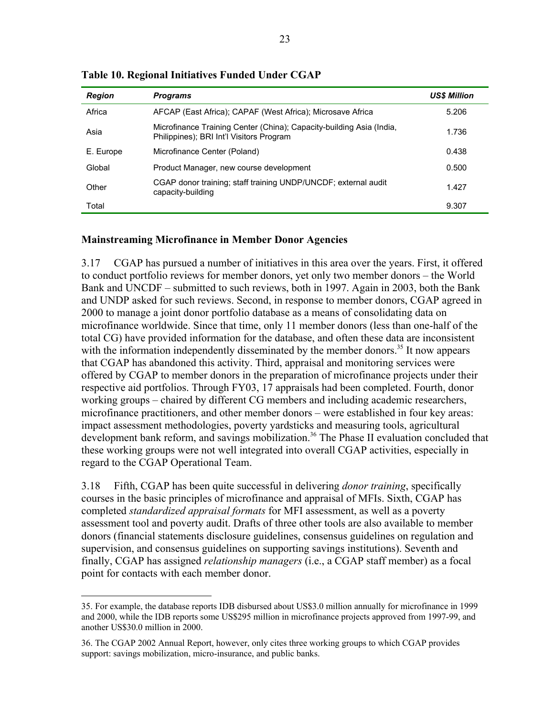| <b>Region</b> | <b>Programs</b>                                                                                                  | <b>US\$ Million</b> |
|---------------|------------------------------------------------------------------------------------------------------------------|---------------------|
| Africa        | AFCAP (East Africa); CAPAF (West Africa); Microsave Africa                                                       | 5.206               |
| Asia          | Microfinance Training Center (China); Capacity-building Asia (India,<br>Philippines); BRI Int'l Visitors Program | 1.736               |
| E. Europe     | Microfinance Center (Poland)                                                                                     | 0.438               |
| Global        | Product Manager, new course development                                                                          | 0.500               |
| Other         | CGAP donor training; staff training UNDP/UNCDF; external audit<br>capacity-building                              | 1.427               |
| Total         |                                                                                                                  | 9.307               |

**Table 10. Regional Initiatives Funded Under CGAP** 

#### **Mainstreaming Microfinance in Member Donor Agencies**

3.17 CGAP has pursued a number of initiatives in this area over the years. First, it offered to conduct portfolio reviews for member donors, yet only two member donors – the World Bank and UNCDF – submitted to such reviews, both in 1997. Again in 2003, both the Bank and UNDP asked for such reviews. Second, in response to member donors, CGAP agreed in 2000 to manage a joint donor portfolio database as a means of consolidating data on microfinance worldwide. Since that time, only 11 member donors (less than one-half of the total CG) have provided information for the database, and often these data are inconsistent with the information independently disseminated by the member donors.<sup>35</sup> It now appears that CGAP has abandoned this activity. Third, appraisal and monitoring services were offered by CGAP to member donors in the preparation of microfinance projects under their respective aid portfolios. Through FY03, 17 appraisals had been completed. Fourth, donor working groups – chaired by different CG members and including academic researchers, microfinance practitioners, and other member donors – were established in four key areas: impact assessment methodologies, poverty yardsticks and measuring tools, agricultural development bank reform, and savings mobilization.<sup>36</sup> The Phase II evaluation concluded that these working groups were not well integrated into overall CGAP activities, especially in regard to the CGAP Operational Team.

3.18 Fifth, CGAP has been quite successful in delivering *donor training*, specifically courses in the basic principles of microfinance and appraisal of MFIs. Sixth, CGAP has completed *standardized appraisal formats* for MFI assessment, as well as a poverty assessment tool and poverty audit. Drafts of three other tools are also available to member donors (financial statements disclosure guidelines, consensus guidelines on regulation and supervision, and consensus guidelines on supporting savings institutions). Seventh and finally, CGAP has assigned *relationship managers* (i.e., a CGAP staff member) as a focal point for contacts with each member donor.

 $\overline{a}$ 

<sup>35.</sup> For example, the database reports IDB disbursed about US\$3.0 million annually for microfinance in 1999 and 2000, while the IDB reports some US\$295 million in microfinance projects approved from 1997-99, and another US\$30.0 million in 2000.

<sup>36.</sup> The CGAP 2002 Annual Report, however, only cites three working groups to which CGAP provides support: savings mobilization, micro-insurance, and public banks.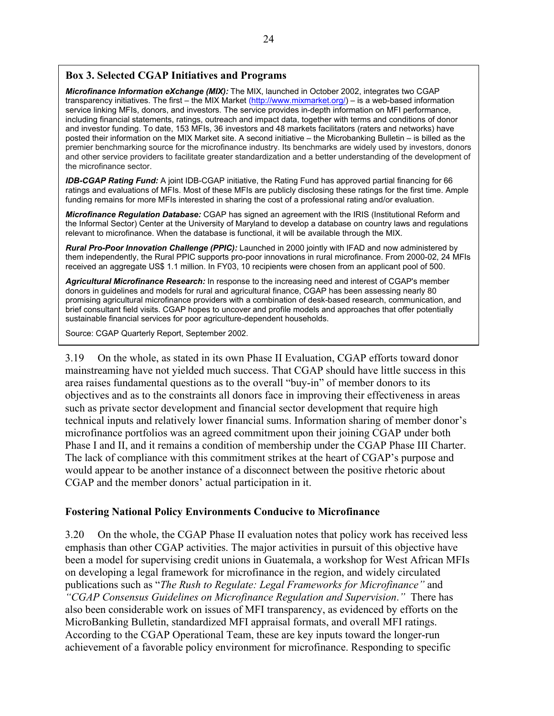#### **Box 3. Selected CGAP Initiatives and Programs**

*Microfinance Information eXchange (MIX):* The MIX, launched in October 2002, integrates two CGAP transparency initiatives. The first – the MIX Market (http://www.mixmarket.org/) – is a web-based information service linking MFIs, donors, and investors. The service provides in-depth information on MFI performance, including financial statements, ratings, outreach and impact data, together with terms and conditions of donor and investor funding. To date, 153 MFIs, 36 investors and 48 markets facilitators (raters and networks) have posted their information on the MIX Market site. A second initiative – the Microbanking Bulletin – is billed as the premier benchmarking source for the microfinance industry. Its benchmarks are widely used by investors, donors and other service providers to facilitate greater standardization and a better understanding of the development of the microfinance sector.

*IDB-CGAP Rating Fund:* A joint IDB-CGAP initiative, the Rating Fund has approved partial financing for 66 ratings and evaluations of MFIs. Most of these MFIs are publicly disclosing these ratings for the first time. Ample funding remains for more MFIs interested in sharing the cost of a professional rating and/or evaluation.

*Microfinance Regulation Database:* CGAP has signed an agreement with the IRIS (Institutional Reform and the Informal Sector) Center at the University of Maryland to develop a database on country laws and regulations relevant to microfinance. When the database is functional, it will be available through the MIX.

*Rural Pro-Poor Innovation Challenge (PPIC):* Launched in 2000 jointly with IFAD and now administered by them independently, the Rural PPIC supports pro-poor innovations in rural microfinance. From 2000-02, 24 MFIs received an aggregate US\$ 1.1 million. In FY03, 10 recipients were chosen from an applicant pool of 500.

*Agricultural Microfinance Research:* In response to the increasing need and interest of CGAP's member donors in guidelines and models for rural and agricultural finance, CGAP has been assessing nearly 80 promising agricultural microfinance providers with a combination of desk-based research, communication, and brief consultant field visits. CGAP hopes to uncover and profile models and approaches that offer potentially sustainable financial services for poor agriculture-dependent households.

Source: CGAP Quarterly Report, September 2002.

3.19 On the whole, as stated in its own Phase II Evaluation, CGAP efforts toward donor mainstreaming have not yielded much success. That CGAP should have little success in this area raises fundamental questions as to the overall "buy-in" of member donors to its objectives and as to the constraints all donors face in improving their effectiveness in areas such as private sector development and financial sector development that require high technical inputs and relatively lower financial sums. Information sharing of member donor's microfinance portfolios was an agreed commitment upon their joining CGAP under both Phase I and II, and it remains a condition of membership under the CGAP Phase III Charter. The lack of compliance with this commitment strikes at the heart of CGAP's purpose and would appear to be another instance of a disconnect between the positive rhetoric about CGAP and the member donors' actual participation in it.

#### **Fostering National Policy Environments Conducive to Microfinance**

3.20 On the whole, the CGAP Phase II evaluation notes that policy work has received less emphasis than other CGAP activities. The major activities in pursuit of this objective have been a model for supervising credit unions in Guatemala, a workshop for West African MFIs on developing a legal framework for microfinance in the region, and widely circulated publications such as "*The Rush to Regulate: Legal Frameworks for Microfinance"* and *"CGAP Consensus Guidelines on Microfinance Regulation and Supervision*.*"* There has also been considerable work on issues of MFI transparency, as evidenced by efforts on the MicroBanking Bulletin, standardized MFI appraisal formats, and overall MFI ratings. According to the CGAP Operational Team, these are key inputs toward the longer-run achievement of a favorable policy environment for microfinance. Responding to specific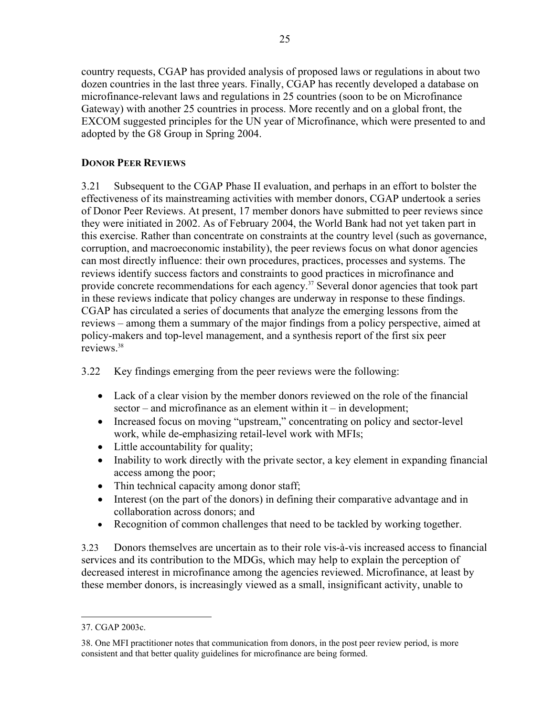country requests, CGAP has provided analysis of proposed laws or regulations in about two dozen countries in the last three years. Finally, CGAP has recently developed a database on microfinance-relevant laws and regulations in 25 countries (soon to be on Microfinance Gateway) with another 25 countries in process. More recently and on a global front, the EXCOM suggested principles for the UN year of Microfinance, which were presented to and adopted by the G8 Group in Spring 2004.

## **DONOR PEER REVIEWS**

3.21 Subsequent to the CGAP Phase II evaluation, and perhaps in an effort to bolster the effectiveness of its mainstreaming activities with member donors, CGAP undertook a series of Donor Peer Reviews. At present, 17 member donors have submitted to peer reviews since they were initiated in 2002. As of February 2004, the World Bank had not yet taken part in this exercise. Rather than concentrate on constraints at the country level (such as governance, corruption, and macroeconomic instability), the peer reviews focus on what donor agencies can most directly influence: their own procedures, practices, processes and systems. The reviews identify success factors and constraints to good practices in microfinance and provide concrete recommendations for each agency.<sup>37</sup> Several donor agencies that took part in these reviews indicate that policy changes are underway in response to these findings. CGAP has circulated a series of documents that analyze the emerging lessons from the reviews – among them a summary of the major findings from a policy perspective, aimed at policy-makers and top-level management, and a synthesis report of the first six peer reviews.38

3.22 Key findings emerging from the peer reviews were the following:

- Lack of a clear vision by the member donors reviewed on the role of the financial sector – and microfinance as an element within it – in development;
- Increased focus on moving "upstream," concentrating on policy and sector-level work, while de-emphasizing retail-level work with MFIs;
- Little accountability for quality;
- Inability to work directly with the private sector, a key element in expanding financial access among the poor;
- Thin technical capacity among donor staff;
- Interest (on the part of the donors) in defining their comparative advantage and in collaboration across donors; and
- Recognition of common challenges that need to be tackled by working together.

3.23 Donors themselves are uncertain as to their role vis-à-vis increased access to financial services and its contribution to the MDGs, which may help to explain the perception of decreased interest in microfinance among the agencies reviewed. Microfinance, at least by these member donors, is increasingly viewed as a small, insignificant activity, unable to

 $\overline{a}$ 

<sup>37.</sup> CGAP 2003c.

<sup>38.</sup> One MFI practitioner notes that communication from donors, in the post peer review period, is more consistent and that better quality guidelines for microfinance are being formed.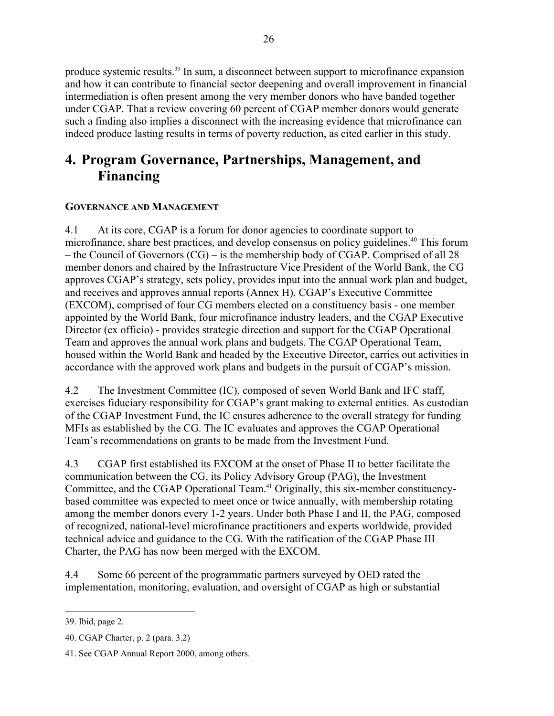produce systemic results.39 In sum, a disconnect between support to microfinance expansion and how it can contribute to financial sector deepening and overall improvement in financial intermediation is often present among the very member donors who have banded together under CGAP. That a review covering 60 percent of CGAP member donors would generate such a finding also implies a disconnect with the increasing evidence that microfinance can indeed produce lasting results in terms of poverty reduction, as cited earlier in this study.

# **4. Program Governance, Partnerships, Management, and Financing**

## **GOVERNANCE AND MANAGEMENT**

4.1 At its core, CGAP is a forum for donor agencies to coordinate support to microfinance, share best practices, and develop consensus on policy guidelines.<sup>40</sup> This forum – the Council of Governors (CG) – is the membership body of CGAP. Comprised of all 28 member donors and chaired by the Infrastructure Vice President of the World Bank, the CG approves CGAP's strategy, sets policy, provides input into the annual work plan and budget, and receives and approves annual reports (Annex H). CGAP's Executive Committee (EXCOM), comprised of four CG members elected on a constituency basis - one member appointed by the World Bank, four microfinance industry leaders, and the CGAP Executive Director (ex officio) - provides strategic direction and support for the CGAP Operational Team and approves the annual work plans and budgets. The CGAP Operational Team, housed within the World Bank and headed by the Executive Director, carries out activities in accordance with the approved work plans and budgets in the pursuit of CGAP's mission.

4.2 The Investment Committee (IC), composed of seven World Bank and IFC staff, exercises fiduciary responsibility for CGAP's grant making to external entities. As custodian of the CGAP Investment Fund, the IC ensures adherence to the overall strategy for funding MFIs as established by the CG. The IC evaluates and approves the CGAP Operational Team's recommendations on grants to be made from the Investment Fund.

4.3 CGAP first established its EXCOM at the onset of Phase II to better facilitate the communication between the CG, its Policy Advisory Group (PAG), the Investment Committee, and the CGAP Operational Team.41 Originally, this six-member constituencybased committee was expected to meet once or twice annually, with membership rotating among the member donors every 1-2 years. Under both Phase I and II, the PAG, composed of recognized, national-level microfinance practitioners and experts worldwide, provided technical advice and guidance to the CG. With the ratification of the CGAP Phase III Charter, the PAG has now been merged with the EXCOM.

4.4 Some 66 percent of the programmatic partners surveyed by OED rated the implementation, monitoring, evaluation, and oversight of CGAP as high or substantial

 $\overline{a}$ 39. Ibid, page 2.

<sup>40.</sup> CGAP Charter, p. 2 (para. 3.2)

<sup>41.</sup> See CGAP Annual Report 2000, among others.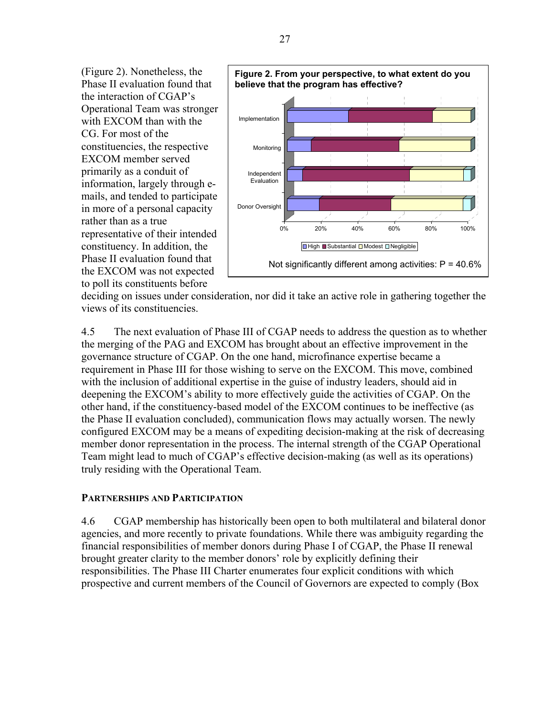(Figure 2). Nonetheless, the Phase II evaluation found that the interaction of CGAP's Operational Team was stronger with EXCOM than with the CG. For most of the constituencies, the respective EXCOM member served primarily as a conduit of information, largely through emails, and tended to participate in more of a personal capacity rather than as a true representative of their intended constituency. In addition, the Phase II evaluation found that the EXCOM was not expected to poll its constituents before



deciding on issues under consideration, nor did it take an active role in gathering together the views of its constituencies.

4.5 The next evaluation of Phase III of CGAP needs to address the question as to whether the merging of the PAG and EXCOM has brought about an effective improvement in the governance structure of CGAP. On the one hand, microfinance expertise became a requirement in Phase III for those wishing to serve on the EXCOM. This move, combined with the inclusion of additional expertise in the guise of industry leaders, should aid in deepening the EXCOM's ability to more effectively guide the activities of CGAP. On the other hand, if the constituency-based model of the EXCOM continues to be ineffective (as the Phase II evaluation concluded), communication flows may actually worsen. The newly configured EXCOM may be a means of expediting decision-making at the risk of decreasing member donor representation in the process. The internal strength of the CGAP Operational Team might lead to much of CGAP's effective decision-making (as well as its operations) truly residing with the Operational Team.

#### **PARTNERSHIPS AND PARTICIPATION**

4.6 CGAP membership has historically been open to both multilateral and bilateral donor agencies, and more recently to private foundations. While there was ambiguity regarding the financial responsibilities of member donors during Phase I of CGAP, the Phase II renewal brought greater clarity to the member donors' role by explicitly defining their responsibilities. The Phase III Charter enumerates four explicit conditions with which prospective and current members of the Council of Governors are expected to comply (Box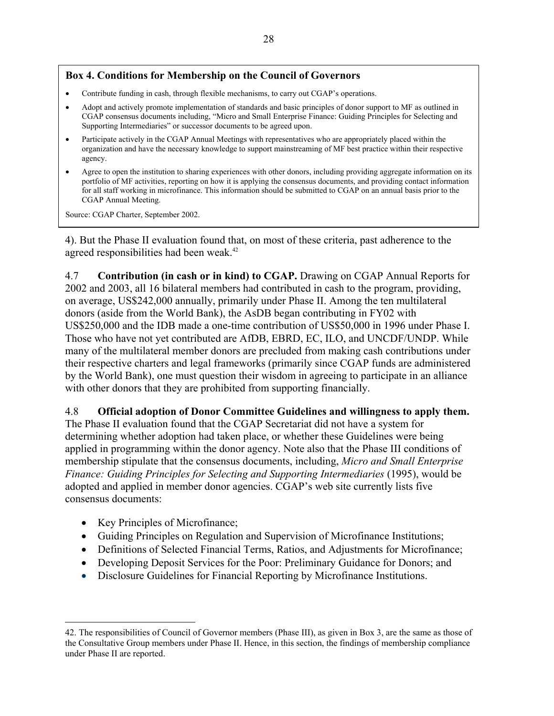## **Box 4. Conditions for Membership on the Council of Governors**

- Contribute funding in cash, through flexible mechanisms, to carry out CGAP's operations.
- Adopt and actively promote implementation of standards and basic principles of donor support to MF as outlined in CGAP consensus documents including, "Micro and Small Enterprise Finance: Guiding Principles for Selecting and Supporting Intermediaries" or successor documents to be agreed upon.
- Participate actively in the CGAP Annual Meetings with representatives who are appropriately placed within the organization and have the necessary knowledge to support mainstreaming of MF best practice within their respective agency.
- Agree to open the institution to sharing experiences with other donors, including providing aggregate information on its portfolio of MF activities, reporting on how it is applying the consensus documents, and providing contact information for all staff working in microfinance. This information should be submitted to CGAP on an annual basis prior to the CGAP Annual Meeting.

Source: CGAP Charter, September 2002.

4). But the Phase II evaluation found that, on most of these criteria, past adherence to the agreed responsibilities had been weak.42

4.7 **Contribution (in cash or in kind) to CGAP.** Drawing on CGAP Annual Reports for 2002 and 2003, all 16 bilateral members had contributed in cash to the program, providing, on average, US\$242,000 annually, primarily under Phase II. Among the ten multilateral donors (aside from the World Bank), the AsDB began contributing in FY02 with US\$250,000 and the IDB made a one-time contribution of US\$50,000 in 1996 under Phase I. Those who have not yet contributed are AfDB, EBRD, EC, ILO, and UNCDF/UNDP. While many of the multilateral member donors are precluded from making cash contributions under their respective charters and legal frameworks (primarily since CGAP funds are administered by the World Bank), one must question their wisdom in agreeing to participate in an alliance with other donors that they are prohibited from supporting financially.

#### 4.8 **Official adoption of Donor Committee Guidelines and willingness to apply them.**

The Phase II evaluation found that the CGAP Secretariat did not have a system for determining whether adoption had taken place, or whether these Guidelines were being applied in programming within the donor agency. Note also that the Phase III conditions of membership stipulate that the consensus documents, including, *Micro and Small Enterprise Finance: Guiding Principles for Selecting and Supporting Intermediaries* (1995), would be adopted and applied in member donor agencies. CGAP's web site currently lists five consensus documents:

- Key Principles of Microfinance;
- Guiding Principles on Regulation and Supervision of Microfinance Institutions;
- Definitions of Selected Financial Terms, Ratios, and Adjustments for Microfinance;
- Developing Deposit Services for the Poor: Preliminary Guidance for Donors; and
- Disclosure Guidelines for Financial Reporting by Microfinance Institutions.

 $\overline{a}$ 42. The responsibilities of Council of Governor members (Phase III), as given in Box 3, are the same as those of the Consultative Group members under Phase II. Hence, in this section, the findings of membership compliance under Phase II are reported.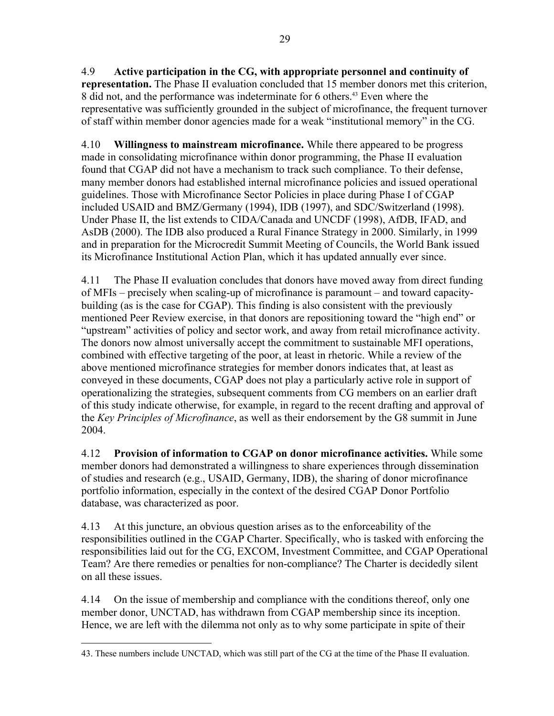4.9 **Active participation in the CG, with appropriate personnel and continuity of representation.** The Phase II evaluation concluded that 15 member donors met this criterion, 8 did not, and the performance was indeterminate for 6 others.<sup>43</sup> Even where the representative was sufficiently grounded in the subject of microfinance, the frequent turnover of staff within member donor agencies made for a weak "institutional memory" in the CG.

4.10 **Willingness to mainstream microfinance.** While there appeared to be progress made in consolidating microfinance within donor programming, the Phase II evaluation found that CGAP did not have a mechanism to track such compliance. To their defense, many member donors had established internal microfinance policies and issued operational guidelines. Those with Microfinance Sector Policies in place during Phase I of CGAP included USAID and BMZ/Germany (1994), IDB (1997), and SDC/Switzerland (1998). Under Phase II, the list extends to CIDA/Canada and UNCDF (1998), AfDB, IFAD, and AsDB (2000). The IDB also produced a Rural Finance Strategy in 2000. Similarly, in 1999 and in preparation for the Microcredit Summit Meeting of Councils, the World Bank issued its Microfinance Institutional Action Plan, which it has updated annually ever since.

4.11 The Phase II evaluation concludes that donors have moved away from direct funding of MFIs – precisely when scaling-up of microfinance is paramount – and toward capacitybuilding (as is the case for CGAP). This finding is also consistent with the previously mentioned Peer Review exercise, in that donors are repositioning toward the "high end" or "upstream" activities of policy and sector work, and away from retail microfinance activity. The donors now almost universally accept the commitment to sustainable MFI operations, combined with effective targeting of the poor, at least in rhetoric. While a review of the above mentioned microfinance strategies for member donors indicates that, at least as conveyed in these documents, CGAP does not play a particularly active role in support of operationalizing the strategies, subsequent comments from CG members on an earlier draft of this study indicate otherwise, for example, in regard to the recent drafting and approval of the *Key Principles of Microfinance*, as well as their endorsement by the G8 summit in June 2004.

4.12 **Provision of information to CGAP on donor microfinance activities.** While some member donors had demonstrated a willingness to share experiences through dissemination of studies and research (e.g., USAID, Germany, IDB), the sharing of donor microfinance portfolio information, especially in the context of the desired CGAP Donor Portfolio database, was characterized as poor.

4.13 At this juncture, an obvious question arises as to the enforceability of the responsibilities outlined in the CGAP Charter. Specifically, who is tasked with enforcing the responsibilities laid out for the CG, EXCOM, Investment Committee, and CGAP Operational Team? Are there remedies or penalties for non-compliance? The Charter is decidedly silent on all these issues.

4.14 On the issue of membership and compliance with the conditions thereof, only one member donor, UNCTAD, has withdrawn from CGAP membership since its inception. Hence, we are left with the dilemma not only as to why some participate in spite of their

 $\overline{a}$ 43. These numbers include UNCTAD, which was still part of the CG at the time of the Phase II evaluation.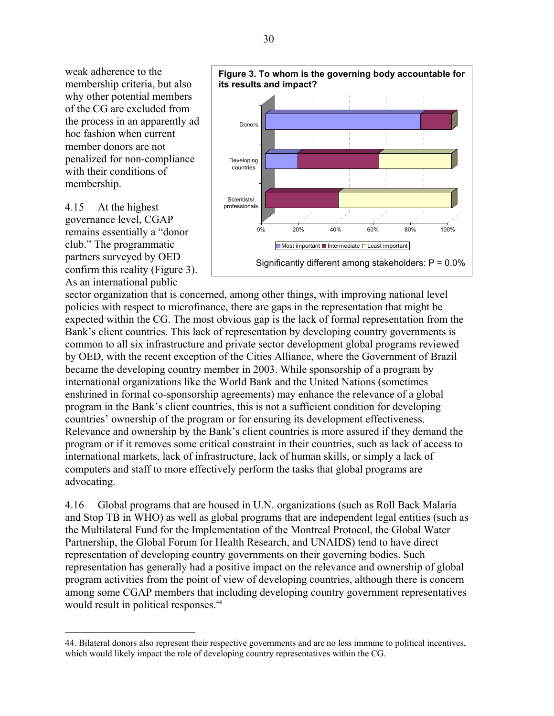weak adherence to the membership criteria, but also why other potential members of the CG are excluded from the process in an apparently ad hoc fashion when current member donors are not penalized for non-compliance with their conditions of membership.

4.15 At the highest governance level, CGAP remains essentially a "donor club." The programmatic partners surveyed by OED confirm this reality (Figure 3). As an international public

 $\overline{a}$ 



sector organization that is concerned, among other things, with improving national level policies with respect to microfinance, there are gaps in the representation that might be expected within the CG. The most obvious gap is the lack of formal representation from the Bank's client countries. This lack of representation by developing country governments is common to all six infrastructure and private sector development global programs reviewed by OED, with the recent exception of the Cities Alliance, where the Government of Brazil became the developing country member in 2003. While sponsorship of a program by international organizations like the World Bank and the United Nations (sometimes enshrined in formal co-sponsorship agreements) may enhance the relevance of a global program in the Bank's client countries, this is not a sufficient condition for developing countries' ownership of the program or for ensuring its development effectiveness. Relevance and ownership by the Bank's client countries is more assured if they demand the program or if it removes some critical constraint in their countries, such as lack of access to international markets, lack of infrastructure, lack of human skills, or simply a lack of computers and staff to more effectively perform the tasks that global programs are advocating.

4.16 Global programs that are housed in U.N. organizations (such as Roll Back Malaria and Stop TB in WHO) as well as global programs that are independent legal entities (such as the Multilateral Fund for the Implementation of the Montreal Protocol, the Global Water Partnership, the Global Forum for Health Research, and UNAIDS) tend to have direct representation of developing country governments on their governing bodies. Such representation has generally had a positive impact on the relevance and ownership of global program activities from the point of view of developing countries, although there is concern among some CGAP members that including developing country government representatives would result in political responses.<sup>44</sup>

<sup>44.</sup> Bilateral donors also represent their respective governments and are no less immune to political incentives, which would likely impact the role of developing country representatives within the CG.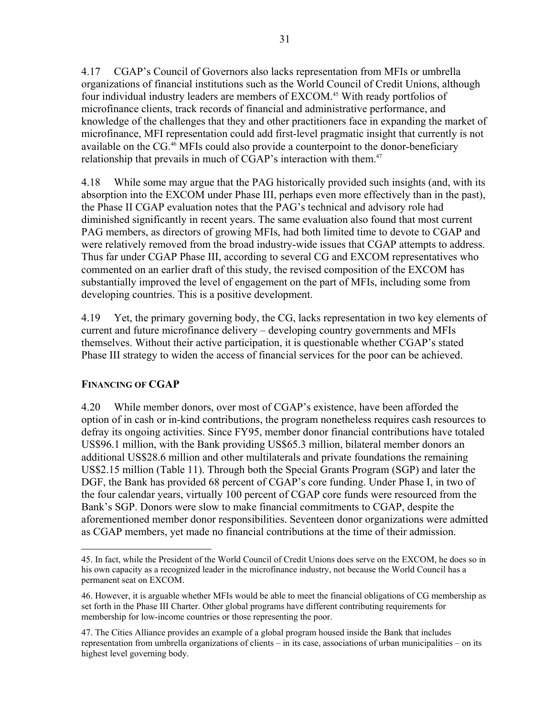4.17 CGAP's Council of Governors also lacks representation from MFIs or umbrella organizations of financial institutions such as the World Council of Credit Unions, although four individual industry leaders are members of EXCOM.<sup>45</sup> With ready portfolios of microfinance clients, track records of financial and administrative performance, and knowledge of the challenges that they and other practitioners face in expanding the market of microfinance, MFI representation could add first-level pragmatic insight that currently is not available on the CG.<sup>46</sup> MFIs could also provide a counterpoint to the donor-beneficiary relationship that prevails in much of CGAP's interaction with them.<sup>47</sup>

4.18 While some may argue that the PAG historically provided such insights (and, with its absorption into the EXCOM under Phase III, perhaps even more effectively than in the past), the Phase II CGAP evaluation notes that the PAG's technical and advisory role had diminished significantly in recent years. The same evaluation also found that most current PAG members, as directors of growing MFIs, had both limited time to devote to CGAP and were relatively removed from the broad industry-wide issues that CGAP attempts to address. Thus far under CGAP Phase III, according to several CG and EXCOM representatives who commented on an earlier draft of this study, the revised composition of the EXCOM has substantially improved the level of engagement on the part of MFIs, including some from developing countries. This is a positive development.

4.19 Yet, the primary governing body, the CG, lacks representation in two key elements of current and future microfinance delivery – developing country governments and MFIs themselves. Without their active participation, it is questionable whether CGAP's stated Phase III strategy to widen the access of financial services for the poor can be achieved.

## **FINANCING OF CGAP**

4.20 While member donors, over most of CGAP's existence, have been afforded the option of in cash or in-kind contributions, the program nonetheless requires cash resources to defray its ongoing activities. Since FY95, member donor financial contributions have totaled US\$96.1 million, with the Bank providing US\$65.3 million, bilateral member donors an additional US\$28.6 million and other multilaterals and private foundations the remaining US\$2.15 million (Table 11). Through both the Special Grants Program (SGP) and later the DGF, the Bank has provided 68 percent of CGAP's core funding. Under Phase I, in two of the four calendar years, virtually 100 percent of CGAP core funds were resourced from the Bank's SGP. Donors were slow to make financial commitments to CGAP, despite the aforementioned member donor responsibilities. Seventeen donor organizations were admitted as CGAP members, yet made no financial contributions at the time of their admission.

 $\overline{a}$ 45. In fact, while the President of the World Council of Credit Unions does serve on the EXCOM, he does so in his own capacity as a recognized leader in the microfinance industry, not because the World Council has a permanent seat on EXCOM.

<sup>46.</sup> However, it is arguable whether MFIs would be able to meet the financial obligations of CG membership as set forth in the Phase III Charter. Other global programs have different contributing requirements for membership for low-income countries or those representing the poor.

<sup>47.</sup> The Cities Alliance provides an example of a global program housed inside the Bank that includes representation from umbrella organizations of clients – in its case, associations of urban municipalities – on its highest level governing body.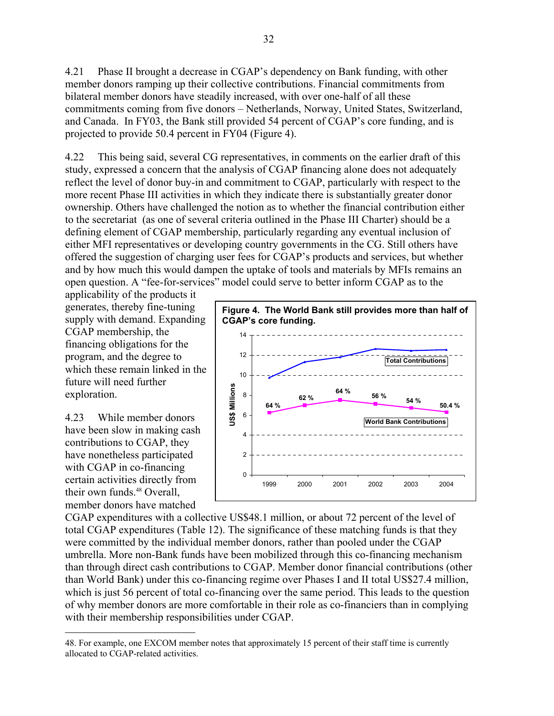4.21 Phase II brought a decrease in CGAP's dependency on Bank funding, with other member donors ramping up their collective contributions. Financial commitments from bilateral member donors have steadily increased, with over one-half of all these commitments coming from five donors – Netherlands, Norway, United States, Switzerland, and Canada. In FY03, the Bank still provided 54 percent of CGAP's core funding, and is projected to provide 50.4 percent in FY04 (Figure 4).

4.22 This being said, several CG representatives, in comments on the earlier draft of this study, expressed a concern that the analysis of CGAP financing alone does not adequately reflect the level of donor buy-in and commitment to CGAP, particularly with respect to the more recent Phase III activities in which they indicate there is substantially greater donor ownership. Others have challenged the notion as to whether the financial contribution either to the secretariat (as one of several criteria outlined in the Phase III Charter) should be a defining element of CGAP membership, particularly regarding any eventual inclusion of either MFI representatives or developing country governments in the CG. Still others have offered the suggestion of charging user fees for CGAP's products and services, but whether and by how much this would dampen the uptake of tools and materials by MFIs remains an open question. A "fee-for-services" model could serve to better inform CGAP as to the

applicability of the products it generates, thereby fine-tuning supply with demand. Expanding CGAP membership, the financing obligations for the program, and the degree to which these remain linked in the future will need further exploration.

4.23 While member donors have been slow in making cash contributions to CGAP, they have nonetheless participated with CGAP in co-financing certain activities directly from their own funds.<sup>48</sup> Overall, member donors have matched

 $\overline{a}$ 



CGAP expenditures with a collective US\$48.1 million, or about 72 percent of the level of total CGAP expenditures (Table 12). The significance of these matching funds is that they were committed by the individual member donors, rather than pooled under the CGAP umbrella. More non-Bank funds have been mobilized through this co-financing mechanism than through direct cash contributions to CGAP. Member donor financial contributions (other than World Bank) under this co-financing regime over Phases I and II total US\$27.4 million, which is just 56 percent of total co-financing over the same period. This leads to the question of why member donors are more comfortable in their role as co-financiers than in complying with their membership responsibilities under CGAP.

<sup>48.</sup> For example, one EXCOM member notes that approximately 15 percent of their staff time is currently allocated to CGAP-related activities.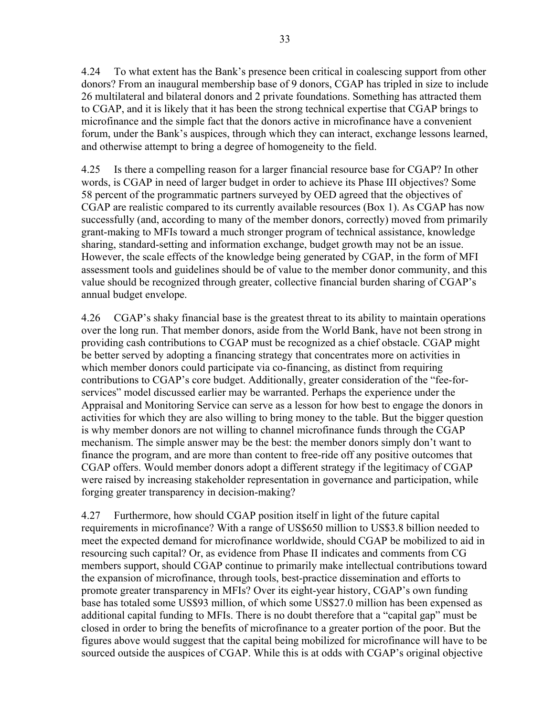4.24 To what extent has the Bank's presence been critical in coalescing support from other donors? From an inaugural membership base of 9 donors, CGAP has tripled in size to include 26 multilateral and bilateral donors and 2 private foundations. Something has attracted them to CGAP, and it is likely that it has been the strong technical expertise that CGAP brings to microfinance and the simple fact that the donors active in microfinance have a convenient forum, under the Bank's auspices, through which they can interact, exchange lessons learned, and otherwise attempt to bring a degree of homogeneity to the field.

4.25 Is there a compelling reason for a larger financial resource base for CGAP? In other words, is CGAP in need of larger budget in order to achieve its Phase III objectives? Some 58 percent of the programmatic partners surveyed by OED agreed that the objectives of CGAP are realistic compared to its currently available resources (Box 1). As CGAP has now successfully (and, according to many of the member donors, correctly) moved from primarily grant-making to MFIs toward a much stronger program of technical assistance, knowledge sharing, standard-setting and information exchange, budget growth may not be an issue. However, the scale effects of the knowledge being generated by CGAP, in the form of MFI assessment tools and guidelines should be of value to the member donor community, and this value should be recognized through greater, collective financial burden sharing of CGAP's annual budget envelope.

4.26 CGAP's shaky financial base is the greatest threat to its ability to maintain operations over the long run. That member donors, aside from the World Bank, have not been strong in providing cash contributions to CGAP must be recognized as a chief obstacle. CGAP might be better served by adopting a financing strategy that concentrates more on activities in which member donors could participate via co-financing, as distinct from requiring contributions to CGAP's core budget. Additionally, greater consideration of the "fee-forservices" model discussed earlier may be warranted. Perhaps the experience under the Appraisal and Monitoring Service can serve as a lesson for how best to engage the donors in activities for which they are also willing to bring money to the table. But the bigger question is why member donors are not willing to channel microfinance funds through the CGAP mechanism. The simple answer may be the best: the member donors simply don't want to finance the program, and are more than content to free-ride off any positive outcomes that CGAP offers. Would member donors adopt a different strategy if the legitimacy of CGAP were raised by increasing stakeholder representation in governance and participation, while forging greater transparency in decision-making?

4.27 Furthermore, how should CGAP position itself in light of the future capital requirements in microfinance? With a range of US\$650 million to US\$3.8 billion needed to meet the expected demand for microfinance worldwide, should CGAP be mobilized to aid in resourcing such capital? Or, as evidence from Phase II indicates and comments from CG members support, should CGAP continue to primarily make intellectual contributions toward the expansion of microfinance, through tools, best-practice dissemination and efforts to promote greater transparency in MFIs? Over its eight-year history, CGAP's own funding base has totaled some US\$93 million, of which some US\$27.0 million has been expensed as additional capital funding to MFIs. There is no doubt therefore that a "capital gap" must be closed in order to bring the benefits of microfinance to a greater portion of the poor. But the figures above would suggest that the capital being mobilized for microfinance will have to be sourced outside the auspices of CGAP. While this is at odds with CGAP's original objective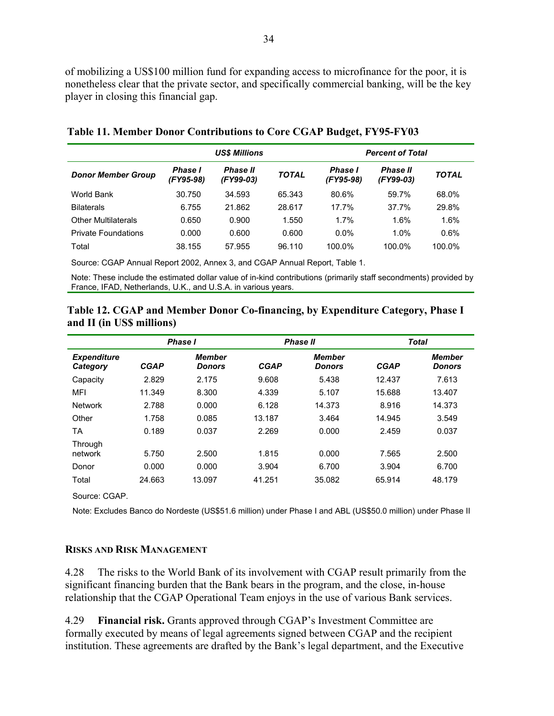of mobilizing a US\$100 million fund for expanding access to microfinance for the poor, it is nonetheless clear that the private sector, and specifically commercial banking, will be the key player in closing this financial gap.

|                            | <b>US\$ Millions</b>        |                              |              | <b>Percent of Total</b>     |                              |              |
|----------------------------|-----------------------------|------------------------------|--------------|-----------------------------|------------------------------|--------------|
| <b>Donor Member Group</b>  | <b>Phase I</b><br>(FY95-98) | <b>Phase II</b><br>(FY99-03) | <b>TOTAL</b> | <b>Phase I</b><br>(FY95-98) | <b>Phase II</b><br>(FY99-03) | <b>TOTAL</b> |
| World Bank                 | 30.750                      | 34.593                       | 65.343       | 80.6%                       | 59.7%                        | 68.0%        |
| <b>Bilaterals</b>          | 6.755                       | 21.862                       | 28.617       | 17.7%                       | 37.7%                        | 29.8%        |
| <b>Other Multilaterals</b> | 0.650                       | 0.900                        | 1.550        | 1.7%                        | 1.6%                         | 1.6%         |
| <b>Private Foundations</b> | 0.000                       | 0.600                        | 0.600        | $0.0\%$                     | 1.0%                         | 0.6%         |
| Total                      | 38.155                      | 57.955                       | 96.110       | 100.0%                      | 100.0%                       | 100.0%       |

| Table 11. Member Donor Contributions to Core CGAP Budget, FY95-FY03 |
|---------------------------------------------------------------------|
|---------------------------------------------------------------------|

Source: CGAP Annual Report 2002, Annex 3, and CGAP Annual Report, Table 1.

Note: These include the estimated dollar value of in-kind contributions (primarily staff secondments) provided by France, IFAD, Netherlands, U.K., and U.S.A. in various years.

## **Table 12. CGAP and Member Donor Co-financing, by Expenditure Category, Phase I and II (in US\$ millions)**

|                                | <b>Phase I</b> |                                |             | Phase II                       | <b>Total</b> |                                |
|--------------------------------|----------------|--------------------------------|-------------|--------------------------------|--------------|--------------------------------|
| <b>Expenditure</b><br>Category | <b>CGAP</b>    | <b>Member</b><br><b>Donors</b> | <b>CGAP</b> | <b>Member</b><br><b>Donors</b> | <b>CGAP</b>  | <b>Member</b><br><b>Donors</b> |
| Capacity                       | 2.829          | 2.175                          | 9.608       | 5.438                          | 12.437       | 7.613                          |
| <b>MFI</b>                     | 11.349         | 8.300                          | 4.339       | 5.107                          | 15.688       | 13.407                         |
| <b>Network</b>                 | 2.788          | 0.000                          | 6.128       | 14.373                         | 8.916        | 14.373                         |
| Other                          | 1.758          | 0.085                          | 13.187      | 3.464                          | 14.945       | 3.549                          |
| ТA                             | 0.189          | 0.037                          | 2.269       | 0.000                          | 2.459        | 0.037                          |
| Through<br>network             | 5.750          | 2.500                          | 1.815       | 0.000                          | 7.565        | 2.500                          |
| Donor                          | 0.000          | 0.000                          | 3.904       | 6.700                          | 3.904        | 6.700                          |
| Total                          | 24.663         | 13.097                         | 41.251      | 35.082                         | 65.914       | 48.179                         |

Source: CGAP.

Note: Excludes Banco do Nordeste (US\$51.6 million) under Phase I and ABL (US\$50.0 million) under Phase II

#### **RISKS AND RISK MANAGEMENT**

4.28 The risks to the World Bank of its involvement with CGAP result primarily from the significant financing burden that the Bank bears in the program, and the close, in-house relationship that the CGAP Operational Team enjoys in the use of various Bank services.

4.29 **Financial risk.** Grants approved through CGAP's Investment Committee are formally executed by means of legal agreements signed between CGAP and the recipient institution. These agreements are drafted by the Bank's legal department, and the Executive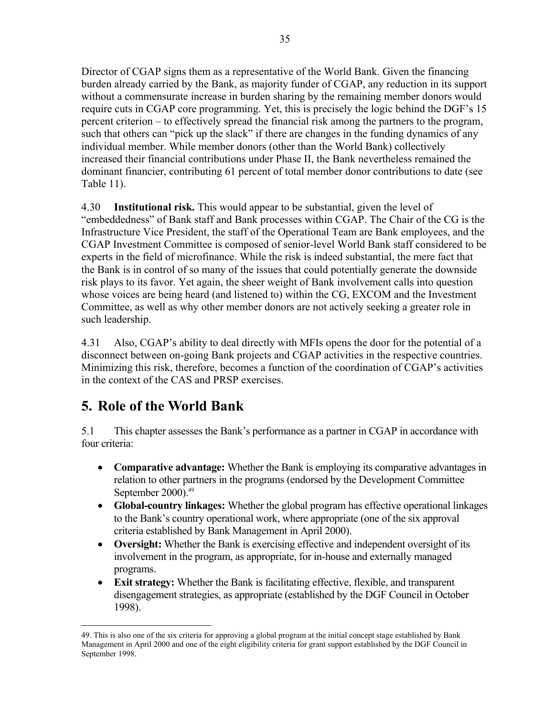Director of CGAP signs them as a representative of the World Bank. Given the financing burden already carried by the Bank, as majority funder of CGAP, any reduction in its support without a commensurate increase in burden sharing by the remaining member donors would require cuts in CGAP core programming. Yet, this is precisely the logic behind the DGF's 15 percent criterion – to effectively spread the financial risk among the partners to the program, such that others can "pick up the slack" if there are changes in the funding dynamics of any individual member. While member donors (other than the World Bank) collectively increased their financial contributions under Phase II, the Bank nevertheless remained the dominant financier, contributing 61 percent of total member donor contributions to date (see Table 11).

4.30 **Institutional risk.** This would appear to be substantial, given the level of "embeddedness" of Bank staff and Bank processes within CGAP. The Chair of the CG is the Infrastructure Vice President, the staff of the Operational Team are Bank employees, and the CGAP Investment Committee is composed of senior-level World Bank staff considered to be experts in the field of microfinance. While the risk is indeed substantial, the mere fact that the Bank is in control of so many of the issues that could potentially generate the downside risk plays to its favor. Yet again, the sheer weight of Bank involvement calls into question whose voices are being heard (and listened to) within the CG, EXCOM and the Investment Committee, as well as why other member donors are not actively seeking a greater role in such leadership.

4.31 Also, CGAP's ability to deal directly with MFIs opens the door for the potential of a disconnect between on-going Bank projects and CGAP activities in the respective countries. Minimizing this risk, therefore, becomes a function of the coordination of CGAP's activities in the context of the CAS and PRSP exercises.

# **5. Role of the World Bank**

5.1 This chapter assesses the Bank's performance as a partner in CGAP in accordance with four criteria:

- **Comparative advantage:** Whether the Bank is employing its comparative advantages in relation to other partners in the programs (endorsed by the Development Committee September 2000).<sup>49</sup>
- **Global-country linkages:** Whether the global program has effective operational linkages to the Bank's country operational work, where appropriate (one of the six approval criteria established by Bank Management in April 2000).
- **Oversight:** Whether the Bank is exercising effective and independent oversight of its involvement in the program, as appropriate, for in-house and externally managed programs.
- **Exit strategy:** Whether the Bank is facilitating effective, flexible, and transparent disengagement strategies, as appropriate (established by the DGF Council in October 1998).

 $\overline{a}$ 49. This is also one of the six criteria for approving a global program at the initial concept stage established by Bank Management in April 2000 and one of the eight eligibility criteria for grant support established by the DGF Council in September 1998.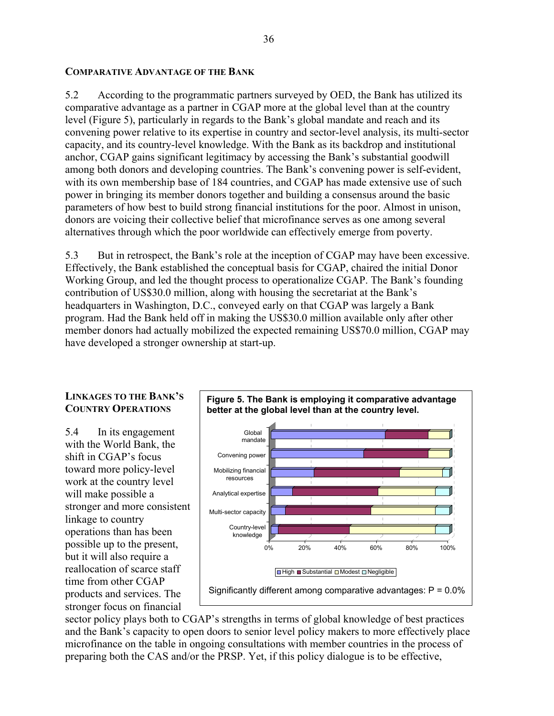#### **COMPARATIVE ADVANTAGE OF THE BANK**

5.2 According to the programmatic partners surveyed by OED, the Bank has utilized its comparative advantage as a partner in CGAP more at the global level than at the country level (Figure 5), particularly in regards to the Bank's global mandate and reach and its convening power relative to its expertise in country and sector-level analysis, its multi-sector capacity, and its country-level knowledge. With the Bank as its backdrop and institutional anchor, CGAP gains significant legitimacy by accessing the Bank's substantial goodwill among both donors and developing countries. The Bank's convening power is self-evident, with its own membership base of 184 countries, and CGAP has made extensive use of such power in bringing its member donors together and building a consensus around the basic parameters of how best to build strong financial institutions for the poor. Almost in unison, donors are voicing their collective belief that microfinance serves as one among several alternatives through which the poor worldwide can effectively emerge from poverty.

5.3 But in retrospect, the Bank's role at the inception of CGAP may have been excessive. Effectively, the Bank established the conceptual basis for CGAP, chaired the initial Donor Working Group, and led the thought process to operationalize CGAP. The Bank's founding contribution of US\$30.0 million, along with housing the secretariat at the Bank's headquarters in Washington, D.C., conveyed early on that CGAP was largely a Bank program. Had the Bank held off in making the US\$30.0 million available only after other member donors had actually mobilized the expected remaining US\$70.0 million, CGAP may have developed a stronger ownership at start-up.



## **LINKAGES TO THE BANK'S COUNTRY OPERATIONS**

5.4 In its engagement with the World Bank, the shift in CGAP's focus toward more policy-level work at the country level will make possible a stronger and more consistent linkage to country operations than has been possible up to the present, but it will also require a reallocation of scarce staff time from other CGAP products and services. The stronger focus on financial

sector policy plays both to CGAP's strengths in terms of global knowledge of best practices and the Bank's capacity to open doors to senior level policy makers to more effectively place microfinance on the table in ongoing consultations with member countries in the process of preparing both the CAS and/or the PRSP. Yet, if this policy dialogue is to be effective,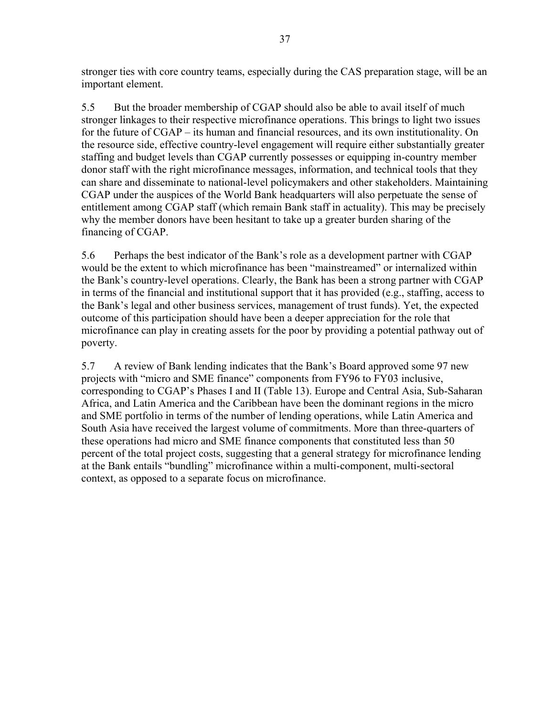stronger ties with core country teams, especially during the CAS preparation stage, will be an important element.

5.5 But the broader membership of CGAP should also be able to avail itself of much stronger linkages to their respective microfinance operations. This brings to light two issues for the future of CGAP – its human and financial resources, and its own institutionality. On the resource side, effective country-level engagement will require either substantially greater staffing and budget levels than CGAP currently possesses or equipping in-country member donor staff with the right microfinance messages, information, and technical tools that they can share and disseminate to national-level policymakers and other stakeholders. Maintaining CGAP under the auspices of the World Bank headquarters will also perpetuate the sense of entitlement among CGAP staff (which remain Bank staff in actuality). This may be precisely why the member donors have been hesitant to take up a greater burden sharing of the financing of CGAP.

5.6 Perhaps the best indicator of the Bank's role as a development partner with CGAP would be the extent to which microfinance has been "mainstreamed" or internalized within the Bank's country-level operations. Clearly, the Bank has been a strong partner with CGAP in terms of the financial and institutional support that it has provided (e.g., staffing, access to the Bank's legal and other business services, management of trust funds). Yet, the expected outcome of this participation should have been a deeper appreciation for the role that microfinance can play in creating assets for the poor by providing a potential pathway out of poverty.

5.7 A review of Bank lending indicates that the Bank's Board approved some 97 new projects with "micro and SME finance" components from FY96 to FY03 inclusive, corresponding to CGAP's Phases I and II (Table 13). Europe and Central Asia, Sub-Saharan Africa, and Latin America and the Caribbean have been the dominant regions in the micro and SME portfolio in terms of the number of lending operations, while Latin America and South Asia have received the largest volume of commitments. More than three-quarters of these operations had micro and SME finance components that constituted less than 50 percent of the total project costs, suggesting that a general strategy for microfinance lending at the Bank entails "bundling" microfinance within a multi-component, multi-sectoral context, as opposed to a separate focus on microfinance.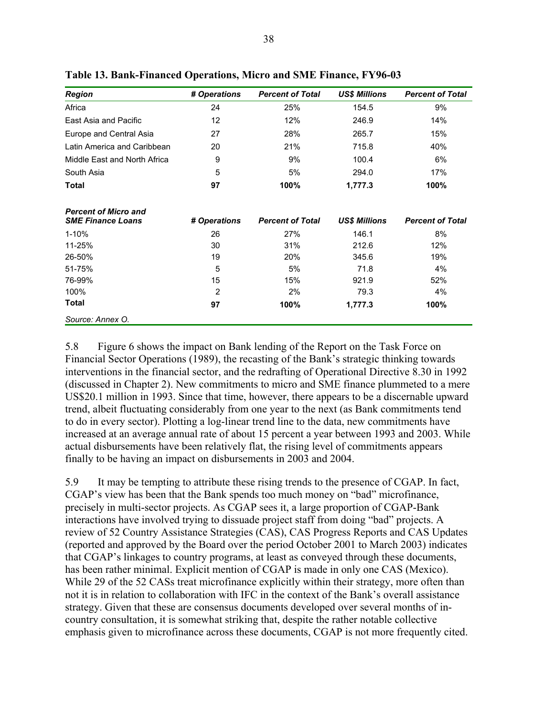| <b>Region</b>                                           | # Operations      | <b>Percent of Total</b> | <b>US\$ Millions</b> | <b>Percent of Total</b> |
|---------------------------------------------------------|-------------------|-------------------------|----------------------|-------------------------|
| Africa                                                  | 24                | 25%                     | 154.5                | 9%                      |
| East Asia and Pacific                                   | $12 \overline{ }$ | 12%                     | 246.9                | 14%                     |
| Europe and Central Asia                                 | 27                | 28%                     | 265.7                | 15%                     |
| Latin America and Caribbean                             | 20                | 21%                     | 715.8                | 40%                     |
| Middle East and North Africa                            | 9                 | 9%                      | 100.4                | 6%                      |
| South Asia                                              | 5                 | 5%                      | 294.0                | 17%                     |
| Total                                                   | 97                | 100%                    | 1,777.3              | 100%                    |
| <b>Percent of Micro and</b><br><b>SME Finance Loans</b> | # Operations      | <b>Percent of Total</b> | <b>US\$ Millions</b> | <b>Percent of Total</b> |
| $1 - 10%$                                               | 26                | 27%                     | 146.1                | 8%                      |
| 11-25%                                                  | 30                | 31%                     | 212.6                | 12%                     |
| 26-50%                                                  | 19                | 20%                     | 345.6                | 19%                     |
| 51-75%                                                  | 5                 | 5%                      | 71.8                 | 4%                      |
| 76-99%                                                  | 15                | 15%                     | 921.9                | 52%                     |
| 100%                                                    | 2                 | 2%                      | 79.3                 | 4%                      |
| <b>Total</b>                                            | 97                | 100%                    | 1,777.3              | 100%                    |
| Source: Annex O.                                        |                   |                         |                      |                         |

**Table 13. Bank-Financed Operations, Micro and SME Finance, FY96-03** 

5.8 Figure 6 shows the impact on Bank lending of the Report on the Task Force on Financial Sector Operations (1989), the recasting of the Bank's strategic thinking towards interventions in the financial sector, and the redrafting of Operational Directive 8.30 in 1992 (discussed in Chapter 2). New commitments to micro and SME finance plummeted to a mere US\$20.1 million in 1993. Since that time, however, there appears to be a discernable upward trend, albeit fluctuating considerably from one year to the next (as Bank commitments tend to do in every sector). Plotting a log-linear trend line to the data, new commitments have increased at an average annual rate of about 15 percent a year between 1993 and 2003. While actual disbursements have been relatively flat, the rising level of commitments appears finally to be having an impact on disbursements in 2003 and 2004.

5.9 It may be tempting to attribute these rising trends to the presence of CGAP. In fact, CGAP's view has been that the Bank spends too much money on "bad" microfinance, precisely in multi-sector projects. As CGAP sees it, a large proportion of CGAP-Bank interactions have involved trying to dissuade project staff from doing "bad" projects. A review of 52 Country Assistance Strategies (CAS), CAS Progress Reports and CAS Updates (reported and approved by the Board over the period October 2001 to March 2003) indicates that CGAP's linkages to country programs, at least as conveyed through these documents, has been rather minimal. Explicit mention of CGAP is made in only one CAS (Mexico). While 29 of the 52 CASs treat microfinance explicitly within their strategy, more often than not it is in relation to collaboration with IFC in the context of the Bank's overall assistance strategy. Given that these are consensus documents developed over several months of incountry consultation, it is somewhat striking that, despite the rather notable collective emphasis given to microfinance across these documents, CGAP is not more frequently cited.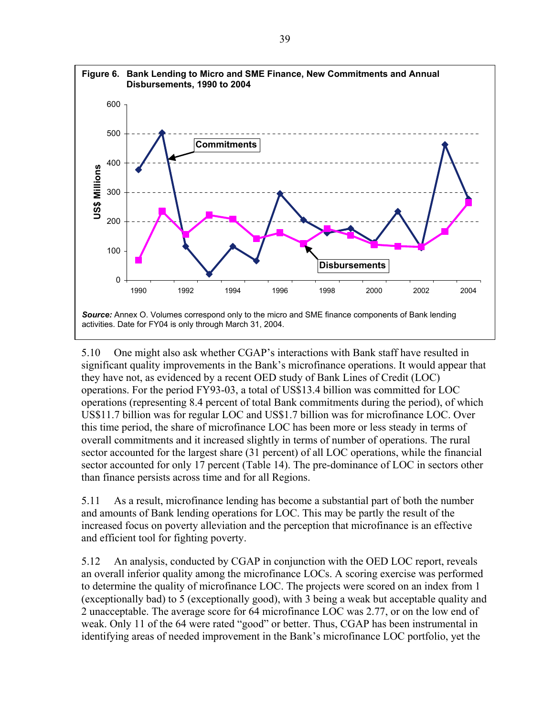

5.10 One might also ask whether CGAP's interactions with Bank staff have resulted in significant quality improvements in the Bank's microfinance operations. It would appear that they have not, as evidenced by a recent OED study of Bank Lines of Credit (LOC) operations. For the period FY93-03, a total of US\$13.4 billion was committed for LOC operations (representing 8.4 percent of total Bank commitments during the period), of which US\$11.7 billion was for regular LOC and US\$1.7 billion was for microfinance LOC. Over this time period, the share of microfinance LOC has been more or less steady in terms of overall commitments and it increased slightly in terms of number of operations. The rural sector accounted for the largest share (31 percent) of all LOC operations, while the financial sector accounted for only 17 percent (Table 14). The pre-dominance of LOC in sectors other than finance persists across time and for all Regions.

5.11 As a result, microfinance lending has become a substantial part of both the number and amounts of Bank lending operations for LOC. This may be partly the result of the increased focus on poverty alleviation and the perception that microfinance is an effective and efficient tool for fighting poverty.

5.12 An analysis, conducted by CGAP in conjunction with the OED LOC report, reveals an overall inferior quality among the microfinance LOCs. A scoring exercise was performed to determine the quality of microfinance LOC. The projects were scored on an index from 1 (exceptionally bad) to 5 (exceptionally good), with 3 being a weak but acceptable quality and 2 unacceptable. The average score for 64 microfinance LOC was 2.77, or on the low end of weak. Only 11 of the 64 were rated "good" or better. Thus, CGAP has been instrumental in identifying areas of needed improvement in the Bank's microfinance LOC portfolio, yet the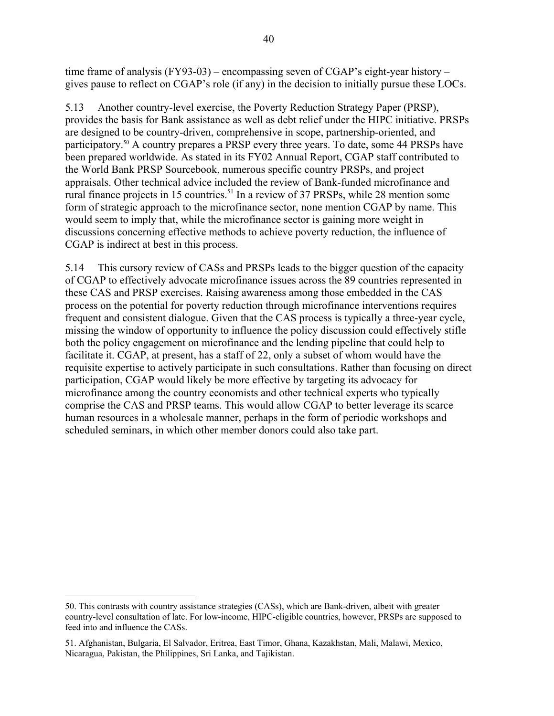time frame of analysis (FY93-03) – encompassing seven of CGAP's eight-year history – gives pause to reflect on CGAP's role (if any) in the decision to initially pursue these LOCs.

5.13 Another country-level exercise, the Poverty Reduction Strategy Paper (PRSP), provides the basis for Bank assistance as well as debt relief under the HIPC initiative. PRSPs are designed to be country-driven, comprehensive in scope, partnership-oriented, and participatory.<sup>50</sup> A country prepares a PRSP every three years. To date, some 44 PRSPs have been prepared worldwide. As stated in its FY02 Annual Report, CGAP staff contributed to the World Bank PRSP Sourcebook, numerous specific country PRSPs, and project appraisals. Other technical advice included the review of Bank-funded microfinance and rural finance projects in 15 countries.<sup>51</sup> In a review of 37 PRSPs, while 28 mention some form of strategic approach to the microfinance sector, none mention CGAP by name. This would seem to imply that, while the microfinance sector is gaining more weight in discussions concerning effective methods to achieve poverty reduction, the influence of CGAP is indirect at best in this process.

5.14 This cursory review of CASs and PRSPs leads to the bigger question of the capacity of CGAP to effectively advocate microfinance issues across the 89 countries represented in these CAS and PRSP exercises. Raising awareness among those embedded in the CAS process on the potential for poverty reduction through microfinance interventions requires frequent and consistent dialogue. Given that the CAS process is typically a three-year cycle, missing the window of opportunity to influence the policy discussion could effectively stifle both the policy engagement on microfinance and the lending pipeline that could help to facilitate it. CGAP, at present, has a staff of 22, only a subset of whom would have the requisite expertise to actively participate in such consultations. Rather than focusing on direct participation, CGAP would likely be more effective by targeting its advocacy for microfinance among the country economists and other technical experts who typically comprise the CAS and PRSP teams. This would allow CGAP to better leverage its scarce human resources in a wholesale manner, perhaps in the form of periodic workshops and scheduled seminars, in which other member donors could also take part.

 $\overline{a}$ 

<sup>50.</sup> This contrasts with country assistance strategies (CASs), which are Bank-driven, albeit with greater country-level consultation of late. For low-income, HIPC-eligible countries, however, PRSPs are supposed to feed into and influence the CASs.

<sup>51.</sup> Afghanistan, Bulgaria, El Salvador, Eritrea, East Timor, Ghana, Kazakhstan, Mali, Malawi, Mexico, Nicaragua, Pakistan, the Philippines, Sri Lanka, and Tajikistan.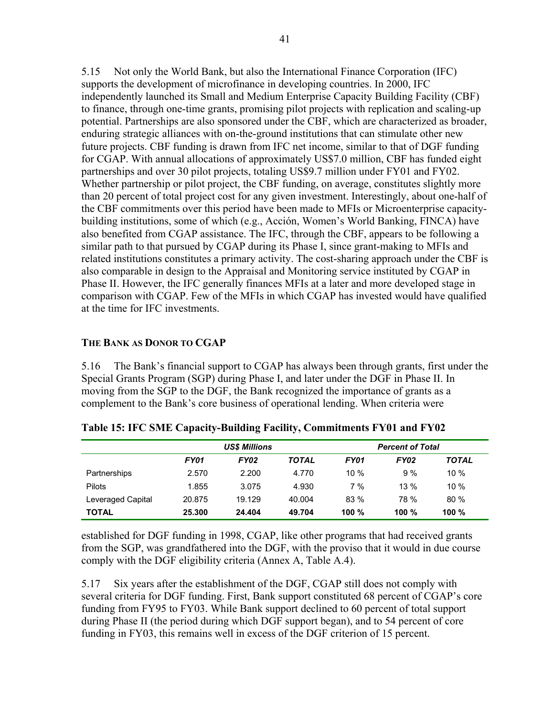5.15 Not only the World Bank, but also the International Finance Corporation (IFC) supports the development of microfinance in developing countries. In 2000, IFC independently launched its Small and Medium Enterprise Capacity Building Facility (CBF) to finance, through one-time grants, promising pilot projects with replication and scaling-up potential. Partnerships are also sponsored under the CBF, which are characterized as broader, enduring strategic alliances with on-the-ground institutions that can stimulate other new future projects. CBF funding is drawn from IFC net income, similar to that of DGF funding for CGAP. With annual allocations of approximately US\$7.0 million, CBF has funded eight partnerships and over 30 pilot projects, totaling US\$9.7 million under FY01 and FY02. Whether partnership or pilot project, the CBF funding, on average, constitutes slightly more than 20 percent of total project cost for any given investment. Interestingly, about one-half of the CBF commitments over this period have been made to MFIs or Microenterprise capacitybuilding institutions, some of which (e.g., Acción, Women's World Banking, FINCA) have also benefited from CGAP assistance. The IFC, through the CBF, appears to be following a similar path to that pursued by CGAP during its Phase I, since grant-making to MFIs and related institutions constitutes a primary activity. The cost-sharing approach under the CBF is also comparable in design to the Appraisal and Monitoring service instituted by CGAP in Phase II. However, the IFC generally finances MFIs at a later and more developed stage in comparison with CGAP. Few of the MFIs in which CGAP has invested would have qualified at the time for IFC investments.

### **THE BANK AS DONOR TO CGAP**

5.16 The Bank's financial support to CGAP has always been through grants, first under the Special Grants Program (SGP) during Phase I, and later under the DGF in Phase II. In moving from the SGP to the DGF, the Bank recognized the importance of grants as a complement to the Bank's core business of operational lending. When criteria were

|                   | <b>US\$ Millions</b> |        |              | <b>Percent of Total</b> |         |              |
|-------------------|----------------------|--------|--------------|-------------------------|---------|--------------|
|                   | <b>FY01</b>          | FY02   | <b>TOTAL</b> | <b>FY01</b>             | FY02    | <b>TOTAL</b> |
| Partnerships      | 2.570                | 2.200  | 4.770        | $10\%$                  | 9%      | 10%          |
| Pilots            | 1.855                | 3.075  | 4.930        | 7%                      | $13\%$  | 10%          |
| Leveraged Capital | 20.875               | 19.129 | 40.004       | 83%                     | 78 %    | 80%          |
| <b>TOTAL</b>      | 25.300               | 24.404 | 49.704       | 100 $%$                 | 100 $%$ | 100%         |

**Table 15: IFC SME Capacity-Building Facility, Commitments FY01 and FY02** 

established for DGF funding in 1998, CGAP, like other programs that had received grants from the SGP, was grandfathered into the DGF, with the proviso that it would in due course comply with the DGF eligibility criteria (Annex A, Table A.4).

5.17 Six years after the establishment of the DGF, CGAP still does not comply with several criteria for DGF funding. First, Bank support constituted 68 percent of CGAP's core funding from FY95 to FY03. While Bank support declined to 60 percent of total support during Phase II (the period during which DGF support began), and to 54 percent of core funding in FY03, this remains well in excess of the DGF criterion of 15 percent.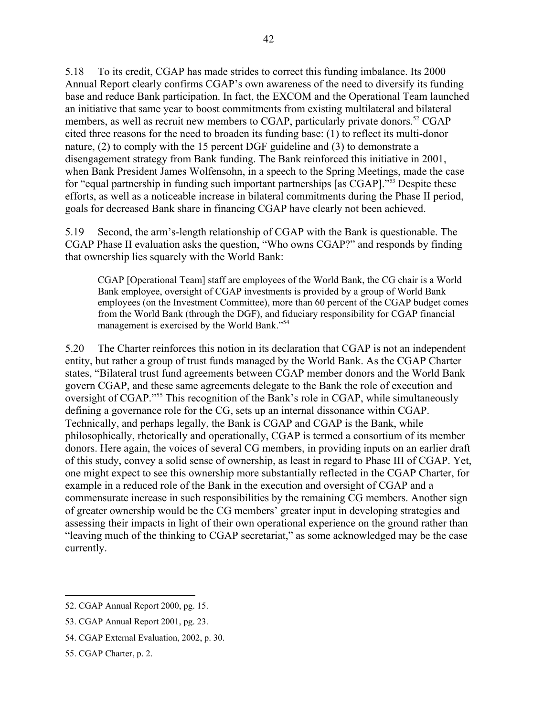5.18 To its credit, CGAP has made strides to correct this funding imbalance. Its 2000 Annual Report clearly confirms CGAP's own awareness of the need to diversify its funding base and reduce Bank participation. In fact, the EXCOM and the Operational Team launched an initiative that same year to boost commitments from existing multilateral and bilateral members, as well as recruit new members to CGAP, particularly private donors.<sup>52</sup> CGAP cited three reasons for the need to broaden its funding base: (1) to reflect its multi-donor nature, (2) to comply with the 15 percent DGF guideline and (3) to demonstrate a disengagement strategy from Bank funding. The Bank reinforced this initiative in 2001, when Bank President James Wolfensohn, in a speech to the Spring Meetings, made the case for "equal partnership in funding such important partnerships [as CGAP]."53 Despite these efforts, as well as a noticeable increase in bilateral commitments during the Phase II period, goals for decreased Bank share in financing CGAP have clearly not been achieved.

5.19 Second, the arm's-length relationship of CGAP with the Bank is questionable. The CGAP Phase II evaluation asks the question, "Who owns CGAP?" and responds by finding that ownership lies squarely with the World Bank:

CGAP [Operational Team] staff are employees of the World Bank, the CG chair is a World Bank employee, oversight of CGAP investments is provided by a group of World Bank employees (on the Investment Committee), more than 60 percent of the CGAP budget comes from the World Bank (through the DGF), and fiduciary responsibility for CGAP financial management is exercised by the World Bank."54

5.20 The Charter reinforces this notion in its declaration that CGAP is not an independent entity, but rather a group of trust funds managed by the World Bank. As the CGAP Charter states, "Bilateral trust fund agreements between CGAP member donors and the World Bank govern CGAP, and these same agreements delegate to the Bank the role of execution and oversight of CGAP."<sup>55</sup> This recognition of the Bank's role in CGAP, while simultaneously defining a governance role for the CG, sets up an internal dissonance within CGAP. Technically, and perhaps legally, the Bank is CGAP and CGAP is the Bank, while philosophically, rhetorically and operationally, CGAP is termed a consortium of its member donors. Here again, the voices of several CG members, in providing inputs on an earlier draft of this study, convey a solid sense of ownership, as least in regard to Phase III of CGAP. Yet, one might expect to see this ownership more substantially reflected in the CGAP Charter, for example in a reduced role of the Bank in the execution and oversight of CGAP and a commensurate increase in such responsibilities by the remaining CG members. Another sign of greater ownership would be the CG members' greater input in developing strategies and assessing their impacts in light of their own operational experience on the ground rather than "leaving much of the thinking to CGAP secretariat," as some acknowledged may be the case currently.

1

<sup>52.</sup> CGAP Annual Report 2000, pg. 15.

<sup>53.</sup> CGAP Annual Report 2001, pg. 23.

<sup>54.</sup> CGAP External Evaluation, 2002, p. 30.

<sup>55.</sup> CGAP Charter, p. 2.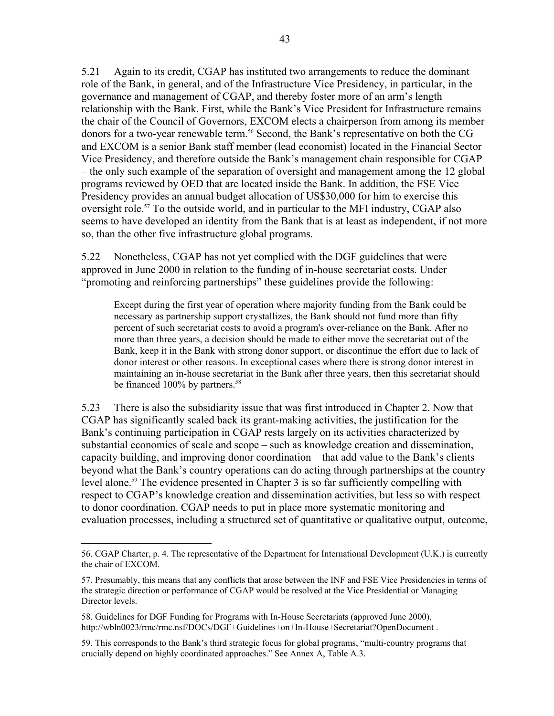5.21 Again to its credit, CGAP has instituted two arrangements to reduce the dominant role of the Bank, in general, and of the Infrastructure Vice Presidency, in particular, in the governance and management of CGAP, and thereby foster more of an arm's length relationship with the Bank. First, while the Bank's Vice President for Infrastructure remains the chair of the Council of Governors, EXCOM elects a chairperson from among its member donors for a two-year renewable term.<sup>56</sup> Second, the Bank's representative on both the CG and EXCOM is a senior Bank staff member (lead economist) located in the Financial Sector Vice Presidency, and therefore outside the Bank's management chain responsible for CGAP – the only such example of the separation of oversight and management among the 12 global programs reviewed by OED that are located inside the Bank. In addition, the FSE Vice Presidency provides an annual budget allocation of US\$30,000 for him to exercise this oversight role.<sup>57</sup> To the outside world, and in particular to the MFI industry, CGAP also seems to have developed an identity from the Bank that is at least as independent, if not more so, than the other five infrastructure global programs.

5.22 Nonetheless, CGAP has not yet complied with the DGF guidelines that were approved in June 2000 in relation to the funding of in-house secretariat costs. Under "promoting and reinforcing partnerships" these guidelines provide the following:

Except during the first year of operation where majority funding from the Bank could be necessary as partnership support crystallizes, the Bank should not fund more than fifty percent of such secretariat costs to avoid a program's over-reliance on the Bank. After no more than three years, a decision should be made to either move the secretariat out of the Bank, keep it in the Bank with strong donor support, or discontinue the effort due to lack of donor interest or other reasons. In exceptional cases where there is strong donor interest in maintaining an in-house secretariat in the Bank after three years, then this secretariat should be financed 100% by partners.<sup>58</sup>

5.23 There is also the subsidiarity issue that was first introduced in Chapter 2. Now that CGAP has significantly scaled back its grant-making activities, the justification for the Bank's continuing participation in CGAP rests largely on its activities characterized by substantial economies of scale and scope – such as knowledge creation and dissemination, capacity building, and improving donor coordination – that add value to the Bank's clients beyond what the Bank's country operations can do acting through partnerships at the country level alone.<sup>59</sup> The evidence presented in Chapter 3 is so far sufficiently compelling with respect to CGAP's knowledge creation and dissemination activities, but less so with respect to donor coordination. CGAP needs to put in place more systematic monitoring and evaluation processes, including a structured set of quantitative or qualitative output, outcome,

 $\overline{a}$ 56. CGAP Charter, p. 4. The representative of the Department for International Development (U.K.) is currently the chair of EXCOM.

<sup>57.</sup> Presumably, this means that any conflicts that arose between the INF and FSE Vice Presidencies in terms of the strategic direction or performance of CGAP would be resolved at the Vice Presidential or Managing Director levels.

<sup>58.</sup> Guidelines for DGF Funding for Programs with In-House Secretariats (approved June 2000), http://wbln0023/rmc/rmc.nsf/DOCs/DGF+Guidelines+on+In-House+Secretariat?OpenDocument .

<sup>59.</sup> This corresponds to the Bank's third strategic focus for global programs, "multi-country programs that crucially depend on highly coordinated approaches." See Annex A, Table A.3.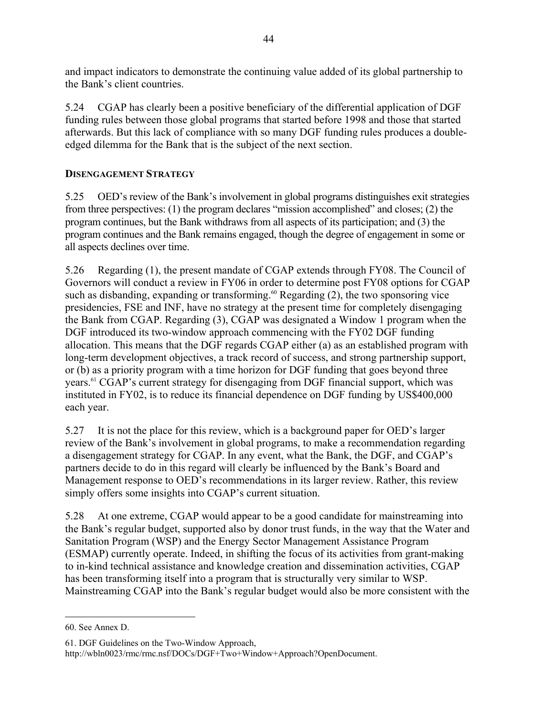and impact indicators to demonstrate the continuing value added of its global partnership to the Bank's client countries.

5.24 CGAP has clearly been a positive beneficiary of the differential application of DGF funding rules between those global programs that started before 1998 and those that started afterwards. But this lack of compliance with so many DGF funding rules produces a doubleedged dilemma for the Bank that is the subject of the next section.

## **DISENGAGEMENT STRATEGY**

5.25 OED's review of the Bank's involvement in global programs distinguishes exit strategies from three perspectives: (1) the program declares "mission accomplished" and closes; (2) the program continues, but the Bank withdraws from all aspects of its participation; and (3) the program continues and the Bank remains engaged, though the degree of engagement in some or all aspects declines over time.

5.26 Regarding (1), the present mandate of CGAP extends through FY08. The Council of Governors will conduct a review in FY06 in order to determine post FY08 options for CGAP such as disbanding, expanding or transforming.<sup>60</sup> Regarding  $(2)$ , the two sponsoring vice presidencies, FSE and INF, have no strategy at the present time for completely disengaging the Bank from CGAP. Regarding (3), CGAP was designated a Window 1 program when the DGF introduced its two-window approach commencing with the FY02 DGF funding allocation. This means that the DGF regards CGAP either (a) as an established program with long-term development objectives, a track record of success, and strong partnership support, or (b) as a priority program with a time horizon for DGF funding that goes beyond three years.<sup>61</sup> CGAP's current strategy for disengaging from DGF financial support, which was instituted in FY02, is to reduce its financial dependence on DGF funding by US\$400,000 each year.

5.27 It is not the place for this review, which is a background paper for OED's larger review of the Bank's involvement in global programs, to make a recommendation regarding a disengagement strategy for CGAP. In any event, what the Bank, the DGF, and CGAP's partners decide to do in this regard will clearly be influenced by the Bank's Board and Management response to OED's recommendations in its larger review. Rather, this review simply offers some insights into CGAP's current situation.

5.28 At one extreme, CGAP would appear to be a good candidate for mainstreaming into the Bank's regular budget, supported also by donor trust funds, in the way that the Water and Sanitation Program (WSP) and the Energy Sector Management Assistance Program (ESMAP) currently operate. Indeed, in shifting the focus of its activities from grant-making to in-kind technical assistance and knowledge creation and dissemination activities, CGAP has been transforming itself into a program that is structurally very similar to WSP. Mainstreaming CGAP into the Bank's regular budget would also be more consistent with the

 $\overline{a}$ 

<sup>60.</sup> See Annex D.

<sup>61.</sup> DGF Guidelines on the Two-Window Approach,

http://wbln0023/rmc/rmc.nsf/DOCs/DGF+Two+Window+Approach?OpenDocument.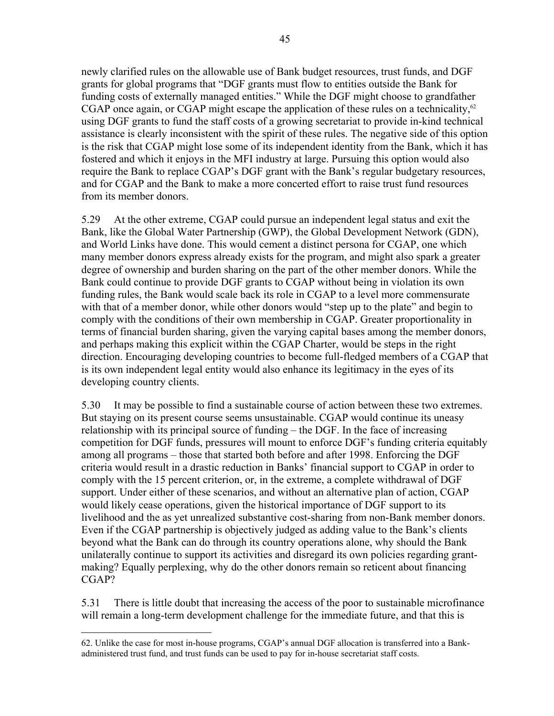newly clarified rules on the allowable use of Bank budget resources, trust funds, and DGF grants for global programs that "DGF grants must flow to entities outside the Bank for funding costs of externally managed entities." While the DGF might choose to grandfather CGAP once again, or CGAP might escape the application of these rules on a technicality, $62$ using DGF grants to fund the staff costs of a growing secretariat to provide in-kind technical assistance is clearly inconsistent with the spirit of these rules. The negative side of this option is the risk that CGAP might lose some of its independent identity from the Bank, which it has fostered and which it enjoys in the MFI industry at large. Pursuing this option would also require the Bank to replace CGAP's DGF grant with the Bank's regular budgetary resources, and for CGAP and the Bank to make a more concerted effort to raise trust fund resources from its member donors.

5.29 At the other extreme, CGAP could pursue an independent legal status and exit the Bank, like the Global Water Partnership (GWP), the Global Development Network (GDN), and World Links have done. This would cement a distinct persona for CGAP, one which many member donors express already exists for the program, and might also spark a greater degree of ownership and burden sharing on the part of the other member donors. While the Bank could continue to provide DGF grants to CGAP without being in violation its own funding rules, the Bank would scale back its role in CGAP to a level more commensurate with that of a member donor, while other donors would "step up to the plate" and begin to comply with the conditions of their own membership in CGAP. Greater proportionality in terms of financial burden sharing, given the varying capital bases among the member donors, and perhaps making this explicit within the CGAP Charter, would be steps in the right direction. Encouraging developing countries to become full-fledged members of a CGAP that is its own independent legal entity would also enhance its legitimacy in the eyes of its developing country clients.

5.30 It may be possible to find a sustainable course of action between these two extremes. But staying on its present course seems unsustainable. CGAP would continue its uneasy relationship with its principal source of funding – the DGF. In the face of increasing competition for DGF funds, pressures will mount to enforce DGF's funding criteria equitably among all programs – those that started both before and after 1998. Enforcing the DGF criteria would result in a drastic reduction in Banks' financial support to CGAP in order to comply with the 15 percent criterion, or, in the extreme, a complete withdrawal of DGF support. Under either of these scenarios, and without an alternative plan of action, CGAP would likely cease operations, given the historical importance of DGF support to its livelihood and the as yet unrealized substantive cost-sharing from non-Bank member donors. Even if the CGAP partnership is objectively judged as adding value to the Bank's clients beyond what the Bank can do through its country operations alone, why should the Bank unilaterally continue to support its activities and disregard its own policies regarding grantmaking? Equally perplexing, why do the other donors remain so reticent about financing CGAP?

5.31 There is little doubt that increasing the access of the poor to sustainable microfinance will remain a long-term development challenge for the immediate future, and that this is

<sup>&</sup>lt;u>.</u> 62. Unlike the case for most in-house programs, CGAP's annual DGF allocation is transferred into a Bankadministered trust fund, and trust funds can be used to pay for in-house secretariat staff costs.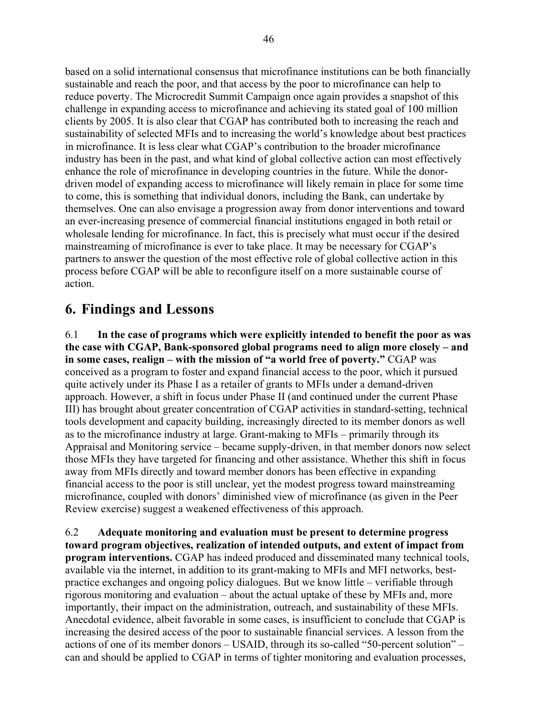based on a solid international consensus that microfinance institutions can be both financially sustainable and reach the poor, and that access by the poor to microfinance can help to reduce poverty. The Microcredit Summit Campaign once again provides a snapshot of this challenge in expanding access to microfinance and achieving its stated goal of 100 million clients by 2005. It is also clear that CGAP has contributed both to increasing the reach and sustainability of selected MFIs and to increasing the world's knowledge about best practices in microfinance. It is less clear what CGAP's contribution to the broader microfinance industry has been in the past, and what kind of global collective action can most effectively enhance the role of microfinance in developing countries in the future. While the donordriven model of expanding access to microfinance will likely remain in place for some time to come, this is something that individual donors, including the Bank, can undertake by themselves. One can also envisage a progression away from donor interventions and toward an ever-increasing presence of commercial financial institutions engaged in both retail or wholesale lending for microfinance. In fact, this is precisely what must occur if the desired mainstreaming of microfinance is ever to take place. It may be necessary for CGAP's partners to answer the question of the most effective role of global collective action in this process before CGAP will be able to reconfigure itself on a more sustainable course of action.

## **6. Findings and Lessons**

6.1 **In the case of programs which were explicitly intended to benefit the poor as was the case with CGAP, Bank-sponsored global programs need to align more closely – and in some cases, realign – with the mission of "a world free of poverty."** CGAP was conceived as a program to foster and expand financial access to the poor, which it pursued quite actively under its Phase I as a retailer of grants to MFIs under a demand-driven approach. However, a shift in focus under Phase II (and continued under the current Phase III) has brought about greater concentration of CGAP activities in standard-setting, technical tools development and capacity building, increasingly directed to its member donors as well as to the microfinance industry at large. Grant-making to MFIs – primarily through its Appraisal and Monitoring service – became supply-driven, in that member donors now select those MFIs they have targeted for financing and other assistance. Whether this shift in focus away from MFIs directly and toward member donors has been effective in expanding financial access to the poor is still unclear, yet the modest progress toward mainstreaming microfinance, coupled with donors' diminished view of microfinance (as given in the Peer Review exercise) suggest a weakened effectiveness of this approach.

6.2 **Adequate monitoring and evaluation must be present to determine progress toward program objectives, realization of intended outputs, and extent of impact from program interventions.** CGAP has indeed produced and disseminated many technical tools, available via the internet, in addition to its grant-making to MFIs and MFI networks, bestpractice exchanges and ongoing policy dialogues. But we know little – verifiable through rigorous monitoring and evaluation – about the actual uptake of these by MFIs and, more importantly, their impact on the administration, outreach, and sustainability of these MFIs. Anecdotal evidence, albeit favorable in some cases, is insufficient to conclude that CGAP is increasing the desired access of the poor to sustainable financial services. A lesson from the actions of one of its member donors – USAID, through its so-called "50-percent solution" – can and should be applied to CGAP in terms of tighter monitoring and evaluation processes,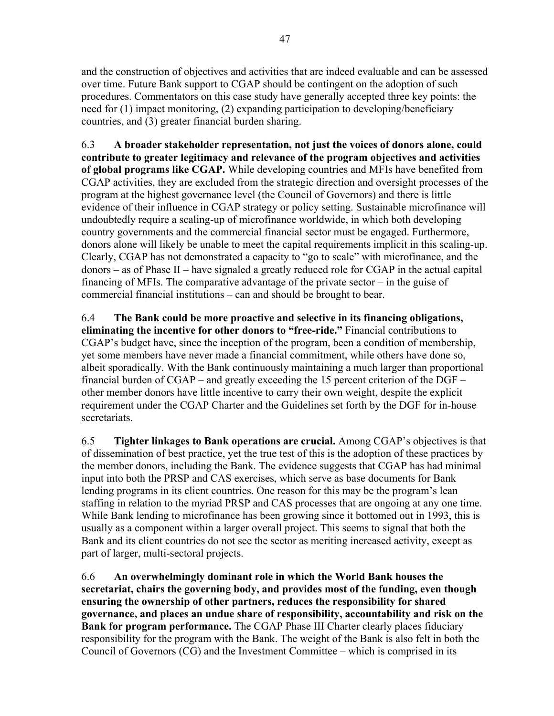and the construction of objectives and activities that are indeed evaluable and can be assessed over time. Future Bank support to CGAP should be contingent on the adoption of such procedures. Commentators on this case study have generally accepted three key points: the need for (1) impact monitoring, (2) expanding participation to developing/beneficiary countries, and (3) greater financial burden sharing.

6.3 **A broader stakeholder representation, not just the voices of donors alone, could contribute to greater legitimacy and relevance of the program objectives and activities of global programs like CGAP.** While developing countries and MFIs have benefited from CGAP activities, they are excluded from the strategic direction and oversight processes of the program at the highest governance level (the Council of Governors) and there is little evidence of their influence in CGAP strategy or policy setting. Sustainable microfinance will undoubtedly require a scaling-up of microfinance worldwide, in which both developing country governments and the commercial financial sector must be engaged. Furthermore, donors alone will likely be unable to meet the capital requirements implicit in this scaling-up. Clearly, CGAP has not demonstrated a capacity to "go to scale" with microfinance, and the donors – as of Phase II – have signaled a greatly reduced role for CGAP in the actual capital financing of MFIs. The comparative advantage of the private sector – in the guise of commercial financial institutions – can and should be brought to bear.

6.4 **The Bank could be more proactive and selective in its financing obligations, eliminating the incentive for other donors to "free-ride."** Financial contributions to CGAP's budget have, since the inception of the program, been a condition of membership, yet some members have never made a financial commitment, while others have done so, albeit sporadically. With the Bank continuously maintaining a much larger than proportional financial burden of  $CGAP -$  and greatly exceeding the 15 percent criterion of the  $DGF$ other member donors have little incentive to carry their own weight, despite the explicit requirement under the CGAP Charter and the Guidelines set forth by the DGF for in-house secretariats.

6.5 **Tighter linkages to Bank operations are crucial.** Among CGAP's objectives is that of dissemination of best practice, yet the true test of this is the adoption of these practices by the member donors, including the Bank. The evidence suggests that CGAP has had minimal input into both the PRSP and CAS exercises, which serve as base documents for Bank lending programs in its client countries. One reason for this may be the program's lean staffing in relation to the myriad PRSP and CAS processes that are ongoing at any one time. While Bank lending to microfinance has been growing since it bottomed out in 1993, this is usually as a component within a larger overall project. This seems to signal that both the Bank and its client countries do not see the sector as meriting increased activity, except as part of larger, multi-sectoral projects.

6.6 **An overwhelmingly dominant role in which the World Bank houses the secretariat, chairs the governing body, and provides most of the funding, even though ensuring the ownership of other partners, reduces the responsibility for shared governance, and places an undue share of responsibility, accountability and risk on the Bank for program performance.** The CGAP Phase III Charter clearly places fiduciary responsibility for the program with the Bank. The weight of the Bank is also felt in both the Council of Governors (CG) and the Investment Committee – which is comprised in its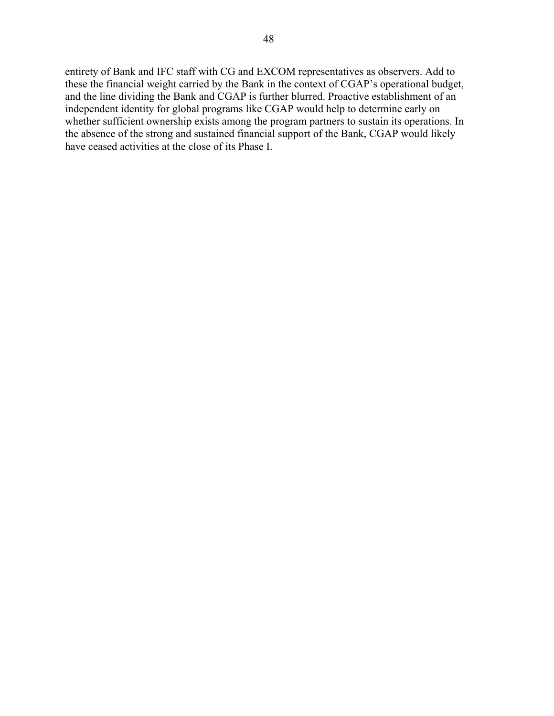entirety of Bank and IFC staff with CG and EXCOM representatives as observers. Add to these the financial weight carried by the Bank in the context of CGAP's operational budget, and the line dividing the Bank and CGAP is further blurred. Proactive establishment of an independent identity for global programs like CGAP would help to determine early on whether sufficient ownership exists among the program partners to sustain its operations. In the absence of the strong and sustained financial support of the Bank, CGAP would likely have ceased activities at the close of its Phase I.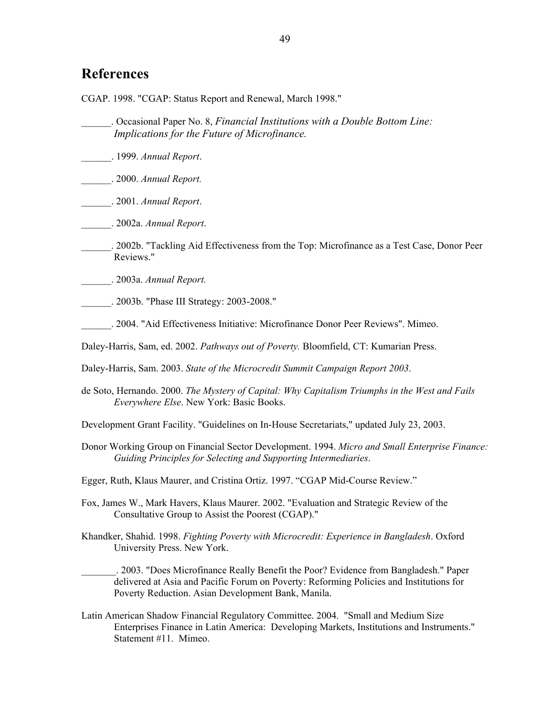## **References**

CGAP. 1998. "CGAP: Status Report and Renewal, March 1998."

- \_\_\_\_\_\_. Occasional Paper No. 8, *Financial Institutions with a Double Bottom Line: Implications for the Future of Microfinance.*
- \_\_\_\_\_\_. 1999. *Annual Report*.
- \_\_\_\_\_\_. 2000. *Annual Report.*
- \_\_\_\_\_\_. 2001. *Annual Report*.
- \_\_\_\_\_\_. 2002a. *Annual Report*.
- \_\_\_\_\_\_. 2002b. "Tackling Aid Effectiveness from the Top: Microfinance as a Test Case, Donor Peer Reviews."
- \_\_\_\_\_\_. 2003a. *Annual Report.*

\_\_\_\_\_\_. 2003b. "Phase III Strategy: 2003-2008."

- \_\_\_\_\_\_. 2004. "Aid Effectiveness Initiative: Microfinance Donor Peer Reviews". Mimeo.
- Daley-Harris, Sam, ed. 2002. *Pathways out of Poverty.* Bloomfield, CT: Kumarian Press.
- Daley-Harris, Sam. 2003. *State of the Microcredit Summit Campaign Report 2003*.
- de Soto, Hernando. 2000. *The Mystery of Capital: Why Capitalism Triumphs in the West and Fails Everywhere Else*. New York: Basic Books.
- Development Grant Facility. "Guidelines on In-House Secretariats," updated July 23, 2003.
- Donor Working Group on Financial Sector Development. 1994. *Micro and Small Enterprise Finance: Guiding Principles for Selecting and Supporting Intermediaries*.
- Egger, Ruth, Klaus Maurer, and Cristina Ortiz. 1997. "CGAP Mid-Course Review."
- Fox, James W., Mark Havers, Klaus Maurer. 2002. "Evaluation and Strategic Review of the Consultative Group to Assist the Poorest (CGAP)."
- Khandker, Shahid. 1998. *Fighting Poverty with Microcredit: Experience in Bangladesh*. Oxford University Press. New York.
	- \_\_\_\_\_\_\_. 2003. "Does Microfinance Really Benefit the Poor? Evidence from Bangladesh." Paper delivered at Asia and Pacific Forum on Poverty: Reforming Policies and Institutions for Poverty Reduction. Asian Development Bank, Manila.
- Latin American Shadow Financial Regulatory Committee. 2004. "Small and Medium Size Enterprises Finance in Latin America: Developing Markets, Institutions and Instruments." Statement #11. Mimeo.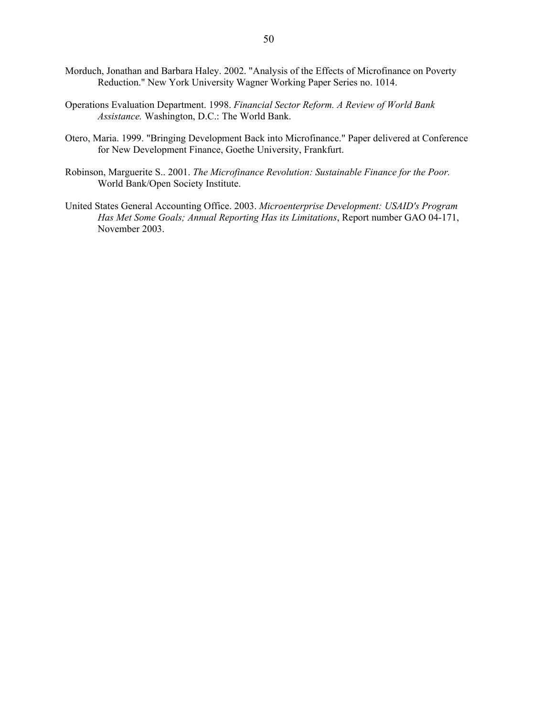- Morduch, Jonathan and Barbara Haley. 2002. "Analysis of the Effects of Microfinance on Poverty Reduction." New York University Wagner Working Paper Series no. 1014.
- Operations Evaluation Department. 1998. *Financial Sector Reform. A Review of World Bank Assistance.* Washington, D.C.: The World Bank.
- Otero, Maria. 1999. "Bringing Development Back into Microfinance." Paper delivered at Conference for New Development Finance, Goethe University, Frankfurt.
- Robinson, Marguerite S.. 2001. *The Microfinance Revolution: Sustainable Finance for the Poor.* World Bank/Open Society Institute.
- United States General Accounting Office. 2003. *Microenterprise Development: USAID's Program Has Met Some Goals; Annual Reporting Has its Limitations*, Report number GAO 04-171, November 2003.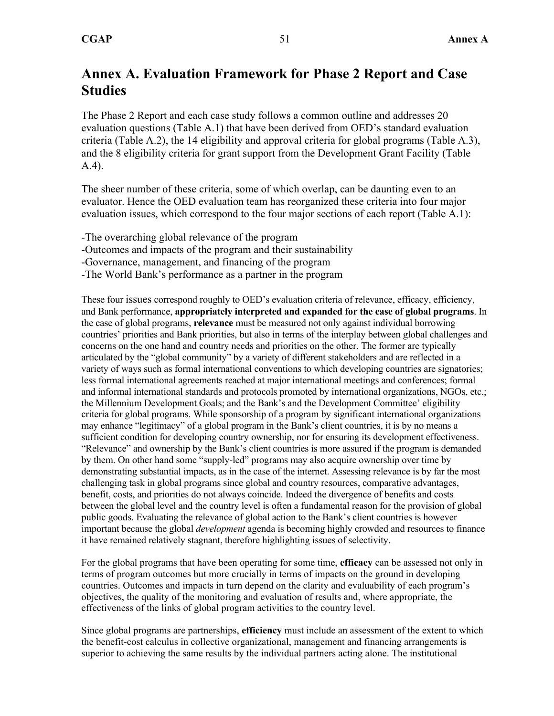# **Annex A. Evaluation Framework for Phase 2 Report and Case Studies**

The Phase 2 Report and each case study follows a common outline and addresses 20 evaluation questions (Table A.1) that have been derived from OED's standard evaluation criteria (Table A.2), the 14 eligibility and approval criteria for global programs (Table A.3), and the 8 eligibility criteria for grant support from the Development Grant Facility (Table A.4).

The sheer number of these criteria, some of which overlap, can be daunting even to an evaluator. Hence the OED evaluation team has reorganized these criteria into four major evaluation issues, which correspond to the four major sections of each report (Table A.1):

- -The overarching global relevance of the program
- -Outcomes and impacts of the program and their sustainability
- -Governance, management, and financing of the program
- -The World Bank's performance as a partner in the program

These four issues correspond roughly to OED's evaluation criteria of relevance, efficacy, efficiency, and Bank performance, **appropriately interpreted and expanded for the case of global programs**. In the case of global programs, **relevance** must be measured not only against individual borrowing countries' priorities and Bank priorities, but also in terms of the interplay between global challenges and concerns on the one hand and country needs and priorities on the other. The former are typically articulated by the "global community" by a variety of different stakeholders and are reflected in a variety of ways such as formal international conventions to which developing countries are signatories; less formal international agreements reached at major international meetings and conferences; formal and informal international standards and protocols promoted by international organizations, NGOs, etc.; the Millennium Development Goals; and the Bank's and the Development Committee' eligibility criteria for global programs. While sponsorship of a program by significant international organizations may enhance "legitimacy" of a global program in the Bank's client countries, it is by no means a sufficient condition for developing country ownership, nor for ensuring its development effectiveness. "Relevance" and ownership by the Bank's client countries is more assured if the program is demanded by them. On other hand some "supply-led" programs may also acquire ownership over time by demonstrating substantial impacts, as in the case of the internet. Assessing relevance is by far the most challenging task in global programs since global and country resources, comparative advantages, benefit, costs, and priorities do not always coincide. Indeed the divergence of benefits and costs between the global level and the country level is often a fundamental reason for the provision of global public goods. Evaluating the relevance of global action to the Bank's client countries is however important because the global *development* agenda is becoming highly crowded and resources to finance it have remained relatively stagnant, therefore highlighting issues of selectivity.

For the global programs that have been operating for some time, **efficacy** can be assessed not only in terms of program outcomes but more crucially in terms of impacts on the ground in developing countries. Outcomes and impacts in turn depend on the clarity and evaluability of each program's objectives, the quality of the monitoring and evaluation of results and, where appropriate, the effectiveness of the links of global program activities to the country level.

Since global programs are partnerships, **efficiency** must include an assessment of the extent to which the benefit-cost calculus in collective organizational, management and financing arrangements is superior to achieving the same results by the individual partners acting alone. The institutional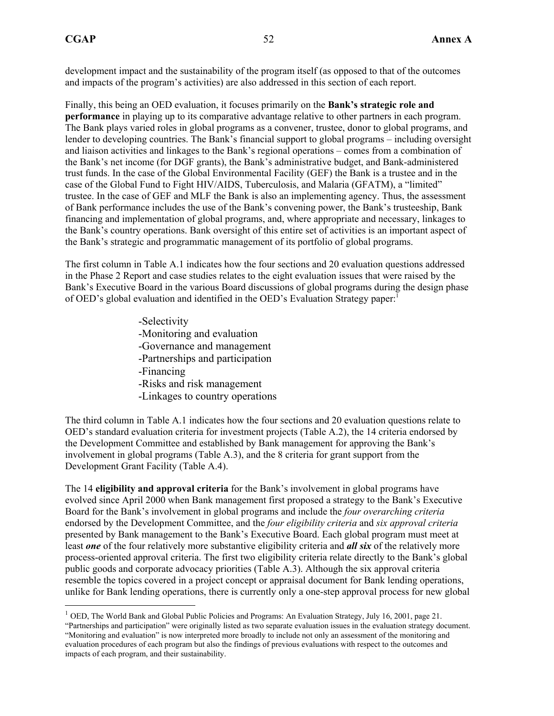$\overline{a}$ 

development impact and the sustainability of the program itself (as opposed to that of the outcomes and impacts of the program's activities) are also addressed in this section of each report.

Finally, this being an OED evaluation, it focuses primarily on the **Bank's strategic role and performance** in playing up to its comparative advantage relative to other partners in each program. The Bank plays varied roles in global programs as a convener, trustee, donor to global programs, and lender to developing countries. The Bank's financial support to global programs – including oversight and liaison activities and linkages to the Bank's regional operations – comes from a combination of the Bank's net income (for DGF grants), the Bank's administrative budget, and Bank-administered trust funds. In the case of the Global Environmental Facility (GEF) the Bank is a trustee and in the case of the Global Fund to Fight HIV/AIDS, Tuberculosis, and Malaria (GFATM), a "limited" trustee. In the case of GEF and MLF the Bank is also an implementing agency. Thus, the assessment of Bank performance includes the use of the Bank's convening power, the Bank's trusteeship, Bank financing and implementation of global programs, and, where appropriate and necessary, linkages to the Bank's country operations. Bank oversight of this entire set of activities is an important aspect of the Bank's strategic and programmatic management of its portfolio of global programs.

The first column in Table A.1 indicates how the four sections and 20 evaluation questions addressed in the Phase 2 Report and case studies relates to the eight evaluation issues that were raised by the Bank's Executive Board in the various Board discussions of global programs during the design phase of OED's global evaluation and identified in the OED's Evaluation Strategy paper:1

> -Selectivity -Monitoring and evaluation -Governance and management -Partnerships and participation -Financing -Risks and risk management -Linkages to country operations

The third column in Table A.1 indicates how the four sections and 20 evaluation questions relate to OED's standard evaluation criteria for investment projects (Table A.2), the 14 criteria endorsed by the Development Committee and established by Bank management for approving the Bank's involvement in global programs (Table A.3), and the 8 criteria for grant support from the Development Grant Facility (Table A.4).

The 14 **eligibility and approval criteria** for the Bank's involvement in global programs have evolved since April 2000 when Bank management first proposed a strategy to the Bank's Executive Board for the Bank's involvement in global programs and include the *four overarching criteria* endorsed by the Development Committee, and the *four eligibility criteria* and *six approval criteria*  presented by Bank management to the Bank's Executive Board. Each global program must meet at least *one* of the four relatively more substantive eligibility criteria and *all six* of the relatively more process-oriented approval criteria. The first two eligibility criteria relate directly to the Bank's global public goods and corporate advocacy priorities (Table A.3). Although the six approval criteria resemble the topics covered in a project concept or appraisal document for Bank lending operations, unlike for Bank lending operations, there is currently only a one-step approval process for new global

<sup>&</sup>lt;sup>1</sup> OED. The World Bank and Global Public Policies and Programs: An Evaluation Strategy, July 16, 2001, page 21.

<sup>&</sup>quot;Partnerships and participation" were originally listed as two separate evaluation issues in the evaluation strategy document. "Monitoring and evaluation" is now interpreted more broadly to include not only an assessment of the monitoring and evaluation procedures of each program but also the findings of previous evaluations with respect to the outcomes and impacts of each program, and their sustainability.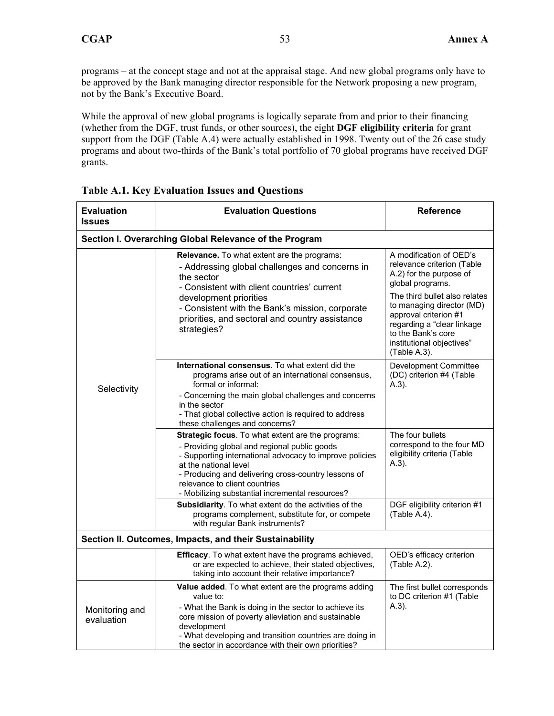programs – at the concept stage and not at the appraisal stage. And new global programs only have to be approved by the Bank managing director responsible for the Network proposing a new program, not by the Bank's Executive Board.

While the approval of new global programs is logically separate from and prior to their financing (whether from the DGF, trust funds, or other sources), the eight **DGF eligibility criteria** for grant support from the DGF (Table A.4) were actually established in 1998. Twenty out of the 26 case study programs and about two-thirds of the Bank's total portfolio of 70 global programs have received DGF grants.

| <b>Evaluation</b><br><b>Issues</b>                     | <b>Evaluation Questions</b>                                                                                                                                                                                                                                                                                                      | <b>Reference</b>                                                                                                                                                                     |  |  |  |  |  |  |  |
|--------------------------------------------------------|----------------------------------------------------------------------------------------------------------------------------------------------------------------------------------------------------------------------------------------------------------------------------------------------------------------------------------|--------------------------------------------------------------------------------------------------------------------------------------------------------------------------------------|--|--|--|--|--|--|--|
| Section I. Overarching Global Relevance of the Program |                                                                                                                                                                                                                                                                                                                                  |                                                                                                                                                                                      |  |  |  |  |  |  |  |
|                                                        | Relevance. To what extent are the programs:<br>- Addressing global challenges and concerns in<br>the sector<br>- Consistent with client countries' current                                                                                                                                                                       | A modification of OED's<br>relevance criterion (Table<br>A.2) for the purpose of<br>global programs.                                                                                 |  |  |  |  |  |  |  |
|                                                        | development priorities<br>- Consistent with the Bank's mission, corporate<br>priorities, and sectoral and country assistance<br>strategies?                                                                                                                                                                                      | The third bullet also relates<br>to managing director (MD)<br>approval criterion #1<br>regarding a "clear linkage<br>to the Bank's core<br>institutional objectives"<br>(Table A.3). |  |  |  |  |  |  |  |
|                                                        | <b>International consensus.</b> To what extent did the<br>programs arise out of an international consensus,<br>formal or informal:                                                                                                                                                                                               | <b>Development Committee</b><br>(DC) criterion #4 (Table<br>$(A.3)$ .                                                                                                                |  |  |  |  |  |  |  |
| Selectivity                                            | - Concerning the main global challenges and concerns<br>in the sector<br>- That global collective action is required to address<br>these challenges and concerns?                                                                                                                                                                |                                                                                                                                                                                      |  |  |  |  |  |  |  |
|                                                        | Strategic focus. To what extent are the programs:<br>- Providing global and regional public goods<br>- Supporting international advocacy to improve policies<br>at the national level<br>- Producing and delivering cross-country lessons of<br>relevance to client countries<br>- Mobilizing substantial incremental resources? | The four bullets<br>correspond to the four MD<br>eligibility criteria (Table<br>$A.3$ ).                                                                                             |  |  |  |  |  |  |  |
|                                                        | <b>Subsidiarity</b> . To what extent do the activities of the<br>programs complement, substitute for, or compete<br>with regular Bank instruments?                                                                                                                                                                               | DGF eligibility criterion #1<br>(Table A.4).                                                                                                                                         |  |  |  |  |  |  |  |
|                                                        | Section II. Outcomes, Impacts, and their Sustainability                                                                                                                                                                                                                                                                          |                                                                                                                                                                                      |  |  |  |  |  |  |  |
|                                                        | Efficacy. To what extent have the programs achieved,<br>or are expected to achieve, their stated objectives,<br>taking into account their relative importance?                                                                                                                                                                   | OED's efficacy criterion<br>(Table A.2).                                                                                                                                             |  |  |  |  |  |  |  |
| Monitoring and<br>evaluation                           | Value added. To what extent are the programs adding<br>value to:<br>- What the Bank is doing in the sector to achieve its<br>core mission of poverty alleviation and sustainable<br>development<br>- What developing and transition countries are doing in<br>the sector in accordance with their own priorities?                | The first bullet corresponds<br>to DC criterion #1 (Table<br>$A.3$ ).                                                                                                                |  |  |  |  |  |  |  |

**Table A.1. Key Evaluation Issues and Questions**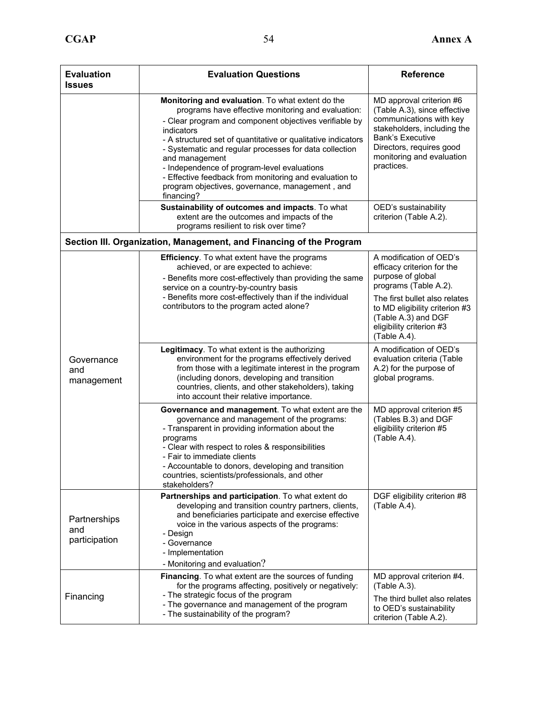| <b>Evaluation</b><br><b>Issues</b>   | <b>Evaluation Questions</b>                                                                                                                                                                                                                                                                                                                                                                                                                                                                          | <b>Reference</b>                                                                                                                                                                                                     |
|--------------------------------------|------------------------------------------------------------------------------------------------------------------------------------------------------------------------------------------------------------------------------------------------------------------------------------------------------------------------------------------------------------------------------------------------------------------------------------------------------------------------------------------------------|----------------------------------------------------------------------------------------------------------------------------------------------------------------------------------------------------------------------|
|                                      | Monitoring and evaluation. To what extent do the<br>programs have effective monitoring and evaluation:<br>- Clear program and component objectives verifiable by<br>indicators<br>- A structured set of quantitative or qualitative indicators<br>- Systematic and regular processes for data collection<br>and management<br>- Independence of program-level evaluations<br>- Effective feedback from monitoring and evaluation to<br>program objectives, governance, management, and<br>financing? | MD approval criterion #6<br>(Table A.3), since effective<br>communications with key<br>stakeholders, including the<br><b>Bank's Executive</b><br>Directors, requires good<br>monitoring and evaluation<br>practices. |
|                                      | Sustainability of outcomes and impacts. To what<br>extent are the outcomes and impacts of the<br>programs resilient to risk over time?                                                                                                                                                                                                                                                                                                                                                               | OED's sustainability<br>criterion (Table A.2).                                                                                                                                                                       |
|                                      | Section III. Organization, Management, and Financing of the Program                                                                                                                                                                                                                                                                                                                                                                                                                                  |                                                                                                                                                                                                                      |
| Governance<br>and<br>management      | <b>Efficiency.</b> To what extent have the programs<br>achieved, or are expected to achieve:<br>- Benefits more cost-effectively than providing the same<br>service on a country-by-country basis                                                                                                                                                                                                                                                                                                    | A modification of OED's<br>efficacy criterion for the<br>purpose of global<br>programs (Table A.2).                                                                                                                  |
|                                      | - Benefits more cost-effectively than if the individual<br>contributors to the program acted alone?                                                                                                                                                                                                                                                                                                                                                                                                  | The first bullet also relates<br>to MD eligibility criterion #3<br>(Table A.3) and DGF<br>eligibility criterion #3<br>(Table A.4).                                                                                   |
|                                      | Legitimacy. To what extent is the authorizing<br>environment for the programs effectively derived<br>from those with a legitimate interest in the program<br>(including donors, developing and transition<br>countries, clients, and other stakeholders), taking<br>into account their relative importance.                                                                                                                                                                                          | A modification of OED's<br>evaluation criteria (Table<br>A.2) for the purpose of<br>global programs.                                                                                                                 |
|                                      | Governance and management. To what extent are the<br>governance and management of the programs:<br>- Transparent in providing information about the<br>programs<br>- Clear with respect to roles & responsibilities<br>- Fair to immediate clients<br>- Accountable to donors, developing and transition<br>countries, scientists/professionals, and other<br>stakeholders?                                                                                                                          | MD approval criterion #5<br>(Tables B.3) and DGF<br>eligibility criterion #5<br>(Table A.4).                                                                                                                         |
| Partnerships<br>and<br>participation | Partnerships and participation. To what extent do<br>developing and transition country partners, clients,<br>and beneficiaries participate and exercise effective<br>voice in the various aspects of the programs:<br>- Design<br>- Governance<br>- Implementation<br>- Monitoring and evaluation?                                                                                                                                                                                                   | DGF eligibility criterion #8<br>(Table A.4).                                                                                                                                                                         |
| Financing                            | MD approval criterion #4.<br>(Table A.3).<br>The third bullet also relates<br>to OED's sustainability<br>criterion (Table A.2).                                                                                                                                                                                                                                                                                                                                                                      |                                                                                                                                                                                                                      |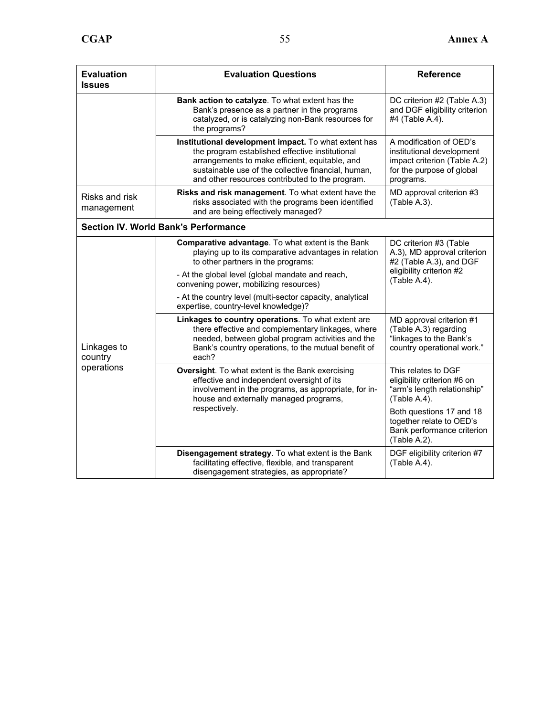| <b>Evaluation</b><br><b>Issues</b>   | <b>Evaluation Questions</b>                                                                                                                                                                                                                                         | <b>Reference</b>                                                                                                               |
|--------------------------------------|---------------------------------------------------------------------------------------------------------------------------------------------------------------------------------------------------------------------------------------------------------------------|--------------------------------------------------------------------------------------------------------------------------------|
|                                      | Bank action to catalyze. To what extent has the<br>Bank's presence as a partner in the programs<br>catalyzed, or is catalyzing non-Bank resources for<br>the programs?                                                                                              | DC criterion #2 (Table A.3)<br>and DGF eligibility criterion<br>#4 (Table A.4).                                                |
|                                      | Institutional development impact. To what extent has<br>the program established effective institutional<br>arrangements to make efficient, equitable, and<br>sustainable use of the collective financial, human,<br>and other resources contributed to the program. | A modification of OED's<br>institutional development<br>impact criterion (Table A.2)<br>for the purpose of global<br>programs. |
| Risks and risk<br>management         | Risks and risk management. To what extent have the<br>risks associated with the programs been identified<br>and are being effectively managed?                                                                                                                      | MD approval criterion #3<br>(Table A.3).                                                                                       |
|                                      | <b>Section IV. World Bank's Performance</b>                                                                                                                                                                                                                         |                                                                                                                                |
|                                      | Comparative advantage. To what extent is the Bank<br>playing up to its comparative advantages in relation<br>to other partners in the programs:                                                                                                                     | DC criterion #3 (Table<br>A.3), MD approval criterion<br>#2 (Table A.3), and DGF                                               |
|                                      | - At the global level (global mandate and reach,<br>convening power, mobilizing resources)                                                                                                                                                                          | eligibility criterion #2<br>(Table A.4).                                                                                       |
| Linkages to<br>country<br>operations | - At the country level (multi-sector capacity, analytical<br>expertise, country-level knowledge)?                                                                                                                                                                   |                                                                                                                                |
|                                      | Linkages to country operations. To what extent are<br>there effective and complementary linkages, where<br>needed, between global program activities and the<br>Bank's country operations, to the mutual benefit of<br>each?                                        | MD approval criterion #1<br>(Table A.3) regarding<br>"linkages to the Bank's<br>country operational work."                     |
|                                      | <b>Oversight.</b> To what extent is the Bank exercising<br>effective and independent oversight of its<br>involvement in the programs, as appropriate, for in-<br>house and externally managed programs,                                                             | This relates to DGF<br>eligibility criterion #6 on<br>"arm's length relationship"<br>(Table A.4).                              |
|                                      | respectively.                                                                                                                                                                                                                                                       | Both questions 17 and 18<br>together relate to OED's<br>Bank performance criterion<br>(Table A.2).                             |
|                                      | Disengagement strategy. To what extent is the Bank<br>facilitating effective, flexible, and transparent<br>disengagement strategies, as appropriate?                                                                                                                | DGF eligibility criterion #7<br>(Table A.4).                                                                                   |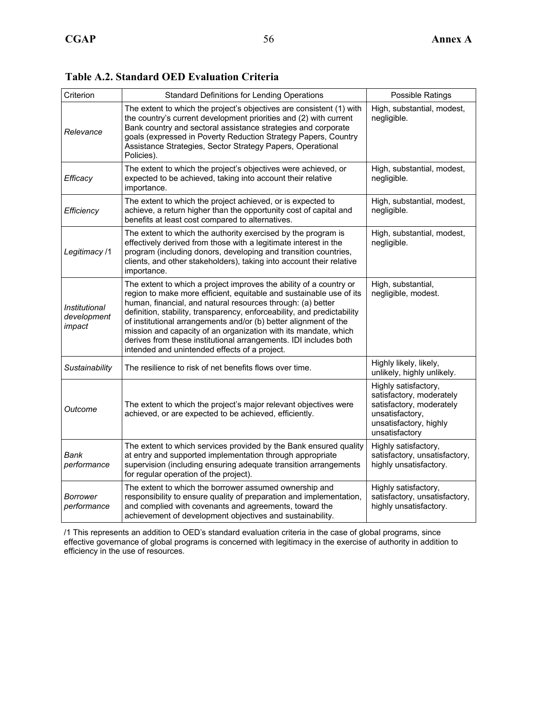| Criterion                              | Standard Definitions for Lending Operations                                                                                                                                                                                                                                                                                                                                                                                                                                                                                                     | Possible Ratings                                                                                                                            |
|----------------------------------------|-------------------------------------------------------------------------------------------------------------------------------------------------------------------------------------------------------------------------------------------------------------------------------------------------------------------------------------------------------------------------------------------------------------------------------------------------------------------------------------------------------------------------------------------------|---------------------------------------------------------------------------------------------------------------------------------------------|
| Relevance                              | The extent to which the project's objectives are consistent (1) with<br>the country's current development priorities and (2) with current<br>Bank country and sectoral assistance strategies and corporate<br>goals (expressed in Poverty Reduction Strategy Papers, Country<br>Assistance Strategies, Sector Strategy Papers, Operational<br>Policies).                                                                                                                                                                                        | High, substantial, modest,<br>negligible.                                                                                                   |
| Efficacy                               | The extent to which the project's objectives were achieved, or<br>expected to be achieved, taking into account their relative<br>importance.                                                                                                                                                                                                                                                                                                                                                                                                    | High, substantial, modest,<br>negligible.                                                                                                   |
| Efficiency                             | The extent to which the project achieved, or is expected to<br>achieve, a return higher than the opportunity cost of capital and<br>benefits at least cost compared to alternatives.                                                                                                                                                                                                                                                                                                                                                            | High, substantial, modest,<br>negligible.                                                                                                   |
| Legitimacy /1                          | The extent to which the authority exercised by the program is<br>effectively derived from those with a legitimate interest in the<br>program (including donors, developing and transition countries,<br>clients, and other stakeholders), taking into account their relative<br>importance.                                                                                                                                                                                                                                                     | High, substantial, modest,<br>negligible.                                                                                                   |
| Institutional<br>development<br>impact | The extent to which a project improves the ability of a country or<br>region to make more efficient, equitable and sustainable use of its<br>human, financial, and natural resources through: (a) better<br>definition, stability, transparency, enforceability, and predictability<br>of institutional arrangements and/or (b) better alignment of the<br>mission and capacity of an organization with its mandate, which<br>derives from these institutional arrangements. IDI includes both<br>intended and unintended effects of a project. | High, substantial,<br>negligible, modest.                                                                                                   |
| Sustainability                         | The resilience to risk of net benefits flows over time.                                                                                                                                                                                                                                                                                                                                                                                                                                                                                         | Highly likely, likely,<br>unlikely, highly unlikely.                                                                                        |
| Outcome                                | The extent to which the project's major relevant objectives were<br>achieved, or are expected to be achieved, efficiently.                                                                                                                                                                                                                                                                                                                                                                                                                      | Highly satisfactory,<br>satisfactory, moderately<br>satisfactory, moderately<br>unsatisfactory,<br>unsatisfactory, highly<br>unsatisfactory |
| Bank<br>performance                    | The extent to which services provided by the Bank ensured quality<br>at entry and supported implementation through appropriate<br>supervision (including ensuring adequate transition arrangements<br>for regular operation of the project).                                                                                                                                                                                                                                                                                                    | Highly satisfactory,<br>satisfactory, unsatisfactory,<br>highly unsatisfactory.                                                             |
| Borrower<br>performance                | The extent to which the borrower assumed ownership and<br>responsibility to ensure quality of preparation and implementation,<br>and complied with covenants and agreements, toward the<br>achievement of development objectives and sustainability.                                                                                                                                                                                                                                                                                            | Highly satisfactory,<br>satisfactory, unsatisfactory,<br>highly unsatisfactory.                                                             |

**Table A.2. Standard OED Evaluation Criteria** 

/1 This represents an addition to OED's standard evaluation criteria in the case of global programs, since effective governance of global programs is concerned with legitimacy in the exercise of authority in addition to efficiency in the use of resources.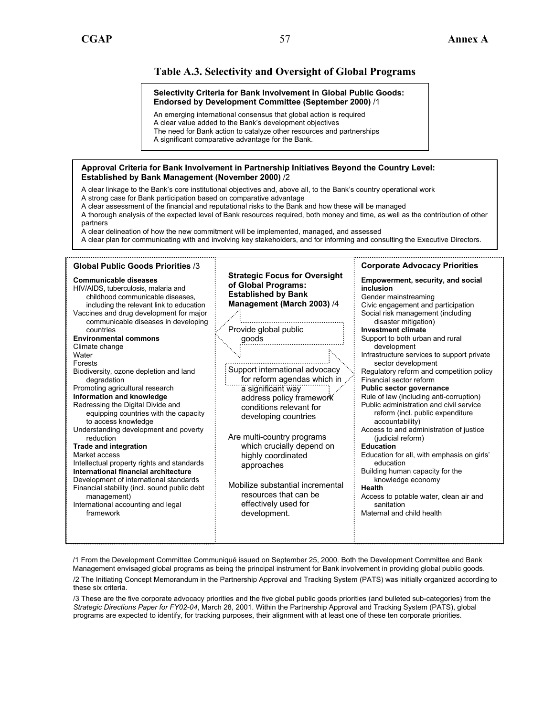#### **Table A.3. Selectivity and Oversight of Global Programs**

#### **Selectivity Criteria for Bank Involvement in Global Public Goods: Endorsed by Development Committee (September 2000)** /1

An emerging international consensus that global action is required

A clear value added to the Bank's development objectives The need for Bank action to catalyze other resources and partnerships

A significant comparative advantage for the Bank.

#### **Approval Criteria for Bank Involvement in Partnership Initiatives Beyond the Country Level: Established by Bank Management (November 2000)** /2

A clear linkage to the Bank's core institutional objectives and, above all, to the Bank's country operational work A strong case for Bank participation based on comparative advantage

A clear assessment of the financial and reputational risks to the Bank and how these will be managed

A thorough analysis of the expected level of Bank resources required, both money and time, as well as the contribution of other partners

A clear delineation of how the new commitment will be implemented, managed, and assessed

A clear plan for communicating with and involving key stakeholders, and for informing and consulting the Executive Directors.

#### **Global Public Goods Priorities** /3 **Corporate Advocacy Priorities Strategic Focus for Oversight Communicable diseases Empowerment, security, and social of Global Programs:**  HIV/AIDS, tuberculosis, malaria and **inclusion Established by Bank**  childhood communicable diseases, Gender mainstreaming **Management (March 2003)** /4 including the relevant link to education Civic engagement and participation Social risk management (including Vaccines and drug development for major communicable diseases in developing disaster mitigation) Provide global public **Investment climate**  countries **Environmental commons**  goods Support to both urban and rural Climate change development **Water** Infrastructure services to support private Forests sector development Support international advocacy Biodiversity, ozone depletion and land Regulatory reform and competition policy degradation for reform agendas which in Financial sector reform Promoting agricultural research a significant way **Public sector governance Information and knowledge**  Rule of law (including anti-corruption) address policy framework Redressing the Digital Divide and Public administration and civil service conditions relevant for equipping countries with the capacity reform (incl. public expenditure developing countries accountability) to access knowledge Understanding development and poverty Access to and administration of justice Are multi-country programs reduction (judicial reform) **Trade and integration**  which crucially depend on **Education**  Education for all, with emphasis on girls' Market access highly coordinated Intellectual property rights and standards education approaches **International financial architecture**  Building human capacity for the Development of international standards knowledge economy Mobilize substantial incremental Financial stability (incl. sound public debt **Health**  resources that can be Access to potable water, clean air and management) effectively used for International accounting and legal sanitation framework development. Maternal and child health

/1 From the Development Committee Communiqué issued on September 25, 2000. Both the Development Committee and Bank Management envisaged global programs as being the principal instrument for Bank involvement in providing global public goods.

/2 The Initiating Concept Memorandum in the Partnership Approval and Tracking System (PATS) was initially organized according to these six criteria.

/3 These are the five corporate advocacy priorities and the five global public goods priorities (and bulleted sub-categories) from the *Strategic Directions Paper for FY02-04*, March 28, 2001. Within the Partnership Approval and Tracking System (PATS), global programs are expected to identify, for tracking purposes, their alignment with at least one of these ten corporate priorities.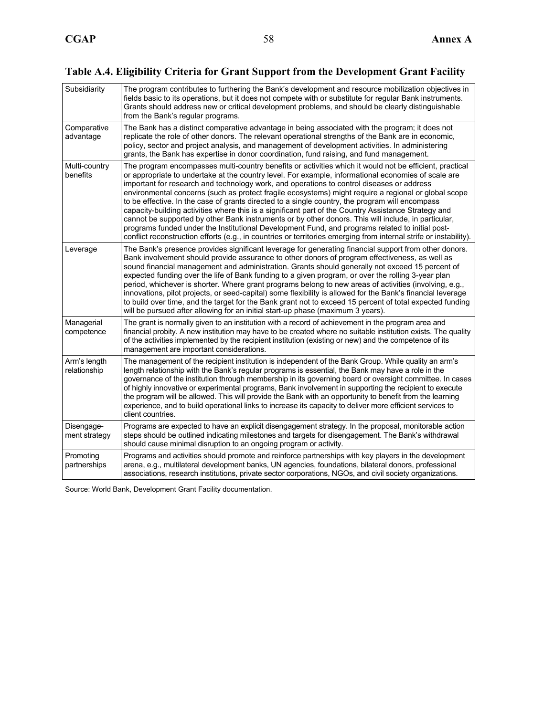### **Table A.4. Eligibility Criteria for Grant Support from the Development Grant Facility**

| Subsidiarity                 | The program contributes to furthering the Bank's development and resource mobilization objectives in<br>fields basic to its operations, but it does not compete with or substitute for regular Bank instruments.<br>Grants should address new or critical development problems, and should be clearly distinguishable<br>from the Bank's regular programs.                                                                                                                                                                                                                                                                                                                                                                                                                                                                                                                                                                                                    |
|------------------------------|---------------------------------------------------------------------------------------------------------------------------------------------------------------------------------------------------------------------------------------------------------------------------------------------------------------------------------------------------------------------------------------------------------------------------------------------------------------------------------------------------------------------------------------------------------------------------------------------------------------------------------------------------------------------------------------------------------------------------------------------------------------------------------------------------------------------------------------------------------------------------------------------------------------------------------------------------------------|
| Comparative<br>advantage     | The Bank has a distinct comparative advantage in being associated with the program; it does not<br>replicate the role of other donors. The relevant operational strengths of the Bank are in economic,<br>policy, sector and project analysis, and management of development activities. In administering<br>grants, the Bank has expertise in donor coordination, fund raising, and fund management.                                                                                                                                                                                                                                                                                                                                                                                                                                                                                                                                                         |
| Multi-country<br>benefits    | The program encompasses multi-country benefits or activities which it would not be efficient, practical<br>or appropriate to undertake at the country level. For example, informational economies of scale are<br>important for research and technology work, and operations to control diseases or address<br>environmental concerns (such as protect fragile ecosystems) might require a regional or global scope<br>to be effective. In the case of grants directed to a single country, the program will encompass<br>capacity-building activities where this is a significant part of the Country Assistance Strategy and<br>cannot be supported by other Bank instruments or by other donors. This will include, in particular,<br>programs funded under the Institutional Development Fund, and programs related to initial post-<br>conflict reconstruction efforts (e.g., in countries or territories emerging from internal strife or instability). |
| Leverage                     | The Bank's presence provides significant leverage for generating financial support from other donors.<br>Bank involvement should provide assurance to other donors of program effectiveness, as well as<br>sound financial management and administration. Grants should generally not exceed 15 percent of<br>expected funding over the life of Bank funding to a given program, or over the rolling 3-year plan<br>period, whichever is shorter. Where grant programs belong to new areas of activities (involving, e.g.,<br>innovations, pilot projects, or seed-capital) some flexibility is allowed for the Bank's financial leverage<br>to build over time, and the target for the Bank grant not to exceed 15 percent of total expected funding<br>will be pursued after allowing for an initial start-up phase (maximum 3 years).                                                                                                                      |
| Managerial<br>competence     | The grant is normally given to an institution with a record of achievement in the program area and<br>financial probity. A new institution may have to be created where no suitable institution exists. The quality<br>of the activities implemented by the recipient institution (existing or new) and the competence of its<br>management are important considerations.                                                                                                                                                                                                                                                                                                                                                                                                                                                                                                                                                                                     |
| Arm's length<br>relationship | The management of the recipient institution is independent of the Bank Group. While quality an arm's<br>length relationship with the Bank's regular programs is essential, the Bank may have a role in the<br>governance of the institution through membership in its governing board or oversight committee. In cases<br>of highly innovative or experimental programs, Bank involvement in supporting the recipient to execute<br>the program will be allowed. This will provide the Bank with an opportunity to benefit from the learning<br>experience, and to build operational links to increase its capacity to deliver more efficient services to<br>client countries.                                                                                                                                                                                                                                                                                |
| Disengage-<br>ment strategy  | Programs are expected to have an explicit disengagement strategy. In the proposal, monitorable action<br>steps should be outlined indicating milestones and targets for disengagement. The Bank's withdrawal<br>should cause minimal disruption to an ongoing program or activity.                                                                                                                                                                                                                                                                                                                                                                                                                                                                                                                                                                                                                                                                            |
| Promoting<br>partnerships    | Programs and activities should promote and reinforce partnerships with key players in the development<br>arena, e.g., multilateral development banks, UN agencies, foundations, bilateral donors, professional<br>associations, research institutions, private sector corporations, NGOs, and civil society organizations.                                                                                                                                                                                                                                                                                                                                                                                                                                                                                                                                                                                                                                    |

Source: World Bank, Development Grant Facility documentation.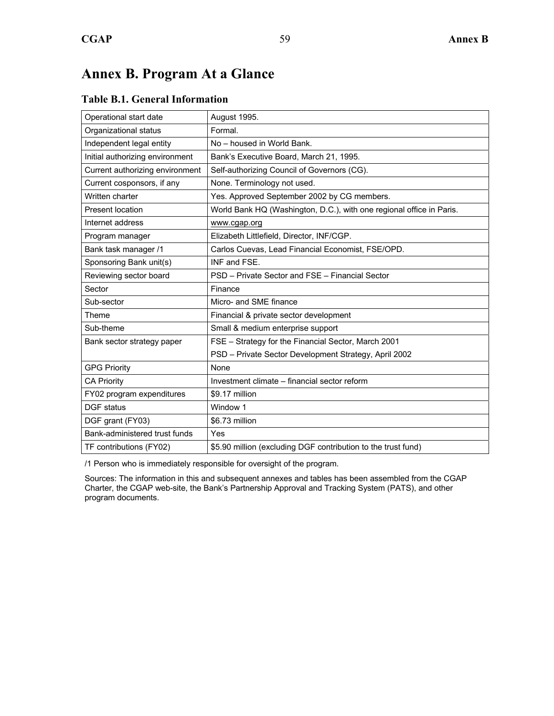### **Annex B. Program At a Glance**

### Operational start date | August 1995. Organizational status | Formal. Independent legal entity  $\vert$  No – housed in World Bank. Initial authorizing environment | Bank's Executive Board, March 21, 1995. Current authorizing environment  $\vert$  Self-authorizing Council of Governors (CG). Current cosponsors, if any **None.** Terminology not used. Written charter **Yes. Approved September 2002 by CG members.** Present location **World Bank HQ (Washington, D.C.), with one regional office in Paris.** Internet address www.cgap.org Program manager **Elizabeth Littlefield, Director, INF/CGP.** Bank task manager /1 **Carlos Cuevas, Lead Financial Economist, FSE/OPD.** Sponsoring Bank unit(s) | INF and FSE. Reviewing sector board **PSD** – Private Sector and FSE – Financial Sector Sector **Finance** Sub-sector Micro- and SME finance Theme Financial & private sector development Sub-theme Sub-theme Sub-theme Sub-theme  $\vert$  Small & medium enterprise support Bank sector strategy paper  $\vert$  FSE – Strategy for the Financial Sector, March 2001 PSD – Private Sector Development Strategy, April 2002 GPG Priority **None** CA Priority **Investment climate – financial sector reform** FY02 program expenditures  $\frac{1}{2}$  \$9.17 million DGF status Window 1  $\overline{DGF}$  grant (FY03)  $\overline{S6.73}$  million Bank-administered trust funds | Yes TF contributions (FY02)  $\left| \frac{1}{25.90} \right|$  million (excluding DGF contribution to the trust fund)

#### **Table B.1. General Information**

/1 Person who is immediately responsible for oversight of the program.

Sources: The information in this and subsequent annexes and tables has been assembled from the CGAP Charter, the CGAP web-site, the Bank's Partnership Approval and Tracking System (PATS), and other program documents.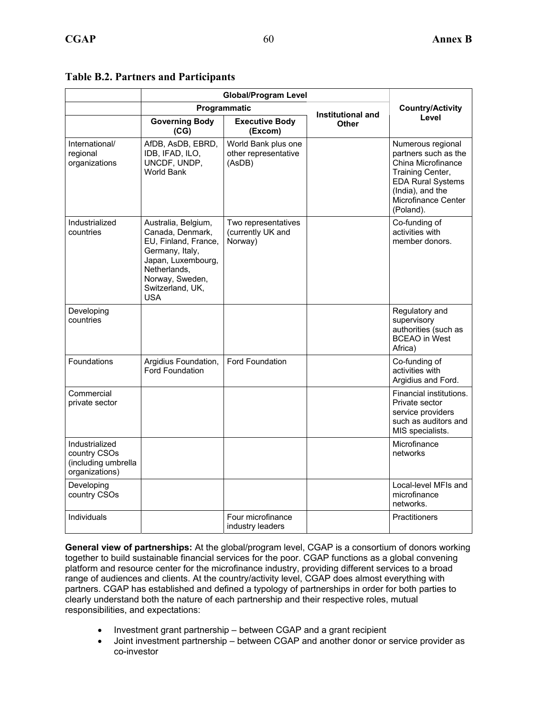|                                                                         |                                                                                                                                                                        | <b>Global/Program Level</b>                           |                         |                                                                                                                                                                         |
|-------------------------------------------------------------------------|------------------------------------------------------------------------------------------------------------------------------------------------------------------------|-------------------------------------------------------|-------------------------|-------------------------------------------------------------------------------------------------------------------------------------------------------------------------|
|                                                                         |                                                                                                                                                                        |                                                       |                         |                                                                                                                                                                         |
|                                                                         | Programmatic                                                                                                                                                           | Institutional and                                     | <b>Country/Activity</b> |                                                                                                                                                                         |
|                                                                         | <b>Governing Body</b><br>(CG)                                                                                                                                          | <b>Executive Body</b><br>(Excom)                      | Other                   | Level                                                                                                                                                                   |
| International/<br>regional<br>organizations                             | AfDB, AsDB, EBRD,<br>IDB, IFAD, ILO,<br>UNCDF, UNDP,<br><b>World Bank</b>                                                                                              | World Bank plus one<br>other representative<br>(AsDB) |                         | Numerous regional<br>partners such as the<br>China Microfinance<br>Training Center,<br><b>EDA Rural Systems</b><br>(India), and the<br>Microfinance Center<br>(Poland). |
| Industrialized<br>countries                                             | Australia, Belgium,<br>Canada, Denmark,<br>EU, Finland, France,<br>Germany, Italy,<br>Japan, Luxembourg,<br>Netherlands,<br>Norway, Sweden,<br>Switzerland, UK,<br>USA | Two representatives<br>(currently UK and<br>Norway)   |                         | Co-funding of<br>activities with<br>member donors.                                                                                                                      |
| Developing<br>countries                                                 |                                                                                                                                                                        |                                                       |                         | Regulatory and<br>supervisory<br>authorities (such as<br><b>BCEAO</b> in West<br>Africa)                                                                                |
| Foundations                                                             | Argidius Foundation,<br><b>Ford Foundation</b>                                                                                                                         | <b>Ford Foundation</b>                                |                         | Co-funding of<br>activities with<br>Argidius and Ford.                                                                                                                  |
| Commercial<br>private sector                                            |                                                                                                                                                                        |                                                       |                         | Financial institutions.<br>Private sector<br>service providers<br>such as auditors and<br>MIS specialists.                                                              |
| Industrialized<br>country CSOs<br>(including umbrella<br>organizations) |                                                                                                                                                                        |                                                       |                         | Microfinance<br>networks                                                                                                                                                |
| Developing<br>country CSOs                                              |                                                                                                                                                                        |                                                       |                         | Local-level MFIs and<br>microfinance<br>networks.                                                                                                                       |
| Individuals                                                             |                                                                                                                                                                        | Four microfinance<br>industry leaders                 |                         | <b>Practitioners</b>                                                                                                                                                    |

#### **Table B.2. Partners and Participants**

**General view of partnerships:** At the global/program level, CGAP is a consortium of donors working together to build sustainable financial services for the poor. CGAP functions as a global convening platform and resource center for the microfinance industry, providing different services to a broad range of audiences and clients. At the country/activity level, CGAP does almost everything with partners. CGAP has established and defined a typology of partnerships in order for both parties to clearly understand both the nature of each partnership and their respective roles, mutual responsibilities, and expectations:

- Investment grant partnership between CGAP and a grant recipient
- Joint investment partnership between CGAP and another donor or service provider as co-investor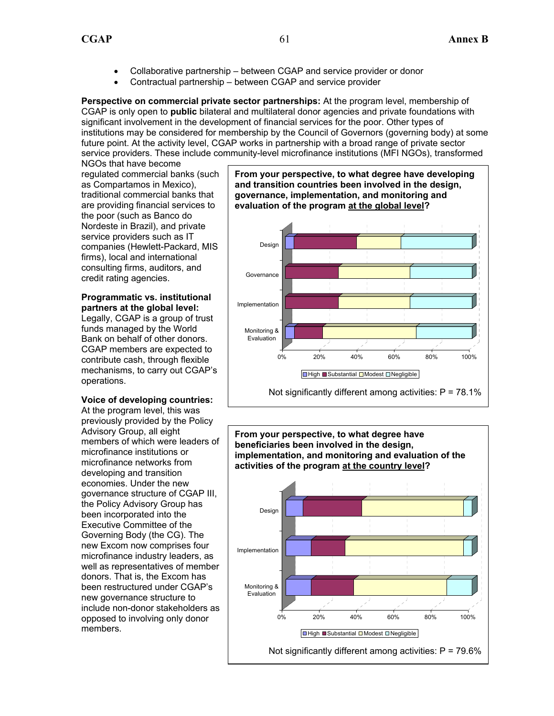- Collaborative partnership between CGAP and service provider or donor
- Contractual partnership between CGAP and service provider

**Perspective on commercial private sector partnerships:** At the program level, membership of CGAP is only open to **public** bilateral and multilateral donor agencies and private foundations with significant involvement in the development of financial services for the poor. Other types of institutions may be considered for membership by the Council of Governors (governing body) at some future point. At the activity level, CGAP works in partnership with a broad range of private sector service providers. These include community-level microfinance institutions (MFI NGOs), transformed

NGOs that have become regulated commercial banks (such as Compartamos in Mexico), traditional commercial banks that are providing financial services to the poor (such as Banco do Nordeste in Brazil), and private service providers such as IT companies (Hewlett-Packard, MIS firms), local and international consulting firms, auditors, and credit rating agencies.

#### **Programmatic vs. institutional partners at the global level:**

Legally, CGAP is a group of trust funds managed by the World Bank on behalf of other donors. CGAP members are expected to contribute cash, through flexible mechanisms, to carry out CGAP's operations.

#### **Voice of developing countries:**

At the program level, this was previously provided by the Policy Advisory Group, all eight members of which were leaders of microfinance institutions or microfinance networks from developing and transition economies. Under the new governance structure of CGAP III, the Policy Advisory Group has been incorporated into the Executive Committee of the Governing Body (the CG). The new Excom now comprises four microfinance industry leaders, as well as representatives of member donors. That is, the Excom has been restructured under CGAP's new governance structure to include non-donor stakeholders as opposed to involving only donor members.



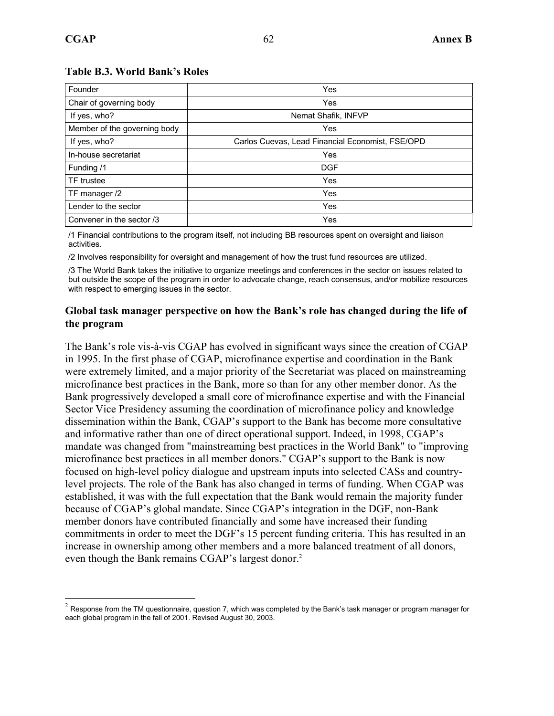$\overline{a}$ 

#### **Table B.3. World Bank's Roles**

| Founder                      | Yes                                              |
|------------------------------|--------------------------------------------------|
| Chair of governing body      | Yes                                              |
| If yes, who?                 | Nemat Shafik, INFVP                              |
| Member of the governing body | Yes                                              |
| If yes, who?                 | Carlos Cuevas, Lead Financial Economist, FSE/OPD |
| In-house secretariat         | Yes                                              |
| Funding /1                   | <b>DGF</b>                                       |
| <b>TF</b> trustee            | Yes                                              |
| TF manager /2                | Yes                                              |
| Lender to the sector         | Yes                                              |
| Convener in the sector /3    | Yes                                              |

/1 Financial contributions to the program itself, not including BB resources spent on oversight and liaison activities.

/2 Involves responsibility for oversight and management of how the trust fund resources are utilized.

/3 The World Bank takes the initiative to organize meetings and conferences in the sector on issues related to but outside the scope of the program in order to advocate change, reach consensus, and/or mobilize resources with respect to emerging issues in the sector.

#### **Global task manager perspective on how the Bank's role has changed during the life of the program**

The Bank's role vis-à-vis CGAP has evolved in significant ways since the creation of CGAP in 1995. In the first phase of CGAP, microfinance expertise and coordination in the Bank were extremely limited, and a major priority of the Secretariat was placed on mainstreaming microfinance best practices in the Bank, more so than for any other member donor. As the Bank progressively developed a small core of microfinance expertise and with the Financial Sector Vice Presidency assuming the coordination of microfinance policy and knowledge dissemination within the Bank, CGAP's support to the Bank has become more consultative and informative rather than one of direct operational support. Indeed, in 1998, CGAP's mandate was changed from "mainstreaming best practices in the World Bank" to "improving microfinance best practices in all member donors." CGAP's support to the Bank is now focused on high-level policy dialogue and upstream inputs into selected CASs and countrylevel projects. The role of the Bank has also changed in terms of funding. When CGAP was established, it was with the full expectation that the Bank would remain the majority funder because of CGAP's global mandate. Since CGAP's integration in the DGF, non-Bank member donors have contributed financially and some have increased their funding commitments in order to meet the DGF's 15 percent funding criteria. This has resulted in an increase in ownership among other members and a more balanced treatment of all donors, even though the Bank remains CGAP's largest donor.<sup>2</sup>

 $2$  Response from the TM questionnaire, question 7, which was completed by the Bank's task manager or program manager for each global program in the fall of 2001. Revised August 30, 2003.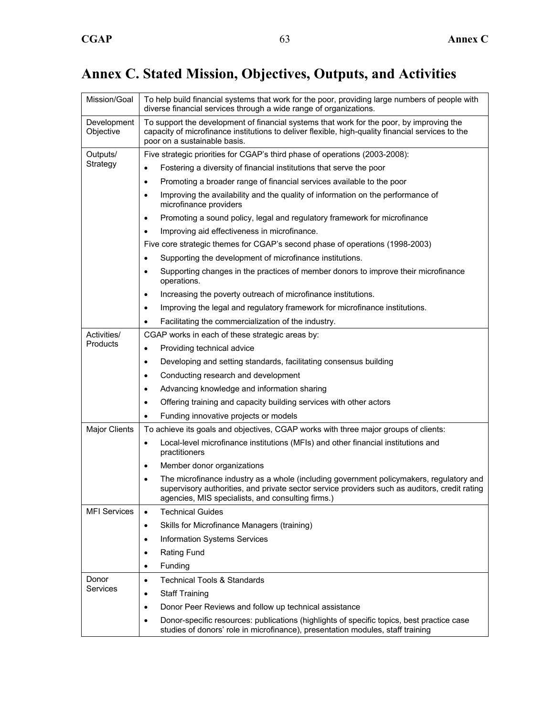# **Annex C. Stated Mission, Objectives, Outputs, and Activities**

| Mission/Goal             | To help build financial systems that work for the poor, providing large numbers of people with<br>diverse financial services through a wide range of organizations.                                                                                        |  |  |  |  |  |
|--------------------------|------------------------------------------------------------------------------------------------------------------------------------------------------------------------------------------------------------------------------------------------------------|--|--|--|--|--|
| Development<br>Objective | To support the development of financial systems that work for the poor, by improving the<br>capacity of microfinance institutions to deliver flexible, high-quality financial services to the<br>poor on a sustainable basis.                              |  |  |  |  |  |
| Outputs/                 | Five strategic priorities for CGAP's third phase of operations (2003-2008):                                                                                                                                                                                |  |  |  |  |  |
| Strategy                 | Fostering a diversity of financial institutions that serve the poor<br>$\bullet$                                                                                                                                                                           |  |  |  |  |  |
|                          | Promoting a broader range of financial services available to the poor<br>$\bullet$                                                                                                                                                                         |  |  |  |  |  |
|                          | Improving the availability and the quality of information on the performance of<br>$\bullet$<br>microfinance providers                                                                                                                                     |  |  |  |  |  |
|                          | Promoting a sound policy, legal and regulatory framework for microfinance<br>$\bullet$                                                                                                                                                                     |  |  |  |  |  |
|                          | Improving aid effectiveness in microfinance.<br>$\bullet$                                                                                                                                                                                                  |  |  |  |  |  |
|                          | Five core strategic themes for CGAP's second phase of operations (1998-2003)                                                                                                                                                                               |  |  |  |  |  |
|                          | Supporting the development of microfinance institutions.<br>٠                                                                                                                                                                                              |  |  |  |  |  |
|                          | Supporting changes in the practices of member donors to improve their microfinance<br>operations.                                                                                                                                                          |  |  |  |  |  |
|                          | Increasing the poverty outreach of microfinance institutions.<br>$\bullet$                                                                                                                                                                                 |  |  |  |  |  |
|                          | Improving the legal and regulatory framework for microfinance institutions.<br>$\bullet$                                                                                                                                                                   |  |  |  |  |  |
|                          | Facilitating the commercialization of the industry.<br>$\bullet$                                                                                                                                                                                           |  |  |  |  |  |
| Activities/              | CGAP works in each of these strategic areas by:                                                                                                                                                                                                            |  |  |  |  |  |
| Products                 | Providing technical advice<br>$\bullet$                                                                                                                                                                                                                    |  |  |  |  |  |
|                          | Developing and setting standards, facilitating consensus building<br>$\bullet$                                                                                                                                                                             |  |  |  |  |  |
|                          | Conducting research and development<br>$\bullet$                                                                                                                                                                                                           |  |  |  |  |  |
|                          | Advancing knowledge and information sharing<br>$\bullet$                                                                                                                                                                                                   |  |  |  |  |  |
|                          | Offering training and capacity building services with other actors<br>$\bullet$                                                                                                                                                                            |  |  |  |  |  |
|                          | Funding innovative projects or models                                                                                                                                                                                                                      |  |  |  |  |  |
| <b>Major Clients</b>     | To achieve its goals and objectives, CGAP works with three major groups of clients:                                                                                                                                                                        |  |  |  |  |  |
|                          | Local-level microfinance institutions (MFIs) and other financial institutions and<br>$\bullet$<br>practitioners                                                                                                                                            |  |  |  |  |  |
|                          | Member donor organizations<br>$\bullet$                                                                                                                                                                                                                    |  |  |  |  |  |
|                          | The microfinance industry as a whole (including government policymakers, regulatory and<br>$\bullet$<br>supervisory authorities, and private sector service providers such as auditors, credit rating<br>agencies, MIS specialists, and consulting firms.) |  |  |  |  |  |
| <b>MFI Services</b>      | <b>Technical Guides</b><br>$\bullet$                                                                                                                                                                                                                       |  |  |  |  |  |
|                          | Skills for Microfinance Managers (training)<br>$\bullet$                                                                                                                                                                                                   |  |  |  |  |  |
|                          | Information Systems Services                                                                                                                                                                                                                               |  |  |  |  |  |
|                          | <b>Rating Fund</b><br>٠                                                                                                                                                                                                                                    |  |  |  |  |  |
|                          | Funding                                                                                                                                                                                                                                                    |  |  |  |  |  |
| Donor                    | <b>Technical Tools &amp; Standards</b><br>$\bullet$                                                                                                                                                                                                        |  |  |  |  |  |
| Services                 | <b>Staff Training</b>                                                                                                                                                                                                                                      |  |  |  |  |  |
|                          | Donor Peer Reviews and follow up technical assistance<br>٠                                                                                                                                                                                                 |  |  |  |  |  |
|                          | Donor-specific resources: publications (highlights of specific topics, best practice case<br>studies of donors' role in microfinance), presentation modules, staff training                                                                                |  |  |  |  |  |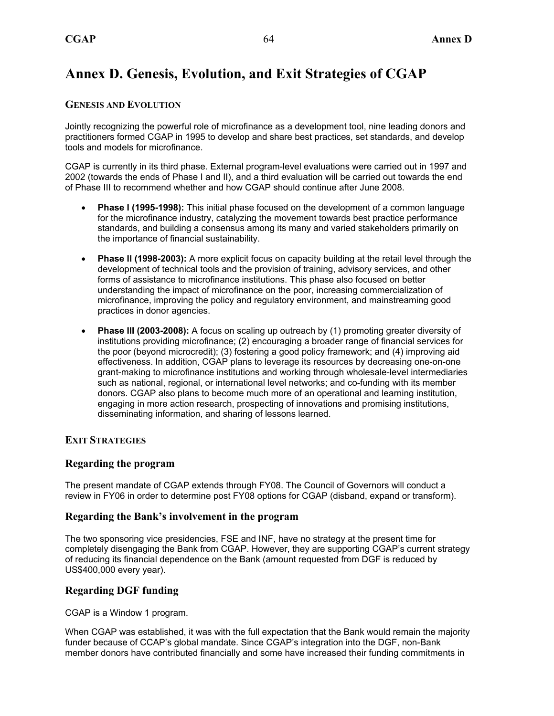### **Annex D. Genesis, Evolution, and Exit Strategies of CGAP**

#### **GENESIS AND EVOLUTION**

Jointly recognizing the powerful role of microfinance as a development tool, nine leading donors and practitioners formed CGAP in 1995 to develop and share best practices, set standards, and develop tools and models for microfinance.

CGAP is currently in its third phase. External program-level evaluations were carried out in 1997 and 2002 (towards the ends of Phase I and II), and a third evaluation will be carried out towards the end of Phase III to recommend whether and how CGAP should continue after June 2008.

- **Phase I (1995-1998):** This initial phase focused on the development of a common language for the microfinance industry, catalyzing the movement towards best practice performance standards, and building a consensus among its many and varied stakeholders primarily on the importance of financial sustainability.
- **Phase II (1998-2003):** A more explicit focus on capacity building at the retail level through the development of technical tools and the provision of training, advisory services, and other forms of assistance to microfinance institutions. This phase also focused on better understanding the impact of microfinance on the poor, increasing commercialization of microfinance, improving the policy and regulatory environment, and mainstreaming good practices in donor agencies.
- **Phase III (2003-2008):** A focus on scaling up outreach by (1) promoting greater diversity of institutions providing microfinance; (2) encouraging a broader range of financial services for the poor (beyond microcredit); (3) fostering a good policy framework; and (4) improving aid effectiveness. In addition, CGAP plans to leverage its resources by decreasing one-on-one grant-making to microfinance institutions and working through wholesale-level intermediaries such as national, regional, or international level networks; and co-funding with its member donors. CGAP also plans to become much more of an operational and learning institution, engaging in more action research, prospecting of innovations and promising institutions, disseminating information, and sharing of lessons learned.

#### **EXIT STRATEGIES**

#### **Regarding the program**

The present mandate of CGAP extends through FY08. The Council of Governors will conduct a review in FY06 in order to determine post FY08 options for CGAP (disband, expand or transform).

#### **Regarding the Bank's involvement in the program**

The two sponsoring vice presidencies, FSE and INF, have no strategy at the present time for completely disengaging the Bank from CGAP. However, they are supporting CGAP's current strategy of reducing its financial dependence on the Bank (amount requested from DGF is reduced by US\$400,000 every year).

#### **Regarding DGF funding**

CGAP is a Window 1 program.

When CGAP was established, it was with the full expectation that the Bank would remain the majority funder because of CCAP's global mandate. Since CGAP's integration into the DGF, non-Bank member donors have contributed financially and some have increased their funding commitments in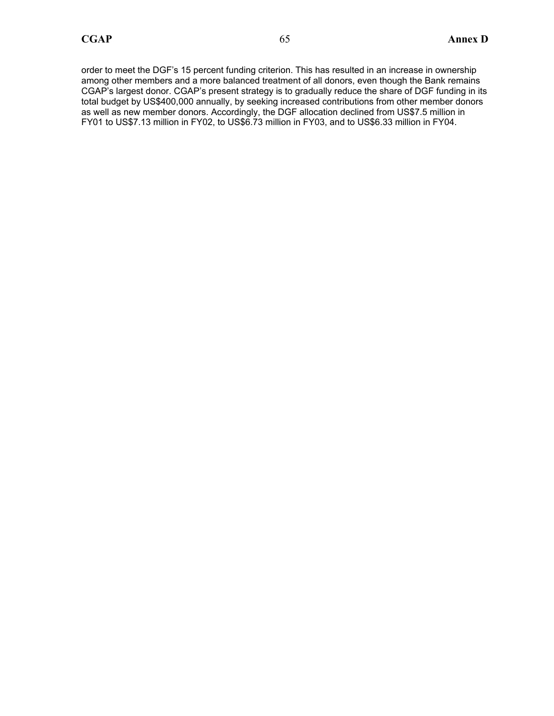order to meet the DGF's 15 percent funding criterion. This has resulted in an increase in ownership among other members and a more balanced treatment of all donors, even though the Bank remains CGAP's largest donor. CGAP's present strategy is to gradually reduce the share of DGF funding in its total budget by US\$400,000 annually, by seeking increased contributions from other member donors as well as new member donors. Accordingly, the DGF allocation declined from US\$7.5 million in FY01 to US\$7.13 million in FY02, to US\$6.73 million in FY03, and to US\$6.33 million in FY04.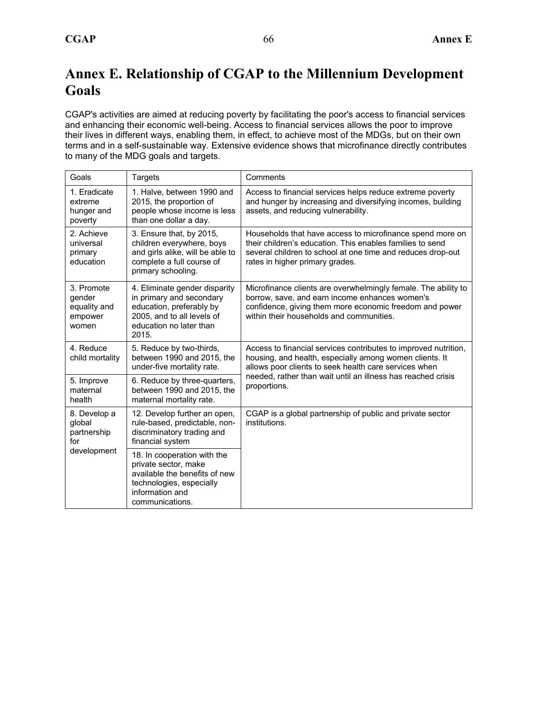## **Annex E. Relationship of CGAP to the Millennium Development Goals**

CGAP's activities are aimed at reducing poverty by facilitating the poor's access to financial services and enhancing their economic well-being. Access to financial services allows the poor to improve their lives in different ways, enabling them, in effect, to achieve most of the MDGs, but on their own terms and in a self-sustainable way. Extensive evidence shows that microfinance directly contributes to many of the MDG goals and targets.

| Goals                                                    | Targets                                                                                                                                                 | Comments                                                                                                                                                                                                                 |
|----------------------------------------------------------|---------------------------------------------------------------------------------------------------------------------------------------------------------|--------------------------------------------------------------------------------------------------------------------------------------------------------------------------------------------------------------------------|
| 1. Eradicate<br>extreme<br>hunger and<br>poverty         | 1. Halve, between 1990 and<br>2015, the proportion of<br>people whose income is less<br>than one dollar a day.                                          | Access to financial services helps reduce extreme poverty<br>and hunger by increasing and diversifying incomes, building<br>assets, and reducing vulnerability.                                                          |
| 2. Achieve<br>universal<br>primary<br>education          | 3. Ensure that, by 2015,<br>children everywhere, boys<br>and girls alike, will be able to<br>complete a full course of<br>primary schooling.            | Households that have access to microfinance spend more on<br>their children's education. This enables families to send<br>several children to school at one time and reduces drop-out<br>rates in higher primary grades. |
| 3. Promote<br>gender<br>equality and<br>empower<br>women | 4. Eliminate gender disparity<br>in primary and secondary<br>education, preferably by<br>2005, and to all levels of<br>education no later than<br>2015. | Microfinance clients are overwhelmingly female. The ability to<br>borrow, save, and earn income enhances women's<br>confidence, giving them more economic freedom and power<br>within their households and communities.  |
| 4. Reduce<br>child mortality                             | 5. Reduce by two-thirds,<br>between 1990 and 2015, the<br>under-five mortality rate.                                                                    | Access to financial services contributes to improved nutrition,<br>housing, and health, especially among women clients. It<br>allows poor clients to seek health care services when                                      |
| 5. Improve<br>maternal<br>health                         | 6. Reduce by three-quarters,<br>between 1990 and 2015, the<br>maternal mortality rate.                                                                  | needed, rather than wait until an illness has reached crisis<br>proportions.                                                                                                                                             |
| 8. Develop a<br>global<br>partnership<br>for             | 12. Develop further an open,<br>rule-based, predictable, non-<br>discriminatory trading and<br>financial system                                         | CGAP is a global partnership of public and private sector<br>institutions.                                                                                                                                               |
| development                                              | 18. In cooperation with the<br>private sector, make<br>available the benefits of new<br>technologies, especially<br>information and<br>communications.  |                                                                                                                                                                                                                          |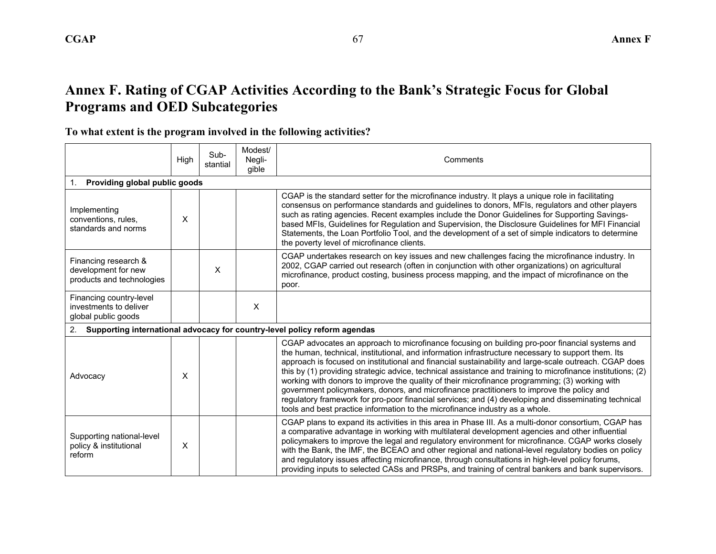## **Annex F. Rating of CGAP Activities According to the Bank's Strategic Focus for Global Programs and OED Subcategories**

### **To what extent is the program involved in the following activities?**

|                                                                                 | High | Sub-<br>stantial | Modest/<br>Negli-<br>gible | Comments                                                                                                                                                                                                                                                                                                                                                                                                                                                                                                                                                                                                                                                                                                                                                                                                            |  |
|---------------------------------------------------------------------------------|------|------------------|----------------------------|---------------------------------------------------------------------------------------------------------------------------------------------------------------------------------------------------------------------------------------------------------------------------------------------------------------------------------------------------------------------------------------------------------------------------------------------------------------------------------------------------------------------------------------------------------------------------------------------------------------------------------------------------------------------------------------------------------------------------------------------------------------------------------------------------------------------|--|
| Providing global public goods<br>1.                                             |      |                  |                            |                                                                                                                                                                                                                                                                                                                                                                                                                                                                                                                                                                                                                                                                                                                                                                                                                     |  |
| Implementing<br>conventions, rules,<br>standards and norms                      | X    |                  |                            | CGAP is the standard setter for the microfinance industry. It plays a unique role in facilitating<br>consensus on performance standards and guidelines to donors, MFIs, regulators and other players<br>such as rating agencies. Recent examples include the Donor Guidelines for Supporting Savings-<br>based MFIs, Guidelines for Regulation and Supervision, the Disclosure Guidelines for MFI Financial<br>Statements, the Loan Portfolio Tool, and the development of a set of simple indicators to determine<br>the poverty level of microfinance clients.                                                                                                                                                                                                                                                    |  |
| Financing research &<br>development for new<br>products and technologies        |      | $\times$         |                            | CGAP undertakes research on key issues and new challenges facing the microfinance industry. In<br>2002, CGAP carried out research (often in conjunction with other organizations) on agricultural<br>microfinance, product costing, business process mapping, and the impact of microfinance on the<br>poor.                                                                                                                                                                                                                                                                                                                                                                                                                                                                                                        |  |
| Financing country-level<br>investments to deliver<br>global public goods        |      |                  | X                          |                                                                                                                                                                                                                                                                                                                                                                                                                                                                                                                                                                                                                                                                                                                                                                                                                     |  |
| Supporting international advocacy for country-level policy reform agendas<br>2. |      |                  |                            |                                                                                                                                                                                                                                                                                                                                                                                                                                                                                                                                                                                                                                                                                                                                                                                                                     |  |
| Advocacy                                                                        | X    |                  |                            | CGAP advocates an approach to microfinance focusing on building pro-poor financial systems and<br>the human, technical, institutional, and information infrastructure necessary to support them. Its<br>approach is focused on institutional and financial sustainability and large-scale outreach. CGAP does<br>this by (1) providing strategic advice, technical assistance and training to microfinance institutions; (2)<br>working with donors to improve the quality of their microfinance programming; (3) working with<br>government policymakers, donors, and microfinance practitioners to improve the policy and<br>regulatory framework for pro-poor financial services; and (4) developing and disseminating technical<br>tools and best practice information to the microfinance industry as a whole. |  |
| Supporting national-level<br>policy & institutional<br>reform                   | X    |                  |                            | CGAP plans to expand its activities in this area in Phase III. As a multi-donor consortium, CGAP has<br>a comparative advantage in working with multilateral development agencies and other influential<br>policymakers to improve the legal and regulatory environment for microfinance. CGAP works closely<br>with the Bank, the IMF, the BCEAO and other regional and national-level regulatory bodies on policy<br>and regulatory issues affecting microfinance, through consultations in high-level policy forums,<br>providing inputs to selected CASs and PRSPs, and training of central bankers and bank supervisors.                                                                                                                                                                                       |  |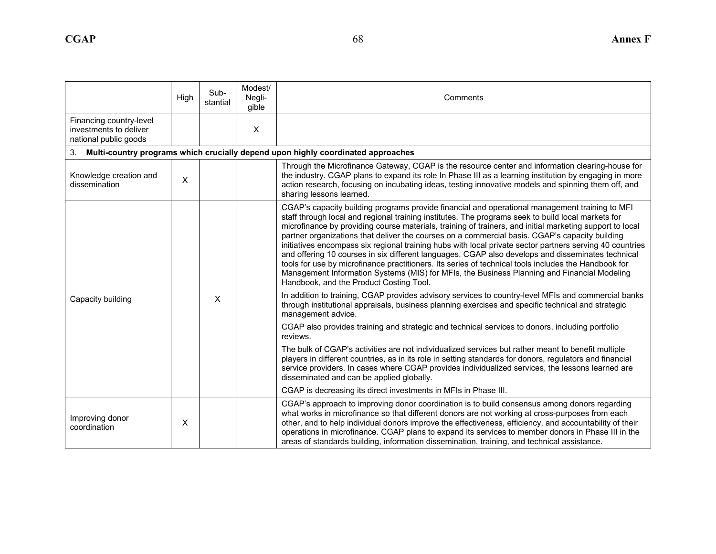|                                                                            | High                      | Sub-<br>stantial | Modest/<br>Negli-<br>gible | Comments                                                                                                                                                                                                                                                                                                                                                                                                                                                                                                                                                                                                                                                                                                                                                                                                                                                                              |
|----------------------------------------------------------------------------|---------------------------|------------------|----------------------------|---------------------------------------------------------------------------------------------------------------------------------------------------------------------------------------------------------------------------------------------------------------------------------------------------------------------------------------------------------------------------------------------------------------------------------------------------------------------------------------------------------------------------------------------------------------------------------------------------------------------------------------------------------------------------------------------------------------------------------------------------------------------------------------------------------------------------------------------------------------------------------------|
| Financing country-level<br>investments to deliver<br>national public goods |                           |                  | $\pmb{\times}$             |                                                                                                                                                                                                                                                                                                                                                                                                                                                                                                                                                                                                                                                                                                                                                                                                                                                                                       |
| 3 <sub>1</sub>                                                             |                           |                  |                            | Multi-country programs which crucially depend upon highly coordinated approaches                                                                                                                                                                                                                                                                                                                                                                                                                                                                                                                                                                                                                                                                                                                                                                                                      |
| Knowledge creation and<br>dissemination                                    | $\boldsymbol{\mathsf{X}}$ |                  |                            | Through the Microfinance Gateway, CGAP is the resource center and information clearing-house for<br>the industry. CGAP plans to expand its role In Phase III as a learning institution by engaging in more<br>action research, focusing on incubating ideas, testing innovative models and spinning them off, and<br>sharing lessons learned.                                                                                                                                                                                                                                                                                                                                                                                                                                                                                                                                         |
|                                                                            |                           |                  |                            | CGAP's capacity building programs provide financial and operational management training to MFI<br>staff through local and regional training institutes. The programs seek to build local markets for<br>microfinance by providing course materials, training of trainers, and initial marketing support to local<br>partner organizations that deliver the courses on a commercial basis. CGAP's capacity building<br>initiatives encompass six regional training hubs with local private sector partners serving 40 countries<br>and offering 10 courses in six different languages. CGAP also develops and disseminates technical<br>tools for use by microfinance practitioners. Its series of technical tools includes the Handbook for<br>Management Information Systems (MIS) for MFIs, the Business Planning and Financial Modeling<br>Handbook, and the Product Costing Tool. |
| Capacity building                                                          |                           | X                |                            | In addition to training, CGAP provides advisory services to country-level MFIs and commercial banks<br>through institutional appraisals, business planning exercises and specific technical and strategic<br>management advice.                                                                                                                                                                                                                                                                                                                                                                                                                                                                                                                                                                                                                                                       |
|                                                                            |                           |                  |                            | CGAP also provides training and strategic and technical services to donors, including portfolio<br>reviews.                                                                                                                                                                                                                                                                                                                                                                                                                                                                                                                                                                                                                                                                                                                                                                           |
|                                                                            |                           |                  |                            | The bulk of CGAP's activities are not individualized services but rather meant to benefit multiple<br>players in different countries, as in its role in setting standards for donors, regulators and financial<br>service providers. In cases where CGAP provides individualized services, the lessons learned are<br>disseminated and can be applied globally.                                                                                                                                                                                                                                                                                                                                                                                                                                                                                                                       |
|                                                                            |                           |                  |                            | CGAP is decreasing its direct investments in MFIs in Phase III.                                                                                                                                                                                                                                                                                                                                                                                                                                                                                                                                                                                                                                                                                                                                                                                                                       |
| Improving donor<br>coordination                                            | X                         |                  |                            | CGAP's approach to improving donor coordination is to build consensus among donors regarding<br>what works in microfinance so that different donors are not working at cross-purposes from each<br>other, and to help individual donors improve the effectiveness, efficiency, and accountability of their<br>operations in microfinance. CGAP plans to expand its services to member donors in Phase III in the<br>areas of standards building, information dissemination, training, and technical assistance.                                                                                                                                                                                                                                                                                                                                                                       |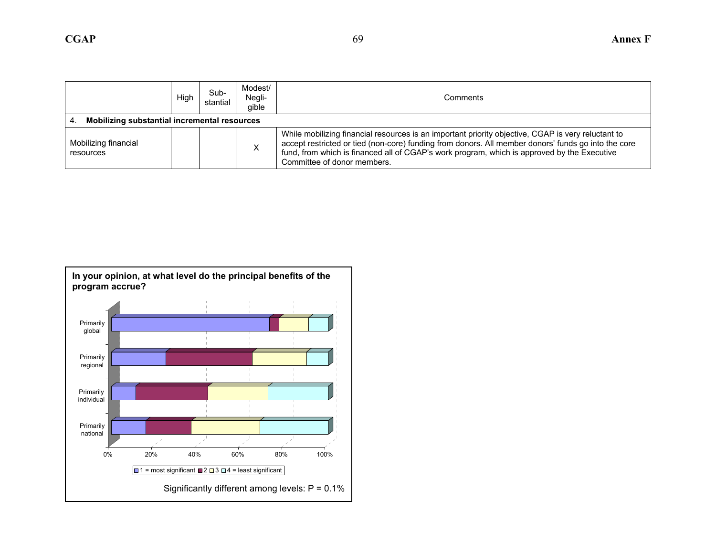|                                   | High                                         | Sub-<br>stantial | Modest/<br>Negli-<br>gible | Comments                                                                                                                                                                                                                                                                                                                                |  |  |
|-----------------------------------|----------------------------------------------|------------------|----------------------------|-----------------------------------------------------------------------------------------------------------------------------------------------------------------------------------------------------------------------------------------------------------------------------------------------------------------------------------------|--|--|
| 4.                                | Mobilizing substantial incremental resources |                  |                            |                                                                                                                                                                                                                                                                                                                                         |  |  |
| Mobilizing financial<br>resources |                                              |                  | X                          | While mobilizing financial resources is an important priority objective, CGAP is very reluctant to<br>accept restricted or tied (non-core) funding from donors. All member donors' funds go into the core<br>fund, from which is financed all of CGAP's work program, which is approved by the Executive<br>Committee of donor members. |  |  |

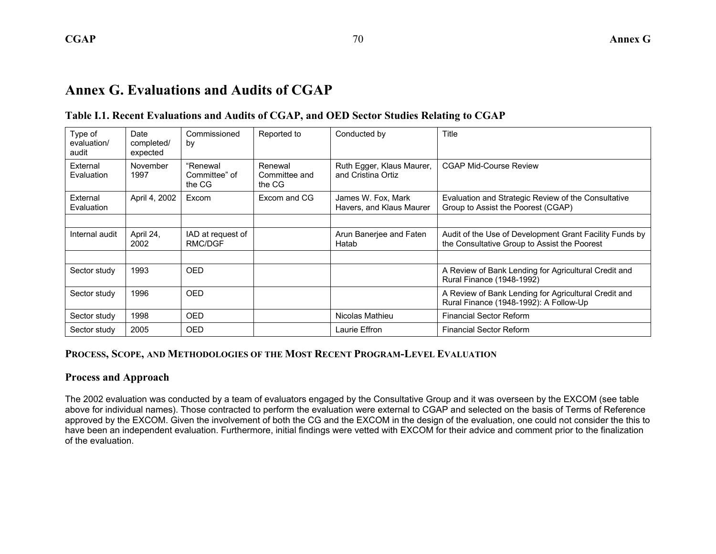### **Annex G. Evaluations and Audits of CGAP**

#### **Table I.1. Recent Evaluations and Audits of CGAP, and OED Sector Studies Relating to CGAP**

| Type of<br>evaluation/<br>audit | Date<br>completed/<br>expected | Commissioned<br>by                  | Reported to                        | Conducted by                                    | Title                                                                                                   |
|---------------------------------|--------------------------------|-------------------------------------|------------------------------------|-------------------------------------------------|---------------------------------------------------------------------------------------------------------|
| External<br>Evaluation          | November<br>1997               | "Renewal<br>Committee" of<br>the CG | Renewal<br>Committee and<br>the CG | Ruth Egger, Klaus Maurer,<br>and Cristina Ortiz | <b>CGAP Mid-Course Review</b>                                                                           |
| External<br>Evaluation          | April 4, 2002                  | Excom                               | Excom and CG                       | James W. Fox, Mark<br>Havers, and Klaus Maurer  | Evaluation and Strategic Review of the Consultative<br>Group to Assist the Poorest (CGAP)               |
|                                 |                                |                                     |                                    |                                                 |                                                                                                         |
| Internal audit                  | April 24,<br>2002              | IAD at request of<br>RMC/DGF        |                                    | Arun Banerjee and Faten<br>Hatab                | Audit of the Use of Development Grant Facility Funds by<br>the Consultative Group to Assist the Poorest |
|                                 |                                |                                     |                                    |                                                 |                                                                                                         |
| Sector study                    | 1993                           | <b>OED</b>                          |                                    |                                                 | A Review of Bank Lending for Agricultural Credit and<br>Rural Finance (1948-1992)                       |
| Sector study                    | 1996                           | <b>OED</b>                          |                                    |                                                 | A Review of Bank Lending for Agricultural Credit and<br>Rural Finance (1948-1992): A Follow-Up          |
| Sector study                    | 1998                           | <b>OED</b>                          |                                    | Nicolas Mathieu                                 | <b>Financial Sector Reform</b>                                                                          |
| Sector study                    | 2005                           | <b>OED</b>                          |                                    | Laurie Effron                                   | <b>Financial Sector Reform</b>                                                                          |

#### **PROCESS, SCOPE, AND METHODOLOGIES OF THE MOST RECENT PROGRAM-LEVEL EVALUATION**

#### **Process and Approach**

The 2002 evaluation was conducted by a team of evaluators engaged by the Consultative Group and it was overseen by the EXCOM (see table above for individual names). Those contracted to perform the evaluation were external to CGAP and selected on the basis of Terms of Reference approved by the EXCOM. Given the involvement of both the CG and the EXCOM in the design of the evaluation, one could not consider the this to have been an independent evaluation. Furthermore, initial findings were vetted with EXCOM for their advice and comment prior to the finalization of the evaluation.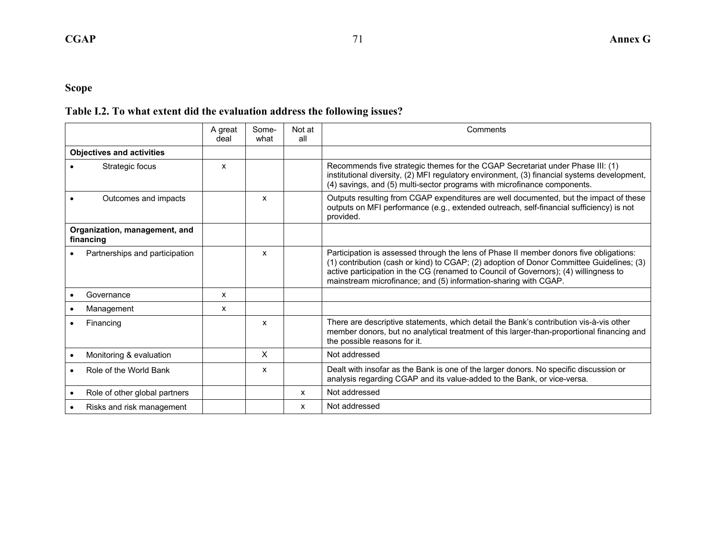### **Scope**

### **Table I.2. To what extent did the evaluation address the following issues?**

|                 |                                            | A great<br>deal | Some-<br>what | Not at<br>all | Comments                                                                                                                                                                                                                                                                                                                                      |
|-----------------|--------------------------------------------|-----------------|---------------|---------------|-----------------------------------------------------------------------------------------------------------------------------------------------------------------------------------------------------------------------------------------------------------------------------------------------------------------------------------------------|
|                 | <b>Objectives and activities</b>           |                 |               |               |                                                                                                                                                                                                                                                                                                                                               |
| Strategic focus |                                            | X               |               |               | Recommends five strategic themes for the CGAP Secretariat under Phase III: (1)<br>institutional diversity, (2) MFI regulatory environment, (3) financial systems development,<br>(4) savings, and (5) multi-sector programs with microfinance components.                                                                                     |
|                 | Outcomes and impacts                       |                 | $\mathsf{x}$  |               | Outputs resulting from CGAP expenditures are well documented, but the impact of these<br>outputs on MFI performance (e.g., extended outreach, self-financial sufficiency) is not<br>provided.                                                                                                                                                 |
|                 | Organization, management, and<br>financing |                 |               |               |                                                                                                                                                                                                                                                                                                                                               |
|                 | Partnerships and participation             |                 | X             |               | Participation is assessed through the lens of Phase II member donors five obligations:<br>(1) contribution (cash or kind) to CGAP; (2) adoption of Donor Committee Guidelines; (3)<br>active participation in the CG (renamed to Council of Governors); (4) willingness to<br>mainstream microfinance; and (5) information-sharing with CGAP. |
|                 | Governance                                 | $\mathsf{x}$    |               |               |                                                                                                                                                                                                                                                                                                                                               |
|                 | Management                                 | x               |               |               |                                                                                                                                                                                                                                                                                                                                               |
|                 | Financing                                  |                 | X             |               | There are descriptive statements, which detail the Bank's contribution vis-à-vis other<br>member donors, but no analytical treatment of this larger-than-proportional financing and<br>the possible reasons for it.                                                                                                                           |
|                 | Monitoring & evaluation                    |                 | X             |               | Not addressed                                                                                                                                                                                                                                                                                                                                 |
|                 | Role of the World Bank                     |                 | x             |               | Dealt with insofar as the Bank is one of the larger donors. No specific discussion or<br>analysis regarding CGAP and its value-added to the Bank, or vice-versa.                                                                                                                                                                              |
|                 | Role of other global partners              |                 |               | X             | Not addressed                                                                                                                                                                                                                                                                                                                                 |
|                 | Risks and risk management                  |                 |               | X             | Not addressed                                                                                                                                                                                                                                                                                                                                 |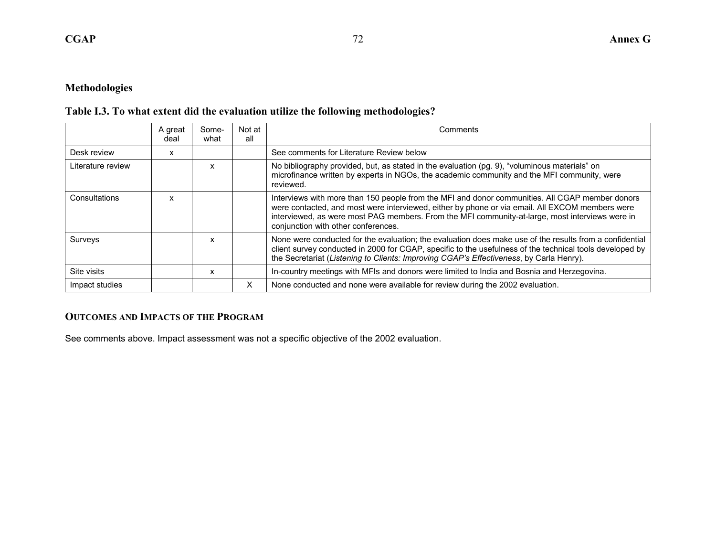#### **Methodologies**

#### **Table I.3. To what extent did the evaluation utilize the following methodologies?**

|                   | A great<br>deal | Some-<br>what | Not at<br>all | Comments                                                                                                                                                                                                                                                                                                                                     |  |
|-------------------|-----------------|---------------|---------------|----------------------------------------------------------------------------------------------------------------------------------------------------------------------------------------------------------------------------------------------------------------------------------------------------------------------------------------------|--|
| Desk review       | X               |               |               | See comments for Literature Review below                                                                                                                                                                                                                                                                                                     |  |
| Literature review |                 | x             |               | No bibliography provided, but, as stated in the evaluation (pg. 9), "voluminous materials" on<br>microfinance written by experts in NGOs, the academic community and the MFI community, were<br>reviewed.                                                                                                                                    |  |
| Consultations     | x               |               |               | Interviews with more than 150 people from the MFI and donor communities. All CGAP member donors<br>were contacted, and most were interviewed, either by phone or via email. All EXCOM members were<br>interviewed, as were most PAG members. From the MFI community-at-large, most interviews were in<br>conjunction with other conferences. |  |
| Surveys           |                 | x             |               | None were conducted for the evaluation; the evaluation does make use of the results from a confidential<br>client survey conducted in 2000 for CGAP, specific to the usefulness of the technical tools developed by<br>the Secretariat (Listening to Clients: Improving CGAP's Effectiveness, by Carla Henry).                               |  |
| Site visits       |                 | x             |               | In-country meetings with MFIs and donors were limited to India and Bosnia and Herzegovina.                                                                                                                                                                                                                                                   |  |
| Impact studies    |                 |               | X             | None conducted and none were available for review during the 2002 evaluation.                                                                                                                                                                                                                                                                |  |

#### **OUTCOMES AND IMPACTS OF THE PROGRAM**

See comments above. Impact assessment was not a specific objective of the 2002 evaluation.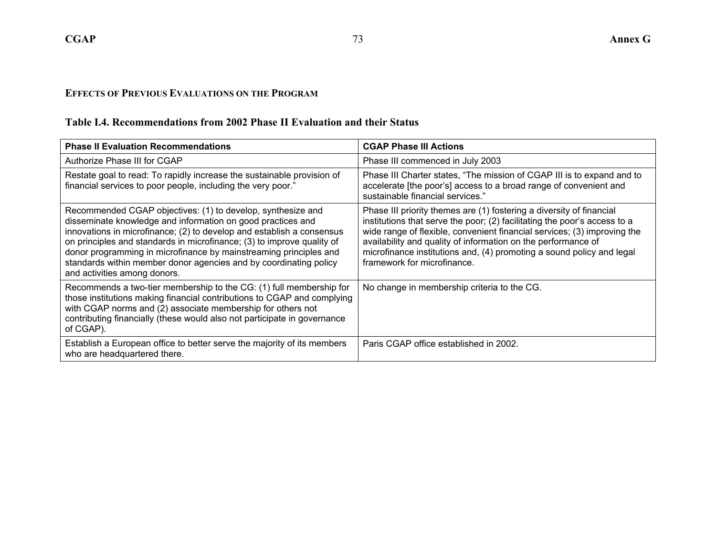#### **EFFECTS OF PREVIOUS EVALUATIONS ON THE PROGRAM**

#### **Table I.4. Recommendations from 2002 Phase II Evaluation and their Status**

| <b>Phase II Evaluation Recommendations</b>                                                                                                                                                                                                                                                                                                                                                                                                              | <b>CGAP Phase III Actions</b>                                                                                                                                                                                                                                                                                                                                                                          |  |  |  |
|---------------------------------------------------------------------------------------------------------------------------------------------------------------------------------------------------------------------------------------------------------------------------------------------------------------------------------------------------------------------------------------------------------------------------------------------------------|--------------------------------------------------------------------------------------------------------------------------------------------------------------------------------------------------------------------------------------------------------------------------------------------------------------------------------------------------------------------------------------------------------|--|--|--|
| Authorize Phase III for CGAP                                                                                                                                                                                                                                                                                                                                                                                                                            | Phase III commenced in July 2003                                                                                                                                                                                                                                                                                                                                                                       |  |  |  |
| Restate goal to read: To rapidly increase the sustainable provision of<br>financial services to poor people, including the very poor."                                                                                                                                                                                                                                                                                                                  | Phase III Charter states, "The mission of CGAP III is to expand and to<br>accelerate [the poor's] access to a broad range of convenient and<br>sustainable financial services."                                                                                                                                                                                                                        |  |  |  |
| Recommended CGAP objectives: (1) to develop, synthesize and<br>disseminate knowledge and information on good practices and<br>innovations in microfinance; (2) to develop and establish a consensus<br>on principles and standards in microfinance; (3) to improve quality of<br>donor programming in microfinance by mainstreaming principles and<br>standards within member donor agencies and by coordinating policy<br>and activities among donors. | Phase III priority themes are (1) fostering a diversity of financial<br>institutions that serve the poor; (2) facilitating the poor's access to a<br>wide range of flexible, convenient financial services; (3) improving the<br>availability and quality of information on the performance of<br>microfinance institutions and, (4) promoting a sound policy and legal<br>framework for microfinance. |  |  |  |
| Recommends a two-tier membership to the CG: (1) full membership for<br>those institutions making financial contributions to CGAP and complying<br>with CGAP norms and (2) associate membership for others not<br>contributing financially (these would also not participate in governance<br>of CGAP).                                                                                                                                                  | No change in membership criteria to the CG.                                                                                                                                                                                                                                                                                                                                                            |  |  |  |
| Establish a European office to better serve the majority of its members<br>who are headquartered there.                                                                                                                                                                                                                                                                                                                                                 | Paris CGAP office established in 2002.                                                                                                                                                                                                                                                                                                                                                                 |  |  |  |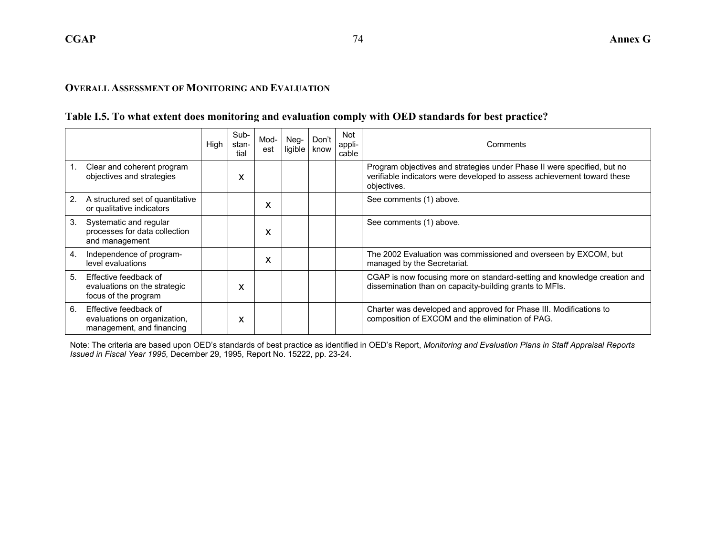#### **Table I.5. To what extent does monitoring and evaluation comply with OED standards for best practice?**

|    |                                                                                    | High | Sub-<br>stan-<br>tial | Mod-<br>est | Neg-<br>ligible | Don't<br>know | Not<br>appli-<br>cable | Comments                                                                                                                                                          |
|----|------------------------------------------------------------------------------------|------|-----------------------|-------------|-----------------|---------------|------------------------|-------------------------------------------------------------------------------------------------------------------------------------------------------------------|
| 1. | Clear and coherent program<br>objectives and strategies                            |      | x                     |             |                 |               |                        | Program objectives and strategies under Phase II were specified, but no<br>verifiable indicators were developed to assess achievement toward these<br>objectives. |
| 2. | A structured set of quantitative<br>or qualitative indicators                      |      |                       | x           |                 |               |                        | See comments (1) above.                                                                                                                                           |
| 3. | Systematic and regular<br>processes for data collection<br>and management          |      |                       | $\lambda$   |                 |               |                        | See comments (1) above.                                                                                                                                           |
| 4. | Independence of program-<br>level evaluations                                      |      |                       | x           |                 |               |                        | The 2002 Evaluation was commissioned and overseen by EXCOM, but<br>managed by the Secretariat.                                                                    |
| 5. | Effective feedback of<br>evaluations on the strategic<br>focus of the program      |      | x                     |             |                 |               |                        | CGAP is now focusing more on standard-setting and knowledge creation and<br>dissemination than on capacity-building grants to MFIs.                               |
| 6. | Effective feedback of<br>evaluations on organization,<br>management, and financing |      | X                     |             |                 |               |                        | Charter was developed and approved for Phase III. Modifications to<br>composition of EXCOM and the elimination of PAG.                                            |

Note: The criteria are based upon OED's standards of best practice as identified in OED's Report, *Monitoring and Evaluation Plans in Staff Appraisal Reports Issued in Fiscal Year 1995*, December 29, 1995, Report No. 15222, pp. 23-24.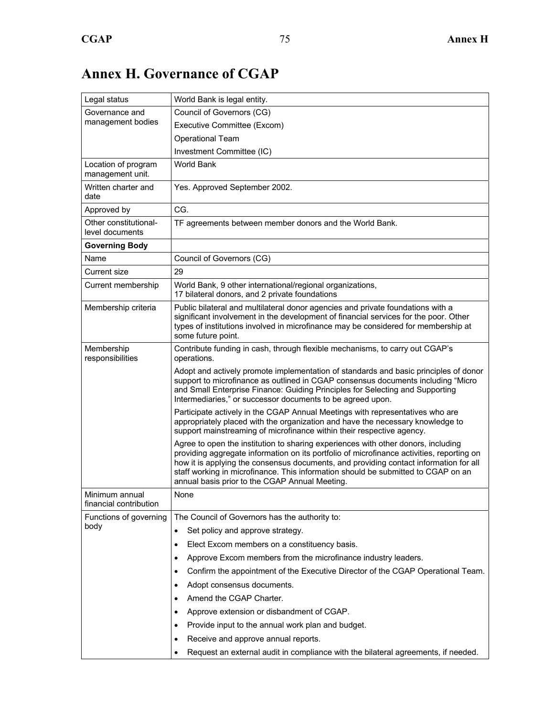#### Legal status **World Bank is legal entity.** Governance and management bodies Council of Governors (CG) Executive Committee (Excom) Operational Team Investment Committee (IC) Location of program management unit. World Bank Written charter and date Yes. Approved September 2002. Approved by CG. Other constitutionallevel documents TF agreements between member donors and the World Bank. **Governing Body**  Name Council of Governors (CG) Current size 29 Current membership | World Bank, 9 other international/regional organizations, 17 bilateral donors, and 2 private foundations Membership criteria Public bilateral and multilateral donor agencies and private foundations with a significant involvement in the development of financial services for the poor. Other types of institutions involved in microfinance may be considered for membership at some future point. Membership responsibilities Contribute funding in cash, through flexible mechanisms, to carry out CGAP's operations. Adopt and actively promote implementation of standards and basic principles of donor support to microfinance as outlined in CGAP consensus documents including "Micro and Small Enterprise Finance: Guiding Principles for Selecting and Supporting Intermediaries," or successor documents to be agreed upon. Participate actively in the CGAP Annual Meetings with representatives who are appropriately placed with the organization and have the necessary knowledge to support mainstreaming of microfinance within their respective agency. Agree to open the institution to sharing experiences with other donors, including providing aggregate information on its portfolio of microfinance activities, reporting on how it is applying the consensus documents, and providing contact information for all staff working in microfinance. This information should be submitted to CGAP on an annual basis prior to the CGAP Annual Meeting. Minimum annual financial contribution None Functions of governing body The Council of Governors has the authority to: Set policy and approve strategy. Elect Excom members on a constituency basis. • Approve Excom members from the microfinance industry leaders. • Confirm the appointment of the Executive Director of the CGAP Operational Team. • Adopt consensus documents. • Amend the CGAP Charter. • Approve extension or disbandment of CGAP. • Provide input to the annual work plan and budget. • Receive and approve annual reports. • Request an external audit in compliance with the bilateral agreements, if needed.

### **Annex H. Governance of CGAP**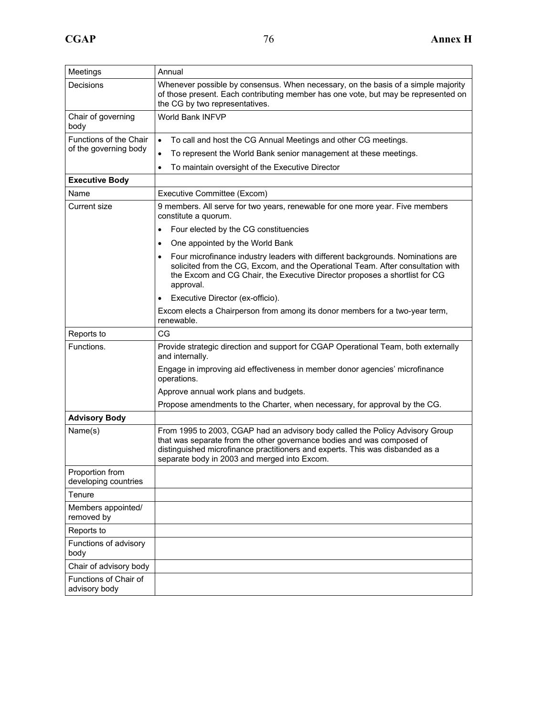| Meetings                                | Annual                                                                                                                                                                                                                                                                                   |  |  |  |  |  |  |  |
|-----------------------------------------|------------------------------------------------------------------------------------------------------------------------------------------------------------------------------------------------------------------------------------------------------------------------------------------|--|--|--|--|--|--|--|
| Decisions                               | Whenever possible by consensus. When necessary, on the basis of a simple majority<br>of those present. Each contributing member has one vote, but may be represented on<br>the CG by two representatives.                                                                                |  |  |  |  |  |  |  |
| Chair of governing<br>body              | <b>World Bank INFVP</b>                                                                                                                                                                                                                                                                  |  |  |  |  |  |  |  |
| Functions of the Chair                  | To call and host the CG Annual Meetings and other CG meetings.<br>$\bullet$                                                                                                                                                                                                              |  |  |  |  |  |  |  |
| of the governing body                   | To represent the World Bank senior management at these meetings.                                                                                                                                                                                                                         |  |  |  |  |  |  |  |
|                                         | To maintain oversight of the Executive Director<br>$\bullet$                                                                                                                                                                                                                             |  |  |  |  |  |  |  |
| <b>Executive Body</b>                   |                                                                                                                                                                                                                                                                                          |  |  |  |  |  |  |  |
| Name                                    | Executive Committee (Excom)                                                                                                                                                                                                                                                              |  |  |  |  |  |  |  |
| Current size                            | 9 members. All serve for two years, renewable for one more year. Five members<br>constitute a quorum.                                                                                                                                                                                    |  |  |  |  |  |  |  |
|                                         | Four elected by the CG constituencies<br>$\bullet$                                                                                                                                                                                                                                       |  |  |  |  |  |  |  |
|                                         | One appointed by the World Bank<br>$\bullet$                                                                                                                                                                                                                                             |  |  |  |  |  |  |  |
|                                         | Four microfinance industry leaders with different backgrounds. Nominations are<br>$\bullet$<br>solicited from the CG, Excom, and the Operational Team. After consultation with<br>the Excom and CG Chair, the Executive Director proposes a shortlist for CG<br>approval.                |  |  |  |  |  |  |  |
|                                         | Executive Director (ex-officio).                                                                                                                                                                                                                                                         |  |  |  |  |  |  |  |
|                                         | Excom elects a Chairperson from among its donor members for a two-year term,<br>renewable.                                                                                                                                                                                               |  |  |  |  |  |  |  |
| Reports to                              | CG                                                                                                                                                                                                                                                                                       |  |  |  |  |  |  |  |
| Functions.                              | Provide strategic direction and support for CGAP Operational Team, both externally<br>and internally.                                                                                                                                                                                    |  |  |  |  |  |  |  |
|                                         | Engage in improving aid effectiveness in member donor agencies' microfinance<br>operations.                                                                                                                                                                                              |  |  |  |  |  |  |  |
|                                         | Approve annual work plans and budgets.                                                                                                                                                                                                                                                   |  |  |  |  |  |  |  |
|                                         | Propose amendments to the Charter, when necessary, for approval by the CG.                                                                                                                                                                                                               |  |  |  |  |  |  |  |
| <b>Advisory Body</b>                    |                                                                                                                                                                                                                                                                                          |  |  |  |  |  |  |  |
| Name(s)                                 | From 1995 to 2003, CGAP had an advisory body called the Policy Advisory Group<br>that was separate from the other governance bodies and was composed of<br>distinguished microfinance practitioners and experts. This was disbanded as a<br>separate body in 2003 and merged into Excom. |  |  |  |  |  |  |  |
| Proportion from<br>developing countries |                                                                                                                                                                                                                                                                                          |  |  |  |  |  |  |  |
| Tenure                                  |                                                                                                                                                                                                                                                                                          |  |  |  |  |  |  |  |
| Members appointed/<br>removed by        |                                                                                                                                                                                                                                                                                          |  |  |  |  |  |  |  |
| Reports to                              |                                                                                                                                                                                                                                                                                          |  |  |  |  |  |  |  |
| Functions of advisory<br>body           |                                                                                                                                                                                                                                                                                          |  |  |  |  |  |  |  |
| Chair of advisory body                  |                                                                                                                                                                                                                                                                                          |  |  |  |  |  |  |  |
| Functions of Chair of<br>advisory body  |                                                                                                                                                                                                                                                                                          |  |  |  |  |  |  |  |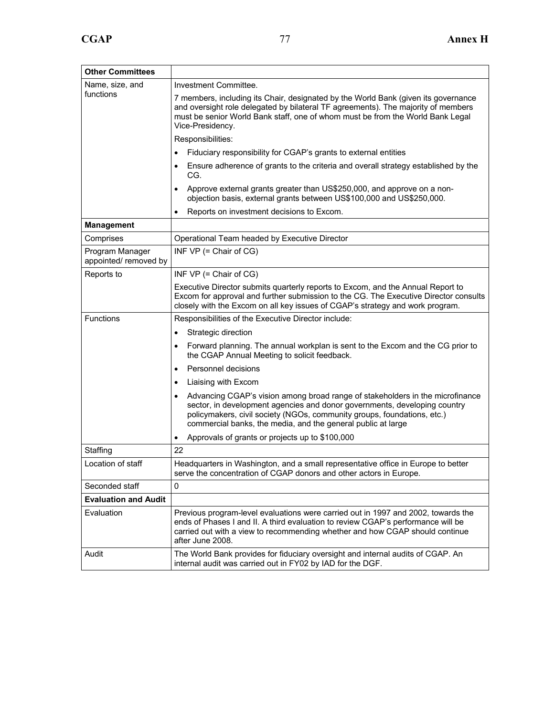| <b>Other Committees</b>                  |                                                                                                                                                                                                                                                                                                                    |  |  |  |  |  |  |  |  |
|------------------------------------------|--------------------------------------------------------------------------------------------------------------------------------------------------------------------------------------------------------------------------------------------------------------------------------------------------------------------|--|--|--|--|--|--|--|--|
| Name, size, and                          | Investment Committee.                                                                                                                                                                                                                                                                                              |  |  |  |  |  |  |  |  |
| functions                                | 7 members, including its Chair, designated by the World Bank (given its governance<br>and oversight role delegated by bilateral TF agreements). The majority of members<br>must be senior World Bank staff, one of whom must be from the World Bank Legal<br>Vice-Presidency.                                      |  |  |  |  |  |  |  |  |
|                                          | Responsibilities:                                                                                                                                                                                                                                                                                                  |  |  |  |  |  |  |  |  |
|                                          | Fiduciary responsibility for CGAP's grants to external entities                                                                                                                                                                                                                                                    |  |  |  |  |  |  |  |  |
|                                          | Ensure adherence of grants to the criteria and overall strategy established by the<br>٠<br>CG.                                                                                                                                                                                                                     |  |  |  |  |  |  |  |  |
|                                          | Approve external grants greater than US\$250,000, and approve on a non-<br>objection basis, external grants between US\$100,000 and US\$250,000.                                                                                                                                                                   |  |  |  |  |  |  |  |  |
|                                          | Reports on investment decisions to Excom.                                                                                                                                                                                                                                                                          |  |  |  |  |  |  |  |  |
| <b>Management</b>                        |                                                                                                                                                                                                                                                                                                                    |  |  |  |  |  |  |  |  |
| Comprises                                | Operational Team headed by Executive Director                                                                                                                                                                                                                                                                      |  |  |  |  |  |  |  |  |
| Program Manager<br>appointed/ removed by | INF $VP$ (= Chair of $CG$ )                                                                                                                                                                                                                                                                                        |  |  |  |  |  |  |  |  |
| Reports to                               | INF $VP$ (= Chair of $CG$ )                                                                                                                                                                                                                                                                                        |  |  |  |  |  |  |  |  |
|                                          | Executive Director submits quarterly reports to Excom, and the Annual Report to<br>Excom for approval and further submission to the CG. The Executive Director consults<br>closely with the Excom on all key issues of CGAP's strategy and work program.                                                           |  |  |  |  |  |  |  |  |
| <b>Functions</b>                         | Responsibilities of the Executive Director include:                                                                                                                                                                                                                                                                |  |  |  |  |  |  |  |  |
|                                          | Strategic direction<br>٠                                                                                                                                                                                                                                                                                           |  |  |  |  |  |  |  |  |
|                                          | Forward planning. The annual workplan is sent to the Excom and the CG prior to<br>$\bullet$<br>the CGAP Annual Meeting to solicit feedback.                                                                                                                                                                        |  |  |  |  |  |  |  |  |
|                                          | Personnel decisions<br>$\bullet$                                                                                                                                                                                                                                                                                   |  |  |  |  |  |  |  |  |
|                                          | Liaising with Excom<br>$\bullet$                                                                                                                                                                                                                                                                                   |  |  |  |  |  |  |  |  |
|                                          | Advancing CGAP's vision among broad range of stakeholders in the microfinance<br>$\bullet$<br>sector, in development agencies and donor governments, developing country<br>policymakers, civil society (NGOs, community groups, foundations, etc.)<br>commercial banks, the media, and the general public at large |  |  |  |  |  |  |  |  |
|                                          | Approvals of grants or projects up to \$100,000<br>٠                                                                                                                                                                                                                                                               |  |  |  |  |  |  |  |  |
| Staffing                                 | 22                                                                                                                                                                                                                                                                                                                 |  |  |  |  |  |  |  |  |
| Location of staff                        | Headquarters in Washington, and a small representative office in Europe to better<br>serve the concentration of CGAP donors and other actors in Europe.                                                                                                                                                            |  |  |  |  |  |  |  |  |
| Seconded staff                           | 0                                                                                                                                                                                                                                                                                                                  |  |  |  |  |  |  |  |  |
| <b>Evaluation and Audit</b>              |                                                                                                                                                                                                                                                                                                                    |  |  |  |  |  |  |  |  |
| Evaluation                               | Previous program-level evaluations were carried out in 1997 and 2002, towards the<br>ends of Phases I and II. A third evaluation to review CGAP's performance will be<br>carried out with a view to recommending whether and how CGAP should continue<br>after June 2008.                                          |  |  |  |  |  |  |  |  |
| Audit                                    | The World Bank provides for fiduciary oversight and internal audits of CGAP. An<br>internal audit was carried out in FY02 by IAD for the DGF.                                                                                                                                                                      |  |  |  |  |  |  |  |  |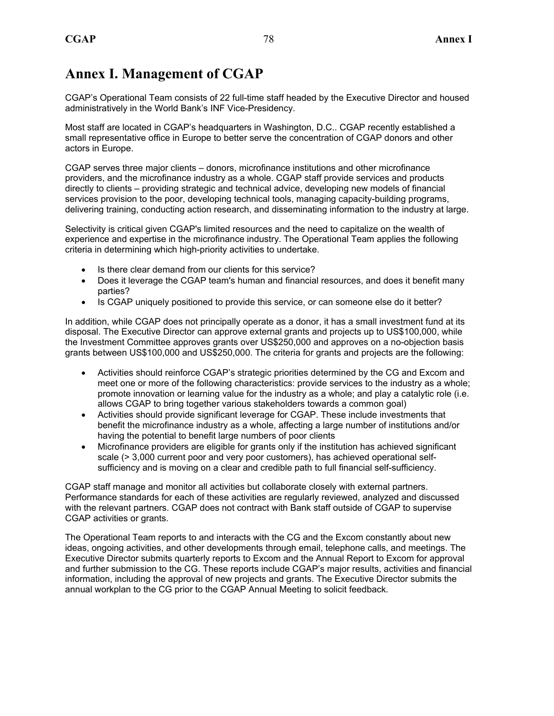CGAP's Operational Team consists of 22 full-time staff headed by the Executive Director and housed administratively in the World Bank's INF Vice-Presidency.

Most staff are located in CGAP's headquarters in Washington, D.C.. CGAP recently established a small representative office in Europe to better serve the concentration of CGAP donors and other actors in Europe.

CGAP serves three major clients – donors, microfinance institutions and other microfinance providers, and the microfinance industry as a whole. CGAP staff provide services and products directly to clients – providing strategic and technical advice, developing new models of financial services provision to the poor, developing technical tools, managing capacity-building programs, delivering training, conducting action research, and disseminating information to the industry at large.

Selectivity is critical given CGAP's limited resources and the need to capitalize on the wealth of experience and expertise in the microfinance industry. The Operational Team applies the following criteria in determining which high-priority activities to undertake.

- Is there clear demand from our clients for this service?
- Does it leverage the CGAP team's human and financial resources, and does it benefit many parties?
- Is CGAP uniquely positioned to provide this service, or can someone else do it better?

In addition, while CGAP does not principally operate as a donor, it has a small investment fund at its disposal. The Executive Director can approve external grants and projects up to US\$100,000, while the Investment Committee approves grants over US\$250,000 and approves on a no-objection basis grants between US\$100,000 and US\$250,000. The criteria for grants and projects are the following:

- Activities should reinforce CGAP's strategic priorities determined by the CG and Excom and meet one or more of the following characteristics: provide services to the industry as a whole; promote innovation or learning value for the industry as a whole; and play a catalytic role (i.e. allows CGAP to bring together various stakeholders towards a common goal)
- Activities should provide significant leverage for CGAP. These include investments that benefit the microfinance industry as a whole, affecting a large number of institutions and/or having the potential to benefit large numbers of poor clients
- Microfinance providers are eligible for grants only if the institution has achieved significant scale (> 3,000 current poor and very poor customers), has achieved operational selfsufficiency and is moving on a clear and credible path to full financial self-sufficiency.

CGAP staff manage and monitor all activities but collaborate closely with external partners. Performance standards for each of these activities are regularly reviewed, analyzed and discussed with the relevant partners. CGAP does not contract with Bank staff outside of CGAP to supervise CGAP activities or grants.

The Operational Team reports to and interacts with the CG and the Excom constantly about new ideas, ongoing activities, and other developments through email, telephone calls, and meetings. The Executive Director submits quarterly reports to Excom and the Annual Report to Excom for approval and further submission to the CG. These reports include CGAP's major results, activities and financial information, including the approval of new projects and grants. The Executive Director submits the annual workplan to the CG prior to the CGAP Annual Meeting to solicit feedback.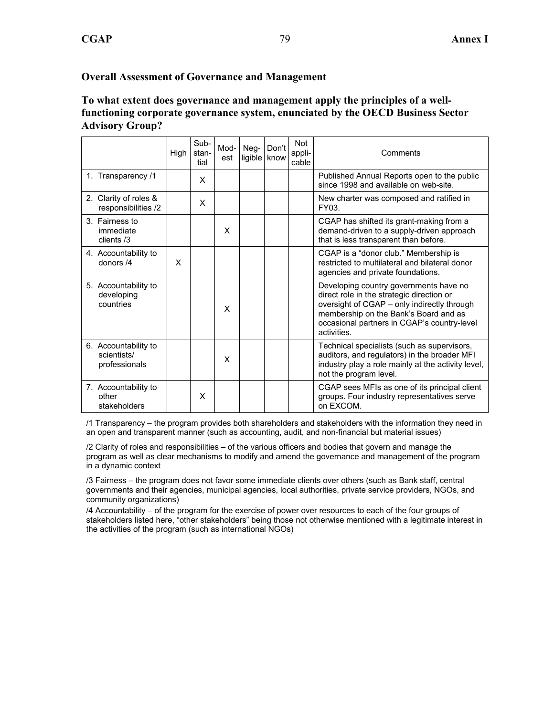#### **Overall Assessment of Governance and Management**

#### **To what extent does governance and management apply the principles of a wellfunctioning corporate governance system, enunciated by the OECD Business Sector Advisory Group?**

|                                                      | High | Sub-<br>stan-<br>tial | Mod-<br>est | $Neg-$ | Don't<br>ligible know | <b>Not</b><br>appli-<br>cable | Comments                                                                                                                                                                                                                                  |
|------------------------------------------------------|------|-----------------------|-------------|--------|-----------------------|-------------------------------|-------------------------------------------------------------------------------------------------------------------------------------------------------------------------------------------------------------------------------------------|
| 1. Transparency /1                                   |      | X                     |             |        |                       |                               | Published Annual Reports open to the public<br>since 1998 and available on web-site.                                                                                                                                                      |
| 2. Clarity of roles &<br>responsibilities /2         |      | X                     |             |        |                       |                               | New charter was composed and ratified in<br>FY03.                                                                                                                                                                                         |
| 3. Fairness to<br>immediate<br>clients /3            |      |                       | X           |        |                       |                               | CGAP has shifted its grant-making from a<br>demand-driven to a supply-driven approach<br>that is less transparent than before.                                                                                                            |
| 4. Accountability to<br>donors $/4$                  | X    |                       |             |        |                       |                               | CGAP is a "donor club." Membership is<br>restricted to multilateral and bilateral donor<br>agencies and private foundations.                                                                                                              |
| 5. Accountability to<br>developing<br>countries      |      |                       | X           |        |                       |                               | Developing country governments have no<br>direct role in the strategic direction or<br>oversight of CGAP - only indirectly through<br>membership on the Bank's Board and as<br>occasional partners in CGAP's country-level<br>activities. |
| 6. Accountability to<br>scientists/<br>professionals |      |                       | X           |        |                       |                               | Technical specialists (such as supervisors,<br>auditors, and regulators) in the broader MFI<br>industry play a role mainly at the activity level,<br>not the program level.                                                               |
| 7. Accountability to<br>other<br>stakeholders        |      | X                     |             |        |                       |                               | CGAP sees MFIs as one of its principal client<br>groups. Four industry representatives serve<br>on EXCOM.                                                                                                                                 |

/1 Transparency – the program provides both shareholders and stakeholders with the information they need in an open and transparent manner (such as accounting, audit, and non-financial but material issues)

/2 Clarity of roles and responsibilities – of the various officers and bodies that govern and manage the program as well as clear mechanisms to modify and amend the governance and management of the program in a dynamic context

/3 Fairness – the program does not favor some immediate clients over others (such as Bank staff, central governments and their agencies, municipal agencies, local authorities, private service providers, NGOs, and community organizations)

/4 Accountability – of the program for the exercise of power over resources to each of the four groups of stakeholders listed here, "other stakeholders" being those not otherwise mentioned with a legitimate interest in the activities of the program (such as international NGOs)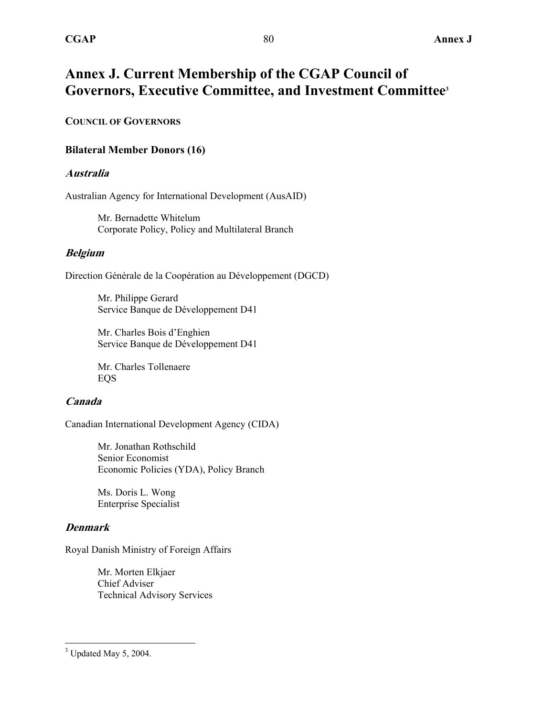### **Annex J. Current Membership of the CGAP Council of Governors, Executive Committee, and Investment Committee3**

#### **COUNCIL OF GOVERNORS**

#### **Bilateral Member Donors (16)**

#### **Australia**

Australian Agency for International Development (AusAID)

Mr. Bernadette Whitelum Corporate Policy, Policy and Multilateral Branch

#### **Belgium**

Direction Générale de la Coopération au Développement (DGCD)

Mr. Philippe Gerard Service Banque de Développement D41

Mr. Charles Bois d'Enghien Service Banque de Développement D41

Mr. Charles Tollenaere EQS

#### **Canada**

Canadian International Development Agency (CIDA)

Mr. Jonathan Rothschild Senior Economist Economic Policies (YDA), Policy Branch

Ms. Doris L. Wong Enterprise Specialist

#### **Denmark**

Royal Danish Ministry of Foreign Affairs

Mr. Morten Elkjaer Chief Adviser Technical Advisory Services

 $\overline{a}$ 

 $3$  Updated May 5, 2004.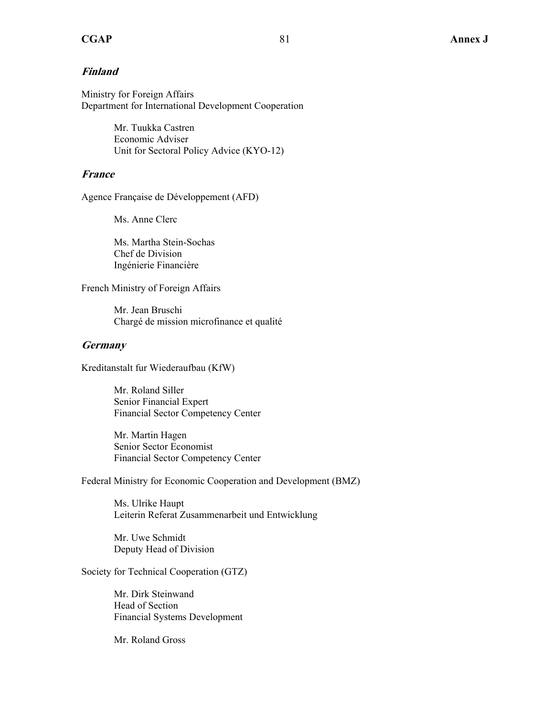#### **Finland**

Ministry for Foreign Affairs Department for International Development Cooperation

> Mr. Tuukka Castren Economic Adviser Unit for Sectoral Policy Advice (KYO-12)

#### **France**

Agence Française de Développement (AFD)

Ms. Anne Clerc

Ms. Martha Stein-Sochas Chef de Division Ingénierie Financière

French Ministry of Foreign Affairs

Mr. Jean Bruschi Chargé de mission microfinance et qualité

#### **Germany**

Kreditanstalt fur Wiederaufbau (KfW)

Mr. Roland Siller Senior Financial Expert Financial Sector Competency Center

Mr. Martin Hagen Senior Sector Economist Financial Sector Competency Center

Federal Ministry for Economic Cooperation and Development (BMZ)

Ms. Ulrike Haupt Leiterin Referat Zusammenarbeit und Entwicklung

Mr. Uwe Schmidt Deputy Head of Division

Society for Technical Cooperation (GTZ)

Mr. Dirk Steinwand Head of Section Financial Systems Development

Mr. Roland Gross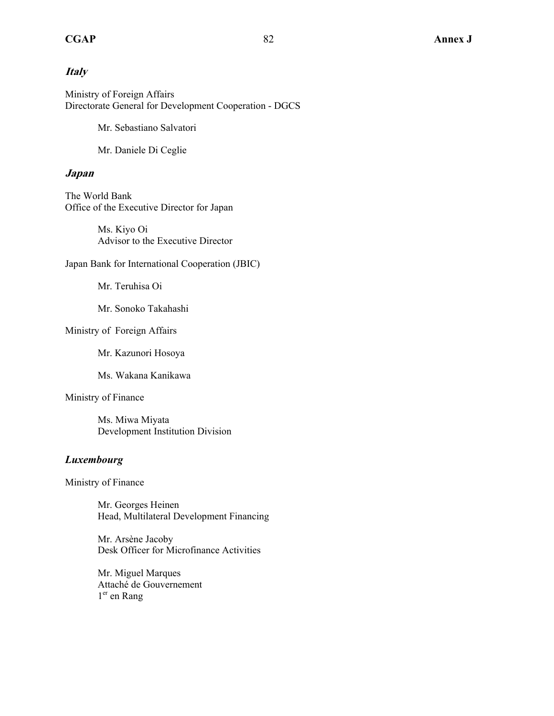#### **Italy**

Ministry of Foreign Affairs Directorate General for Development Cooperation - DGCS

Mr. Sebastiano Salvatori

Mr. Daniele Di Ceglie

#### **Japan**

The World Bank Office of the Executive Director for Japan

> Ms. Kiyo Oi Advisor to the Executive Director

Japan Bank for International Cooperation (JBIC)

Mr. Teruhisa Oi

Mr. Sonoko Takahashi

Ministry of Foreign Affairs

Mr. Kazunori Hosoya

Ms. Wakana Kanikawa

#### Ministry of Finance

Ms. Miwa Miyata Development Institution Division

#### *Luxembourg*

Ministry of Finance

Mr. Georges Heinen Head, Multilateral Development Financing

Mr. Arsène Jacoby Desk Officer for Microfinance Activities

Mr. Miguel Marques Attaché de Gouvernement 1<sup>er</sup> en Rang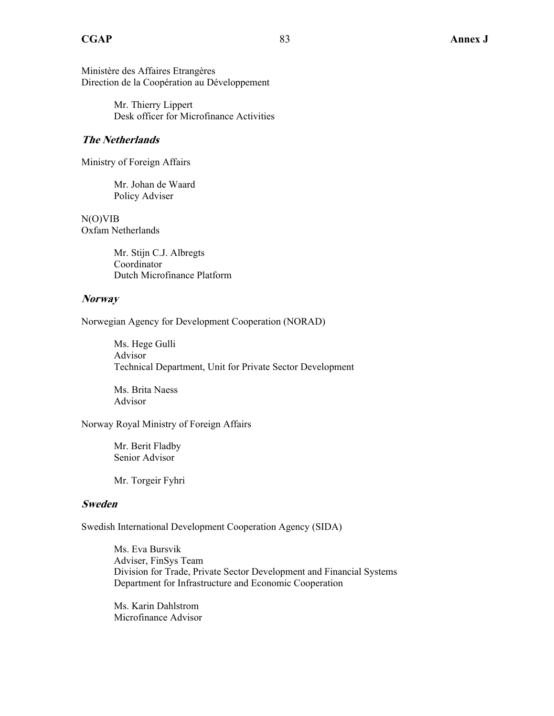Ministère des Affaires Etrangères Direction de la Coopération au Développement

> Mr. Thierry Lippert Desk officer for Microfinance Activities

#### **The Netherlands**

Ministry of Foreign Affairs

Mr. Johan de Waard Policy Adviser

N(O)VIB Oxfam Netherlands

> Mr. Stijn C.J. Albregts Coordinator Dutch Microfinance Platform

#### **Norway**

Norwegian Agency for Development Cooperation (NORAD)

Ms. Hege Gulli Advisor Technical Department, Unit for Private Sector Development

Ms. Brita Naess Advisor

Norway Royal Ministry of Foreign Affairs

Mr. Berit Fladby Senior Advisor

Mr. Torgeir Fyhri

#### **Sweden**

Swedish International Development Cooperation Agency (SIDA)

Ms. Eva Bursvik Adviser, FinSys Team Division for Trade, Private Sector Development and Financial Systems Department for Infrastructure and Economic Cooperation

Ms. Karin Dahlstrom Microfinance Advisor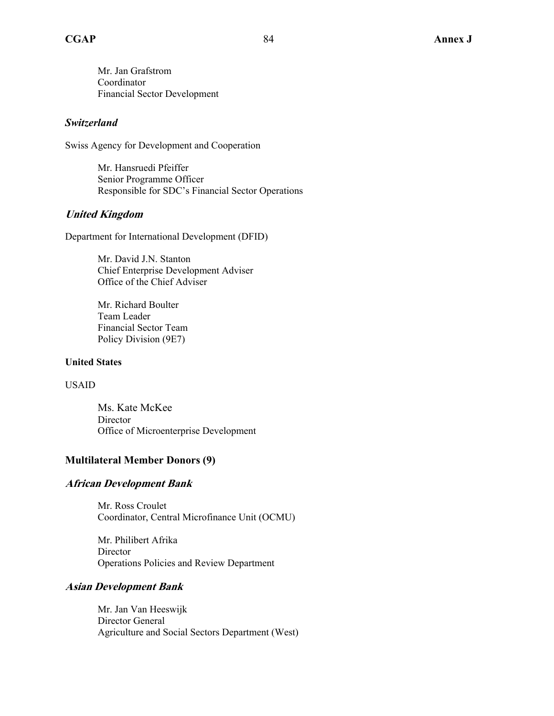Mr. Jan Grafstrom Coordinator Financial Sector Development

#### *Switzerland*

Swiss Agency for Development and Cooperation

Mr. Hansruedi Pfeiffer Senior Programme Officer Responsible for SDC's Financial Sector Operations

#### **United Kingdom**

Department for International Development (DFID)

Mr. David J.N. Stanton Chief Enterprise Development Adviser Office of the Chief Adviser

Mr. Richard Boulter Team Leader Financial Sector Team Policy Division (9E7)

#### **United States**

#### USAID

Ms. Kate McKee Director Office of Microenterprise Development

#### **Multilateral Member Donors (9)**

#### **African Development Bank**

Mr. Ross Croulet Coordinator, Central Microfinance Unit (OCMU)

Mr. Philibert Afrika **Director** Operations Policies and Review Department

#### **Asian Development Bank**

Mr. Jan Van Heeswijk Director General Agriculture and Social Sectors Department (West)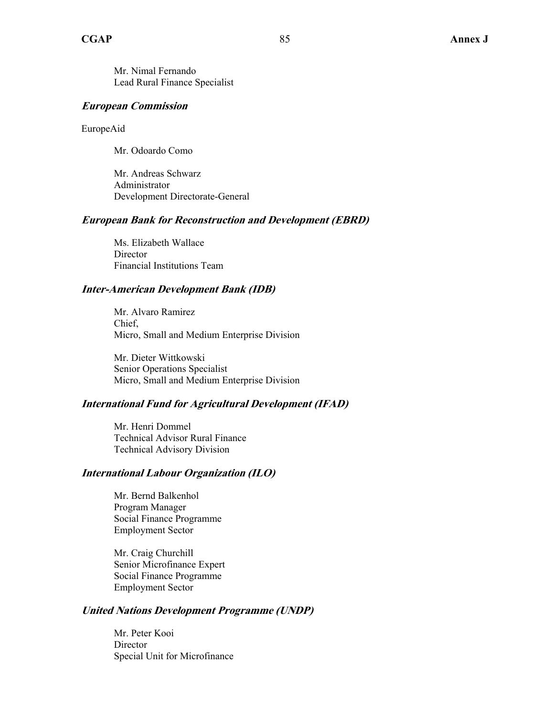Mr. Nimal Fernando Lead Rural Finance Specialist

#### **European Commission**

EuropeAid

Mr. Odoardo Como

Mr. Andreas Schwarz Administrator Development Directorate-General

#### **European Bank for Reconstruction and Development (EBRD)**

Ms. Elizabeth Wallace Director Financial Institutions Team

#### **Inter-American Development Bank (IDB)**

Mr. Alvaro Ramirez Chief, Micro, Small and Medium Enterprise Division

Mr. Dieter Wittkowski Senior Operations Specialist Micro, Small and Medium Enterprise Division

#### **International Fund for Agricultural Development (IFAD)**

Mr. Henri Dommel Technical Advisor Rural Finance Technical Advisory Division

#### **International Labour Organization (ILO)**

Mr. Bernd Balkenhol Program Manager Social Finance Programme Employment Sector

Mr. Craig Churchill Senior Microfinance Expert Social Finance Programme Employment Sector

#### **United Nations Development Programme (UNDP)**

Mr. Peter Kooi **Director** Special Unit for Microfinance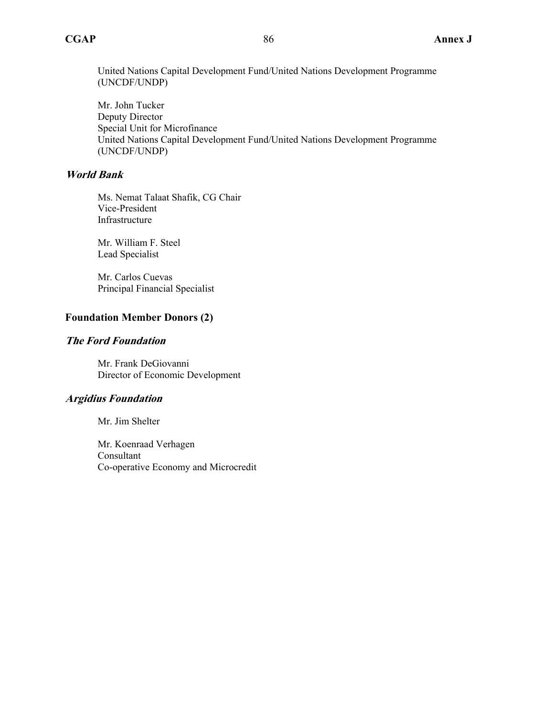United Nations Capital Development Fund/United Nations Development Programme (UNCDF/UNDP)

Mr. John Tucker Deputy Director Special Unit for Microfinance United Nations Capital Development Fund/United Nations Development Programme (UNCDF/UNDP)

#### **World Bank**

Ms. Nemat Talaat Shafik, CG Chair Vice-President Infrastructure

Mr. William F. Steel Lead Specialist

Mr. Carlos Cuevas Principal Financial Specialist

#### **Foundation Member Donors (2)**

#### **The Ford Foundation**

Mr. Frank DeGiovanni Director of Economic Development

#### **Argidius Foundation**

Mr. Jim Shelter

Mr. Koenraad Verhagen Consultant Co-operative Economy and Microcredit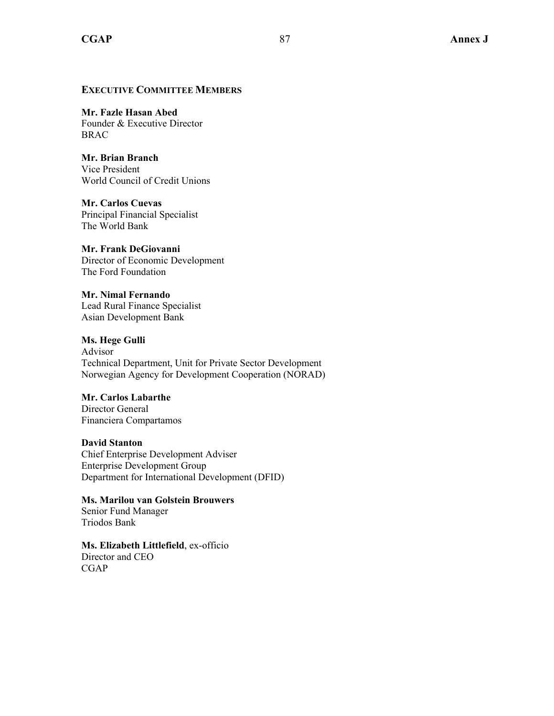#### **EXECUTIVE COMMITTEE MEMBERS**

### **Mr. Fazle Hasan Abed**

Founder & Executive Director BRAC

**Mr. Brian Branch**  Vice President World Council of Credit Unions

**Mr. Carlos Cuevas**  Principal Financial Specialist The World Bank

#### **Mr. Frank DeGiovanni**

Director of Economic Development The Ford Foundation

**Mr. Nimal Fernando**  Lead Rural Finance Specialist Asian Development Bank

**Ms. Hege Gulli**  Advisor Technical Department, Unit for Private Sector Development Norwegian Agency for Development Cooperation (NORAD)

#### **Mr. Carlos Labarthe**

Director General Financiera Compartamos

**David Stanton** 

Chief Enterprise Development Adviser Enterprise Development Group Department for International Development (DFID)

**Ms. Marilou van Golstein Brouwers**  Senior Fund Manager Triodos Bank

**Ms. Elizabeth Littlefield**, ex-officio Director and CEO CGAP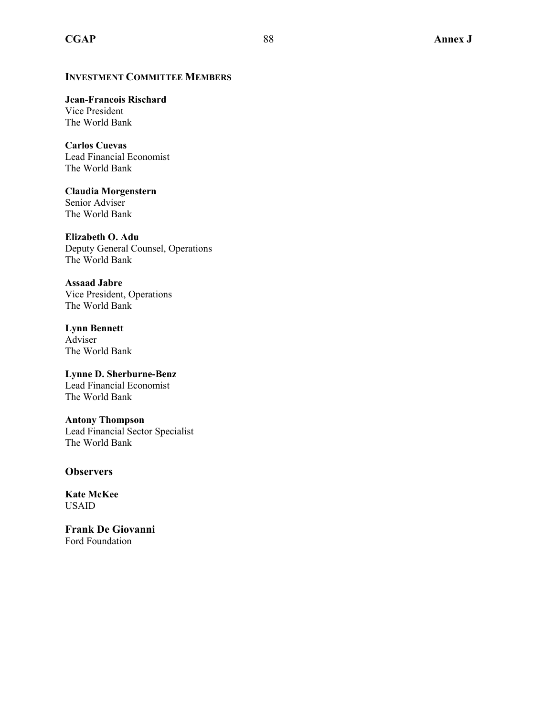**Jean-Francois Rischard**  Vice President The World Bank

**Carlos Cuevas**  Lead Financial Economist The World Bank

**Claudia Morgenstern**  Senior Adviser The World Bank

**Elizabeth O. Adu**  Deputy General Counsel, Operations The World Bank

**Assaad Jabre**  Vice President, Operations The World Bank

**Lynn Bennett**  Adviser The World Bank

**Lynne D. Sherburne-Benz**  Lead Financial Economist The World Bank

**Antony Thompson**  Lead Financial Sector Specialist The World Bank

#### **Observers**

**Kate McKee** USAID

**Frank De Giovanni**  Ford Foundation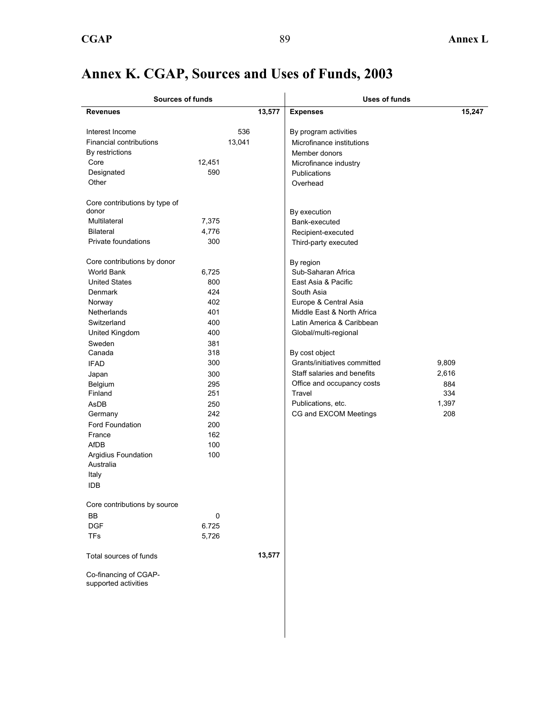# **Annex K. CGAP, Sources and Uses of Funds, 2003**

| <b>Sources of funds</b>                                                                                                                                                                                                                                                                                                                                                                                                                                                                                                                                                                     |                                                                                                                                                                                             |               |        | Uses of funds                                                                                                                                                                                                                                                                                                                                                                                                                                                                                                                                                               |                                              |
|---------------------------------------------------------------------------------------------------------------------------------------------------------------------------------------------------------------------------------------------------------------------------------------------------------------------------------------------------------------------------------------------------------------------------------------------------------------------------------------------------------------------------------------------------------------------------------------------|---------------------------------------------------------------------------------------------------------------------------------------------------------------------------------------------|---------------|--------|-----------------------------------------------------------------------------------------------------------------------------------------------------------------------------------------------------------------------------------------------------------------------------------------------------------------------------------------------------------------------------------------------------------------------------------------------------------------------------------------------------------------------------------------------------------------------------|----------------------------------------------|
| <b>Revenues</b>                                                                                                                                                                                                                                                                                                                                                                                                                                                                                                                                                                             |                                                                                                                                                                                             |               | 13,577 | <b>Expenses</b>                                                                                                                                                                                                                                                                                                                                                                                                                                                                                                                                                             | 15,247                                       |
| Interest Income<br>Financial contributions<br>By restrictions<br>Core<br>Designated<br>Other<br>Core contributions by type of<br>donor<br>Multilateral<br><b>Bilateral</b><br>Private foundations<br>Core contributions by donor<br><b>World Bank</b><br><b>United States</b><br>Denmark<br>Norway<br>Netherlands<br>Switzerland<br>United Kingdom<br>Sweden<br>Canada<br><b>IFAD</b><br>Japan<br>Belgium<br>Finland<br>AsDB<br>Germany<br>Ford Foundation<br>France<br>AfDB<br>Argidius Foundation<br>Australia<br>Italy<br><b>IDB</b><br>Core contributions by source<br>BB<br><b>DGF</b> | 12,451<br>590<br>7,375<br>4,776<br>300<br>6,725<br>800<br>424<br>402<br>401<br>400<br>400<br>381<br>318<br>300<br>300<br>295<br>251<br>250<br>242<br>200<br>162<br>100<br>100<br>0<br>6.725 | 536<br>13,041 |        | By program activities<br>Microfinance institutions<br>Member donors<br>Microfinance industry<br><b>Publications</b><br>Overhead<br>By execution<br>Bank-executed<br>Recipient-executed<br>Third-party executed<br>By region<br>Sub-Saharan Africa<br>East Asia & Pacific<br>South Asia<br>Europe & Central Asia<br>Middle East & North Africa<br>Latin America & Caribbean<br>Global/multi-regional<br>By cost object<br>Grants/initiatives committed<br>Staff salaries and benefits<br>Office and occupancy costs<br>Travel<br>Publications, etc.<br>CG and EXCOM Meetings | 9,809<br>2,616<br>884<br>334<br>1,397<br>208 |
| TFs                                                                                                                                                                                                                                                                                                                                                                                                                                                                                                                                                                                         | 5,726                                                                                                                                                                                       |               |        |                                                                                                                                                                                                                                                                                                                                                                                                                                                                                                                                                                             |                                              |
| Total sources of funds<br>Co-financing of CGAP-<br>supported activities                                                                                                                                                                                                                                                                                                                                                                                                                                                                                                                     |                                                                                                                                                                                             |               | 13,577 |                                                                                                                                                                                                                                                                                                                                                                                                                                                                                                                                                                             |                                              |
|                                                                                                                                                                                                                                                                                                                                                                                                                                                                                                                                                                                             |                                                                                                                                                                                             |               |        |                                                                                                                                                                                                                                                                                                                                                                                                                                                                                                                                                                             |                                              |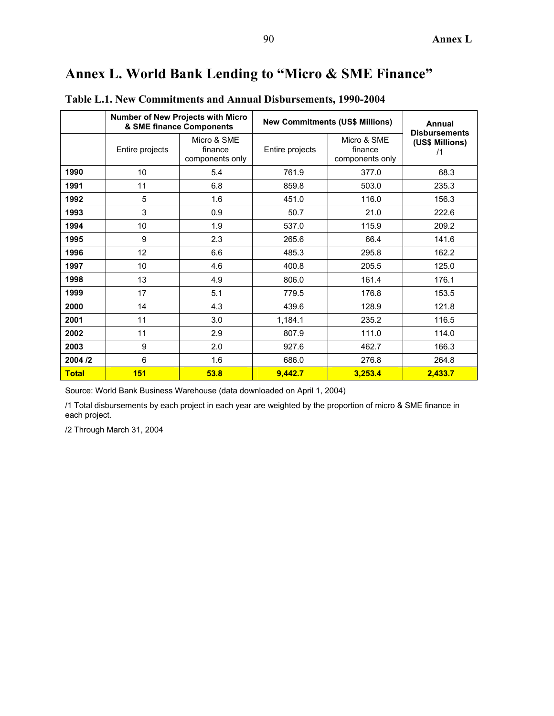# **Annex L. World Bank Lending to "Micro & SME Finance"**

|              |                 | Number of New Projects with Micro<br>& SME finance Components |                 | <b>New Commitments (US\$ Millions)</b>    | <b>Annual</b><br><b>Disbursements</b> |
|--------------|-----------------|---------------------------------------------------------------|-----------------|-------------------------------------------|---------------------------------------|
|              | Entire projects | Micro & SME<br>finance<br>components only                     | Entire projects | Micro & SME<br>finance<br>components only | (US\$ Millions)<br>/1                 |
| 1990         | 10              | 5.4                                                           | 761.9           | 377.0                                     | 68.3                                  |
| 1991         | 11              | 6.8                                                           | 859.8           | 503.0                                     | 235.3                                 |
| 1992         | 5               | 1.6                                                           | 451.0           | 116.0                                     | 156.3                                 |
| 1993         | 3               | 0.9                                                           | 50.7            | 21.0                                      | 222.6                                 |
| 1994         | 10              | 1.9                                                           | 537.0           | 115.9                                     | 209.2                                 |
| 1995         | 9               | 2.3                                                           | 265.6           | 66.4                                      | 141.6                                 |
| 1996         | 12              | 6.6                                                           | 485.3           | 295.8                                     | 162.2                                 |
| 1997         | 10              | 4.6                                                           | 400.8           | 205.5                                     | 125.0                                 |
| 1998         | 13              | 4.9                                                           | 806.0           | 161.4                                     | 176.1                                 |
| 1999         | 17              | 5.1                                                           | 779.5           | 176.8                                     | 153.5                                 |
| 2000         | 14              | 4.3                                                           | 439.6           | 128.9                                     | 121.8                                 |
| 2001         | 11              | 3.0                                                           | 1,184.1         | 235.2                                     | 116.5                                 |
| 2002         | 11              | 2.9                                                           | 807.9           | 111.0                                     | 114.0                                 |
| 2003         | 9               | 2.0                                                           | 927.6           | 462.7                                     | 166.3                                 |
| 2004 /2      | 6               | 1.6                                                           | 686.0           | 276.8                                     | 264.8                                 |
| <b>Total</b> | 151             | 53.8                                                          | 9,442.7         | 3,253.4                                   | 2,433.7                               |

**Table L.1. New Commitments and Annual Disbursements, 1990-2004** 

Source: World Bank Business Warehouse (data downloaded on April 1, 2004)

/1 Total disbursements by each project in each year are weighted by the proportion of micro & SME finance in each project.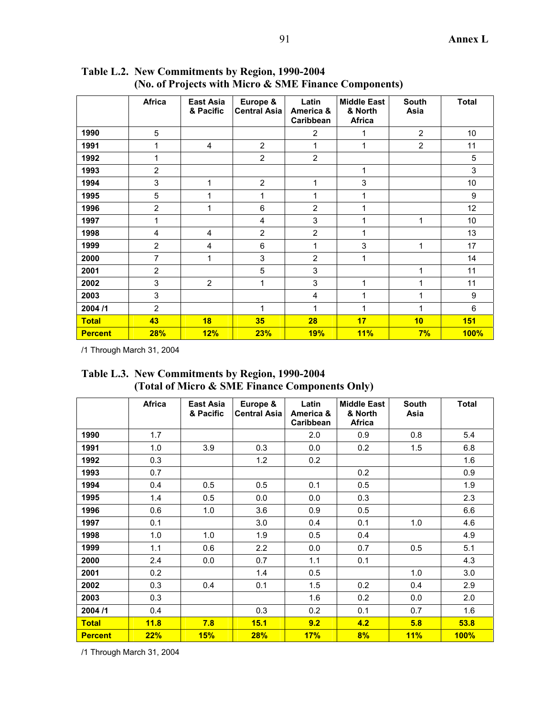|                | <b>Africa</b>  | <b>East Asia</b><br>& Pacific | Europe &<br><b>Central Asia</b> | Latin<br>America &<br>Caribbean | <b>Middle East</b><br>& North<br><b>Africa</b> | <b>South</b><br>Asia | <b>Total</b> |
|----------------|----------------|-------------------------------|---------------------------------|---------------------------------|------------------------------------------------|----------------------|--------------|
| 1990           | 5              |                               |                                 | $\overline{2}$                  | 1                                              | $\overline{2}$       | 10           |
| 1991           | 1              | 4                             | $\overline{2}$                  | 1                               | 1                                              | $\overline{2}$       | 11           |
| 1992           | 1              |                               | $\overline{2}$                  | $\overline{2}$                  |                                                |                      | 5            |
| 1993           | $\overline{2}$ |                               |                                 |                                 | 1                                              |                      | 3            |
| 1994           | 3              | 1                             | $\overline{2}$                  | 1                               | 3                                              |                      | 10           |
| 1995           | 5              | 1                             | 1                               | 1                               | 1                                              |                      | 9            |
| 1996           | $\overline{2}$ | 1                             | 6                               | $\overline{2}$                  | 1                                              |                      | 12           |
| 1997           | 1              |                               | 4                               | 3                               | 1                                              | 1                    | 10           |
| 1998           | $\overline{4}$ | $\overline{4}$                | $\overline{2}$                  | $\overline{2}$                  | 1                                              |                      | 13           |
| 1999           | $\overline{2}$ | 4                             | 6                               | 1                               | 3                                              | 1                    | 17           |
| 2000           | 7              | 1                             | 3                               | $\overline{2}$                  | 1                                              |                      | 14           |
| 2001           | $\overline{2}$ |                               | 5                               | 3                               |                                                | 1                    | 11           |
| 2002           | 3              | $\overline{2}$                | 1                               | 3                               | 1                                              | 1                    | 11           |
| 2003           | 3              |                               |                                 | $\overline{4}$                  | 1                                              | 1                    | 9            |
| 2004/1         | $\overline{2}$ |                               | $\mathbf{1}$                    | 1                               | 1                                              | 1                    | 6            |
| <b>Total</b>   | 43             | 18                            | 35                              | 28                              | 17                                             | 10                   | 151          |
| <b>Percent</b> | 28%            | 12%                           | 23%                             | 19%                             | 11%                                            | 7%                   | 100%         |

**Table L.2. New Commitments by Region, 1990-2004 (No. of Projects with Micro & SME Finance Components)** 

| Table L.3. New Commitments by Region, 1990-2004 |
|-------------------------------------------------|
| (Total of Micro & SME Finance Components Only)  |

|                | <b>Africa</b> | East Asia<br>& Pacific | Europe &<br><b>Central Asia</b> | Latin<br>America &<br>Caribbean | <b>Middle East</b><br>& North<br>Africa | <b>South</b><br>Asia | <b>Total</b> |
|----------------|---------------|------------------------|---------------------------------|---------------------------------|-----------------------------------------|----------------------|--------------|
| 1990           | 1.7           |                        |                                 | 2.0                             | 0.9                                     | 0.8                  | 5.4          |
| 1991           | 1.0           | 3.9                    | 0.3                             | 0.0                             | 0.2                                     | 1.5                  | 6.8          |
| 1992           | 0.3           |                        | 1.2                             | 0.2                             |                                         |                      | 1.6          |
| 1993           | 0.7           |                        |                                 |                                 | 0.2                                     |                      | 0.9          |
| 1994           | 0.4           | 0.5                    | 0.5                             | 0.1                             | 0.5                                     |                      | 1.9          |
| 1995           | 1.4           | 0.5                    | 0.0                             | 0.0                             | 0.3                                     |                      | 2.3          |
| 1996           | 0.6           | 1.0                    | 3.6                             | 0.9                             | 0.5                                     |                      | 6.6          |
| 1997           | 0.1           |                        | 3.0                             | 0.4                             | 0.1                                     | 1.0                  | 4.6          |
| 1998           | 1.0           | 1.0                    | 1.9                             | 0.5                             | 0.4                                     |                      | 4.9          |
| 1999           | 1.1           | 0.6                    | 2.2                             | 0.0                             | 0.7                                     | 0.5                  | 5.1          |
| 2000           | 2.4           | 0.0                    | 0.7                             | 1.1                             | 0.1                                     |                      | 4.3          |
| 2001           | 0.2           |                        | 1.4                             | 0.5                             |                                         | 1.0                  | 3.0          |
| 2002           | 0.3           | 0.4                    | 0.1                             | 1.5                             | 0.2                                     | 0.4                  | 2.9          |
| 2003           | 0.3           |                        |                                 | 1.6                             | 0.2                                     | 0.0                  | 2.0          |
| 2004/1         | 0.4           |                        | 0.3                             | 0.2                             | 0.1                                     | 0.7                  | 1.6          |
| <b>Total</b>   | 11.8          | 7.8                    | 15.1                            | 9.2                             | 4.2                                     | 5.8                  | 53.8         |
| <b>Percent</b> | 22%           | 15%                    | 28%                             | 17%                             | 8%                                      | 11%                  | <b>100%</b>  |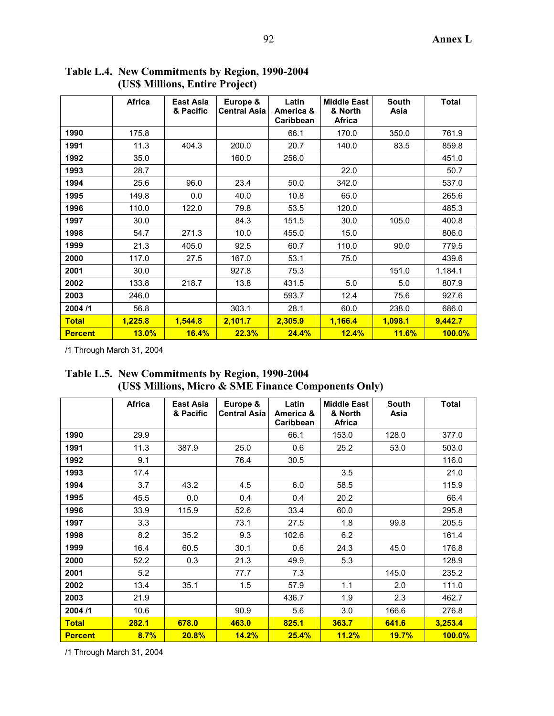|                | <b>Africa</b> | East Asia<br>& Pacific | Europe &<br><b>Central Asia</b> | Latin<br>America &<br><b>Caribbean</b> | <b>Middle East</b><br>& North<br><b>Africa</b> | <b>South</b><br>Asia | <b>Total</b> |
|----------------|---------------|------------------------|---------------------------------|----------------------------------------|------------------------------------------------|----------------------|--------------|
| 1990           | 175.8         |                        |                                 | 66.1                                   | 170.0                                          | 350.0                | 761.9        |
| 1991           | 11.3          | 404.3                  | 200.0                           | 20.7                                   | 140.0                                          | 83.5                 | 859.8        |
| 1992           | 35.0          |                        | 160.0                           | 256.0                                  |                                                |                      | 451.0        |
| 1993           | 28.7          |                        |                                 |                                        | 22.0                                           |                      | 50.7         |
| 1994           | 25.6          | 96.0                   | 23.4                            | 50.0                                   | 342.0                                          |                      | 537.0        |
| 1995           | 149.8         | 0.0                    | 40.0                            | 10.8                                   | 65.0                                           |                      | 265.6        |
| 1996           | 110.0         | 122.0                  | 79.8                            | 53.5                                   | 120.0                                          |                      | 485.3        |
| 1997           | 30.0          |                        | 84.3                            | 151.5                                  | 30.0                                           | 105.0                | 400.8        |
| 1998           | 54.7          | 271.3                  | 10.0                            | 455.0                                  | 15.0                                           |                      | 806.0        |
| 1999           | 21.3          | 405.0                  | 92.5                            | 60.7                                   | 110.0                                          | 90.0                 | 779.5        |
| 2000           | 117.0         | 27.5                   | 167.0                           | 53.1                                   | 75.0                                           |                      | 439.6        |
| 2001           | 30.0          |                        | 927.8                           | 75.3                                   |                                                | 151.0                | 1,184.1      |
| 2002           | 133.8         | 218.7                  | 13.8                            | 431.5                                  | 5.0                                            | 5.0                  | 807.9        |
| 2003           | 246.0         |                        |                                 | 593.7                                  | 12.4                                           | 75.6                 | 927.6        |
| 2004/1         | 56.8          |                        | 303.1                           | 28.1                                   | 60.0                                           | 238.0                | 686.0        |
| <b>Total</b>   | 1,225.8       | 1,544.8                | 2,101.7                         | 2,305.9                                | 1,166.4                                        | 1,098.1              | 9,442.7      |
| <b>Percent</b> | 13.0%         | 16.4%                  | 22.3%                           | 24.4%                                  | 12.4%                                          | 11.6%                | $100.0\%$    |

**Table L.4. New Commitments by Region, 1990-2004 (US\$ Millions, Entire Project)** 

**Table L.5. New Commitments by Region, 1990-2004 (US\$ Millions, Micro & SME Finance Components Only)** 

|                | <b>Africa</b> | <b>East Asia</b><br>& Pacific | Europe &<br><b>Central Asia</b> | Latin<br>America &<br>Caribbean | <b>Middle East</b><br>& North<br><b>Africa</b> | <b>South</b><br>Asia | <b>Total</b> |
|----------------|---------------|-------------------------------|---------------------------------|---------------------------------|------------------------------------------------|----------------------|--------------|
| 1990           | 29.9          |                               |                                 | 66.1                            | 153.0                                          | 128.0                | 377.0        |
| 1991           | 11.3          | 387.9                         | 25.0                            | 0.6                             | 25.2                                           | 53.0                 | 503.0        |
| 1992           | 9.1           |                               | 76.4                            | 30.5                            |                                                |                      | 116.0        |
| 1993           | 17.4          |                               |                                 |                                 | 3.5                                            |                      | 21.0         |
| 1994           | 3.7           | 43.2                          | 4.5                             | 6.0                             | 58.5                                           |                      | 115.9        |
| 1995           | 45.5          | 0.0                           | 0.4                             | 0.4                             | 20.2                                           |                      | 66.4         |
| 1996           | 33.9          | 115.9                         | 52.6                            | 33.4                            | 60.0                                           |                      | 295.8        |
| 1997           | 3.3           |                               | 73.1                            | 27.5                            | 1.8                                            | 99.8                 | 205.5        |
| 1998           | 8.2           | 35.2                          | 9.3                             | 102.6                           | 6.2                                            |                      | 161.4        |
| 1999           | 16.4          | 60.5                          | 30.1                            | 0.6                             | 24.3                                           | 45.0                 | 176.8        |
| 2000           | 52.2          | 0.3                           | 21.3                            | 49.9                            | 5.3                                            |                      | 128.9        |
| 2001           | 5.2           |                               | 77.7                            | 7.3                             |                                                | 145.0                | 235.2        |
| 2002           | 13.4          | 35.1                          | 1.5                             | 57.9                            | 1.1                                            | 2.0                  | 111.0        |
| 2003           | 21.9          |                               |                                 | 436.7                           | 1.9                                            | 2.3                  | 462.7        |
| 2004/1         | 10.6          |                               | 90.9                            | 5.6                             | 3.0                                            | 166.6                | 276.8        |
| <b>Total</b>   | 282.1         | 678.0                         | 463.0                           | 825.1                           | 363.7                                          | 641.6                | 3,253.4      |
| <b>Percent</b> | 8.7%          | 20.8%                         | 14.2%                           | 25.4%                           | 11.2%                                          | 19.7%                | $100.0\%$    |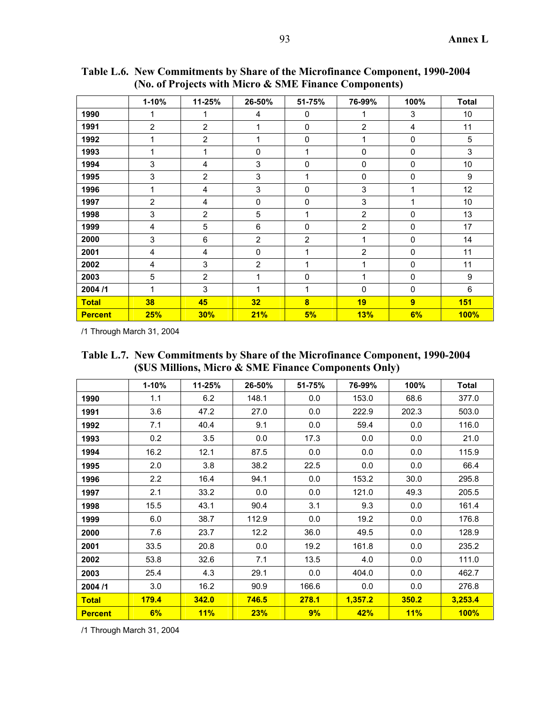|                | $1 - 10%$      | 11-25%         | 26-50%         | 51-75%                  | 76-99%         | 100%           | <b>Total</b> |
|----------------|----------------|----------------|----------------|-------------------------|----------------|----------------|--------------|
| 1990           |                |                | 4              | 0                       | 1              | 3              | 10           |
| 1991           | $\overline{2}$ | $\overline{2}$ | 1              | 0                       | $\overline{2}$ | $\overline{4}$ | 11           |
| 1992           |                | $\overline{2}$ | 1              | $\Omega$                | 1              | 0              | 5            |
| 1993           | 1              | 1              | $\mathbf 0$    | 1                       | $\mathbf 0$    | 0              | 3            |
| 1994           | 3              | 4              | 3              | $\mathbf{0}$            | $\mathbf 0$    | 0              | 10           |
| 1995           | 3              | $\overline{2}$ | 3              | 1                       | $\mathbf{0}$   | 0              | 9            |
| 1996           | 1              | 4              | 3              | $\Omega$                | 3              | 1              | 12           |
| 1997           | 2              | 4              | $\mathbf 0$    | $\mathbf 0$             | 3              | 1              | 10           |
| 1998           | 3              | $\overline{2}$ | 5              | 1                       | $\overline{2}$ | 0              | 13           |
| 1999           | 4              | 5              | 6              | $\mathbf 0$             | $\overline{2}$ | 0              | 17           |
| 2000           | 3              | 6              | $\overline{2}$ | $\overline{2}$          | 1              | 0              | 14           |
| 2001           | 4              | 4              | $\mathbf 0$    | 1                       | $\overline{2}$ | 0              | 11           |
| 2002           | 4              | 3              | $\overline{2}$ | 1                       | 1              | 0              | 11           |
| 2003           | 5              | $\overline{2}$ | 1              | $\Omega$                | 1              | 0              | 9            |
| 2004/1         | 1              | 3              | 1              | 1                       | $\Omega$       | 0              | 6            |
| <b>Total</b>   | 38             | 45             | 32             | $\overline{\mathbf{8}}$ | 19             | 9              | 151          |
| <b>Percent</b> | 25%            | 30%            | 21%            | 5%                      | 13%            | 6%             | <b>100%</b>  |

**Table L.6. New Commitments by Share of the Microfinance Component, 1990-2004 (No. of Projects with Micro & SME Finance Components)** 

| Table L.7. New Commitments by Share of the Microfinance Component, 1990-2004 |
|------------------------------------------------------------------------------|
| (SUS Millions, Micro & SME Finance Components Only)                          |

|                | $1 - 10%$ | 11-25% | 26-50% | 51-75%       | 76-99%  | 100%  | <b>Total</b> |
|----------------|-----------|--------|--------|--------------|---------|-------|--------------|
| 1990           | 1.1       | 6.2    | 148.1  | 0.0          | 153.0   | 68.6  | 377.0        |
| 1991           | 3.6       | 47.2   | 27.0   | 0.0          | 222.9   | 202.3 | 503.0        |
| 1992           | 7.1       | 40.4   | 9.1    | 0.0          | 59.4    | 0.0   | 116.0        |
| 1993           | 0.2       | 3.5    | 0.0    | 17.3         | 0.0     | 0.0   | 21.0         |
| 1994           | 16.2      | 12.1   | 87.5   | 0.0          | 0.0     | 0.0   | 115.9        |
| 1995           | 2.0       | 3.8    | 38.2   | 22.5         | 0.0     | 0.0   | 66.4         |
| 1996           | 2.2       | 16.4   | 94.1   | 0.0          | 153.2   | 30.0  | 295.8        |
| 1997           | 2.1       | 33.2   | 0.0    | 0.0<br>121.0 |         | 49.3  | 205.5        |
| 1998           | 15.5      | 43.1   | 90.4   | 3.1          | 9.3     | 0.0   | 161.4        |
| 1999           | 6.0       | 38.7   | 112.9  | 0.0          | 19.2    | 0.0   | 176.8        |
| 2000           | 7.6       | 23.7   | 12.2   | 36.0         | 49.5    | 0.0   | 128.9        |
| 2001           | 33.5      | 20.8   | 0.0    | 19.2         | 161.8   | 0.0   | 235.2        |
| 2002           | 53.8      | 32.6   | 7.1    | 13.5         | 4.0     | 0.0   | 111.0        |
| 2003           | 25.4      | 4.3    | 29.1   | 0.0          | 404.0   | 0.0   | 462.7        |
| 2004/1         | 3.0       | 16.2   | 90.9   | 166.6        | 0.0     | 0.0   | 276.8        |
| <b>Total</b>   | 179.4     | 342.0  | 746.5  | 278.1        | 1,357.2 | 350.2 | 3,253.4      |
| <b>Percent</b> | 6%        | 11%    | 23%    | 9%           | 42%     | 11%   | 100%         |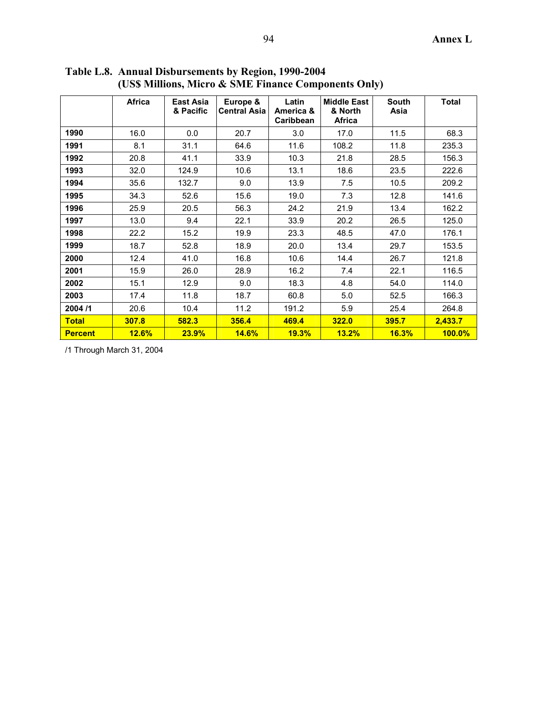|                | <b>Africa</b> | <b>East Asia</b><br>& Pacific | Europe &<br><b>Central Asia</b> | Latin<br>America &<br><b>Caribbean</b> | <b>Middle East</b><br>& North<br><b>Africa</b> | <b>South</b><br>Asia | <b>Total</b> |
|----------------|---------------|-------------------------------|---------------------------------|----------------------------------------|------------------------------------------------|----------------------|--------------|
| 1990           | 16.0          | 0.0                           | 20.7                            | 3.0                                    | 17.0                                           | 11.5                 | 68.3         |
| 1991           | 8.1           | 31.1                          | 64.6                            | 11.6                                   | 108.2                                          | 11.8                 | 235.3        |
| 1992           | 20.8          | 41.1                          | 33.9                            | 10.3                                   | 21.8                                           | 28.5                 | 156.3        |
| 1993           | 32.0          | 124.9                         | 10.6                            | 13.1                                   | 18.6                                           | 23.5                 | 222.6        |
| 1994           | 35.6          | 132.7                         | 9.0                             | 13.9                                   | 7.5                                            | 10.5                 | 209.2        |
| 1995           | 34.3          | 52.6                          | 15.6                            | 7.3<br>19.0                            |                                                | 12.8                 | 141.6        |
| 1996           | 25.9          | 20.5                          | 56.3                            | 21.9<br>24.2                           |                                                | 13.4                 | 162.2        |
| 1997           | 13.0          | 9.4                           | 22.1                            | 33.9                                   | 20.2                                           | 26.5                 | 125.0        |
| 1998           | 22.2          | 15.2                          | 19.9                            | 23.3                                   | 48.5                                           | 47.0                 | 176.1        |
| 1999           | 18.7          | 52.8                          | 18.9                            | 20.0                                   | 13.4                                           | 29.7                 | 153.5        |
| 2000           | 12.4          | 41.0                          | 16.8                            | 10.6                                   | 14.4                                           | 26.7                 | 121.8        |
| 2001           | 15.9          | 26.0                          | 28.9                            | 16.2                                   | 7.4                                            | 22.1                 | 116.5        |
| 2002           | 15.1          | 12.9                          | 9.0                             | 18.3                                   | 4.8                                            | 54.0                 | 114.0        |
| 2003           | 17.4          | 11.8                          | 18.7                            | 60.8                                   | 5.0                                            | 52.5                 | 166.3        |
| 2004/1         | 20.6          | 10.4                          | 11.2                            | 191.2                                  | 5.9                                            | 25.4                 | 264.8        |
| <b>Total</b>   | 307.8         | 582.3                         | 356.4                           | 469.4                                  | 322.0                                          | 395.7                | 2,433.7      |
| <b>Percent</b> | 12.6%         | 23.9%                         | 14.6%                           | 19.3%                                  | 13.2%                                          | 16.3%                | $100.0\%$    |

**Table L.8. Annual Disbursements by Region, 1990-2004 (US\$ Millions, Micro & SME Finance Components Only)**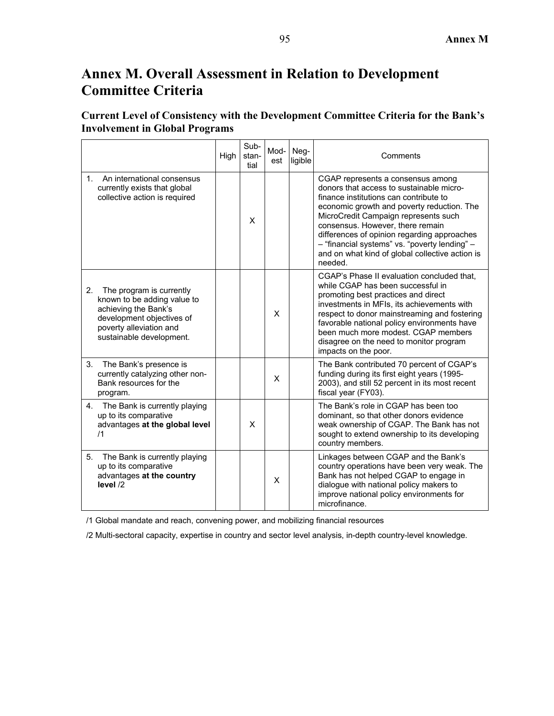# **Annex M. Overall Assessment in Relation to Development Committee Criteria**

# **Current Level of Consistency with the Development Committee Criteria for the Bank's Involvement in Global Programs**

|                                                                                                                                                                           | High | Sub-<br>stan-<br>tial | Mod-<br>est | Neg-<br>ligible | Comments                                                                                                                                                                                                                                                                                                                                                                                                        |
|---------------------------------------------------------------------------------------------------------------------------------------------------------------------------|------|-----------------------|-------------|-----------------|-----------------------------------------------------------------------------------------------------------------------------------------------------------------------------------------------------------------------------------------------------------------------------------------------------------------------------------------------------------------------------------------------------------------|
| An international consensus<br>$1_{-}$<br>currently exists that global<br>collective action is required                                                                    |      | X                     |             |                 | CGAP represents a consensus among<br>donors that access to sustainable micro-<br>finance institutions can contribute to<br>economic growth and poverty reduction. The<br>MicroCredit Campaign represents such<br>consensus. However, there remain<br>differences of opinion regarding approaches<br>- "financial systems" vs. "poverty lending" -<br>and on what kind of global collective action is<br>needed. |
| The program is currently<br>2.<br>known to be adding value to<br>achieving the Bank's<br>development objectives of<br>poverty alleviation and<br>sustainable development. |      |                       | X           |                 | CGAP's Phase II evaluation concluded that,<br>while CGAP has been successful in<br>promoting best practices and direct<br>investments in MFIs, its achievements with<br>respect to donor mainstreaming and fostering<br>favorable national policy environments have<br>been much more modest. CGAP members<br>disagree on the need to monitor program<br>impacts on the poor.                                   |
| 3 <sub>1</sub><br>The Bank's presence is<br>currently catalyzing other non-<br>Bank resources for the<br>program.                                                         |      |                       | X           |                 | The Bank contributed 70 percent of CGAP's<br>funding during its first eight years (1995-<br>2003), and still 52 percent in its most recent<br>fiscal year (FY03).                                                                                                                                                                                                                                               |
| 4. The Bank is currently playing<br>up to its comparative<br>advantages at the global level<br>/1                                                                         |      | X                     |             |                 | The Bank's role in CGAP has been too<br>dominant, so that other donors evidence<br>weak ownership of CGAP. The Bank has not<br>sought to extend ownership to its developing<br>country members.                                                                                                                                                                                                                 |
| 5.<br>The Bank is currently playing<br>up to its comparative<br>advantages at the country<br>level /2                                                                     |      |                       | X           |                 | Linkages between CGAP and the Bank's<br>country operations have been very weak. The<br>Bank has not helped CGAP to engage in<br>dialogue with national policy makers to<br>improve national policy environments for<br>microfinance.                                                                                                                                                                            |

/1 Global mandate and reach, convening power, and mobilizing financial resources

/2 Multi-sectoral capacity, expertise in country and sector level analysis, in-depth country-level knowledge.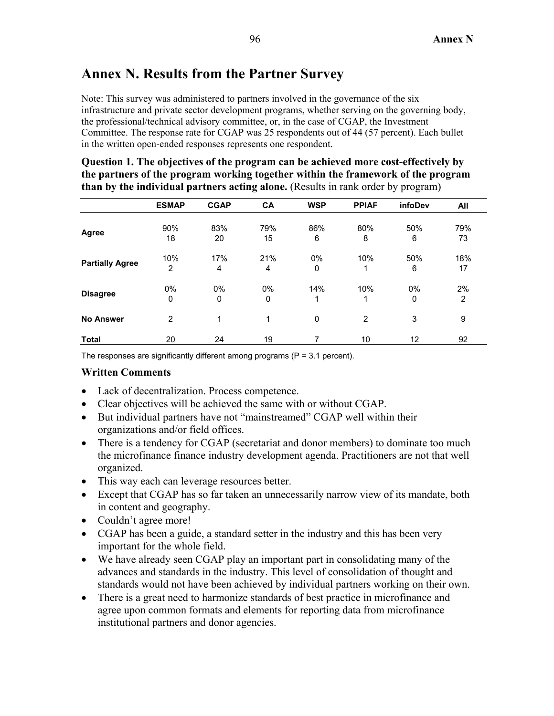# **Annex N. Results from the Partner Survey**

Note: This survey was administered to partners involved in the governance of the six infrastructure and private sector development programs, whether serving on the governing body, the professional/technical advisory committee, or, in the case of CGAP, the Investment Committee. The response rate for CGAP was 25 respondents out of 44 (57 percent). Each bullet in the written open-ended responses represents one respondent.

| Question 1. The objectives of the program can be achieved more cost-effectively by      |
|-----------------------------------------------------------------------------------------|
| the partners of the program working together within the framework of the program        |
| <b>than by the individual partners acting alone.</b> (Results in rank order by program) |

|                        | <b>ESMAP</b>   | <b>CGAP</b> | CA  | <b>WSP</b>  | <b>PPIAF</b>   | infoDev | All            |
|------------------------|----------------|-------------|-----|-------------|----------------|---------|----------------|
|                        | 90%            | 83%         | 79% | 86%         | 80%            | 50%     | 79%            |
| Agree                  | 18             | 20          | 15  | 6           | 8              | 6       | 73             |
|                        | 10%            | 17%         | 21% | 0%          | 10%            | 50%     | 18%            |
| <b>Partially Agree</b> | $\overline{2}$ | 4           | 4   | $\mathbf 0$ | 1              | 6       | 17             |
|                        | 0%             | 0%          | 0%  | 14%         | 10%            | 0%      | 2%             |
| <b>Disagree</b>        | 0              | 0           | 0   | 1           | 1              | 0       | $\overline{2}$ |
| <b>No Answer</b>       | $\overline{2}$ | 1           | 1   | $\mathbf 0$ | $\overline{2}$ | 3       | 9              |
| <b>Total</b>           | 20             | 24          | 19  | 7           | 10             | 12      | 92             |

The responses are significantly different among programs ( $P = 3.1$  percent).

- Lack of decentralization. Process competence.
- Clear objectives will be achieved the same with or without CGAP.
- But individual partners have not "mainstreamed" CGAP well within their organizations and/or field offices.
- There is a tendency for CGAP (secretariat and donor members) to dominate too much the microfinance finance industry development agenda. Practitioners are not that well organized.
- This way each can leverage resources better.
- Except that CGAP has so far taken an unnecessarily narrow view of its mandate, both in content and geography.
- Couldn't agree more!
- CGAP has been a guide, a standard setter in the industry and this has been very important for the whole field.
- We have already seen CGAP play an important part in consolidating many of the advances and standards in the industry. This level of consolidation of thought and standards would not have been achieved by individual partners working on their own.
- There is a great need to harmonize standards of best practice in microfinance and agree upon common formats and elements for reporting data from microfinance institutional partners and donor agencies.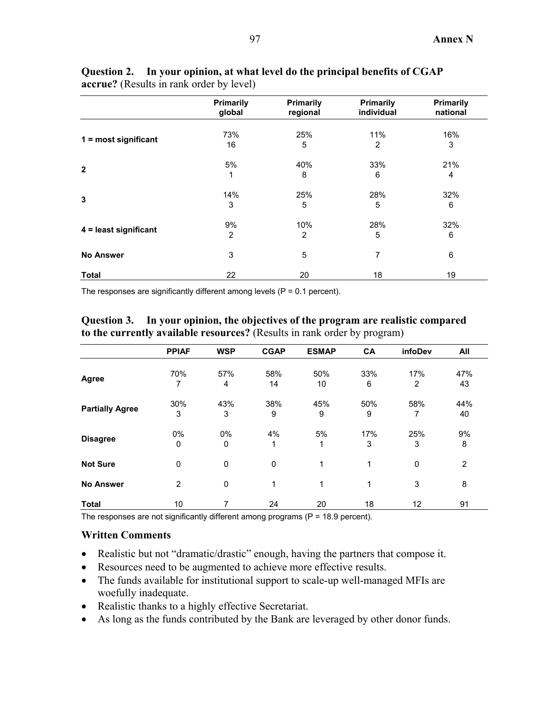|                        | Primarily<br>global | Primarily<br>regional | Primarily<br>individual | Primarily<br>national |
|------------------------|---------------------|-----------------------|-------------------------|-----------------------|
|                        | 73%                 | 25%                   | 11%                     | 16%                   |
| $1 = most significant$ | 16                  | 5                     | 2                       | 3                     |
|                        | 5%                  | 40%                   | 33%                     | 21%                   |
| $\overline{2}$         | 1                   | 8                     | 6                       | 4                     |
| 3                      | 14%                 | 25%                   | 28%                     | 32%                   |
|                        | 3                   | 5                     | 5                       | 6                     |
|                        | 9%                  | 10%                   | 28%                     | 32%                   |
| 4 = least significant  | 2                   | 2                     | 5                       | 6                     |
| <b>No Answer</b>       | 3                   | 5                     | 7                       | 6                     |
| <b>Total</b>           | 22                  | 20                    | 18                      | 19                    |

## **Question 2. In your opinion, at what level do the principal benefits of CGAP accrue?** (Results in rank order by level)

The responses are significantly different among levels ( $P = 0.1$  percent).

**Question 3. In your opinion, the objectives of the program are realistic compared to the currently available resources?** (Results in rank order by program)

|                        | <b>PPIAF</b>   | <b>WSP</b> | <b>CGAP</b> | <b>ESMAP</b> | CA       | infoDev     | All            |
|------------------------|----------------|------------|-------------|--------------|----------|-------------|----------------|
| Agree                  | 70%<br>7       | 57%<br>4   | 58%<br>14   | 50%<br>10    | 33%<br>6 | 17%<br>2    | 47%<br>43      |
| <b>Partially Agree</b> | 30%<br>3       | 43%<br>3   | 38%<br>9    | 45%<br>9     | 50%<br>9 | 58%<br>7    | 44%<br>40      |
| <b>Disagree</b>        | 0%<br>0        | 0%<br>0    | 4%<br>1     | 5%<br>1      | 17%<br>3 | 25%<br>3    | 9%<br>8        |
| <b>Not Sure</b>        | 0              | 0          | $\mathbf 0$ | 1            | 1        | $\mathbf 0$ | $\overline{2}$ |
| <b>No Answer</b>       | $\overline{2}$ | 0          | 1           | 1            | 1        | 3           | 8              |
| <b>Total</b>           | 10             | 7          | 24          | 20           | 18       | 12          | 91             |

The responses are not significantly different among programs ( $P = 18.9$  percent).

- Realistic but not "dramatic/drastic" enough, having the partners that compose it.
- Resources need to be augmented to achieve more effective results.
- The funds available for institutional support to scale-up well-managed MFIs are woefully inadequate.
- Realistic thanks to a highly effective Secretariat.
- As long as the funds contributed by the Bank are leveraged by other donor funds.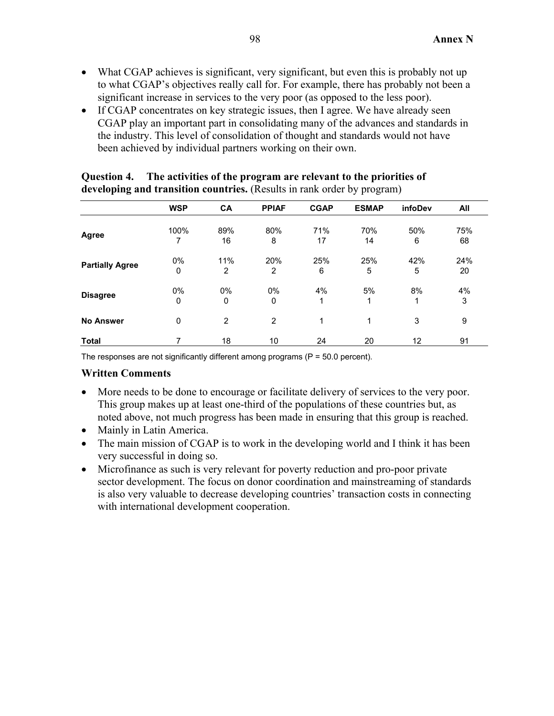- What CGAP achieves is significant, very significant, but even this is probably not up to what CGAP's objectives really call for. For example, there has probably not been a significant increase in services to the very poor (as opposed to the less poor).
- If CGAP concentrates on key strategic issues, then I agree. We have already seen CGAP play an important part in consolidating many of the advances and standards in the industry. This level of consolidation of thought and standards would not have been achieved by individual partners working on their own.

|                        | <b>WSP</b>  | <b>CA</b>      | <b>PPIAF</b>   | <b>CGAP</b> | <b>ESMAP</b> | infoDev | All |
|------------------------|-------------|----------------|----------------|-------------|--------------|---------|-----|
|                        | 100%        | 89%            | 80%            | 71%         | 70%          | 50%     | 75% |
| Agree                  | 7           | 16             | 8              | 17          | 14           | 6       | 68  |
|                        | $0\%$       | 11%            | 20%            | 25%         | 25%          | 42%     | 24% |
| <b>Partially Agree</b> | $\mathbf 0$ | 2              | 2              | 6           | 5            | 5       | 20  |
|                        | $0\%$       | $0\%$          | 0%             | 4%          | 5%           | 8%      | 4%  |
| <b>Disagree</b>        | $\mathbf 0$ | 0              | 0              | 1           | 1            | 1       | 3   |
| <b>No Answer</b>       | $\mathbf 0$ | $\overline{2}$ | $\overline{2}$ | 1           | 1            | 3       | 9   |
| <b>Total</b>           | 7           | 18             | 10             | 24          | 20           | 12      | 91  |

## **Question 4. The activities of the program are relevant to the priorities of developing and transition countries.** (Results in rank order by program)

The responses are not significantly different among programs ( $P = 50.0$  percent).

- More needs to be done to encourage or facilitate delivery of services to the very poor. This group makes up at least one-third of the populations of these countries but, as noted above, not much progress has been made in ensuring that this group is reached.
- Mainly in Latin America.
- The main mission of CGAP is to work in the developing world and I think it has been very successful in doing so.
- Microfinance as such is very relevant for poverty reduction and pro-poor private sector development. The focus on donor coordination and mainstreaming of standards is also very valuable to decrease developing countries' transaction costs in connecting with international development cooperation.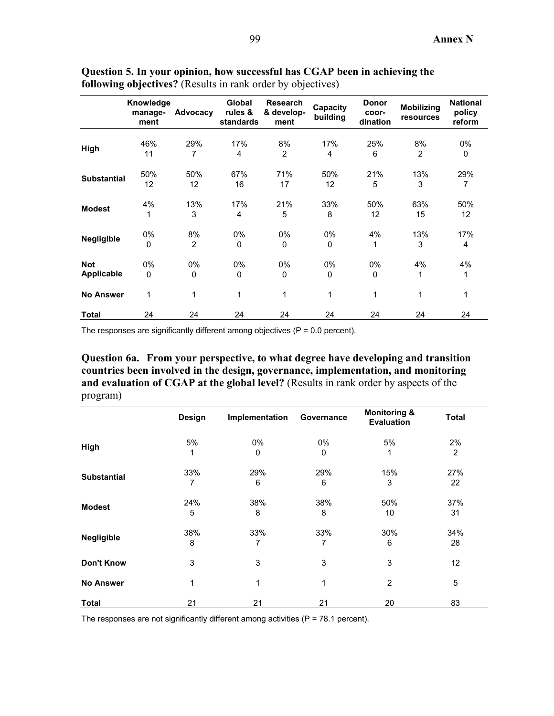|                    | Knowledge<br>manage-<br>ment | Advocacy       | Global<br>rules &<br>standards | <b>Research</b><br>& develop-<br>ment | Capacity<br>building | <b>Donor</b><br>coor-<br>dination | <b>Mobilizing</b><br>resources | <b>National</b><br>policy<br>reform |
|--------------------|------------------------------|----------------|--------------------------------|---------------------------------------|----------------------|-----------------------------------|--------------------------------|-------------------------------------|
|                    |                              |                |                                |                                       |                      |                                   |                                |                                     |
| High               | 46%<br>11                    | 29%<br>7       | 17%<br>4                       | 8%<br>$\overline{2}$                  | 17%<br>4             | 25%<br>6                          | 8%<br>$\overline{2}$           | 0%<br>0                             |
|                    |                              |                |                                |                                       |                      |                                   |                                |                                     |
|                    | 50%                          | 50%            | 67%                            | 71%                                   | 50%                  | 21%                               | 13%                            | 29%                                 |
| <b>Substantial</b> | 12                           | 12             | 16                             | 17                                    | 12                   | 5                                 | 3                              | 7                                   |
|                    | 4%                           | 13%            | 17%                            | 21%                                   | 33%                  | 50%                               | 63%                            | 50%                                 |
| <b>Modest</b>      | 1                            | 3              | 4                              | 5                                     | 8                    | 12                                | 15                             | 12 <sup>2</sup>                     |
|                    | 0%                           | 8%             | $0\%$                          | 0%                                    | $0\%$                | 4%                                | 13%                            | 17%                                 |
| Negligible         | $\mathbf 0$                  | $\overline{2}$ | $\Omega$                       | $\mathbf 0$                           | $\Omega$             | 1                                 | 3                              | 4                                   |
| <b>Not</b>         | $0\%$                        | $0\%$          | $0\%$                          | 0%                                    | 0%                   | 0%                                | 4%                             | 4%                                  |
| Applicable         | $\mathbf 0$                  | 0              | 0                              | $\mathbf 0$                           | 0                    | 0                                 | 1                              | 1                                   |
| <b>No Answer</b>   | 1                            | 1              | 1                              | 1                                     | 1                    | 1                                 | 1                              | 1                                   |
| Total              | 24                           | 24             | 24                             | 24                                    | 24                   | 24                                | 24                             | 24                                  |

**Question 5. In your opinion, how successful has CGAP been in achieving the following objectives?** (Results in rank order by objectives)

The responses are significantly different among objectives ( $P = 0.0$  percent).

**Question 6a. From your perspective, to what degree have developing and transition countries been involved in the design, governance, implementation, and monitoring and evaluation of CGAP at the global level?** (Results in rank order by aspects of the program)

|                    | Design   | Implementation | Governance | <b>Monitoring &amp;</b><br>Evaluation | <b>Total</b>   |
|--------------------|----------|----------------|------------|---------------------------------------|----------------|
|                    | 5%       | 0%             | $0\%$      | 5%                                    | 2%             |
| High               |          | 0              | 0          |                                       | $\overline{2}$ |
| <b>Substantial</b> | 33%<br>7 | 29%<br>6       | 29%<br>6   | 15%<br>3                              | 27%<br>22      |
| <b>Modest</b>      | 24%      | 38%            | 38%        | 50%                                   | 37%            |
|                    | 5        | 8              | 8          | 10                                    | 31             |
| <b>Negligible</b>  | 38%<br>8 | 33%<br>7       | 33%<br>7   | 30%<br>6                              | 34%<br>28      |
| <b>Don't Know</b>  | 3        | 3              | 3          | 3                                     | 12             |
| <b>No Answer</b>   | 1        | 1              | 1          | $\overline{2}$                        | 5              |
| Total              | 21       | 21             | 21         | 20                                    | 83             |

The responses are not significantly different among activities ( $P = 78.1$  percent).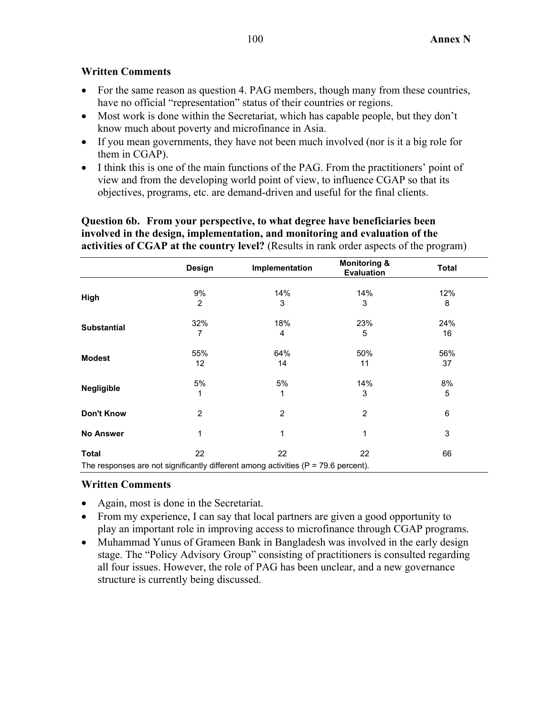# **Written Comments**

- For the same reason as question 4. PAG members, though many from these countries, have no official "representation" status of their countries or regions.
- Most work is done within the Secretariat, which has capable people, but they don't know much about poverty and microfinance in Asia.
- If you mean governments, they have not been much involved (nor is it a big role for them in CGAP).
- I think this is one of the main functions of the PAG. From the practitioners' point of view and from the developing world point of view, to influence CGAP so that its objectives, programs, etc. are demand-driven and useful for the final clients.

**Question 6b. From your perspective, to what degree have beneficiaries been involved in the design, implementation, and monitoring and evaluation of the activities of CGAP at the country level?** (Results in rank order aspects of the program)

|                    | Design         | Implementation                                                                        | <b>Monitoring &amp;</b><br><b>Evaluation</b> | <b>Total</b> |
|--------------------|----------------|---------------------------------------------------------------------------------------|----------------------------------------------|--------------|
|                    | 9%             | 14%                                                                                   | 14%                                          | 12%          |
| High               | $\overline{2}$ | 3                                                                                     | 3                                            | 8            |
| <b>Substantial</b> | 32%            | 18%                                                                                   | 23%                                          | 24%          |
|                    | 7              | 4                                                                                     | 5                                            | 16           |
| <b>Modest</b>      | 55%            | 64%                                                                                   | 50%                                          | 56%          |
|                    | 12             | 14                                                                                    | 11                                           | 37           |
| <b>Negligible</b>  | 5%             | 5%                                                                                    | 14%                                          | 8%           |
|                    | 1              | 1                                                                                     | 3                                            | 5            |
| <b>Don't Know</b>  | $\overline{2}$ | 2                                                                                     | 2                                            | 6            |
| <b>No Answer</b>   | 1              | 1                                                                                     | 1                                            | 3            |
| Total              | 22             | 22                                                                                    | 22                                           | 66           |
|                    |                | The responses are not significantly different among activities ( $P = 79.6$ percent). |                                              |              |

- Again, most is done in the Secretariat.
- From my experience, I can say that local partners are given a good opportunity to play an important role in improving access to microfinance through CGAP programs.
- Muhammad Yunus of Grameen Bank in Bangladesh was involved in the early design stage. The "Policy Advisory Group" consisting of practitioners is consulted regarding all four issues. However, the role of PAG has been unclear, and a new governance structure is currently being discussed.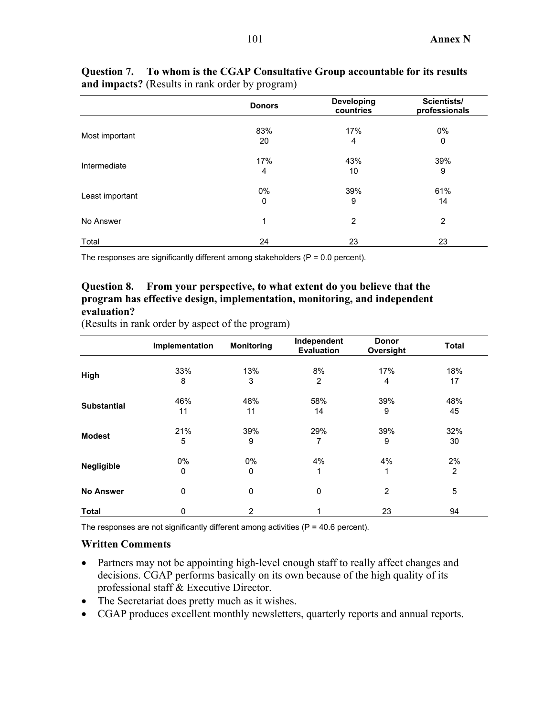|                 | <b>Donors</b>  | <b>Developing</b><br>countries | Scientists/<br>professionals |
|-----------------|----------------|--------------------------------|------------------------------|
| Most important  | 83%            | 17%                            | 0%                           |
|                 | 20             | 4                              | 0                            |
| Intermediate    | 17%            | 43%                            | 39%                          |
|                 | $\overline{4}$ | 10                             | 9                            |
|                 | $0\%$          | 39%                            | 61%                          |
| Least important | 0              | 9                              | 14                           |
| No Answer       | $\mathbf{1}$   | 2                              | $\overline{2}$               |
| Total           | 24             | 23                             | 23                           |

**Question 7. To whom is the CGAP Consultative Group accountable for its results and impacts?** (Results in rank order by program)

The responses are significantly different among stakeholders ( $P = 0.0$  percent).

# **Question 8. From your perspective, to what extent do you believe that the program has effective design, implementation, monitoring, and independent evaluation?**

|                    | Implementation | <b>Monitoring</b> | Independent<br><b>Evaluation</b> | <b>Donor</b><br>Oversight | <b>Total</b>   |
|--------------------|----------------|-------------------|----------------------------------|---------------------------|----------------|
|                    | 33%            | 13%               | 8%                               | 17%                       | 18%            |
| High               | 8              | 3                 | 2                                | 4                         | 17             |
|                    | 46%            | 48%               | 58%                              | 39%                       | 48%            |
| <b>Substantial</b> | 11             | 11                | 14                               | 9                         | 45             |
|                    | 21%            | 39%               | 29%                              | 39%                       | 32%            |
| <b>Modest</b>      | 5              | 9                 | 7                                | 9                         | 30             |
|                    | 0%             | 0%                | 4%                               | 4%                        | 2%             |
| <b>Negligible</b>  | 0              | 0                 |                                  | 1                         | $\overline{2}$ |
| <b>No Answer</b>   | 0              | 0                 | $\mathbf 0$                      | $\overline{2}$            | 5              |
| <b>Total</b>       | 0              | $\overline{2}$    |                                  | 23                        | 94             |

(Results in rank order by aspect of the program)

The responses are not significantly different among activities ( $P = 40.6$  percent).

- Partners may not be appointing high-level enough staff to really affect changes and decisions. CGAP performs basically on its own because of the high quality of its professional staff & Executive Director.
- The Secretariat does pretty much as it wishes.
- CGAP produces excellent monthly newsletters, quarterly reports and annual reports.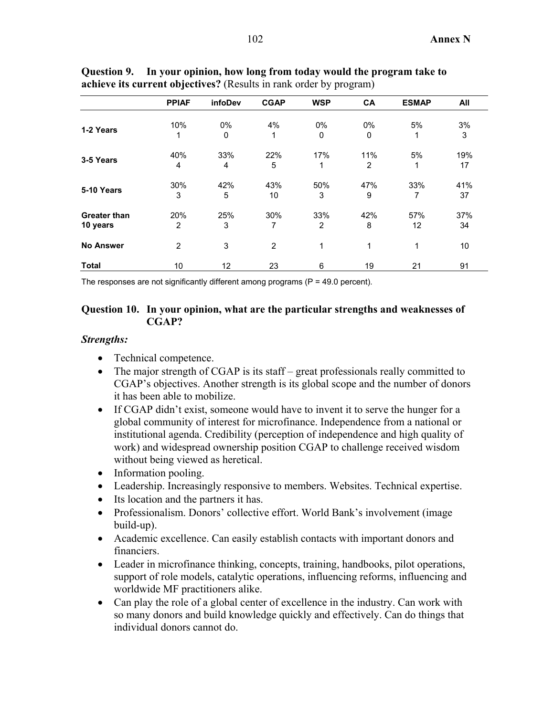|                                 | <b>PPIAF</b>          | infoDev    | <b>CGAP</b>    | <b>WSP</b>            | CA       | <b>ESMAP</b> | All       |
|---------------------------------|-----------------------|------------|----------------|-----------------------|----------|--------------|-----------|
| 1-2 Years                       | 10%<br>1              | $0\%$<br>0 | 4%<br>1        | 0%<br>0               | 0%<br>0  | 5%           | 3%<br>3   |
| 3-5 Years                       | 40%<br>$\overline{4}$ | 33%<br>4   | 22%<br>5       | 17%<br>1              | 11%<br>2 | 5%<br>1      | 19%<br>17 |
| 5-10 Years                      | 30%<br>3              | 42%<br>5   | 43%<br>10      | 50%<br>3              | 47%<br>9 | 33%<br>7     | 41%<br>37 |
| <b>Greater than</b><br>10 years | 20%<br>$\overline{2}$ | 25%<br>3   | 30%<br>7       | 33%<br>$\overline{2}$ | 42%<br>8 | 57%<br>12    | 37%<br>34 |
| <b>No Answer</b>                | $\overline{2}$        | 3          | $\overline{2}$ | 1                     | 1        | 1            | 10        |
| <b>Total</b>                    | 10                    | 12         | 23             | 6                     | 19       | 21           | 91        |

**Question 9. In your opinion, how long from today would the program take to achieve its current objectives?** (Results in rank order by program)

The responses are not significantly different among programs  $(P = 49.0 \text{ percent})$ .

# **Question 10. In your opinion, what are the particular strengths and weaknesses of CGAP?**

### *Strengths:*

- Technical competence.
- The major strength of CGAP is its staff great professionals really committed to CGAP's objectives. Another strength is its global scope and the number of donors it has been able to mobilize.
- If CGAP didn't exist, someone would have to invent it to serve the hunger for a global community of interest for microfinance. Independence from a national or institutional agenda. Credibility (perception of independence and high quality of work) and widespread ownership position CGAP to challenge received wisdom without being viewed as heretical.
- Information pooling.
- Leadership. Increasingly responsive to members. Websites. Technical expertise.
- Its location and the partners it has.
- Professionalism. Donors' collective effort. World Bank's involvement (image build-up).
- Academic excellence. Can easily establish contacts with important donors and financiers.
- Leader in microfinance thinking, concepts, training, handbooks, pilot operations, support of role models, catalytic operations, influencing reforms, influencing and worldwide MF practitioners alike.
- Can play the role of a global center of excellence in the industry. Can work with so many donors and build knowledge quickly and effectively. Can do things that individual donors cannot do.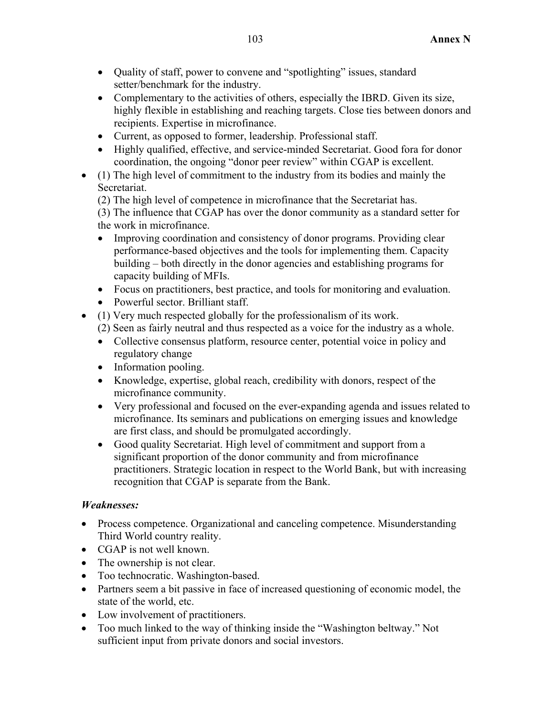- Quality of staff, power to convene and "spotlighting" issues, standard setter/benchmark for the industry.
- Complementary to the activities of others, especially the IBRD. Given its size, highly flexible in establishing and reaching targets. Close ties between donors and recipients. Expertise in microfinance.
- Current, as opposed to former, leadership. Professional staff.
- Highly qualified, effective, and service-minded Secretariat. Good fora for donor coordination, the ongoing "donor peer review" within CGAP is excellent.
- (1) The high level of commitment to the industry from its bodies and mainly the Secretariat.

(2) The high level of competence in microfinance that the Secretariat has.

(3) The influence that CGAP has over the donor community as a standard setter for the work in microfinance.

- Improving coordination and consistency of donor programs. Providing clear performance-based objectives and the tools for implementing them. Capacity building – both directly in the donor agencies and establishing programs for capacity building of MFIs.
- Focus on practitioners, best practice, and tools for monitoring and evaluation.
- Powerful sector. Brilliant staff.
- (1) Very much respected globally for the professionalism of its work. (2) Seen as fairly neutral and thus respected as a voice for the industry as a whole.
	- Collective consensus platform, resource center, potential voice in policy and regulatory change
	- Information pooling.
	- Knowledge, expertise, global reach, credibility with donors, respect of the microfinance community.
	- Very professional and focused on the ever-expanding agenda and issues related to microfinance. Its seminars and publications on emerging issues and knowledge are first class, and should be promulgated accordingly.
	- Good quality Secretariat. High level of commitment and support from a significant proportion of the donor community and from microfinance practitioners. Strategic location in respect to the World Bank, but with increasing recognition that CGAP is separate from the Bank.

# *Weaknesses:*

- Process competence. Organizational and canceling competence. Misunderstanding Third World country reality.
- CGAP is not well known.
- The ownership is not clear.
- Too technocratic. Washington-based.
- Partners seem a bit passive in face of increased questioning of economic model, the state of the world, etc.
- Low involvement of practitioners.
- Too much linked to the way of thinking inside the "Washington beltway." Not sufficient input from private donors and social investors.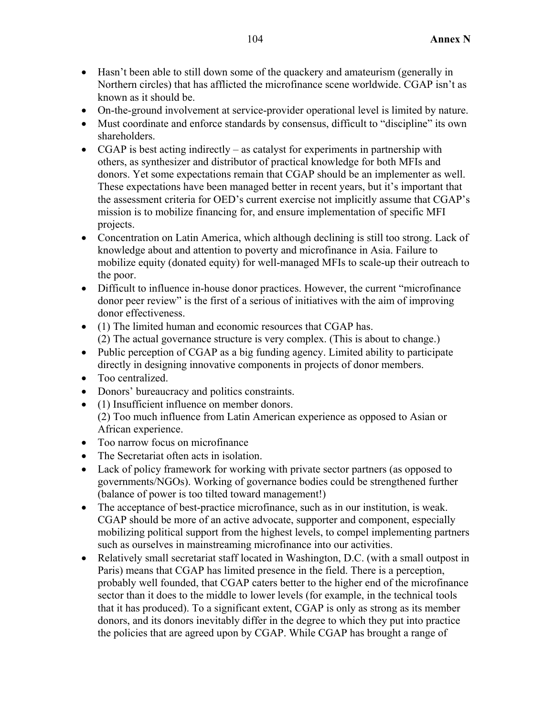- Hasn't been able to still down some of the quackery and amateurism (generally in Northern circles) that has afflicted the microfinance scene worldwide. CGAP isn't as known as it should be.
- On-the-ground involvement at service-provider operational level is limited by nature.
- Must coordinate and enforce standards by consensus, difficult to "discipline" its own shareholders.
- CGAP is best acting indirectly as catalyst for experiments in partnership with others, as synthesizer and distributor of practical knowledge for both MFIs and donors. Yet some expectations remain that CGAP should be an implementer as well. These expectations have been managed better in recent years, but it's important that the assessment criteria for OED's current exercise not implicitly assume that CGAP's mission is to mobilize financing for, and ensure implementation of specific MFI projects.
- Concentration on Latin America, which although declining is still too strong. Lack of knowledge about and attention to poverty and microfinance in Asia. Failure to mobilize equity (donated equity) for well-managed MFIs to scale-up their outreach to the poor.
- Difficult to influence in-house donor practices. However, the current "microfinance donor peer review" is the first of a serious of initiatives with the aim of improving donor effectiveness.
- (1) The limited human and economic resources that CGAP has. (2) The actual governance structure is very complex. (This is about to change.)
- Public perception of CGAP as a big funding agency. Limited ability to participate directly in designing innovative components in projects of donor members.
- Too centralized.
- Donors' bureaucracy and politics constraints.
- (1) Insufficient influence on member donors.
	- (2) Too much influence from Latin American experience as opposed to Asian or African experience.
- Too narrow focus on microfinance
- The Secretariat often acts in isolation.
- Lack of policy framework for working with private sector partners (as opposed to governments/NGOs). Working of governance bodies could be strengthened further (balance of power is too tilted toward management!)
- The acceptance of best-practice microfinance, such as in our institution, is weak. CGAP should be more of an active advocate, supporter and component, especially mobilizing political support from the highest levels, to compel implementing partners such as ourselves in mainstreaming microfinance into our activities.
- Relatively small secretariat staff located in Washington, D.C. (with a small outpost in Paris) means that CGAP has limited presence in the field. There is a perception, probably well founded, that CGAP caters better to the higher end of the microfinance sector than it does to the middle to lower levels (for example, in the technical tools that it has produced). To a significant extent, CGAP is only as strong as its member donors, and its donors inevitably differ in the degree to which they put into practice the policies that are agreed upon by CGAP. While CGAP has brought a range of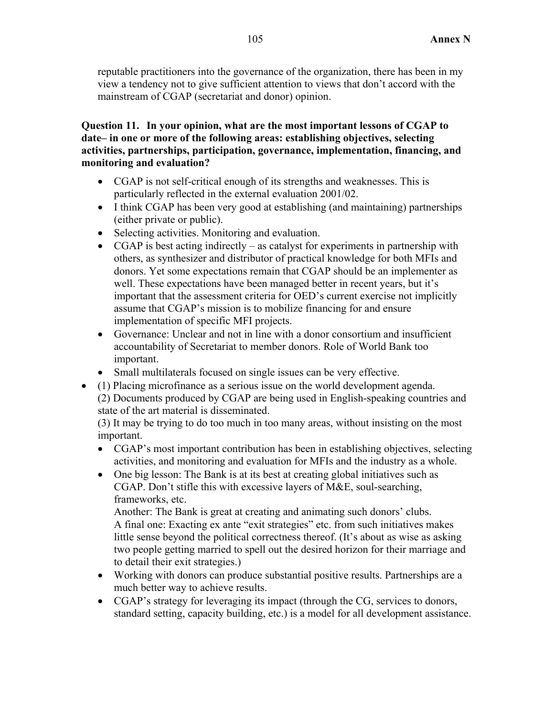reputable practitioners into the governance of the organization, there has been in my view a tendency not to give sufficient attention to views that don't accord with the mainstream of CGAP (secretariat and donor) opinion.

# **Question 11. In your opinion, what are the most important lessons of CGAP to date– in one or more of the following areas: establishing objectives, selecting activities, partnerships, participation, governance, implementation, financing, and monitoring and evaluation?**

- CGAP is not self-critical enough of its strengths and weaknesses. This is particularly reflected in the external evaluation 2001/02.
- I think CGAP has been very good at establishing (and maintaining) partnerships (either private or public).
- Selecting activities. Monitoring and evaluation.
- CGAP is best acting indirectly as catalyst for experiments in partnership with others, as synthesizer and distributor of practical knowledge for both MFIs and donors. Yet some expectations remain that CGAP should be an implementer as well. These expectations have been managed better in recent years, but it's important that the assessment criteria for OED's current exercise not implicitly assume that CGAP's mission is to mobilize financing for and ensure implementation of specific MFI projects.
- Governance: Unclear and not in line with a donor consortium and insufficient accountability of Secretariat to member donors. Role of World Bank too important.
- Small multilaterals focused on single issues can be very effective.
- (1) Placing microfinance as a serious issue on the world development agenda.
	- (2) Documents produced by CGAP are being used in English-speaking countries and state of the art material is disseminated.

(3) It may be trying to do too much in too many areas, without insisting on the most important.

- CGAP's most important contribution has been in establishing objectives, selecting activities, and monitoring and evaluation for MFIs and the industry as a whole.
- One big lesson: The Bank is at its best at creating global initiatives such as CGAP. Don't stifle this with excessive layers of M&E, soul-searching, frameworks, etc.

Another: The Bank is great at creating and animating such donors' clubs. A final one: Exacting ex ante "exit strategies" etc. from such initiatives makes little sense beyond the political correctness thereof. (It's about as wise as asking two people getting married to spell out the desired horizon for their marriage and to detail their exit strategies.)

- Working with donors can produce substantial positive results. Partnerships are a much better way to achieve results.
- CGAP's strategy for leveraging its impact (through the CG, services to donors, standard setting, capacity building, etc.) is a model for all development assistance.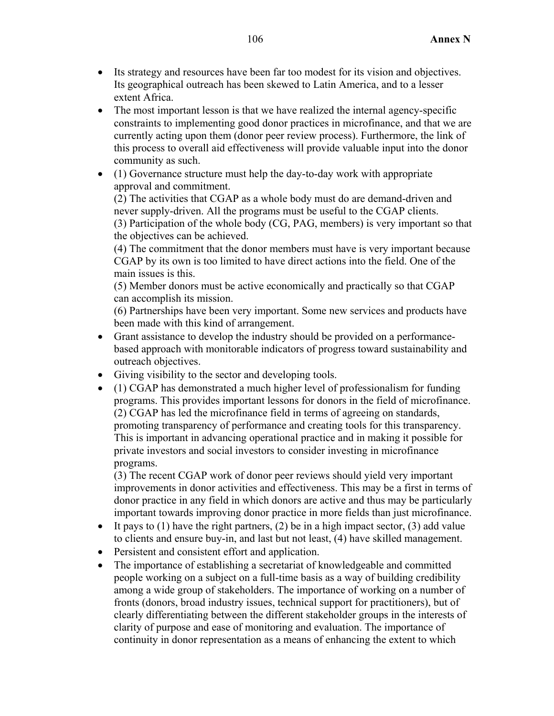- Its strategy and resources have been far too modest for its vision and objectives. Its geographical outreach has been skewed to Latin America, and to a lesser extent Africa.
- The most important lesson is that we have realized the internal agency-specific constraints to implementing good donor practices in microfinance, and that we are currently acting upon them (donor peer review process). Furthermore, the link of this process to overall aid effectiveness will provide valuable input into the donor community as such.
- (1) Governance structure must help the day-to-day work with appropriate approval and commitment.

(2) The activities that CGAP as a whole body must do are demand-driven and never supply-driven. All the programs must be useful to the CGAP clients. (3) Participation of the whole body (CG, PAG, members) is very important so that the objectives can be achieved.

(4) The commitment that the donor members must have is very important because CGAP by its own is too limited to have direct actions into the field. One of the main issues is this.

(5) Member donors must be active economically and practically so that CGAP can accomplish its mission.

(6) Partnerships have been very important. Some new services and products have been made with this kind of arrangement.

- Grant assistance to develop the industry should be provided on a performancebased approach with monitorable indicators of progress toward sustainability and outreach objectives.
- Giving visibility to the sector and developing tools.
- (1) CGAP has demonstrated a much higher level of professionalism for funding programs. This provides important lessons for donors in the field of microfinance. (2) CGAP has led the microfinance field in terms of agreeing on standards, promoting transparency of performance and creating tools for this transparency. This is important in advancing operational practice and in making it possible for private investors and social investors to consider investing in microfinance programs.

(3) The recent CGAP work of donor peer reviews should yield very important improvements in donor activities and effectiveness. This may be a first in terms of donor practice in any field in which donors are active and thus may be particularly important towards improving donor practice in more fields than just microfinance.

- It pays to  $(1)$  have the right partners,  $(2)$  be in a high impact sector,  $(3)$  add value to clients and ensure buy-in, and last but not least, (4) have skilled management.
- Persistent and consistent effort and application.
- The importance of establishing a secretariat of knowledgeable and committed people working on a subject on a full-time basis as a way of building credibility among a wide group of stakeholders. The importance of working on a number of fronts (donors, broad industry issues, technical support for practitioners), but of clearly differentiating between the different stakeholder groups in the interests of clarity of purpose and ease of monitoring and evaluation. The importance of continuity in donor representation as a means of enhancing the extent to which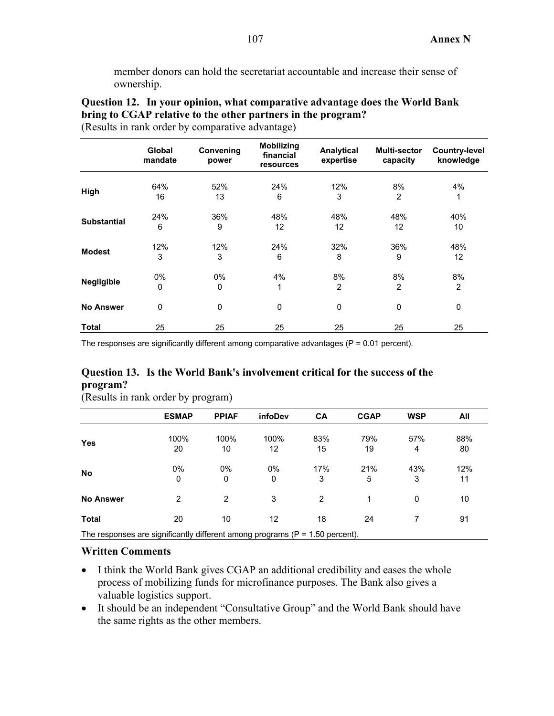member donors can hold the secretariat accountable and increase their sense of ownership.

|                    |                          |                    | <b>Mobilizing</b>      |                         |                          |                                   |
|--------------------|--------------------------|--------------------|------------------------|-------------------------|--------------------------|-----------------------------------|
|                    | <b>Global</b><br>mandate | Convening<br>power | financial<br>resources | Analytical<br>expertise | Multi-sector<br>capacity | <b>Country-level</b><br>knowledge |
|                    | 64%                      | 52%                | 24%                    | 12%                     | 8%                       | 4%                                |
| High               | 16                       | 13                 | 6                      | 3                       | 2                        | 1                                 |
|                    | 24%                      | 36%                | 48%                    | 48%                     | 48%                      | 40%                               |
| <b>Substantial</b> | 6                        | 9                  | 12                     | 12                      | 12                       | 10                                |
|                    | 12%                      | 12%                | 24%                    | 32%                     | 36%                      | 48%                               |
| <b>Modest</b>      | 3                        | 3                  | 6                      | 8                       | 9                        | 12                                |
|                    | 0%                       | 0%                 | 4%                     | 8%                      | 8%                       | 8%                                |
| <b>Negligible</b>  | $\mathbf 0$              | $\mathbf 0$        | 1                      | $\overline{2}$          | 2                        | $\overline{2}$                    |
| <b>No Answer</b>   | 0                        | 0                  | 0                      | $\mathbf 0$             | 0                        | 0                                 |
| <b>Total</b>       | 25                       | 25                 | 25                     | 25                      | 25                       | 25                                |

**Question 12. In your opinion, what comparative advantage does the World Bank bring to CGAP relative to the other partners in the program?**  (Results in rank order by comparative advantage)

The responses are significantly different among comparative advantages ( $P = 0.01$  percent).

## **Question 13. Is the World Bank's involvement critical for the success of the program?**

|                                                                                | <b>ESMAP</b>       | <b>PPIAF</b> | <b>infoDev</b> | <b>CA</b> | <b>CGAP</b> | <b>WSP</b> | All       |
|--------------------------------------------------------------------------------|--------------------|--------------|----------------|-----------|-------------|------------|-----------|
| <b>Yes</b>                                                                     | 100%<br>20         | 100%<br>10   | 100%<br>12     | 83%<br>15 | 79%<br>19   | 57%<br>4   | 88%<br>80 |
| <b>No</b>                                                                      | 0%<br>$\mathbf{0}$ | 0%<br>0      | 0%<br>0        | 17%<br>3  | 21%<br>5    | 43%<br>3   | 12%<br>11 |
| <b>No Answer</b>                                                               | $\overline{2}$     | 2            | 3              | 2         | 1           | 0          | 10        |
| Total                                                                          | 20                 | 10           | 12             | 18        | 24          |            | 91        |
| The represence are gignificantly different among programs $(D - 1 E0$ persont) |                    |              |                |           |             |            |           |

(Results in rank order by program)

The responses are significantly different among programs ( $P = 1.50$  percent).

- I think the World Bank gives CGAP an additional credibility and eases the whole process of mobilizing funds for microfinance purposes. The Bank also gives a valuable logistics support.
- It should be an independent "Consultative Group" and the World Bank should have the same rights as the other members.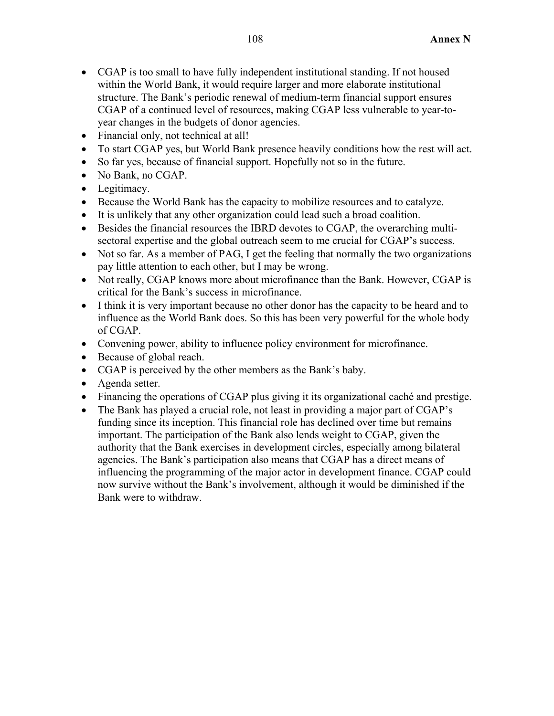- CGAP is too small to have fully independent institutional standing. If not housed within the World Bank, it would require larger and more elaborate institutional structure. The Bank's periodic renewal of medium-term financial support ensures CGAP of a continued level of resources, making CGAP less vulnerable to year-toyear changes in the budgets of donor agencies.
- Financial only, not technical at all!
- To start CGAP yes, but World Bank presence heavily conditions how the rest will act.
- So far yes, because of financial support. Hopefully not so in the future.
- No Bank, no CGAP.
- Legitimacy.
- Because the World Bank has the capacity to mobilize resources and to catalyze.
- It is unlikely that any other organization could lead such a broad coalition.
- Besides the financial resources the IBRD devotes to CGAP, the overarching multisectoral expertise and the global outreach seem to me crucial for CGAP's success.
- Not so far. As a member of PAG, I get the feeling that normally the two organizations pay little attention to each other, but I may be wrong.
- Not really, CGAP knows more about microfinance than the Bank. However, CGAP is critical for the Bank's success in microfinance.
- I think it is very important because no other donor has the capacity to be heard and to influence as the World Bank does. So this has been very powerful for the whole body of CGAP.
- Convening power, ability to influence policy environment for microfinance.
- Because of global reach.
- CGAP is perceived by the other members as the Bank's baby.
- Agenda setter.
- Financing the operations of CGAP plus giving it its organizational caché and prestige.
- The Bank has played a crucial role, not least in providing a major part of CGAP's funding since its inception. This financial role has declined over time but remains important. The participation of the Bank also lends weight to CGAP, given the authority that the Bank exercises in development circles, especially among bilateral agencies. The Bank's participation also means that CGAP has a direct means of influencing the programming of the major actor in development finance. CGAP could now survive without the Bank's involvement, although it would be diminished if the Bank were to withdraw.